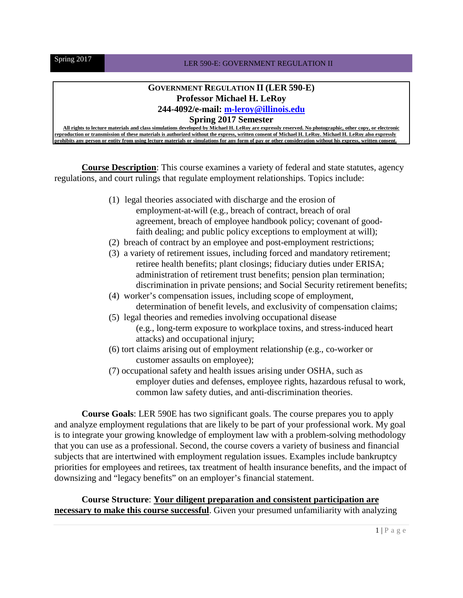## **GOVERNMENT REGULATION II (LER 590-E) Professor Michael H. LeRoy**

**244-4092/e-mail: [m-leroy@illinois.edu](mailto:m-leroy@illinois.edu)**

**Spring 2017 Semester**

**All rights to lecture materials and class simulations developed by Michael H. LeRoy are expressly reserved. No photographic, other copy, or electronic reproduction or transmission of these materials is authorized without the express, written consent of Michael H. LeRoy. Michael H. LeRoy also expressly prohibits any person or entity from using lecture materials or simulations for any form of pay or other consideration without his express, written consent.**

**Course Description**: This course examines a variety of federal and state statutes, agency regulations, and court rulings that regulate employment relationships. Topics include:

- (1) legal theories associated with discharge and the erosion of employment-at-will (e.g., breach of contract, breach of oral agreement, breach of employee handbook policy; covenant of goodfaith dealing; and public policy exceptions to employment at will);
- (2) breach of contract by an employee and post-employment restrictions;
- (3) a variety of retirement issues, including forced and mandatory retirement; retiree health benefits; plant closings; fiduciary duties under ERISA; administration of retirement trust benefits; pension plan termination; discrimination in private pensions; and Social Security retirement benefits;
- (4) worker's compensation issues, including scope of employment, determination of benefit levels, and exclusivity of compensation claims;
- (5) legal theories and remedies involving occupational disease (e.g., long-term exposure to workplace toxins, and stress-induced heart attacks) and occupational injury;
- (6) tort claims arising out of employment relationship (e.g., co-worker or customer assaults on employee);
- (7) occupational safety and health issues arising under OSHA, such as employer duties and defenses, employee rights, hazardous refusal to work, common law safety duties, and anti-discrimination theories.

**Course Goals**: LER 590E has two significant goals. The course prepares you to apply and analyze employment regulations that are likely to be part of your professional work. My goal is to integrate your growing knowledge of employment law with a problem-solving methodology that you can use as a professional. Second, the course covers a variety of business and financial subjects that are intertwined with employment regulation issues. Examples include bankruptcy priorities for employees and retirees, tax treatment of health insurance benefits, and the impact of downsizing and "legacy benefits" on an employer's financial statement.

**Course Structure**: **Your diligent preparation and consistent participation are necessary to make this course successful**. Given your presumed unfamiliarity with analyzing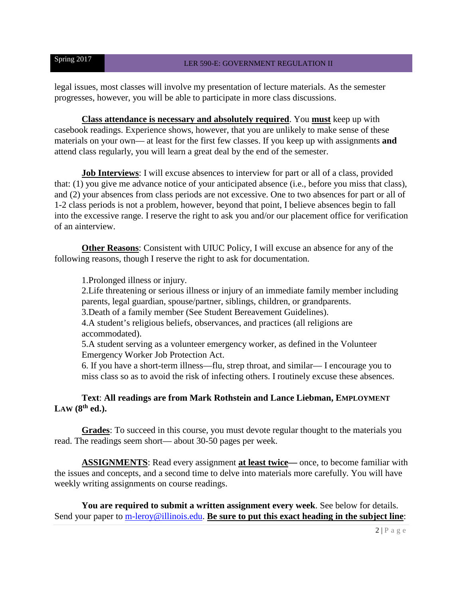legal issues, most classes will involve my presentation of lecture materials. As the semester progresses, however, you will be able to participate in more class discussions.

**Class attendance is necessary and absolutely required**. You **must** keep up with casebook readings. Experience shows, however, that you are unlikely to make sense of these materials on your own— at least for the first few classes. If you keep up with assignments **and** attend class regularly, you will learn a great deal by the end of the semester.

**Job Interviews**: I will excuse absences to interview for part or all of a class, provided that: (1) you give me advance notice of your anticipated absence (i.e., before you miss that class), and (2) your absences from class periods are not excessive. One to two absences for part or all of 1-2 class periods is not a problem, however, beyond that point, I believe absences begin to fall into the excessive range. I reserve the right to ask you and/or our placement office for verification of an ainterview.

**Other Reasons**: Consistent with UIUC Policy, I will excuse an absence for any of the following reasons, though I reserve the right to ask for documentation.

1.Prolonged illness or injury.

2.Life threatening or serious illness or injury of an immediate family member including parents, legal guardian, spouse/partner, siblings, children, or grandparents.

3.Death of a family member (See Student Bereavement Guidelines).

4.A student's religious beliefs, observances, and practices (all religions are accommodated).

5.A student serving as a volunteer emergency worker, as defined in the Volunteer Emergency Worker Job Protection Act.

6. If you have a short-term illness—flu, strep throat, and similar— I encourage you to miss class so as to avoid the risk of infecting others. I routinely excuse these absences.

### **Text**: **All readings are from Mark Rothstein and Lance Liebman, EMPLOYMENT LAW (8th ed.).**

**Grades**: To succeed in this course, you must devote regular thought to the materials you read. The readings seem short— about 30-50 pages per week.

**ASSIGNMENTS**: Read every assignment **at least twice—** once, to become familiar with the issues and concepts, and a second time to delve into materials more carefully. You will have weekly writing assignments on course readings.

**You are required to submit a written assignment every week**. See below for details. Send your paper to [m-leroy@illinois.edu.](mailto:m-leroy@illinois.edu) **Be sure to put this exact heading in the subject line**: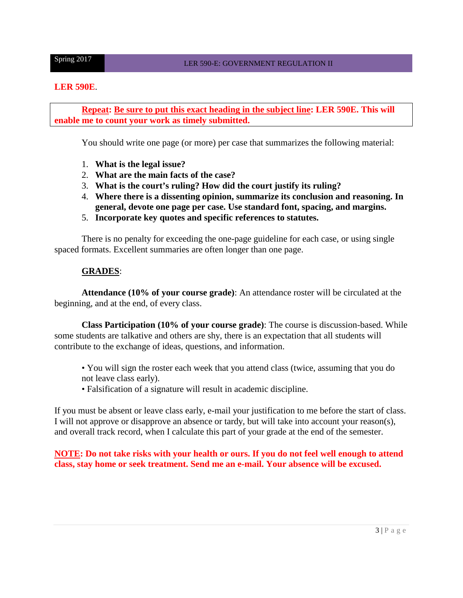### **LER 590E**.

**Repeat: Be sure to put this exact heading in the subject line: LER 590E. This will enable me to count your work as timely submitted.**

You should write one page (or more) per case that summarizes the following material:

- 1. **What is the legal issue?**
- 2. **What are the main facts of the case?**
- 3. **What is the court's ruling? How did the court justify its ruling?**
- 4. **Where there is a dissenting opinion, summarize its conclusion and reasoning. In general, devote one page per case. Use standard font, spacing, and margins.**
- 5. **Incorporate key quotes and specific references to statutes.**

There is no penalty for exceeding the one-page guideline for each case, or using single spaced formats. Excellent summaries are often longer than one page.

### **GRADES**:

**Attendance (10% of your course grade)**: An attendance roster will be circulated at the beginning, and at the end, of every class.

**Class Participation (10% of your course grade)**: The course is discussion-based. While some students are talkative and others are shy, there is an expectation that all students will contribute to the exchange of ideas, questions, and information.

- You will sign the roster each week that you attend class (twice, assuming that you do not leave class early).
- Falsification of a signature will result in academic discipline.

If you must be absent or leave class early, e-mail your justification to me before the start of class. I will not approve or disapprove an absence or tardy, but will take into account your reason(s), and overall track record, when I calculate this part of your grade at the end of the semester.

**NOTE: Do not take risks with your health or ours. If you do not feel well enough to attend class, stay home or seek treatment. Send me an e-mail. Your absence will be excused.**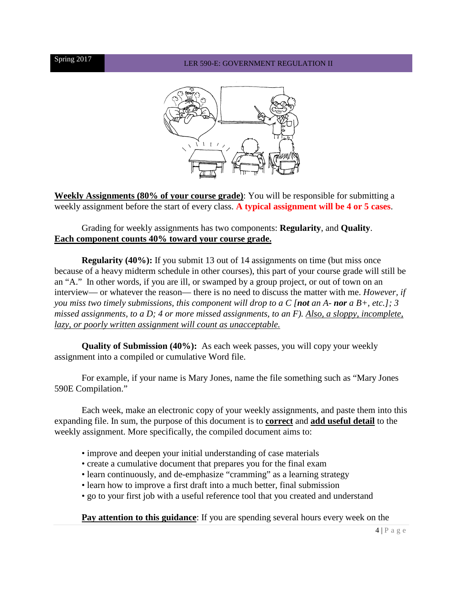

**Weekly Assignments (80% of your course grade)**: You will be responsible for submitting a weekly assignment before the start of every class. **A typical assignment will be 4 or 5 cases**.

### Grading for weekly assignments has two components: **Regularity**, and **Quality**. **Each component counts 40% toward your course grade.**

**Regularity (40%):** If you submit 13 out of 14 assignments on time (but miss once because of a heavy midterm schedule in other courses), this part of your course grade will still be an "A." In other words, if you are ill, or swamped by a group project, or out of town on an interview— or whatever the reason— there is no need to discuss the matter with me. *However, if you miss two timely submissions, this component will drop to a C [not an A- nor a B+, etc.]; 3 missed assignments, to a D; 4 or more missed assignments, to an F). Also, a sloppy, incomplete, lazy, or poorly written assignment will count as unacceptable.*

**Quality of Submission (40%):** As each week passes, you will copy your weekly assignment into a compiled or cumulative Word file.

For example, if your name is Mary Jones, name the file something such as "Mary Jones 590E Compilation."

Each week, make an electronic copy of your weekly assignments, and paste them into this expanding file. In sum, the purpose of this document is to **correct** and **add useful detail** to the weekly assignment. More specifically, the compiled document aims to:

- improve and deepen your initial understanding of case materials
- create a cumulative document that prepares you for the final exam
- learn continuously, and de-emphasize "cramming" as a learning strategy
- learn how to improve a first draft into a much better, final submission
- go to your first job with a useful reference tool that you created and understand

**Pay attention to this guidance**: If you are spending several hours every week on the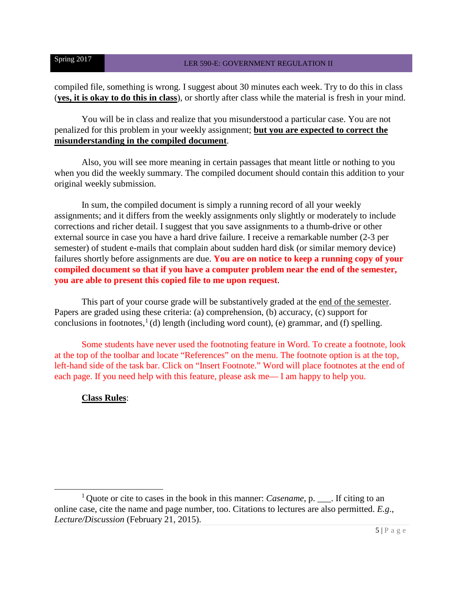compiled file, something is wrong. I suggest about 30 minutes each week. Try to do this in class (**yes, it is okay to do this in class**), or shortly after class while the material is fresh in your mind.

You will be in class and realize that you misunderstood a particular case. You are not penalized for this problem in your weekly assignment; **but you are expected to correct the misunderstanding in the compiled document**.

Also, you will see more meaning in certain passages that meant little or nothing to you when you did the weekly summary. The compiled document should contain this addition to your original weekly submission.

In sum, the compiled document is simply a running record of all your weekly assignments; and it differs from the weekly assignments only slightly or moderately to include corrections and richer detail. I suggest that you save assignments to a thumb-drive or other external source in case you have a hard drive failure. I receive a remarkable number (2-3 per semester) of student e-mails that complain about sudden hard disk (or similar memory device) failures shortly before assignments are due. **You are on notice to keep a running copy of your compiled document so that if you have a computer problem near the end of the semester, you are able to present this copied file to me upon request**.

This part of your course grade will be substantively graded at the end of the semester. Papers are graded using these criteria: (a) comprehension, (b) accuracy, (c) support for conclusions in footnotes,<sup>[1](#page-4-0)</sup> (d) length (including word count), (e) grammar, and (f) spelling.

Some students have never used the footnoting feature in Word. To create a footnote, look at the top of the toolbar and locate "References" on the menu. The footnote option is at the top, left-hand side of the task bar. Click on "Insert Footnote." Word will place footnotes at the end of each page. If you need help with this feature, please ask me— I am happy to help you.

### **Class Rules**:

<span id="page-4-0"></span><sup>&</sup>lt;sup>1</sup> Quote or cite to cases in the book in this manner: *Casename*, p. \_\_\_. If citing to an online case, cite the name and page number, too. Citations to lectures are also permitted. *E.g*., *Lecture/Discussion* (February 21, 2015).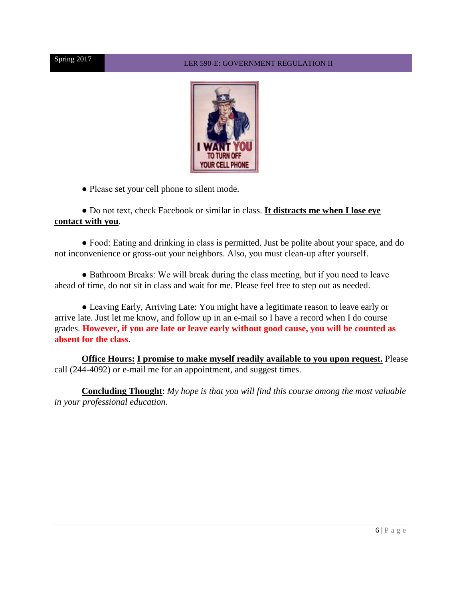

● Please set your cell phone to silent mode.

● Do not text, check Facebook or similar in class. **It distracts me when I lose eye contact with you**.

● Food: Eating and drinking in class is permitted. Just be polite about your space, and do not inconvenience or gross-out your neighbors. Also, you must clean-up after yourself.

• Bathroom Breaks: We will break during the class meeting, but if you need to leave ahead of time, do not sit in class and wait for me. Please feel free to step out as needed.

● Leaving Early, Arriving Late: You might have a legitimate reason to leave early or arrive late. Just let me know, and follow up in an e-mail so I have a record when I do course grades. **However, if you are late or leave early without good cause, you will be counted as absent for the class**.

**Office Hours: I promise to make myself readily available to you upon request.** Please call (244-4092) or e-mail me for an appointment, and suggest times.

**Concluding Thought**: *My hope is that you will find this course among the most valuable in your professional education*.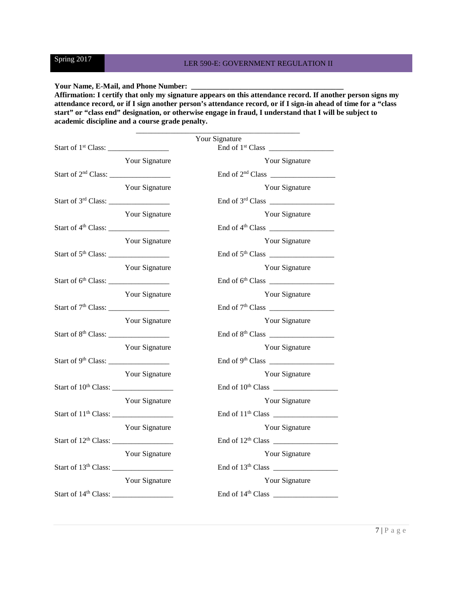**Your Name, E-Mail, and Phone Number: \_\_\_\_\_\_\_\_\_\_\_\_\_\_\_\_\_\_\_\_\_\_\_\_\_\_\_\_\_\_\_\_\_\_\_\_\_\_\_\_**

**Affirmation: I certify that only my signature appears on this attendance record. If another person signs my attendance record, or if I sign another person's attendance record, or if I sign-in ahead of time for a "class start" or "class end" designation, or otherwise engage in fraud, I understand that I will be subject to academic discipline and a course grade penalty.** 

|                                                      |                | Your Signature                                 |
|------------------------------------------------------|----------------|------------------------------------------------|
|                                                      |                | End of 1 <sup>st</sup> Class                   |
|                                                      | Your Signature | Your Signature                                 |
|                                                      |                | End of $2nd Class$                             |
|                                                      | Your Signature | Your Signature                                 |
| Start of $3rd$ Class:                                |                | End of 3 <sup>rd</sup> Class                   |
|                                                      | Your Signature | Your Signature                                 |
|                                                      |                |                                                |
|                                                      | Your Signature | Your Signature                                 |
|                                                      |                |                                                |
|                                                      | Your Signature | Your Signature                                 |
|                                                      |                |                                                |
|                                                      | Your Signature | Your Signature                                 |
|                                                      |                |                                                |
|                                                      | Your Signature | Your Signature                                 |
|                                                      |                | End of 8 <sup>th</sup> Class                   |
|                                                      | Your Signature | Your Signature                                 |
| Start of 9 <sup>th</sup> Class: ____________________ |                | End of 9 <sup>th</sup> Class _________________ |
|                                                      | Your Signature | Your Signature                                 |
| Start of 10 <sup>th</sup> Class:                     |                | End of 10 <sup>th</sup> Class                  |
|                                                      | Your Signature | Your Signature                                 |
| Start of 11 <sup>th</sup> Class:                     |                | End of $11th Class$                            |
|                                                      | Your Signature | Your Signature                                 |
|                                                      |                |                                                |
|                                                      | Your Signature | Your Signature                                 |
| Start of 13 <sup>th</sup> Class:                     |                | End of 13 <sup>th</sup> Class                  |
|                                                      | Your Signature | Your Signature                                 |
|                                                      |                |                                                |
|                                                      |                |                                                |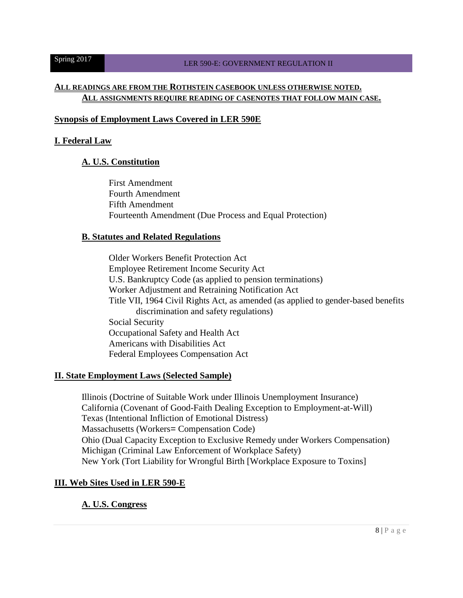## **ALL READINGS ARE FROM THE ROTHSTEIN CASEBOOK UNLESS OTHERWISE NOTED. ALL ASSIGNMENTS REQUIRE READING OF CASENOTES THAT FOLLOW MAIN CASE.**

### **Synopsis of Employment Laws Covered in LER 590E**

### **I. Federal Law**

### **A. U.S. Constitution**

First Amendment Fourth Amendment Fifth Amendment Fourteenth Amendment (Due Process and Equal Protection)

### **B. Statutes and Related Regulations**

Older Workers Benefit Protection Act Employee Retirement Income Security Act U.S. Bankruptcy Code (as applied to pension terminations) Worker Adjustment and Retraining Notification Act Title VII, 1964 Civil Rights Act, as amended (as applied to gender-based benefits discrimination and safety regulations) Social Security Occupational Safety and Health Act Americans with Disabilities Act Federal Employees Compensation Act

### **II. State Employment Laws (Selected Sample)**

Illinois (Doctrine of Suitable Work under Illinois Unemployment Insurance) California (Covenant of Good-Faith Dealing Exception to Employment-at-Will) Texas (Intentional Infliction of Emotional Distress) Massachusetts (Workers= Compensation Code) Ohio (Dual Capacity Exception to Exclusive Remedy under Workers Compensation) Michigan (Criminal Law Enforcement of Workplace Safety) New York (Tort Liability for Wrongful Birth [Workplace Exposure to Toxins]

### **III. Web Sites Used in LER 590-E**

### **A. U.S. Congress**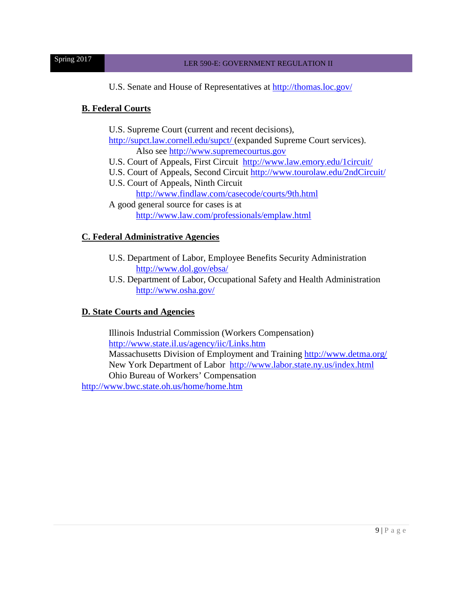U.S. Senate and House of Representatives at<http://thomas.loc.gov/>

### **B. Federal Courts**

U.S. Supreme Court (current and recent decisions),

<http://supct.law.cornell.edu/supct/> (expanded Supreme Court services). Also see [http://www.supremecourtus.gov](http://www.supremecourtus.gov/)

- U.S. Court of Appeals, First Circuit <http://www.law.emory.edu/1circuit/>
- U.S. Court of Appeals, Second Circuit<http://www.tourolaw.edu/2ndCircuit/>
- U.S. Court of Appeals, Ninth Circuit <http://www.findlaw.com/casecode/courts/9th.html> A good general source for cases is at
	- <http://www.law.com/professionals/emplaw.html>

### **C. Federal Administrative Agencies**

- U.S. Department of Labor, Employee Benefits Security Administration <http://www.dol.gov/ebsa/>
- U.S. Department of Labor, Occupational Safety and Health Administration <http://www.osha.gov/>

### **D. State Courts and Agencies**

Illinois Industrial Commission (Workers Compensation) <http://www.state.il.us/agency/iic/Links.htm> Massachusetts Division of Employment and Training<http://www.detma.org/> New York Department of Labor <http://www.labor.state.ny.us/index.html> Ohio Bureau of Workers' Compensation

<http://www.bwc.state.oh.us/home/home.htm>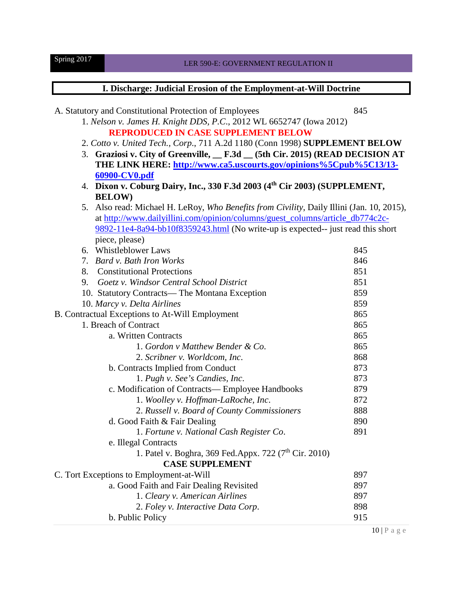## **I. Discharge: Judicial Erosion of the Employment-at-Will Doctrine**

| A. Statutory and Constitutional Protection of Employees                                   | 845 |
|-------------------------------------------------------------------------------------------|-----|
| 1. Nelson v. James H. Knight DDS, P.C., 2012 WL 6652747 (Iowa 2012)                       |     |
| <b>REPRODUCED IN CASE SUPPLEMENT BELOW</b>                                                |     |
| 2. Cotto v. United Tech., Corp., 711 A.2d 1180 (Conn 1998) SUPPLEMENT BELOW               |     |
| 3. Graziosi v. City of Greenville, F.3d (5th Cir. 2015) (READ DECISION AT                 |     |
| THE LINK HERE: http://www.ca5.uscourts.gov/opinions%5Cpub%5C13/13-                        |     |
| 60900-CV0.pdf                                                                             |     |
| 4. Dixon v. Coburg Dairy, Inc., 330 F.3d 2003 (4th Cir 2003) (SUPPLEMENT,                 |     |
| <b>BELOW</b> )                                                                            |     |
| 5. Also read: Michael H. LeRoy, Who Benefits from Civility, Daily Illini (Jan. 10, 2015), |     |
| at http://www.dailyillini.com/opinion/columns/guest_columns/article_db774c2c-             |     |
| 9892-11e4-8a94-bb10f8359243.html (No write-up is expected-- just read this short          |     |
| piece, please)                                                                            |     |
| 6. Whistleblower Laws                                                                     | 845 |
| 7. Bard v. Bath Iron Works                                                                | 846 |
| 8. Constitutional Protections                                                             | 851 |
| Goetz v. Windsor Central School District<br>9.                                            | 851 |
| 10. Statutory Contracts-The Montana Exception                                             | 859 |
| 10. Marcy v. Delta Airlines                                                               | 859 |
| B. Contractual Exceptions to At-Will Employment                                           | 865 |
| 1. Breach of Contract                                                                     | 865 |
| a. Written Contracts                                                                      | 865 |
| 1. Gordon v Matthew Bender & Co.                                                          | 865 |
| 2. Scribner v. Worldcom, Inc.                                                             | 868 |
| b. Contracts Implied from Conduct                                                         | 873 |
| 1. Pugh v. See's Candies, Inc.                                                            | 873 |
| c. Modification of Contracts-Employee Handbooks                                           | 879 |
| 1. Woolley v. Hoffman-LaRoche, Inc.                                                       | 872 |
| 2. Russell v. Board of County Commissioners                                               | 888 |
| d. Good Faith & Fair Dealing                                                              | 890 |
| 1. Fortune v. National Cash Register Co.                                                  | 891 |
| e. Illegal Contracts                                                                      |     |
| 1. Patel v. Boghra, 369 Fed. Appx. 722 (7 <sup>th</sup> Cir. 2010)                        |     |
| <b>CASE SUPPLEMENT</b>                                                                    |     |
| C. Tort Exceptions to Employment-at-Will                                                  | 897 |
| a. Good Faith and Fair Dealing Revisited                                                  | 897 |
| 1. Cleary v. American Airlines                                                            | 897 |
| 2. Foley v. Interactive Data Corp.                                                        | 898 |
| b. Public Policy                                                                          | 915 |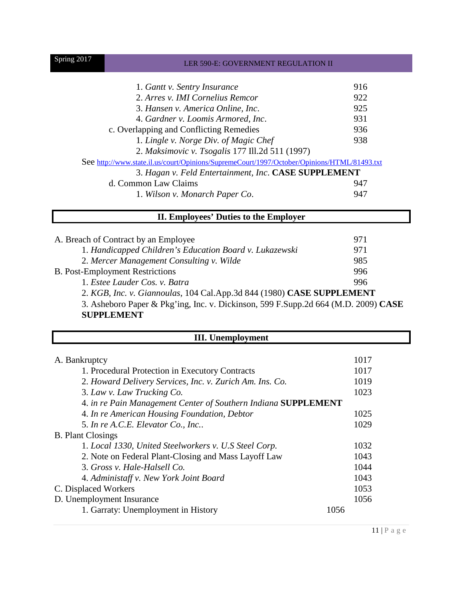1. *Gantt v. Sentry Insurance* 916 2. *Arres v. IMI Cornelius Remcor* 922 3. *Hansen v. America Online, Inc*. 925 4. *Gardner v. Loomis Armored, Inc*. 931 c. Overlapping and Conflicting Remedies 936 1*. Lingle v. Norge Div. of Magic Chef* 938 2. *Maksimovic v. Tsogalis* 177 Ill.2d 511 (1997) See<http://www.state.il.us/court/Opinions/SupremeCourt/1997/October/Opinions/HTML/81493.txt> 3. *Hagan v. Feld Entertainment, Inc*. **CASE SUPPLEMENT** d. Common Law Claims 947 1. *Wilson v. Monarch Paper Co*. 947

## **II. Employees' Duties to the Employer**

| A. Breach of Contract by an Employee                                               | 971 |
|------------------------------------------------------------------------------------|-----|
| 1. Handicapped Children's Education Board v. Lukazewski                            | 971 |
| 2. Mercer Management Consulting v. Wilde                                           | 985 |
| <b>B. Post-Employment Restrictions</b>                                             | 996 |
| 1. Estee Lauder Cos. v. Batra                                                      | 996 |
| 2. KGB, Inc. v. Giannoulas, 104 Cal.App.3d 844 (1980) CASE SUPPLEMENT              |     |
| 3. Asheboro Paper & Pkg'ing, Inc. v. Dickinson, 599 F.Supp.2d 664 (M.D. 2009) CASE |     |

**SUPPLEMENT**

# **III. Unemployment**

| A. Bankruptcy                                                  | 1017 |
|----------------------------------------------------------------|------|
| 1. Procedural Protection in Executory Contracts                |      |
| 2. Howard Delivery Services, Inc. v. Zurich Am. Ins. Co.       |      |
| 3. Law v. Law Trucking Co.                                     |      |
| 4. in re Pain Management Center of Southern Indiana SUPPLEMENT |      |
| 4. In re American Housing Foundation, Debtor                   | 1025 |
| 5. In re A.C.E. Elevator Co., Inc                              | 1029 |
| <b>B.</b> Plant Closings                                       |      |
| 1. Local 1330, United Steelworkers v. U.S Steel Corp.          | 1032 |
| 2. Note on Federal Plant-Closing and Mass Layoff Law           | 1043 |
| 3. Gross v. Hale-Halsell Co.                                   | 1044 |
| 4. Administaff v. New York Joint Board                         | 1043 |
| C. Displaced Workers                                           | 1053 |
| D. Unemployment Insurance                                      | 1056 |
| 1. Garraty: Unemployment in History<br>1056                    |      |

# Spring 2017 **LER 590-E: GOVERNMENT REGULATION II**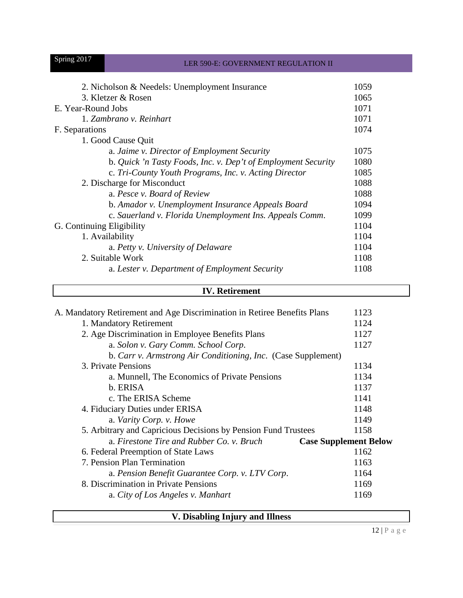| 2. Nicholson & Needels: Unemployment Insurance                | 1059 |
|---------------------------------------------------------------|------|
| 3. Kletzer & Rosen                                            | 1065 |
| E. Year-Round Jobs                                            | 1071 |
| 1. Zambrano v. Reinhart                                       | 1071 |
| F. Separations                                                | 1074 |
| 1. Good Cause Quit                                            |      |
| a. Jaime v. Director of Employment Security                   | 1075 |
| b. Quick 'n Tasty Foods, Inc. v. Dep't of Employment Security | 1080 |
| c. Tri-County Youth Programs, Inc. v. Acting Director         | 1085 |
| 2. Discharge for Misconduct                                   | 1088 |
| a. Pesce v. Board of Review                                   | 1088 |
| b. Amador v. Unemployment Insurance Appeals Board             | 1094 |
| c. Sauerland v. Florida Unemployment Ins. Appeals Comm.       | 1099 |
| G. Continuing Eligibility                                     | 1104 |
| 1. Availability                                               | 1104 |
| a. Petty v. University of Delaware                            | 1104 |
| 2. Suitable Work                                              | 1108 |
| a. Lester v. Department of Employment Security                | 1108 |
|                                                               |      |

## **IV. Retirement**

| A. Mandatory Retirement and Age Discrimination in Retiree Benefits Plans | 1123                         |
|--------------------------------------------------------------------------|------------------------------|
| 1. Mandatory Retirement                                                  | 1124                         |
| 2. Age Discrimination in Employee Benefits Plans                         | 1127                         |
| a. Solon v. Gary Comm. School Corp.                                      | 1127                         |
| b. Carr v. Armstrong Air Conditioning, Inc. (Case Supplement)            |                              |
| 3. Private Pensions                                                      | 1134                         |
| a. Munnell, The Economics of Private Pensions                            | 1134                         |
| b. ERISA                                                                 | 1137                         |
| c. The ERISA Scheme                                                      | 1141                         |
| 4. Fiduciary Duties under ERISA                                          | 1148                         |
| a. Varity Corp. v. Howe                                                  | 1149                         |
| 5. Arbitrary and Capricious Decisions by Pension Fund Trustees           | 1158                         |
| a. Firestone Tire and Rubber Co. v. Bruch                                | <b>Case Supplement Below</b> |
| 6. Federal Preemption of State Laws                                      | 1162                         |
| 7. Pension Plan Termination                                              | 1163                         |
| a. Pension Benefit Guarantee Corp. v. LTV Corp.                          | 1164                         |
| 8. Discrimination in Private Pensions                                    | 1169                         |
| a. City of Los Angeles v. Manhart                                        | 1169                         |
|                                                                          |                              |

**V. Disabling Injury and Illness**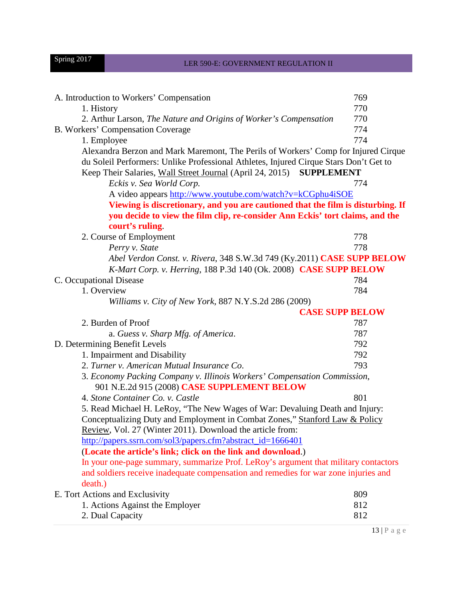| A. Introduction to Workers' Compensation                                              | 769 |
|---------------------------------------------------------------------------------------|-----|
| 1. History                                                                            | 770 |
| 2. Arthur Larson, The Nature and Origins of Worker's Compensation                     | 770 |
| B. Workers' Compensation Coverage                                                     | 774 |
| 1. Employee                                                                           | 774 |
| Alexandra Berzon and Mark Maremont, The Perils of Workers' Comp for Injured Cirque    |     |
| du Soleil Performers: Unlike Professional Athletes, Injured Cirque Stars Don't Get to |     |
| Keep Their Salaries, Wall Street Journal (April 24, 2015)<br><b>SUPPLEMENT</b>        |     |
| Eckis v. Sea World Corp.                                                              | 774 |
| A video appears http://www.youtube.com/watch?v=kCGphu4iSOE                            |     |
| Viewing is discretionary, and you are cautioned that the film is disturbing. If       |     |
| you decide to view the film clip, re-consider Ann Eckis' tort claims, and the         |     |
| court's ruling.                                                                       |     |
| 2. Course of Employment                                                               | 778 |
| Perry v. State                                                                        | 778 |
| Abel Verdon Const. v. Rivera, 348 S.W.3d 749 (Ky.2011) CASE SUPP BELOW                |     |
| K-Mart Corp. v. Herring, 188 P.3d 140 (Ok. 2008) CASE SUPP BELOW                      |     |
| C. Occupational Disease                                                               | 784 |
| 1. Overview                                                                           | 784 |
| Williams v. City of New York, 887 N.Y.S.2d 286 (2009)                                 |     |
| <b>CASE SUPP BELOW</b>                                                                |     |
| 2. Burden of Proof                                                                    | 787 |
| a. Guess v. Sharp Mfg. of America.                                                    | 787 |
| D. Determining Benefit Levels                                                         | 792 |
| 1. Impairment and Disability                                                          | 792 |
| 2. Turner v. American Mutual Insurance Co.                                            | 793 |
| 3. Economy Packing Company v. Illinois Workers' Compensation Commission,              |     |
| 901 N.E.2d 915 (2008) CASE SUPPLEMENT BELOW                                           |     |
| 4. Stone Container Co. v. Castle                                                      | 801 |
| 5. Read Michael H. LeRoy, "The New Wages of War: Devaluing Death and Injury:          |     |
| Conceptualizing Duty and Employment in Combat Zones," Stanford Law & Policy           |     |
| Review, Vol. 27 (Winter 2011). Download the article from:                             |     |
| http://papers.ssrn.com/sol3/papers.cfm?abstract_id=1666401                            |     |
| (Locate the article's link; click on the link and download.)                          |     |
| In your one-page summary, summarize Prof. LeRoy's argument that military contactors   |     |
| and soldiers receive inadequate compensation and remedies for war zone injuries and   |     |
| death.)                                                                               |     |
| E. Tort Actions and Exclusivity                                                       | 809 |
| 1. Actions Against the Employer                                                       | 812 |
| 2. Dual Capacity                                                                      | 812 |
|                                                                                       |     |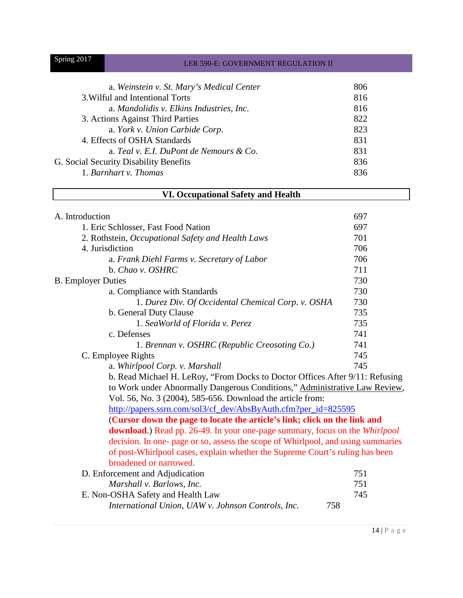| 806 |
|-----|
| 816 |
| 816 |
| 822 |
| 823 |
| 831 |
| 831 |
| 836 |
| 836 |
|     |

## **VI. Occupational Safety and Health**

| A. Introduction                                                                            | 697 |
|--------------------------------------------------------------------------------------------|-----|
| 1. Eric Schlosser, Fast Food Nation                                                        | 697 |
| 2. Rothstein, Occupational Safety and Health Laws                                          | 701 |
| 4. Jurisdiction                                                                            | 706 |
| a. Frank Diehl Farms v. Secretary of Labor                                                 | 706 |
| b. Chao v. OSHRC                                                                           | 711 |
| <b>B.</b> Employer Duties                                                                  | 730 |
| a. Compliance with Standards                                                               | 730 |
| 1. Durez Div. Of Occidental Chemical Corp. v. OSHA                                         | 730 |
| b. General Duty Clause                                                                     | 735 |
| 1. SeaWorld of Florida v. Perez                                                            | 735 |
| c. Defenses                                                                                | 741 |
| 1. Brennan v. OSHRC (Republic Creosoting Co.)                                              | 741 |
| C. Employee Rights                                                                         | 745 |
| a. Whirlpool Corp. v. Marshall                                                             | 745 |
| b. Read Michael H. LeRoy, "From Docks to Doctor Offices After 9/11: Refusing               |     |
| to Work under Abnormally Dangerous Conditions," Administrative Law Review,                 |     |
| Vol. 56, No. 3 (2004), 585-656. Download the article from:                                 |     |
| http://papers.ssrn.com/sol3/cf_dev/AbsByAuth.cfm?per_id=825595                             |     |
| (Cursor down the page to locate the article's link; click on the link and                  |     |
| <b>download</b> .) Read pp. 26-49. In your one-page summary, focus on the <i>Whirlpool</i> |     |
| decision. In one- page or so, assess the scope of Whirlpool, and using summaries           |     |
| of post-Whirlpool cases, explain whether the Supreme Court's ruling has been               |     |
| broadened or narrowed.                                                                     |     |
| D. Enforcement and Adjudication                                                            | 751 |
| Marshall v. Barlows, Inc.                                                                  | 751 |
| E. Non-OSHA Safety and Health Law                                                          | 745 |

*International Union, UAW v. Johnson Controls, Inc.* 758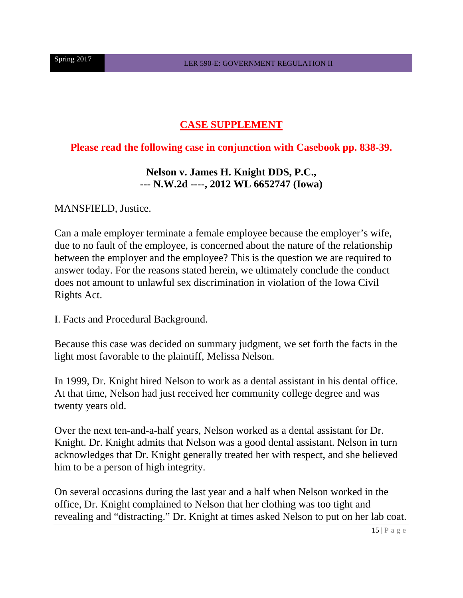## **CASE SUPPLEMENT**

## **Please read the following case in conjunction with Casebook pp. 838-39.**

## **Nelson v. James H. Knight DDS, P.C., --- N.W.2d ----, 2012 WL 6652747 (Iowa)**

MANSFIELD, Justice.

Can a male employer terminate a female employee because the employer's wife, due to no fault of the employee, is concerned about the nature of the relationship between the employer and the employee? This is the question we are required to answer today. For the reasons stated herein, we ultimately conclude the conduct does not amount to unlawful sex discrimination in violation of the Iowa Civil Rights Act.

I. Facts and Procedural Background.

Because this case was decided on summary judgment, we set forth the facts in the light most favorable to the plaintiff, Melissa Nelson.

In 1999, Dr. Knight hired Nelson to work as a dental assistant in his dental office. At that time, Nelson had just received her community college degree and was twenty years old.

Over the next ten-and-a-half years, Nelson worked as a dental assistant for Dr. Knight. Dr. Knight admits that Nelson was a good dental assistant. Nelson in turn acknowledges that Dr. Knight generally treated her with respect, and she believed him to be a person of high integrity.

On several occasions during the last year and a half when Nelson worked in the office, Dr. Knight complained to Nelson that her clothing was too tight and revealing and "distracting." Dr. Knight at times asked Nelson to put on her lab coat.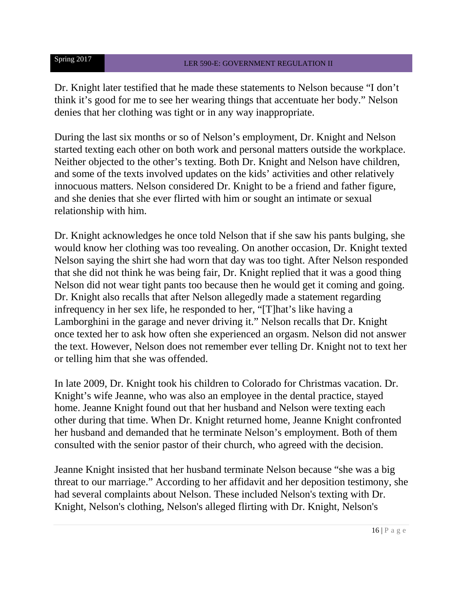Dr. Knight later testified that he made these statements to Nelson because "I don't think it's good for me to see her wearing things that accentuate her body." Nelson denies that her clothing was tight or in any way inappropriate.

During the last six months or so of Nelson's employment, Dr. Knight and Nelson started texting each other on both work and personal matters outside the workplace. Neither objected to the other's texting. Both Dr. Knight and Nelson have children, and some of the texts involved updates on the kids' activities and other relatively innocuous matters. Nelson considered Dr. Knight to be a friend and father figure, and she denies that she ever flirted with him or sought an intimate or sexual relationship with him.

Dr. Knight acknowledges he once told Nelson that if she saw his pants bulging, she would know her clothing was too revealing. On another occasion, Dr. Knight texted Nelson saying the shirt she had worn that day was too tight. After Nelson responded that she did not think he was being fair, Dr. Knight replied that it was a good thing Nelson did not wear tight pants too because then he would get it coming and going. Dr. Knight also recalls that after Nelson allegedly made a statement regarding infrequency in her sex life, he responded to her, "[T]hat's like having a Lamborghini in the garage and never driving it." Nelson recalls that Dr. Knight once texted her to ask how often she experienced an orgasm. Nelson did not answer the text. However, Nelson does not remember ever telling Dr. Knight not to text her or telling him that she was offended.

In late 2009, Dr. Knight took his children to Colorado for Christmas vacation. Dr. Knight's wife Jeanne, who was also an employee in the dental practice, stayed home. Jeanne Knight found out that her husband and Nelson were texting each other during that time. When Dr. Knight returned home, Jeanne Knight confronted her husband and demanded that he terminate Nelson's employment. Both of them consulted with the senior pastor of their church, who agreed with the decision.

Jeanne Knight insisted that her husband terminate Nelson because "she was a big threat to our marriage." According to her affidavit and her deposition testimony, she had several complaints about Nelson. These included Nelson's texting with Dr. Knight, Nelson's clothing, Nelson's alleged flirting with Dr. Knight, Nelson's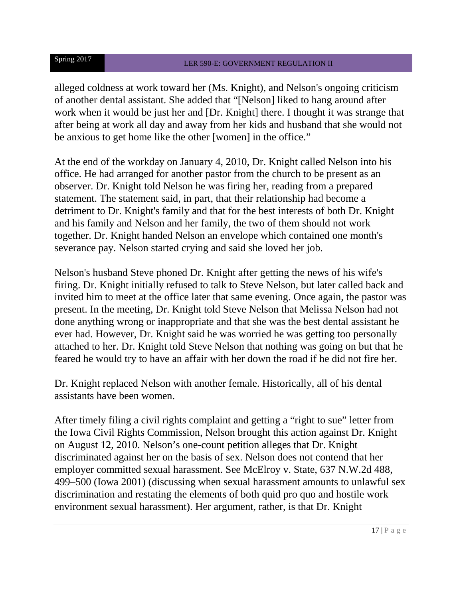alleged coldness at work toward her (Ms. Knight), and Nelson's ongoing criticism of another dental assistant. She added that "[Nelson] liked to hang around after work when it would be just her and [Dr. Knight] there. I thought it was strange that after being at work all day and away from her kids and husband that she would not be anxious to get home like the other [women] in the office."

At the end of the workday on January 4, 2010, Dr. Knight called Nelson into his office. He had arranged for another pastor from the church to be present as an observer. Dr. Knight told Nelson he was firing her, reading from a prepared statement. The statement said, in part, that their relationship had become a detriment to Dr. Knight's family and that for the best interests of both Dr. Knight and his family and Nelson and her family, the two of them should not work together. Dr. Knight handed Nelson an envelope which contained one month's severance pay. Nelson started crying and said she loved her job.

Nelson's husband Steve phoned Dr. Knight after getting the news of his wife's firing. Dr. Knight initially refused to talk to Steve Nelson, but later called back and invited him to meet at the office later that same evening. Once again, the pastor was present. In the meeting, Dr. Knight told Steve Nelson that Melissa Nelson had not done anything wrong or inappropriate and that she was the best dental assistant he ever had. However, Dr. Knight said he was worried he was getting too personally attached to her. Dr. Knight told Steve Nelson that nothing was going on but that he feared he would try to have an affair with her down the road if he did not fire her.

Dr. Knight replaced Nelson with another female. Historically, all of his dental assistants have been women.

After timely filing a civil rights complaint and getting a "right to sue" letter from the Iowa Civil Rights Commission, Nelson brought this action against Dr. Knight on August 12, 2010. Nelson's one-count petition alleges that Dr. Knight discriminated against her on the basis of sex. Nelson does not contend that her employer committed sexual harassment. See McElroy v. State, 637 N.W.2d 488, 499–500 (Iowa 2001) (discussing when sexual harassment amounts to unlawful sex discrimination and restating the elements of both quid pro quo and hostile work environment sexual harassment). Her argument, rather, is that Dr. Knight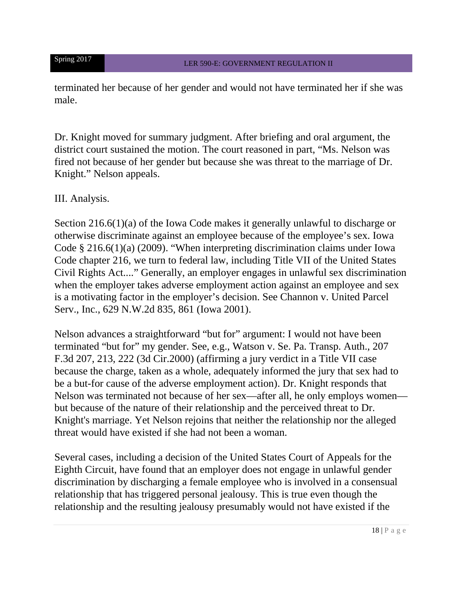terminated her because of her gender and would not have terminated her if she was male.

Dr. Knight moved for summary judgment. After briefing and oral argument, the district court sustained the motion. The court reasoned in part, "Ms. Nelson was fired not because of her gender but because she was threat to the marriage of Dr. Knight." Nelson appeals.

III. Analysis.

Section 216.6(1)(a) of the Iowa Code makes it generally unlawful to discharge or otherwise discriminate against an employee because of the employee's sex. Iowa Code § 216.6(1)(a) (2009). "When interpreting discrimination claims under Iowa Code chapter 216, we turn to federal law, including Title VII of the United States Civil Rights Act...." Generally, an employer engages in unlawful sex discrimination when the employer takes adverse employment action against an employee and sex is a motivating factor in the employer's decision. See Channon v. United Parcel Serv., Inc., 629 N.W.2d 835, 861 (Iowa 2001).

Nelson advances a straightforward "but for" argument: I would not have been terminated "but for" my gender. See, e.g., Watson v. Se. Pa. Transp. Auth., 207 F.3d 207, 213, 222 (3d Cir.2000) (affirming a jury verdict in a Title VII case because the charge, taken as a whole, adequately informed the jury that sex had to be a but-for cause of the adverse employment action). Dr. Knight responds that Nelson was terminated not because of her sex—after all, he only employs women but because of the nature of their relationship and the perceived threat to Dr. Knight's marriage. Yet Nelson rejoins that neither the relationship nor the alleged threat would have existed if she had not been a woman.

Several cases, including a decision of the United States Court of Appeals for the Eighth Circuit, have found that an employer does not engage in unlawful gender discrimination by discharging a female employee who is involved in a consensual relationship that has triggered personal jealousy. This is true even though the relationship and the resulting jealousy presumably would not have existed if the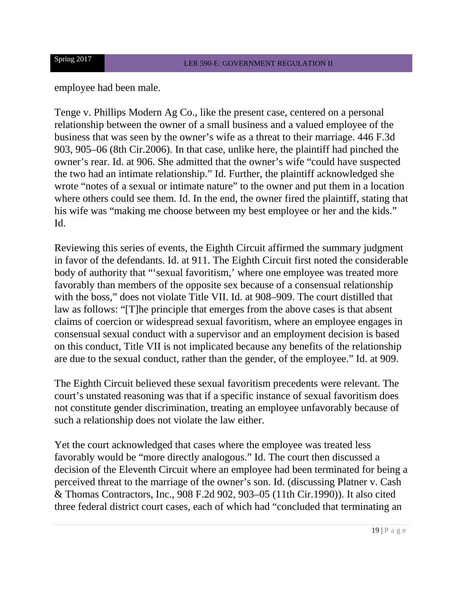employee had been male.

Tenge v. Phillips Modern Ag Co., like the present case, centered on a personal relationship between the owner of a small business and a valued employee of the business that was seen by the owner's wife as a threat to their marriage. 446 F.3d 903, 905–06 (8th Cir.2006). In that case, unlike here, the plaintiff had pinched the owner's rear. Id. at 906. She admitted that the owner's wife "could have suspected the two had an intimate relationship." Id. Further, the plaintiff acknowledged she wrote "notes of a sexual or intimate nature" to the owner and put them in a location where others could see them. Id. In the end, the owner fired the plaintiff, stating that his wife was "making me choose between my best employee or her and the kids." Id.

Reviewing this series of events, the Eighth Circuit affirmed the summary judgment in favor of the defendants. Id. at 911. The Eighth Circuit first noted the considerable body of authority that "'sexual favoritism,' where one employee was treated more favorably than members of the opposite sex because of a consensual relationship with the boss," does not violate Title VII. Id. at 908–909. The court distilled that law as follows: "[T]he principle that emerges from the above cases is that absent claims of coercion or widespread sexual favoritism, where an employee engages in consensual sexual conduct with a supervisor and an employment decision is based on this conduct, Title VII is not implicated because any benefits of the relationship are due to the sexual conduct, rather than the gender, of the employee." Id. at 909.

The Eighth Circuit believed these sexual favoritism precedents were relevant. The court's unstated reasoning was that if a specific instance of sexual favoritism does not constitute gender discrimination, treating an employee unfavorably because of such a relationship does not violate the law either.

Yet the court acknowledged that cases where the employee was treated less favorably would be "more directly analogous." Id. The court then discussed a decision of the Eleventh Circuit where an employee had been terminated for being a perceived threat to the marriage of the owner's son. Id. (discussing Platner v. Cash & Thomas Contractors, Inc., 908 F.2d 902, 903–05 (11th Cir.1990)). It also cited three federal district court cases, each of which had "concluded that terminating an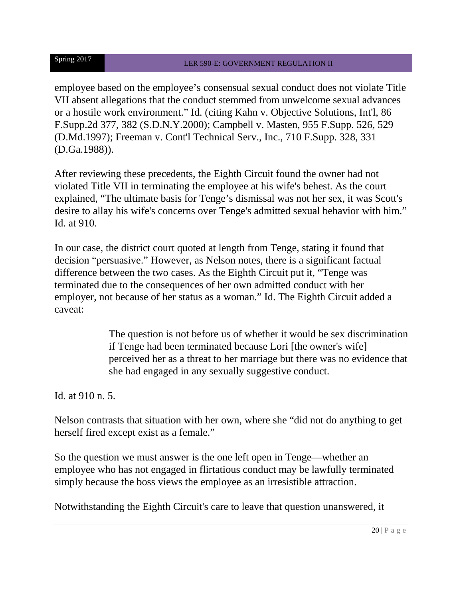employee based on the employee's consensual sexual conduct does not violate Title VII absent allegations that the conduct stemmed from unwelcome sexual advances or a hostile work environment." Id. (citing Kahn v. Objective Solutions, Int'l, 86 F.Supp.2d 377, 382 (S.D.N.Y.2000); Campbell v. Masten, 955 F.Supp. 526, 529 (D.Md.1997); Freeman v. Cont'l Technical Serv., Inc., 710 F.Supp. 328, 331 (D.Ga.1988)).

After reviewing these precedents, the Eighth Circuit found the owner had not violated Title VII in terminating the employee at his wife's behest. As the court explained, "The ultimate basis for Tenge's dismissal was not her sex, it was Scott's desire to allay his wife's concerns over Tenge's admitted sexual behavior with him." Id. at 910.

In our case, the district court quoted at length from Tenge, stating it found that decision "persuasive." However, as Nelson notes, there is a significant factual difference between the two cases. As the Eighth Circuit put it, "Tenge was terminated due to the consequences of her own admitted conduct with her employer, not because of her status as a woman." Id. The Eighth Circuit added a caveat:

> The question is not before us of whether it would be sex discrimination if Tenge had been terminated because Lori [the owner's wife] perceived her as a threat to her marriage but there was no evidence that she had engaged in any sexually suggestive conduct.

Id. at 910 n. 5.

Nelson contrasts that situation with her own, where she "did not do anything to get herself fired except exist as a female."

So the question we must answer is the one left open in Tenge—whether an employee who has not engaged in flirtatious conduct may be lawfully terminated simply because the boss views the employee as an irresistible attraction.

Notwithstanding the Eighth Circuit's care to leave that question unanswered, it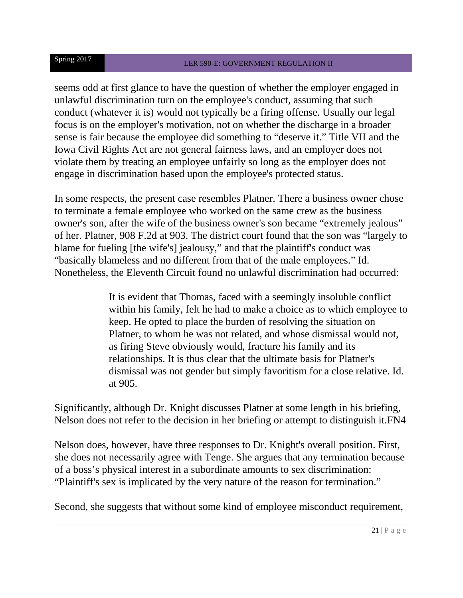seems odd at first glance to have the question of whether the employer engaged in unlawful discrimination turn on the employee's conduct, assuming that such conduct (whatever it is) would not typically be a firing offense. Usually our legal focus is on the employer's motivation, not on whether the discharge in a broader sense is fair because the employee did something to "deserve it." Title VII and the Iowa Civil Rights Act are not general fairness laws, and an employer does not violate them by treating an employee unfairly so long as the employer does not engage in discrimination based upon the employee's protected status.

In some respects, the present case resembles Platner. There a business owner chose to terminate a female employee who worked on the same crew as the business owner's son, after the wife of the business owner's son became "extremely jealous" of her. Platner, 908 F.2d at 903. The district court found that the son was "largely to blame for fueling [the wife's] jealousy," and that the plaintiff's conduct was "basically blameless and no different from that of the male employees." Id. Nonetheless, the Eleventh Circuit found no unlawful discrimination had occurred:

> It is evident that Thomas, faced with a seemingly insoluble conflict within his family, felt he had to make a choice as to which employee to keep. He opted to place the burden of resolving the situation on Platner, to whom he was not related, and whose dismissal would not, as firing Steve obviously would, fracture his family and its relationships. It is thus clear that the ultimate basis for Platner's dismissal was not gender but simply favoritism for a close relative. Id. at 905.

Significantly, although Dr. Knight discusses Platner at some length in his briefing, Nelson does not refer to the decision in her briefing or attempt to distinguish it.FN4

Nelson does, however, have three responses to Dr. Knight's overall position. First, she does not necessarily agree with Tenge. She argues that any termination because of a boss's physical interest in a subordinate amounts to sex discrimination: "Plaintiff's sex is implicated by the very nature of the reason for termination."

Second, she suggests that without some kind of employee misconduct requirement,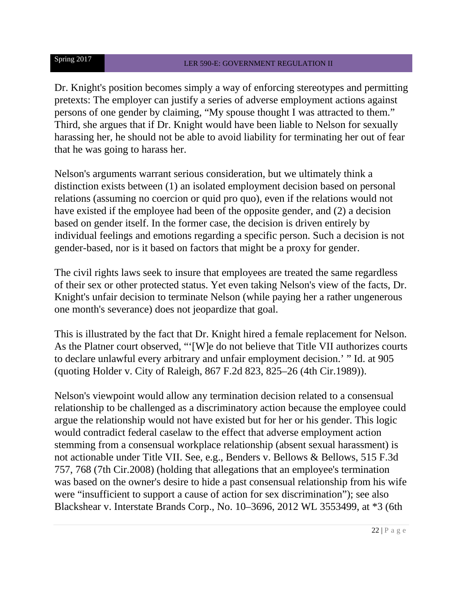Dr. Knight's position becomes simply a way of enforcing stereotypes and permitting pretexts: The employer can justify a series of adverse employment actions against persons of one gender by claiming, "My spouse thought I was attracted to them." Third, she argues that if Dr. Knight would have been liable to Nelson for sexually harassing her, he should not be able to avoid liability for terminating her out of fear that he was going to harass her.

Nelson's arguments warrant serious consideration, but we ultimately think a distinction exists between (1) an isolated employment decision based on personal relations (assuming no coercion or quid pro quo), even if the relations would not have existed if the employee had been of the opposite gender, and (2) a decision based on gender itself. In the former case, the decision is driven entirely by individual feelings and emotions regarding a specific person. Such a decision is not gender-based, nor is it based on factors that might be a proxy for gender.

The civil rights laws seek to insure that employees are treated the same regardless of their sex or other protected status. Yet even taking Nelson's view of the facts, Dr. Knight's unfair decision to terminate Nelson (while paying her a rather ungenerous one month's severance) does not jeopardize that goal.

This is illustrated by the fact that Dr. Knight hired a female replacement for Nelson. As the Platner court observed, "'[W]e do not believe that Title VII authorizes courts to declare unlawful every arbitrary and unfair employment decision.' " Id. at 905 (quoting Holder v. City of Raleigh, 867 F.2d 823, 825–26 (4th Cir.1989)).

Nelson's viewpoint would allow any termination decision related to a consensual relationship to be challenged as a discriminatory action because the employee could argue the relationship would not have existed but for her or his gender. This logic would contradict federal caselaw to the effect that adverse employment action stemming from a consensual workplace relationship (absent sexual harassment) is not actionable under Title VII. See, e.g., Benders v. Bellows & Bellows, 515 F.3d 757, 768 (7th Cir.2008) (holding that allegations that an employee's termination was based on the owner's desire to hide a past consensual relationship from his wife were "insufficient to support a cause of action for sex discrimination"); see also Blackshear v. Interstate Brands Corp., No. 10–3696, 2012 WL 3553499, at \*3 (6th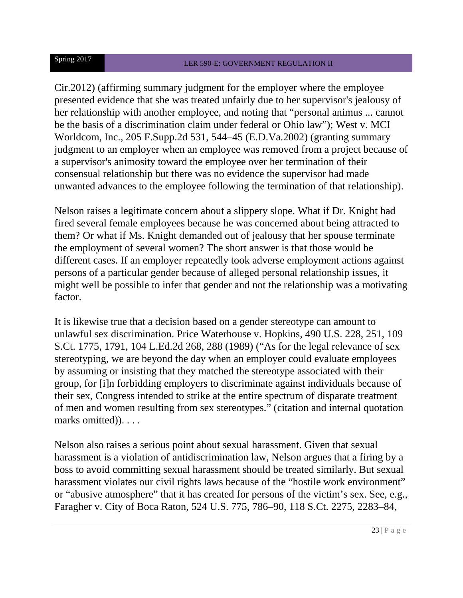Cir.2012) (affirming summary judgment for the employer where the employee presented evidence that she was treated unfairly due to her supervisor's jealousy of her relationship with another employee, and noting that "personal animus ... cannot be the basis of a discrimination claim under federal or Ohio law"); West v. MCI Worldcom, Inc., 205 F.Supp.2d 531, 544–45 (E.D.Va.2002) (granting summary judgment to an employer when an employee was removed from a project because of a supervisor's animosity toward the employee over her termination of their consensual relationship but there was no evidence the supervisor had made unwanted advances to the employee following the termination of that relationship).

Nelson raises a legitimate concern about a slippery slope. What if Dr. Knight had fired several female employees because he was concerned about being attracted to them? Or what if Ms. Knight demanded out of jealousy that her spouse terminate the employment of several women? The short answer is that those would be different cases. If an employer repeatedly took adverse employment actions against persons of a particular gender because of alleged personal relationship issues, it might well be possible to infer that gender and not the relationship was a motivating factor.

It is likewise true that a decision based on a gender stereotype can amount to unlawful sex discrimination. Price Waterhouse v. Hopkins, 490 U.S. 228, 251, 109 S.Ct. 1775, 1791, 104 L.Ed.2d 268, 288 (1989) ("As for the legal relevance of sex stereotyping, we are beyond the day when an employer could evaluate employees by assuming or insisting that they matched the stereotype associated with their group, for [i]n forbidding employers to discriminate against individuals because of their sex, Congress intended to strike at the entire spectrum of disparate treatment of men and women resulting from sex stereotypes." (citation and internal quotation marks omitted)). . . .

Nelson also raises a serious point about sexual harassment. Given that sexual harassment is a violation of antidiscrimination law, Nelson argues that a firing by a boss to avoid committing sexual harassment should be treated similarly. But sexual harassment violates our civil rights laws because of the "hostile work environment" or "abusive atmosphere" that it has created for persons of the victim's sex. See, e.g., Faragher v. City of Boca Raton, 524 U.S. 775, 786–90, 118 S.Ct. 2275, 2283–84,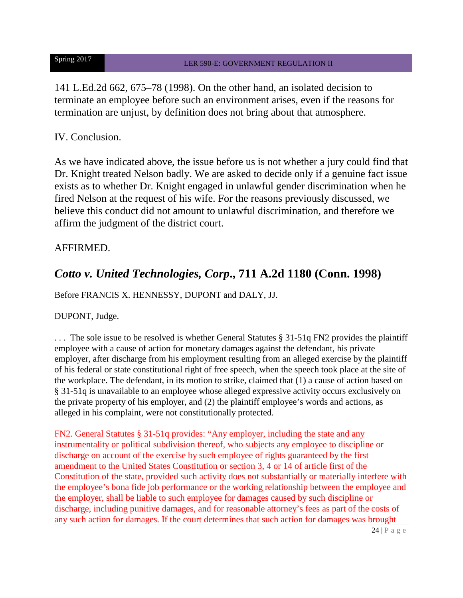141 L.Ed.2d 662, 675–78 (1998). On the other hand, an isolated decision to terminate an employee before such an environment arises, even if the reasons for termination are unjust, by definition does not bring about that atmosphere.

## IV. Conclusion.

As we have indicated above, the issue before us is not whether a jury could find that Dr. Knight treated Nelson badly. We are asked to decide only if a genuine fact issue exists as to whether Dr. Knight engaged in unlawful gender discrimination when he fired Nelson at the request of his wife. For the reasons previously discussed, we believe this conduct did not amount to unlawful discrimination, and therefore we affirm the judgment of the district court.

## AFFIRMED.

# *Cotto v. United Technologies, Corp***., 711 A.2d 1180 (Conn. 1998)**

Before [FRANCIS X. HENNESSY,](http://web2.westlaw.com/find/default.wl?tf=-1&rs=WLW10.01&fn=_top&sv=Split&docname=0357859401&tc=-1&pbc=A3FC3734&ordoc=1998105470&findtype=h&db=PROFILER-WLD&vr=2.0&rp=%2ffind%2fdefault.wl&mt=208) [DUPONT](http://web2.westlaw.com/find/default.wl?tf=-1&rs=WLW10.01&fn=_top&sv=Split&docname=0263459901&tc=-1&pbc=A3FC3734&ordoc=1998105470&findtype=h&db=PROFILER-WLD&vr=2.0&rp=%2ffind%2fdefault.wl&mt=208) and [DALY,](http://web2.westlaw.com/find/default.wl?tf=-1&rs=WLW10.01&fn=_top&sv=Split&docname=0263742901&tc=-1&pbc=A3FC3734&ordoc=1998105470&findtype=h&db=PROFILER-WLD&vr=2.0&rp=%2ffind%2fdefault.wl&mt=208) JJ.

## [DUPONT,](http://web2.westlaw.com/find/default.wl?tf=-1&rs=WLW10.01&fn=_top&sv=Split&docname=0263459901&tc=-1&pbc=A3FC3734&ordoc=1998105470&findtype=h&db=PROFILER-WLD&vr=2.0&rp=%2ffind%2fdefault.wl&mt=208) Judge.

... The sole issue to be resolved is whether [General Statutes § 31-51q](http://web2.westlaw.com/find/default.wl?tf=-1&rs=WLW10.01&fn=_top&sv=Split&docname=CTSTS31-51Q&tc=-1&pbc=A3FC3734&ordoc=1998105470&findtype=L&db=1000264&vr=2.0&rp=%2ffind%2fdefault.wl&mt=208) [FN2](http://web2.westlaw.com/result/documenttext.aspx?vr=2.0&docaction=rank&sv=Split&sskey=CLID_SSSA3980933588161&cxt=DC&fmqv=c&rlti=1&ss=CNT&rs=WLW10.01&eq=search&rltdb=CLID_DB083951458161&db=ALLSTATES&cnt=DOC&fn=_top&rlt=CLID_QRYRLT8854334588161&n=3&scxt=WL&cfid=1&rp=%2fsearch%2fdefault.wl&origin=Search&mt=208&service=Search&query=%22WORKER+COMP!%22+%26+%22PERSIAN+GULF+WAR%22&method=TNC#B00221998105470) provides the plaintiff employee with a cause of action for monetary damages against the defendant, his private employer, after discharge from his employment resulting from an alleged exercise by the plaintiff of his federal or state constitutional right of free speech, when the speech took place at the site of the workplace. The defendant, in its motion to strike, claimed that (1) a cause of action based on [§ 31-51q](http://web2.westlaw.com/find/default.wl?tf=-1&rs=WLW10.01&fn=_top&sv=Split&docname=CTSTS31-51Q&tc=-1&pbc=A3FC3734&ordoc=1998105470&findtype=L&db=1000264&vr=2.0&rp=%2ffind%2fdefault.wl&mt=208) is unavailable to an employee whose alleged expressive activity occurs exclusively on the private property of his employer, and (2) the plaintiff employee's words and actions, as alleged in his complaint, were not constitutionally protected.

[FN2.](http://web2.westlaw.com/result/documenttext.aspx?vr=2.0&docaction=rank&sv=Split&sskey=CLID_SSSA3980933588161&cxt=DC&fmqv=c&rlti=1&ss=CNT&rs=WLW10.01&eq=search&rltdb=CLID_DB083951458161&db=ALLSTATES&cnt=DOC&fn=_top&rlt=CLID_QRYRLT8854334588161&n=3&scxt=WL&cfid=1&rp=%2fsearch%2fdefault.wl&origin=Search&mt=208&service=Search&query=%22WORKER+COMP!%22+%26+%22PERSIAN+GULF+WAR%22&method=TNC#F00221998105470) [General Statutes § 31-51q](http://web2.westlaw.com/find/default.wl?tf=-1&rs=WLW10.01&fn=_top&sv=Split&docname=CTSTS31-51Q&tc=-1&pbc=A3FC3734&ordoc=1998105470&findtype=L&db=1000264&vr=2.0&rp=%2ffind%2fdefault.wl&mt=208) provides: "Any employer, including the state and any instrumentality or political subdivision thereof, who subjects any employee to discipline or discharge on account of the exercise by such employee of rights guaranteed by the first amendment to the United States Constitution or section 3, 4 or 14 of article first of the Constitution of the state, provided such activity does not substantially or materially interfere with the employee's bona fide job performance or the working relationship between the employee and the employer, shall be liable to such employee for damages caused by such discipline or discharge, including punitive damages, and for reasonable attorney's fees as part of the costs of any such action for damages. If the court determines that such action for damages was brought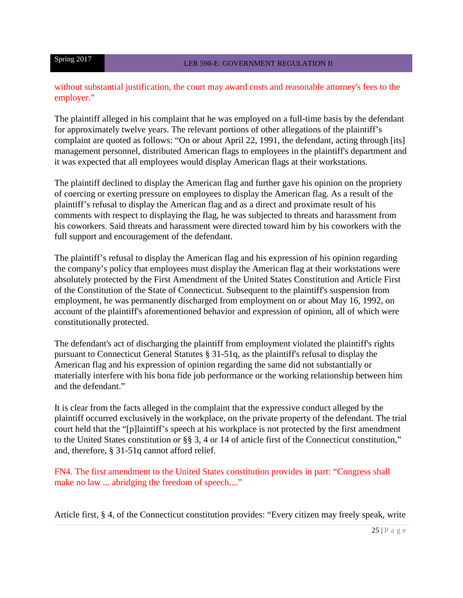## without substantial justification, the court may award costs and reasonable attorney's fees to the employer."

The plaintiff alleged in his complaint that he was employed on a full-time basis by the defendant for approximately twelve years. The relevant portions of other allegations of the plaintiff's complaint are quoted as follows: "On or about April 22, 1991, the defendant, acting through [its] management personnel, distributed American flags to employees in the plaintiff's department and it was expected that all employees would display American flags at their workstations.

The plaintiff declined to display the American flag and further gave his opinion on the propriety of coercing or exerting pressure on employees to display the American flag. As a result of the plaintiff's refusal to display the American flag and as a direct and proximate result of his comments with respect to displaying the flag, he was subjected to threats and harassment from his coworkers. Said threats and harassment were directed toward him by his coworkers with the full support and encouragement of the defendant.

The plaintiff's refusal to display the American flag and his expression of his opinion regarding the company's policy that employees must display the American flag at their workstations were absolutely protected by the First Amendment of the United States Constitution and Article First of the Constitution of the State of Connecticut. Subsequent to the plaintiff's suspension from employment, he was permanently discharged from employment on or about May 16, 1992, on account of the plaintiff's aforementioned behavior and expression of opinion, all of which were constitutionally protected.

The defendant's act of discharging the plaintiff from employment violated the plaintiff's rights pursuant to [Connecticut General Statutes § 31-51q,](http://web2.westlaw.com/find/default.wl?tf=-1&rs=WLW10.01&fn=_top&sv=Split&docname=CTSTS31-51Q&tc=-1&pbc=A3FC3734&ordoc=1998105470&findtype=L&db=1000264&vr=2.0&rp=%2ffind%2fdefault.wl&mt=208) as the plaintiff's refusal to display the American flag and his expression of opinion regarding the same did not substantially or materially interfere with his bona fide job performance or the working relationship between him and the defendant."

It is clear from the facts alleged in the complaint that the expressive conduct alleged by the plaintiff occurred exclusively in the workplace, on the private property of the defendant. The trial court held that the "[p]laintiff's speech at his workplace is not protected by the first amendment to the United States constitution or §§ 3, 4 or 14 of article first of the Connecticut constitution," and, therefore, [§ 31-51q](http://web2.westlaw.com/find/default.wl?tf=-1&rs=WLW10.01&fn=_top&sv=Split&docname=CTSTS31-51Q&tc=-1&pbc=A3FC3734&ordoc=1998105470&findtype=L&db=1000264&vr=2.0&rp=%2ffind%2fdefault.wl&mt=208) cannot afford relief.

[FN4.](http://web2.westlaw.com/result/documenttext.aspx?vr=2.0&docaction=rank&sv=Split&sskey=CLID_SSSA3980933588161&cxt=DC&fmqv=c&rlti=1&ss=CNT&rs=WLW10.01&eq=search&rltdb=CLID_DB083951458161&db=ALLSTATES&cnt=DOC&fn=_top&rlt=CLID_QRYRLT8854334588161&n=3&scxt=WL&cfid=1&rp=%2fsearch%2fdefault.wl&origin=Search&mt=208&service=Search&query=%22WORKER+COMP!%22+%26+%22PERSIAN+GULF+WAR%22&method=TNC#F00441998105470) The first amendment to the United States constitution provides in part: "Congress shall make no law ... abridging the freedom of speech...."

Article first, § 4, of the Connecticut constitution provides: "Every citizen may freely speak, write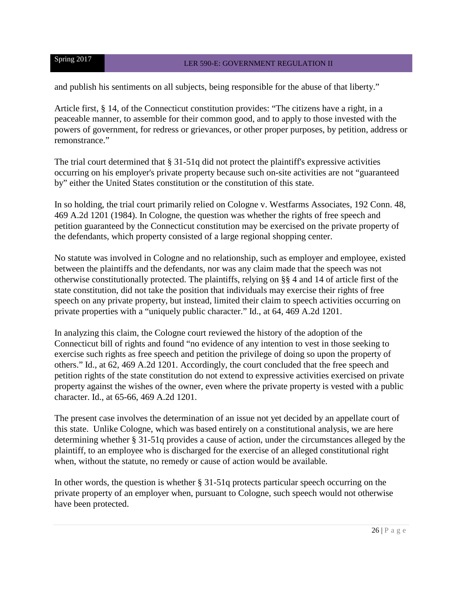and publish his sentiments on all subjects, being responsible for the abuse of that liberty."

Article first, § 14, of the Connecticut constitution provides: "The citizens have a right, in a peaceable manner, to assemble for their common good, and to apply to those invested with the powers of government, for redress or grievances, or other proper purposes, by petition, address or remonstrance."

The trial court determined that [§ 31-51q](http://web2.westlaw.com/find/default.wl?tf=-1&rs=WLW10.01&fn=_top&sv=Split&docname=CTSTS31-51Q&tc=-1&pbc=A3FC3734&ordoc=1998105470&findtype=L&db=1000264&vr=2.0&rp=%2ffind%2fdefault.wl&mt=208) did not protect the plaintiff's expressive activities occurring on his employer's private property because such on-site activities are not "guaranteed by" either the United States constitution or the constitution of this state.

In so holding, the trial court primarily relied on [Cologne v. Westfarms Associates, 192 Conn. 48,](http://web2.westlaw.com/find/default.wl?tf=-1&rs=WLW10.01&serialnum=1984103470&fn=_top&sv=Split&tc=-1&pbc=A3FC3734&ordoc=1998105470&findtype=Y&db=162&vr=2.0&rp=%2ffind%2fdefault.wl&mt=208)  [469 A.2d 1201 \(1984\).](http://web2.westlaw.com/find/default.wl?tf=-1&rs=WLW10.01&serialnum=1984103470&fn=_top&sv=Split&tc=-1&pbc=A3FC3734&ordoc=1998105470&findtype=Y&db=162&vr=2.0&rp=%2ffind%2fdefault.wl&mt=208) In Cologne, the question was whether the rights of free speech and petition guaranteed by the Connecticut constitution may be exercised on the private property of the defendants, which property consisted of a large regional shopping center.

No statute was involved in Cologne and no relationship, such as employer and employee, existed between the plaintiffs and the defendants, nor was any claim made that the speech was not otherwise constitutionally protected. The plaintiffs, relying on §§ 4 and 14 of article first of the state constitution, did not take the position that individuals may exercise their rights of free speech on any private property, but instead, limited their claim to speech activities occurring on private properties with a "uniquely public character." Id., at 64, [469 A.2d 1201.](http://web2.westlaw.com/find/default.wl?tf=-1&rs=WLW10.01&serialnum=1984103470&fn=_top&sv=Split&tc=-1&pbc=A3FC3734&ordoc=1998105470&findtype=Y&db=162&vr=2.0&rp=%2ffind%2fdefault.wl&mt=208)

In analyzing this claim, the Cologne court reviewed the history of the adoption of the Connecticut bill of rights and found "no evidence of any intention to vest in those seeking to exercise such rights as free speech and petition the privilege of doing so upon the property of others." [Id., at 62, 469 A.2d 1201.](http://web2.westlaw.com/find/default.wl?tf=-1&rs=WLW10.01&serialnum=1984103470&fn=_top&sv=Split&tc=-1&pbc=A3FC3734&ordoc=1998105470&findtype=Y&db=162&vr=2.0&rp=%2ffind%2fdefault.wl&mt=208) Accordingly, the court concluded that the free speech and petition rights of the state constitution do not extend to expressive activities exercised on private property against the wishes of the owner, even where the private property is vested with a public character. [Id., at 65-66, 469 A.2d 1201.](http://web2.westlaw.com/find/default.wl?tf=-1&rs=WLW10.01&serialnum=1984103470&fn=_top&sv=Split&tc=-1&pbc=A3FC3734&ordoc=1998105470&findtype=Y&db=162&vr=2.0&rp=%2ffind%2fdefault.wl&mt=208)

The present case involves the determination of an issue not yet decided by an appellate court of this state. Unlike Cologne, which was based entirely on a constitutional analysis, we are here determining whether [§ 31-51q](http://web2.westlaw.com/find/default.wl?tf=-1&rs=WLW10.01&fn=_top&sv=Split&docname=CTSTS31-51Q&tc=-1&pbc=A3FC3734&ordoc=1998105470&findtype=L&db=1000264&vr=2.0&rp=%2ffind%2fdefault.wl&mt=208) provides a cause of action, under the circumstances alleged by the plaintiff, to an employee who is discharged for the exercise of an alleged constitutional right when, without the statute, no remedy or cause of action would be available.

In other words, the question is whether [§ 31-51q](http://web2.westlaw.com/find/default.wl?tf=-1&rs=WLW10.01&fn=_top&sv=Split&docname=CTSTS31-51Q&tc=-1&pbc=A3FC3734&ordoc=1998105470&findtype=L&db=1000264&vr=2.0&rp=%2ffind%2fdefault.wl&mt=208) protects particular speech occurring on the private property of an employer when, pursuant to Cologne, such speech would not otherwise have been protected.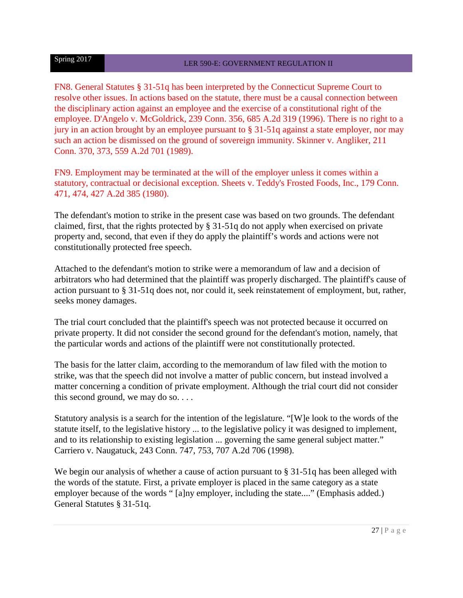[FN8.](http://web2.westlaw.com/result/documenttext.aspx?vr=2.0&docaction=rank&sv=Split&sskey=CLID_SSSA3980933588161&cxt=DC&fmqv=c&rlti=1&ss=CNT&rs=WLW10.01&eq=search&rltdb=CLID_DB083951458161&db=ALLSTATES&cnt=DOC&fn=_top&rlt=CLID_QRYRLT8854334588161&n=3&scxt=WL&cfid=1&rp=%2fsearch%2fdefault.wl&origin=Search&mt=208&service=Search&query=%22WORKER+COMP!%22+%26+%22PERSIAN+GULF+WAR%22&method=TNC#F00881998105470) [General Statutes § 31-51q](http://web2.westlaw.com/find/default.wl?tf=-1&rs=WLW10.01&fn=_top&sv=Split&docname=CTSTS31-51Q&tc=-1&pbc=A3FC3734&ordoc=1998105470&findtype=L&db=1000264&vr=2.0&rp=%2ffind%2fdefault.wl&mt=208) has been interpreted by the Connecticut Supreme Court to resolve other issues. In actions based on the statute, there must be a causal connection between the disciplinary action against an employee and the exercise of a constitutional right of the employee. [D'Angelo v. McGoldrick, 239 Conn. 356, 685 A.2d 319 \(1996\).](http://web2.westlaw.com/find/default.wl?tf=-1&rs=WLW10.01&serialnum=1996262529&fn=_top&sv=Split&tc=-1&pbc=A3FC3734&ordoc=1998105470&findtype=Y&db=162&vr=2.0&rp=%2ffind%2fdefault.wl&mt=208) There is no right to a jury in an action brought by an employee pursuant to [§ 31-51q](http://web2.westlaw.com/find/default.wl?tf=-1&rs=WLW10.01&fn=_top&sv=Split&docname=CTSTS31-51Q&tc=-1&pbc=A3FC3734&ordoc=1998105470&findtype=L&db=1000264&vr=2.0&rp=%2ffind%2fdefault.wl&mt=208) against a state employer, nor may such an action be dismissed on the ground of sovereign immunity. [Skinner v. Angliker, 211](http://web2.westlaw.com/find/default.wl?tf=-1&rs=WLW10.01&serialnum=1989081898&fn=_top&sv=Split&tc=-1&pbc=A3FC3734&ordoc=1998105470&findtype=Y&db=162&vr=2.0&rp=%2ffind%2fdefault.wl&mt=208)  [Conn. 370, 373, 559 A.2d 701 \(1989\).](http://web2.westlaw.com/find/default.wl?tf=-1&rs=WLW10.01&serialnum=1989081898&fn=_top&sv=Split&tc=-1&pbc=A3FC3734&ordoc=1998105470&findtype=Y&db=162&vr=2.0&rp=%2ffind%2fdefault.wl&mt=208)

[FN9.](http://web2.westlaw.com/result/documenttext.aspx?vr=2.0&docaction=rank&sv=Split&sskey=CLID_SSSA3980933588161&cxt=DC&fmqv=c&rlti=1&ss=CNT&rs=WLW10.01&eq=search&rltdb=CLID_DB083951458161&db=ALLSTATES&cnt=DOC&fn=_top&rlt=CLID_QRYRLT8854334588161&n=3&scxt=WL&cfid=1&rp=%2fsearch%2fdefault.wl&origin=Search&mt=208&service=Search&query=%22WORKER+COMP!%22+%26+%22PERSIAN+GULF+WAR%22&method=TNC#F00991998105470) Employment may be terminated at the will of the employer unless it comes within a statutory, contractual or decisional exception. [Sheets v. Teddy's Frosted Foods, Inc., 179 Conn.](http://web2.westlaw.com/find/default.wl?tf=-1&rs=WLW10.01&serialnum=1980103007&fn=_top&sv=Split&tc=-1&pbc=A3FC3734&ordoc=1998105470&findtype=Y&db=162&vr=2.0&rp=%2ffind%2fdefault.wl&mt=208)  [471, 474, 427 A.2d 385 \(1980\).](http://web2.westlaw.com/find/default.wl?tf=-1&rs=WLW10.01&serialnum=1980103007&fn=_top&sv=Split&tc=-1&pbc=A3FC3734&ordoc=1998105470&findtype=Y&db=162&vr=2.0&rp=%2ffind%2fdefault.wl&mt=208)

The defendant's motion to strike in the present case was based on two grounds. The defendant claimed, first, that the rights protected by [§ 31-51q](http://web2.westlaw.com/find/default.wl?tf=-1&rs=WLW10.01&fn=_top&sv=Split&docname=CTSTS31-51Q&tc=-1&pbc=A3FC3734&ordoc=1998105470&findtype=L&db=1000264&vr=2.0&rp=%2ffind%2fdefault.wl&mt=208) do not apply when exercised on private property and, second, that even if they do apply the plaintiff's words and actions were not constitutionally protected free speech.

Attached to the defendant's motion to strike were a memorandum of law and a decision of arbitrators who had determined that the plaintiff was properly discharged. The plaintiff's cause of action pursuant to [§ 31-51q](http://web2.westlaw.com/find/default.wl?tf=-1&rs=WLW10.01&fn=_top&sv=Split&docname=CTSTS31-51Q&tc=-1&pbc=A3FC3734&ordoc=1998105470&findtype=L&db=1000264&vr=2.0&rp=%2ffind%2fdefault.wl&mt=208) does not, nor could it, seek reinstatement of employment, but, rather, seeks money damages.

The trial court concluded that the plaintiff's speech was not protected because it occurred on private property. It did not consider the second ground for the defendant's motion, namely, that the particular words and actions of the plaintiff were not constitutionally protected.

The basis for the latter claim, according to the memorandum of law filed with the motion to strike, was that the speech did not involve a matter of public concern, but instead involved a matter concerning a condition of private employment. Although the trial court did not consider this second ground, we may do so. . . .

Statutory analysis is a search for the intention of the legislature. "[W]e look to the words of the statute itself, to the legislative history ... to the legislative policy it was designed to implement, and to its relationship to existing legislation ... governing the same general subject matter." [Carriero v. Naugatuck, 243 Conn. 747, 753, 707 A.2d 706 \(1998\).](http://web2.westlaw.com/find/default.wl?tf=-1&rs=WLW10.01&serialnum=1998061319&fn=_top&sv=Split&tc=-1&pbc=A3FC3734&ordoc=1998105470&findtype=Y&db=162&vr=2.0&rp=%2ffind%2fdefault.wl&mt=208)

We begin our analysis of whether a cause of action pursuant to [§ 31-51q](http://web2.westlaw.com/find/default.wl?tf=-1&rs=WLW10.01&fn=_top&sv=Split&docname=CTSTS31-51Q&tc=-1&pbc=A3FC3734&ordoc=1998105470&findtype=L&db=1000264&vr=2.0&rp=%2ffind%2fdefault.wl&mt=208) has been alleged with the words of the statute. First, a private employer is placed in the same category as a state employer because of the words " [a]ny employer, including the state...." (Emphasis added.) [General Statutes § 31-51q.](http://web2.westlaw.com/find/default.wl?tf=-1&rs=WLW10.01&fn=_top&sv=Split&docname=CTSTS31-51Q&tc=-1&pbc=A3FC3734&ordoc=1998105470&findtype=L&db=1000264&vr=2.0&rp=%2ffind%2fdefault.wl&mt=208)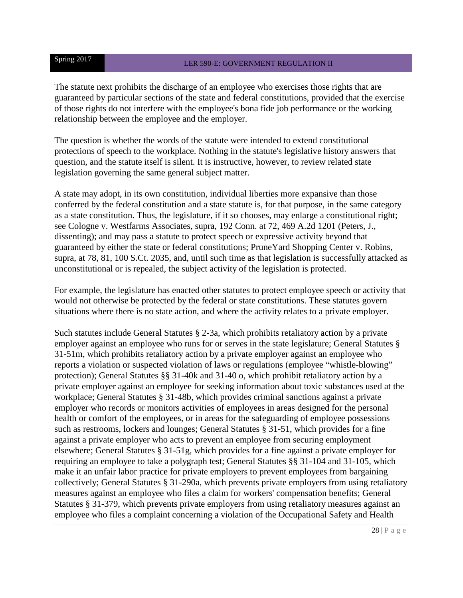The statute next prohibits the discharge of an employee who exercises those rights that are guaranteed by particular sections of the state and federal constitutions, provided that the exercise of those rights do not interfere with the employee's bona fide job performance or the working relationship between the employee and the employer.

The question is whether the words of the statute were intended to extend constitutional protections of speech to the workplace. Nothing in the statute's legislative history answers that question, and the statute itself is silent. It is instructive, however, to review related state legislation governing the same general subject matter.

A state may adopt, in its own constitution, individual liberties more expansive than those conferred by the federal constitution and a state statute is, for that purpose, in the same category as a state constitution. Thus, the legislature, if it so chooses, may enlarge a constitutional right; see [Cologne v. Westfarms Associates, supra, 192 Conn. at 72, 469 A.2d 1201](http://web2.westlaw.com/find/default.wl?tf=-1&rs=WLW10.01&serialnum=1984103470&fn=_top&sv=Split&tc=-1&pbc=A3FC3734&ordoc=1998105470&findtype=Y&db=162&vr=2.0&rp=%2ffind%2fdefault.wl&mt=208) (Peters, J., dissenting); and may pass a statute to protect speech or expressive activity beyond that guaranteed by either the state or federal constitutions; [PruneYard Shopping Center v. Robins,](http://web2.westlaw.com/find/default.wl?tf=-1&rs=WLW10.01&serialnum=1980116765&fn=_top&sv=Split&tc=-1&pbc=A3FC3734&ordoc=1998105470&findtype=Y&db=708&vr=2.0&rp=%2ffind%2fdefault.wl&mt=208)  [supra, at 78, 81, 100 S.Ct. 2035,](http://web2.westlaw.com/find/default.wl?tf=-1&rs=WLW10.01&serialnum=1980116765&fn=_top&sv=Split&tc=-1&pbc=A3FC3734&ordoc=1998105470&findtype=Y&db=708&vr=2.0&rp=%2ffind%2fdefault.wl&mt=208) and, until such time as that legislation is successfully attacked as unconstitutional or is repealed, the subject activity of the legislation is protected.

For example, the legislature has enacted other statutes to protect employee speech or activity that would not otherwise be protected by the federal or state constitutions. These statutes govern situations where there is no state action, and where the activity relates to a private employer.

Such statutes include [General Statutes § 2-3a,](http://web2.westlaw.com/find/default.wl?tf=-1&rs=WLW10.01&fn=_top&sv=Split&docname=CTSTS2-3A&tc=-1&pbc=A3FC3734&ordoc=1998105470&findtype=L&db=1000264&vr=2.0&rp=%2ffind%2fdefault.wl&mt=208) which prohibits retaliatory action by a private employer against an employee who runs for or serves in the state legislature; [General Statutes §](http://web2.westlaw.com/find/default.wl?tf=-1&rs=WLW10.01&fn=_top&sv=Split&docname=CTSTS31-51M&tc=-1&pbc=A3FC3734&ordoc=1998105470&findtype=L&db=1000264&vr=2.0&rp=%2ffind%2fdefault.wl&mt=208)  [31-51m,](http://web2.westlaw.com/find/default.wl?tf=-1&rs=WLW10.01&fn=_top&sv=Split&docname=CTSTS31-51M&tc=-1&pbc=A3FC3734&ordoc=1998105470&findtype=L&db=1000264&vr=2.0&rp=%2ffind%2fdefault.wl&mt=208) which prohibits retaliatory action by a private employer against an employee who reports a violation or suspected violation of laws or regulations (employee "whistle-blowing" protection); [General Statutes §§ 31-40k](http://web2.westlaw.com/find/default.wl?tf=-1&rs=WLW10.01&fn=_top&sv=Split&docname=CTSTS31-40K&tc=-1&pbc=A3FC3734&ordoc=1998105470&findtype=L&db=1000264&vr=2.0&rp=%2ffind%2fdefault.wl&mt=208) and [31-40 o,](http://web2.westlaw.com/find/default.wl?tf=-1&rs=WLW10.01&fn=_top&sv=Split&docname=CTSTS31-40O&tc=-1&pbc=A3FC3734&ordoc=1998105470&findtype=L&db=1000264&vr=2.0&rp=%2ffind%2fdefault.wl&mt=208) which prohibit retaliatory action by a private employer against an employee for seeking information about toxic substances used at the workplace; [General Statutes § 31-48b,](http://web2.westlaw.com/find/default.wl?tf=-1&rs=WLW10.01&fn=_top&sv=Split&docname=CTSTS31-48B&tc=-1&pbc=A3FC3734&ordoc=1998105470&findtype=L&db=1000264&vr=2.0&rp=%2ffind%2fdefault.wl&mt=208) which provides criminal sanctions against a private employer who records or monitors activities of employees in areas designed for the personal health or comfort of the employees, or in areas for the safeguarding of employee possessions such as restrooms, lockers and lounges; [General Statutes § 31-51,](http://web2.westlaw.com/find/default.wl?tf=-1&rs=WLW10.01&fn=_top&sv=Split&docname=CTSTS31-51&tc=-1&pbc=A3FC3734&ordoc=1998105470&findtype=L&db=1000264&vr=2.0&rp=%2ffind%2fdefault.wl&mt=208) which provides for a fine against a private employer who acts to prevent an employee from securing employment elsewhere; [General Statutes § 31-51g,](http://web2.westlaw.com/find/default.wl?tf=-1&rs=WLW10.01&fn=_top&sv=Split&docname=CTSTS31-51G&tc=-1&pbc=A3FC3734&ordoc=1998105470&findtype=L&db=1000264&vr=2.0&rp=%2ffind%2fdefault.wl&mt=208) which provides for a fine against a private employer for requiring an employee to take a polygraph test; [General Statutes §§ 31-104](http://web2.westlaw.com/find/default.wl?tf=-1&rs=WLW10.01&fn=_top&sv=Split&docname=CTSTS31-104&tc=-1&pbc=A3FC3734&ordoc=1998105470&findtype=L&db=1000264&vr=2.0&rp=%2ffind%2fdefault.wl&mt=208) and [31-105,](http://web2.westlaw.com/find/default.wl?tf=-1&rs=WLW10.01&fn=_top&sv=Split&docname=CTSTS31-105&tc=-1&pbc=A3FC3734&ordoc=1998105470&findtype=L&db=1000264&vr=2.0&rp=%2ffind%2fdefault.wl&mt=208) which make it an unfair labor practice for private employers to prevent employees from bargaining collectively; [General Statutes § 31-290a,](http://web2.westlaw.com/find/default.wl?tf=-1&rs=WLW10.01&fn=_top&sv=Split&docname=CTSTS31-290A&tc=-1&pbc=A3FC3734&ordoc=1998105470&findtype=L&db=1000264&vr=2.0&rp=%2ffind%2fdefault.wl&mt=208) which prevents private employers from using retaliatory measures against an employee who files a claim for workers' compensation benefits; [General](http://web2.westlaw.com/find/default.wl?tf=-1&rs=WLW10.01&fn=_top&sv=Split&docname=CTSTS31-379&tc=-1&pbc=A3FC3734&ordoc=1998105470&findtype=L&db=1000264&vr=2.0&rp=%2ffind%2fdefault.wl&mt=208)  [Statutes § 31-379,](http://web2.westlaw.com/find/default.wl?tf=-1&rs=WLW10.01&fn=_top&sv=Split&docname=CTSTS31-379&tc=-1&pbc=A3FC3734&ordoc=1998105470&findtype=L&db=1000264&vr=2.0&rp=%2ffind%2fdefault.wl&mt=208) which prevents private employers from using retaliatory measures against an employee who files a complaint concerning a violation of the Occupational Safety and Health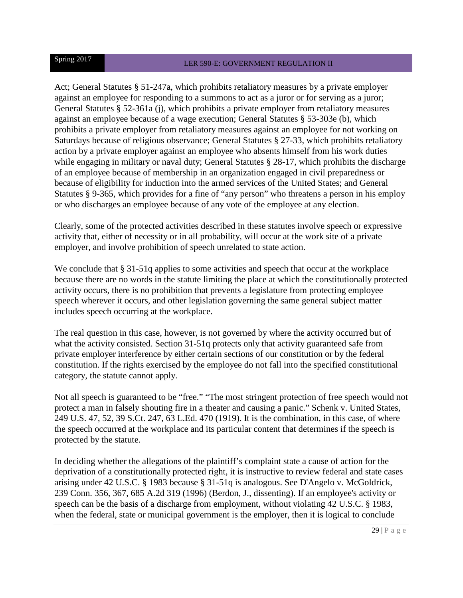Act; [General Statutes § 51-247a,](http://web2.westlaw.com/find/default.wl?tf=-1&rs=WLW10.01&fn=_top&sv=Split&docname=CTSTS51-247A&tc=-1&pbc=A3FC3734&ordoc=1998105470&findtype=L&db=1000264&vr=2.0&rp=%2ffind%2fdefault.wl&mt=208) which prohibits retaliatory measures by a private employer against an employee for responding to a summons to act as a juror or for serving as a juror; [General Statutes § 52-361a \(j\),](http://web2.westlaw.com/find/default.wl?tf=-1&rs=WLW10.01&fn=_top&sv=Split&docname=CTSTS52-361A&tc=-1&pbc=A3FC3734&ordoc=1998105470&findtype=L&db=1000264&vr=2.0&rp=%2ffind%2fdefault.wl&mt=208) which prohibits a private employer from retaliatory measures against an employee because of a wage execution; [General Statutes § 53-303e \(b\),](http://web2.westlaw.com/find/default.wl?tf=-1&rs=WLW10.01&fn=_top&sv=Split&docname=CTSTS53-303E&tc=-1&pbc=A3FC3734&ordoc=1998105470&findtype=L&db=1000264&vr=2.0&rp=%2ffind%2fdefault.wl&mt=208) which prohibits a private employer from retaliatory measures against an employee for not working on Saturdays because of religious observance; General [Statutes § 27-33,](http://web2.westlaw.com/find/default.wl?tf=-1&rs=WLW10.01&fn=_top&sv=Split&docname=CTSTS27-33&tc=-1&pbc=A3FC3734&ordoc=1998105470&findtype=L&db=1000264&vr=2.0&rp=%2ffind%2fdefault.wl&mt=208) which prohibits retaliatory action by a private employer against an employee who absents himself from his work duties while engaging in military or naval duty; [General Statutes § 28-17,](http://web2.westlaw.com/find/default.wl?tf=-1&rs=WLW10.01&fn=_top&sv=Split&docname=CTSTS28-17&tc=-1&pbc=A3FC3734&ordoc=1998105470&findtype=L&db=1000264&vr=2.0&rp=%2ffind%2fdefault.wl&mt=208) which prohibits the discharge of an employee because of membership in an organization engaged in civil preparedness or because of eligibility for induction into the armed services of the United States; and [General](http://web2.westlaw.com/find/default.wl?tf=-1&rs=WLW10.01&fn=_top&sv=Split&docname=CTSTS9-365&tc=-1&pbc=A3FC3734&ordoc=1998105470&findtype=L&db=1000264&vr=2.0&rp=%2ffind%2fdefault.wl&mt=208)  [Statutes § 9-365,](http://web2.westlaw.com/find/default.wl?tf=-1&rs=WLW10.01&fn=_top&sv=Split&docname=CTSTS9-365&tc=-1&pbc=A3FC3734&ordoc=1998105470&findtype=L&db=1000264&vr=2.0&rp=%2ffind%2fdefault.wl&mt=208) which provides for a fine of "any person" who threatens a person in his employ or who discharges an employee because of any vote of the employee at any election.

Clearly, some of the protected activities described in these statutes involve speech or expressive activity that, either of necessity or in all probability, will occur at the work site of a private employer, and involve prohibition of speech unrelated to state action.

We conclude that [§ 31-51q](http://web2.westlaw.com/find/default.wl?tf=-1&rs=WLW10.01&fn=_top&sv=Split&docname=CTSTS31-51Q&tc=-1&pbc=A3FC3734&ordoc=1998105470&findtype=L&db=1000264&vr=2.0&rp=%2ffind%2fdefault.wl&mt=208) applies to some activities and speech that occur at the workplace because there are no words in the statute limiting the place at which the constitutionally protected activity occurs, there is no prohibition that prevents a legislature from protecting employee speech wherever it occurs, and other legislation governing the same general subject matter includes speech occurring at the workplace.

The real question in this case, however, is not governed by where the activity occurred but of what the activity consisted. [Section 31-51q](http://web2.westlaw.com/find/default.wl?tf=-1&rs=WLW10.01&fn=_top&sv=Split&docname=CTSTS31-51Q&tc=-1&pbc=A3FC3734&ordoc=1998105470&findtype=L&db=1000264&vr=2.0&rp=%2ffind%2fdefault.wl&mt=208) protects only that activity guaranteed safe from private employer interference by either certain sections of our constitution or by the federal constitution. If the rights exercised by the employee do not fall into the specified constitutional category, the statute cannot apply.

Not all speech is guaranteed to be "free." "The most stringent protection of free speech would not protect a man in falsely shouting fire in a theater and causing a panic." [Schenk v. United States,](http://web2.westlaw.com/find/default.wl?tf=-1&rs=WLW10.01&serialnum=1919100399&fn=_top&sv=Split&tc=-1&pbc=A3FC3734&ordoc=1998105470&findtype=Y&db=708&vr=2.0&rp=%2ffind%2fdefault.wl&mt=208)  [249 U.S. 47, 52, 39 S.Ct. 247, 63 L.Ed. 470 \(1919\).](http://web2.westlaw.com/find/default.wl?tf=-1&rs=WLW10.01&serialnum=1919100399&fn=_top&sv=Split&tc=-1&pbc=A3FC3734&ordoc=1998105470&findtype=Y&db=708&vr=2.0&rp=%2ffind%2fdefault.wl&mt=208) It is the combination, in this case, of where the speech occurred at the workplace and its particular content that determines if the speech is protected by the statute.

In deciding whether the allegations of the plaintiff's complaint state a cause of action for the deprivation of a constitutionally protected right, it is instructive to review federal and state cases arising under [42 U.S.C. § 1983](http://web2.westlaw.com/find/default.wl?tf=-1&rs=WLW10.01&fn=_top&sv=Split&docname=42USCAS1983&tc=-1&pbc=A3FC3734&ordoc=1998105470&findtype=L&db=1000546&vr=2.0&rp=%2ffind%2fdefault.wl&mt=208) because [§ 31-51q](http://web2.westlaw.com/find/default.wl?tf=-1&rs=WLW10.01&fn=_top&sv=Split&docname=CTSTS31-51Q&tc=-1&pbc=A3FC3734&ordoc=1998105470&findtype=L&db=1000264&vr=2.0&rp=%2ffind%2fdefault.wl&mt=208) is analogous. See [D'Angelo v. McGoldrick,](http://web2.westlaw.com/find/default.wl?tf=-1&rs=WLW10.01&serialnum=1996262529&fn=_top&sv=Split&tc=-1&pbc=A3FC3734&ordoc=1998105470&findtype=Y&db=162&vr=2.0&rp=%2ffind%2fdefault.wl&mt=208)  [239 Conn. 356, 367, 685 A.2d 319 \(1996\)](http://web2.westlaw.com/find/default.wl?tf=-1&rs=WLW10.01&serialnum=1996262529&fn=_top&sv=Split&tc=-1&pbc=A3FC3734&ordoc=1998105470&findtype=Y&db=162&vr=2.0&rp=%2ffind%2fdefault.wl&mt=208) (Berdon, J., dissenting). If an employee's activity or speech can be the basis of a discharge from employment, without violating [42 U.S.C. § 1983,](http://web2.westlaw.com/find/default.wl?tf=-1&rs=WLW10.01&fn=_top&sv=Split&docname=42USCAS1983&tc=-1&pbc=A3FC3734&ordoc=1998105470&findtype=L&db=1000546&vr=2.0&rp=%2ffind%2fdefault.wl&mt=208) when the federal, state or municipal government is the employer, then it is logical to conclude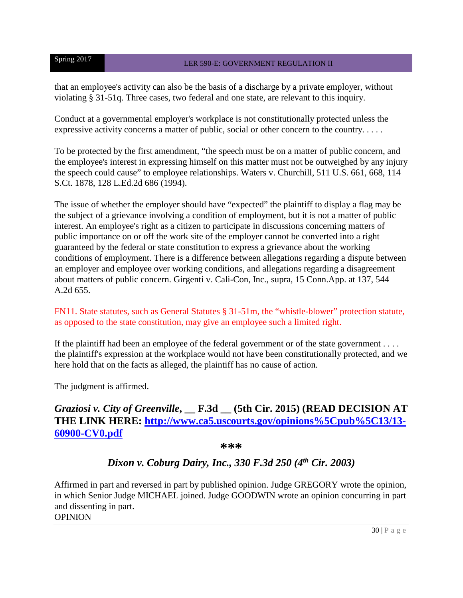that an employee's activity can also be the basis of a discharge by a private employer, without violating [§ 31-51q.](http://web2.westlaw.com/find/default.wl?tf=-1&rs=WLW10.01&fn=_top&sv=Split&docname=CTSTS31-51Q&tc=-1&pbc=A3FC3734&ordoc=1998105470&findtype=L&db=1000264&vr=2.0&rp=%2ffind%2fdefault.wl&mt=208) Three cases, two federal and one state, are relevant to this inquiry.

Conduct at a governmental employer's workplace is not constitutionally protected unless the expressive activity concerns a matter of public, social or other concern to the country. . . . .

To be protected by the first amendment, "the speech must be on a matter of public concern, and the employee's interest in expressing himself on this matter must not be outweighed by any injury the speech could cause" to employee relationships. [Waters v. Churchill, 511 U.S. 661, 668, 114](http://web2.westlaw.com/find/default.wl?tf=-1&rs=WLW10.01&serialnum=1994118476&fn=_top&sv=Split&tc=-1&pbc=A3FC3734&ordoc=1998105470&findtype=Y&db=708&vr=2.0&rp=%2ffind%2fdefault.wl&mt=208)  [S.Ct. 1878, 128 L.Ed.2d 686 \(1994\).](http://web2.westlaw.com/find/default.wl?tf=-1&rs=WLW10.01&serialnum=1994118476&fn=_top&sv=Split&tc=-1&pbc=A3FC3734&ordoc=1998105470&findtype=Y&db=708&vr=2.0&rp=%2ffind%2fdefault.wl&mt=208)

The issue of whether the employer should have "expected" the plaintiff to display a flag may be the subject of a grievance involving a condition of employment, but it is not a matter of public interest. An employee's right as a citizen to participate in discussions concerning matters of public importance on or off the work site of the employer cannot be converted into a right guaranteed by the federal or state constitution to express a grievance about the working conditions of employment. There is a difference between allegations regarding a dispute between an employer and employee over working conditions, and allegations regarding a disagreement about matters of public concern. [Girgenti v. Cali-Con, Inc., supra, 15 Conn.App. at 137, 544](http://web2.westlaw.com/find/default.wl?tf=-1&rs=WLW10.01&serialnum=1988091419&fn=_top&sv=Split&tc=-1&pbc=A3FC3734&ordoc=1998105470&findtype=Y&db=162&vr=2.0&rp=%2ffind%2fdefault.wl&mt=208)  [A.2d 655.](http://web2.westlaw.com/find/default.wl?tf=-1&rs=WLW10.01&serialnum=1988091419&fn=_top&sv=Split&tc=-1&pbc=A3FC3734&ordoc=1998105470&findtype=Y&db=162&vr=2.0&rp=%2ffind%2fdefault.wl&mt=208)

### [FN11.](http://web2.westlaw.com/result/documenttext.aspx?vr=2.0&docaction=rank&sv=Split&sskey=CLID_SSSA3980933588161&cxt=DC&fmqv=c&rlti=1&ss=CNT&rs=WLW10.01&eq=search&rltdb=CLID_DB083951458161&db=ALLSTATES&cnt=DOC&fn=_top&rlt=CLID_QRYRLT8854334588161&n=3&scxt=WL&cfid=1&rp=%2fsearch%2fdefault.wl&origin=Search&mt=208&service=Search&query=%22WORKER+COMP!%22+%26+%22PERSIAN+GULF+WAR%22&method=TNC#F011111998105470) State statutes, such as [General Statutes § 31-51m,](http://web2.westlaw.com/find/default.wl?tf=-1&rs=WLW10.01&fn=_top&sv=Split&docname=CTSTS31-51M&tc=-1&pbc=A3FC3734&ordoc=1998105470&findtype=L&db=1000264&vr=2.0&rp=%2ffind%2fdefault.wl&mt=208) the "whistle-blower" protection statute, as opposed to the state constitution, may give an employee such a limited right.

If the plaintiff had been an employee of the federal government or of the state government . . . . the plaintiff's expression at the workplace would not have been constitutionally protected, and we here hold that on the facts as alleged, the plaintiff has no cause of action.

The judgment is affirmed.

## *Graziosi v. City of Greenville***, \_\_ F.3d \_\_ (5th Cir. 2015) (READ DECISION AT THE LINK HERE: [http://www.ca5.uscourts.gov/opinions%5Cpub%5C13/13-](http://www.ca5.uscourts.gov/opinions%5Cpub%5C13/13-60900-CV0.pdf) [60900-CV0.pdf](http://www.ca5.uscourts.gov/opinions%5Cpub%5C13/13-60900-CV0.pdf)**

**\*\*\***

## *Dixon v. Coburg Dairy, Inc., 330 F.3d 250 (4th Cir. 2003)*

Affirmed in part and reversed in part by published opinion. Judge GREGORY wrote the opinion, in which Senior Judge MICHAEL joined. Judge GOODWIN wrote an opinion concurring in part and dissenting in part. **OPINION**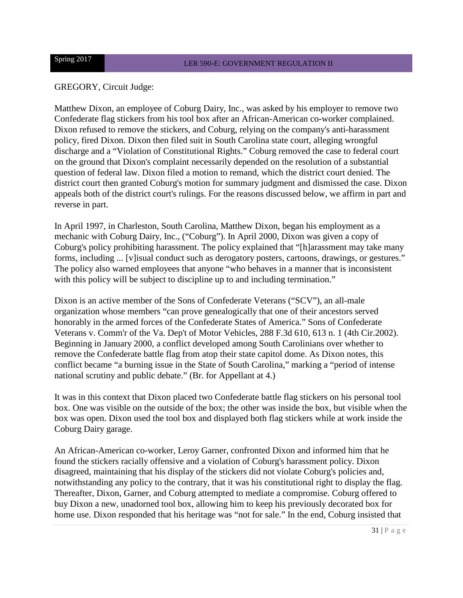## GREGORY, Circuit Judge:

Matthew Dixon, an employee of Coburg Dairy, Inc., was asked by his employer to remove two Confederate flag stickers from his tool box after an African-American co-worker complained. Dixon refused to remove the stickers, and Coburg, relying on the company's anti-harassment policy, fired Dixon. Dixon then filed suit in South Carolina state court, alleging wrongful discharge and a "Violation of Constitutional Rights." Coburg removed the case to federal court on the ground that Dixon's complaint necessarily depended on the resolution of a substantial question of federal law. Dixon filed a motion to remand, which the district court denied. The district court then granted Coburg's motion for summary judgment and dismissed the case. Dixon appeals both of the district court's rulings. For the reasons discussed below, we affirm in part and reverse in part.

In April 1997, in Charleston, South Carolina, Matthew Dixon, began his employment as a mechanic with Coburg Dairy, Inc., ("Coburg"). In April 2000, Dixon was given a copy of Coburg's policy prohibiting harassment. The policy explained that "[h]arassment may take many forms, including ... [v]isual conduct such as derogatory posters, cartoons, drawings, or gestures." The policy also warned employees that anyone "who behaves in a manner that is inconsistent with this policy will be subject to discipline up to and including termination."

Dixon is an active member of the Sons of Confederate Veterans ("SCV"), an all-male organization whose members "can prove genealogically that one of their ancestors served honorably in the armed forces of the Confederate States of America." Sons of Confederate Veterans v. Comm'r of the Va. Dep't of Motor Vehicles, 288 F.3d 610, 613 n. 1 (4th Cir.2002). Beginning in January 2000, a conflict developed among South Carolinians over whether to remove the Confederate battle flag from atop their state capitol dome. As Dixon notes, this conflict became "a burning issue in the State of South Carolina," marking a "period of intense national scrutiny and public debate." (Br. for Appellant at 4.)

It was in this context that Dixon placed two Confederate battle flag stickers on his personal tool box. One was visible on the outside of the box; the other was inside the box, but visible when the box was open. Dixon used the tool box and displayed both flag stickers while at work inside the Coburg Dairy garage.

An African-American co-worker, Leroy Garner, confronted Dixon and informed him that he found the stickers racially offensive and a violation of Coburg's harassment policy. Dixon disagreed, maintaining that his display of the stickers did not violate Coburg's policies and, notwithstanding any policy to the contrary, that it was his constitutional right to display the flag. Thereafter, Dixon, Garner, and Coburg attempted to mediate a compromise. Coburg offered to buy Dixon a new, unadorned tool box, allowing him to keep his previously decorated box for home use. Dixon responded that his heritage was "not for sale." In the end, Coburg insisted that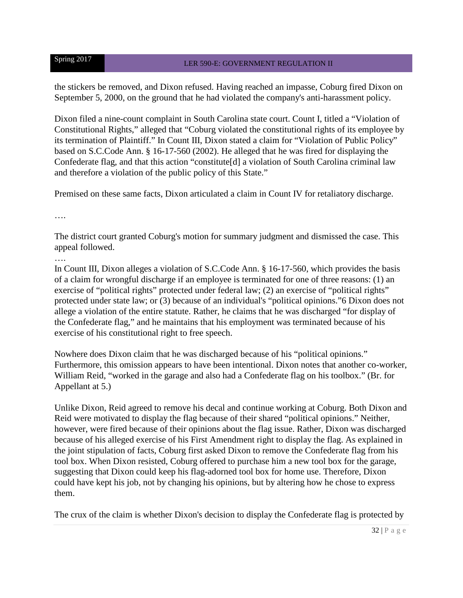the stickers be removed, and Dixon refused. Having reached an impasse, Coburg fired Dixon on September 5, 2000, on the ground that he had violated the company's anti-harassment policy.

Dixon filed a nine-count complaint in South Carolina state court. Count I, titled a "Violation of Constitutional Rights," alleged that "Coburg violated the constitutional rights of its employee by its termination of Plaintiff." In Count III, Dixon stated a claim for "Violation of Public Policy" based on S.C.Code Ann. § 16-17-560 (2002). He alleged that he was fired for displaying the Confederate flag, and that this action "constitute[d] a violation of South Carolina criminal law and therefore a violation of the public policy of this State."

Premised on these same facts, Dixon articulated a claim in Count IV for retaliatory discharge.

….

The district court granted Coburg's motion for summary judgment and dismissed the case. This appeal followed.

….

In Count III, Dixon alleges a violation of S.C.Code Ann. § 16-17-560, which provides the basis of a claim for wrongful discharge if an employee is terminated for one of three reasons: (1) an exercise of "political rights" protected under federal law; (2) an exercise of "political rights" protected under state law; or (3) because of an individual's "political opinions."6 Dixon does not allege a violation of the entire statute. Rather, he claims that he was discharged "for display of the Confederate flag," and he maintains that his employment was terminated because of his exercise of his constitutional right to free speech.

Nowhere does Dixon claim that he was discharged because of his "political opinions." Furthermore, this omission appears to have been intentional. Dixon notes that another co-worker, William Reid, "worked in the garage and also had a Confederate flag on his toolbox." (Br. for Appellant at 5.)

Unlike Dixon, Reid agreed to remove his decal and continue working at Coburg. Both Dixon and Reid were motivated to display the flag because of their shared "political opinions." Neither, however, were fired because of their opinions about the flag issue. Rather, Dixon was discharged because of his alleged exercise of his First Amendment right to display the flag. As explained in the joint stipulation of facts, Coburg first asked Dixon to remove the Confederate flag from his tool box. When Dixon resisted, Coburg offered to purchase him a new tool box for the garage, suggesting that Dixon could keep his flag-adorned tool box for home use. Therefore, Dixon could have kept his job, not by changing his opinions, but by altering how he chose to express them.

The crux of the claim is whether Dixon's decision to display the Confederate flag is protected by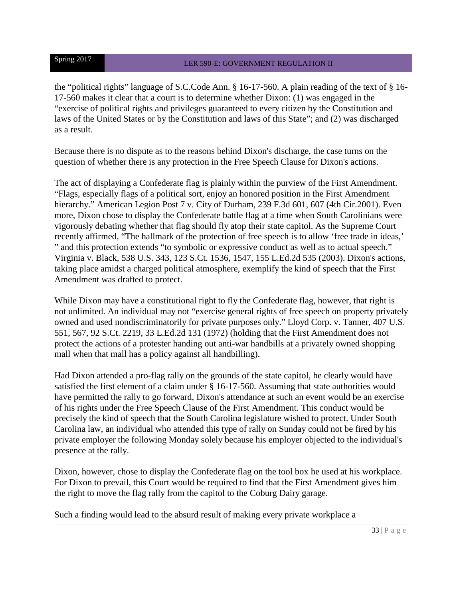the "political rights" language of S.C.Code Ann. § 16-17-560. A plain reading of the text of § 16- 17-560 makes it clear that a court is to determine whether Dixon: (1) was engaged in the "exercise of political rights and privileges guaranteed to every citizen by the Constitution and laws of the United States or by the Constitution and laws of this State"; and (2) was discharged as a result.

Because there is no dispute as to the reasons behind Dixon's discharge, the case turns on the question of whether there is any protection in the Free Speech Clause for Dixon's actions.

The act of displaying a Confederate flag is plainly within the purview of the First Amendment. "Flags, especially flags of a political sort, enjoy an honored position in the First Amendment hierarchy." American Legion Post 7 v. City of Durham, 239 F.3d 601, 607 (4th Cir.2001). Even more, Dixon chose to display the Confederate battle flag at a time when South Carolinians were vigorously debating whether that flag should fly atop their state capitol. As the Supreme Court recently affirmed, "The hallmark of the protection of free speech is to allow 'free trade in ideas,' " and this protection extends "to symbolic or expressive conduct as well as to actual speech." Virginia v. Black, 538 U.S. 343, 123 S.Ct. 1536, 1547, 155 L.Ed.2d 535 (2003). Dixon's actions, taking place amidst a charged political atmosphere, exemplify the kind of speech that the First Amendment was drafted to protect.

While Dixon may have a constitutional right to fly the Confederate flag, however, that right is not unlimited. An individual may not "exercise general rights of free speech on property privately owned and used nondiscriminatorily for private purposes only." Lloyd Corp. v. Tanner, 407 U.S. 551, 567, 92 S.Ct. 2219, 33 L.Ed.2d 131 (1972) (holding that the First Amendment does not protect the actions of a protester handing out anti-war handbills at a privately owned shopping mall when that mall has a policy against all handbilling).

Had Dixon attended a pro-flag rally on the grounds of the state capitol, he clearly would have satisfied the first element of a claim under § 16-17-560. Assuming that state authorities would have permitted the rally to go forward, Dixon's attendance at such an event would be an exercise of his rights under the Free Speech Clause of the First Amendment. This conduct would be precisely the kind of speech that the South Carolina legislature wished to protect. Under South Carolina law, an individual who attended this type of rally on Sunday could not be fired by his private employer the following Monday solely because his employer objected to the individual's presence at the rally.

Dixon, however, chose to display the Confederate flag on the tool box he used at his workplace. For Dixon to prevail, this Court would be required to find that the First Amendment gives him the right to move the flag rally from the capitol to the Coburg Dairy garage.

Such a finding would lead to the absurd result of making every private workplace a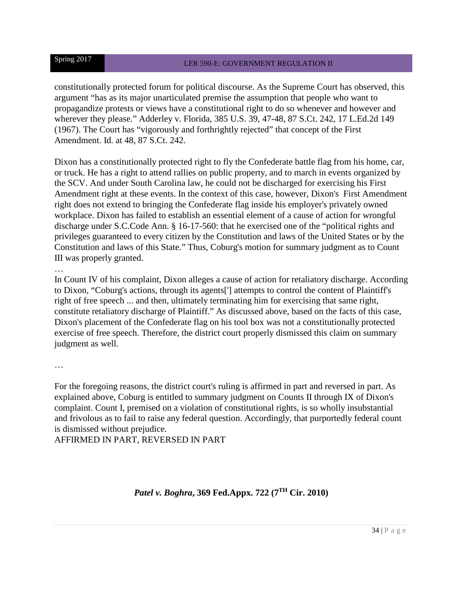constitutionally protected forum for political discourse. As the Supreme Court has observed, this argument "has as its major unarticulated premise the assumption that people who want to propagandize protests or views have a constitutional right to do so whenever and however and wherever they please." Adderley v. Florida, 385 U.S. 39, 47-48, 87 S.Ct. 242, 17 L.Ed.2d 149 (1967). The Court has "vigorously and forthrightly rejected" that concept of the First Amendment. Id. at 48, 87 S.Ct. 242.

Dixon has a constitutionally protected right to fly the Confederate battle flag from his home, car, or truck. He has a right to attend rallies on public property, and to march in events organized by the SCV. And under South Carolina law, he could not be discharged for exercising his First Amendment right at these events. In the context of this case, however, Dixon's First Amendment right does not extend to bringing the Confederate flag inside his employer's privately owned workplace. Dixon has failed to establish an essential element of a cause of action for wrongful discharge under S.C.Code Ann. § 16-17-560: that he exercised one of the "political rights and privileges guaranteed to every citizen by the Constitution and laws of the United States or by the Constitution and laws of this State." Thus, Coburg's motion for summary judgment as to Count III was properly granted.

…

In Count IV of his complaint, Dixon alleges a cause of action for retaliatory discharge. According to Dixon, "Coburg's actions, through its agents['] attempts to control the content of Plaintiff's right of free speech ... and then, ultimately terminating him for exercising that same right, constitute retaliatory discharge of Plaintiff." As discussed above, based on the facts of this case, Dixon's placement of the Confederate flag on his tool box was not a constitutionally protected exercise of free speech. Therefore, the district court properly dismissed this claim on summary judgment as well.

…

For the foregoing reasons, the district court's ruling is affirmed in part and reversed in part. As explained above, Coburg is entitled to summary judgment on Counts II through IX of Dixon's complaint. Count I, premised on a violation of constitutional rights, is so wholly insubstantial and frivolous as to fail to raise any federal question. Accordingly, that purportedly federal count is dismissed without prejudice.

AFFIRMED IN PART, REVERSED IN PART

## *Patel v. Boghra***, 369 Fed.Appx. 722 (7TH Cir. 2010)**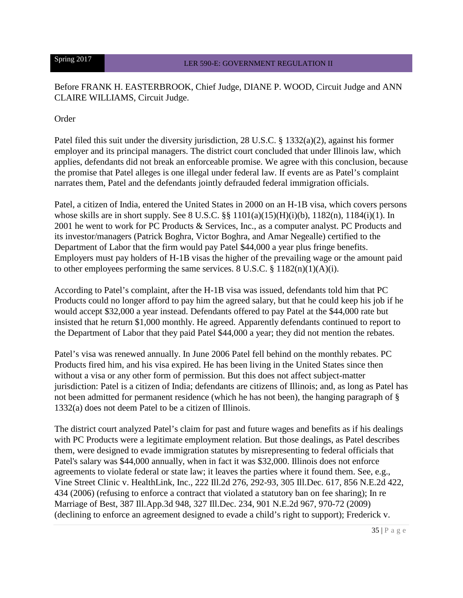Before FRANK H. EASTERBROOK, Chief Judge, DIANE P. WOOD, Circuit Judge and ANN CLAIRE WILLIAMS, Circuit Judge.

### Order

Patel filed this suit under the diversity jurisdiction, 28 U.S.C. § 1332(a)(2), against his former employer and its principal managers. The district court concluded that under Illinois law, which applies, defendants did not break an enforceable promise. We agree with this conclusion, because the promise that Patel alleges is one illegal under federal law. If events are as Patel's complaint narrates them, Patel and the defendants jointly defrauded federal immigration officials.

Patel, a citizen of India, entered the United States in 2000 on an H-1B visa, which covers persons whose skills are in short supply. See 8 U.S.C. §§ 1101(a)(15)(H)(i)(b), 1182(n), 1184(i)(1). In 2001 he went to work for PC Products & Services, Inc., as a computer analyst. PC Products and its investor/managers (Patrick Boghra, Victor Boghra, and Amar Negealle) certified to the Department of Labor that the firm would pay Patel \$44,000 a year plus fringe benefits. Employers must pay holders of H-1B visas the higher of the prevailing wage or the amount paid to other employees performing the same services. 8 U.S.C.  $\S$  1182(n)(1)(A)(i).

According to Patel's complaint, after the H-1B visa was issued, defendants told him that PC Products could no longer afford to pay him the agreed salary, but that he could keep his job if he would accept \$32,000 a year instead. Defendants offered to pay Patel at the \$44,000 rate but insisted that he return \$1,000 monthly. He agreed. Apparently defendants continued to report to the Department of Labor that they paid Patel \$44,000 a year; they did not mention the rebates.

Patel's visa was renewed annually. In June 2006 Patel fell behind on the monthly rebates. PC Products fired him, and his visa expired. He has been living in the United States since then without a visa or any other form of permission. But this does not affect subject-matter jurisdiction: Patel is a citizen of India; defendants are citizens of Illinois; and, as long as Patel has not been admitted for permanent residence (which he has not been), the hanging paragraph of § 1332(a) does not deem Patel to be a citizen of Illinois.

The district court analyzed Patel's claim for past and future wages and benefits as if his dealings with PC Products were a legitimate employment relation. But those dealings, as Patel describes them, were designed to evade immigration statutes by misrepresenting to federal officials that Patel's salary was \$44,000 annually, when in fact it was \$32,000. Illinois does not enforce agreements to violate federal or state law; it leaves the parties where it found them. See, e.g., Vine Street Clinic v. HealthLink, Inc., 222 Ill.2d 276, 292-93, 305 Ill.Dec. 617, 856 N.E.2d 422, 434 (2006) (refusing to enforce a contract that violated a statutory ban on fee sharing); In re Marriage of Best, 387 Ill.App.3d 948, 327 Ill.Dec. 234, 901 N.E.2d 967, 970-72 (2009) (declining to enforce an agreement designed to evade a child's right to support); Frederick v.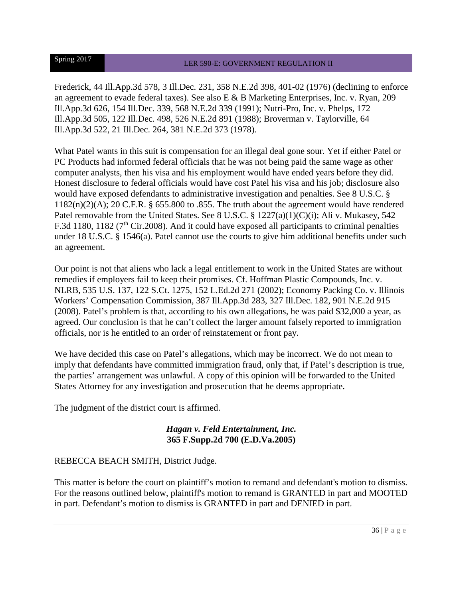Frederick, 44 Ill.App.3d 578, 3 Ill.Dec. 231, 358 N.E.2d 398, 401-02 (1976) (declining to enforce an agreement to evade federal taxes). See also E & B Marketing Enterprises, Inc. v. Ryan, 209 Ill.App.3d 626, 154 Ill.Dec. 339, 568 N.E.2d 339 (1991); Nutri-Pro, Inc. v. Phelps, 172 Ill.App.3d 505, 122 Ill.Dec. 498, 526 N.E.2d 891 (1988); Broverman v. Taylorville, 64 Ill.App.3d 522, 21 Ill.Dec. 264, 381 N.E.2d 373 (1978).

What Patel wants in this suit is compensation for an illegal deal gone sour. Yet if either Patel or PC Products had informed federal officials that he was not being paid the same wage as other computer analysts, then his visa and his employment would have ended years before they did. Honest disclosure to federal officials would have cost Patel his visa and his job; disclosure also would have exposed defendants to administrative investigation and penalties. See 8 U.S.C. §  $1182(n)(2)(A)$ ; 20 C.F.R. § 655.800 to .855. The truth about the agreement would have rendered Patel removable from the United States. See 8 U.S.C. § 1227(a)(1)(C)(i); Ali v. Mukasey, 542 F.3d 1180, 1182 ( $7<sup>th</sup>$  Cir.2008). And it could have exposed all participants to criminal penalties under 18 U.S.C. § 1546(a). Patel cannot use the courts to give him additional benefits under such an agreement.

Our point is not that aliens who lack a legal entitlement to work in the United States are without remedies if employers fail to keep their promises. Cf. Hoffman Plastic Compounds, Inc. v. NLRB, 535 U.S. 137, 122 S.Ct. 1275, 152 L.Ed.2d 271 (2002); Economy Packing Co. v. Illinois Workers' Compensation Commission, 387 Ill.App.3d 283, 327 Ill.Dec. 182, 901 N.E.2d 915 (2008). Patel's problem is that, according to his own allegations, he was paid \$32,000 a year, as agreed. Our conclusion is that he can't collect the larger amount falsely reported to immigration officials, nor is he entitled to an order of reinstatement or front pay.

We have decided this case on Patel's allegations, which may be incorrect. We do not mean to imply that defendants have committed immigration fraud, only that, if Patel's description is true, the parties' arrangement was unlawful. A copy of this opinion will be forwarded to the United States Attorney for any investigation and prosecution that he deems appropriate.

The judgment of the district court is affirmed.

## *Hagan v. Feld Entertainment, Inc.* **365 F.Supp.2d 700 (E.D.Va.2005)**

## REBECCA BEACH SMITH, District Judge.

This matter is before the court on plaintiff's motion to remand and defendant's motion to dismiss. For the reasons outlined below, plaintiff's motion to remand is GRANTED in part and MOOTED in part. Defendant's motion to dismiss is GRANTED in part and DENIED in part.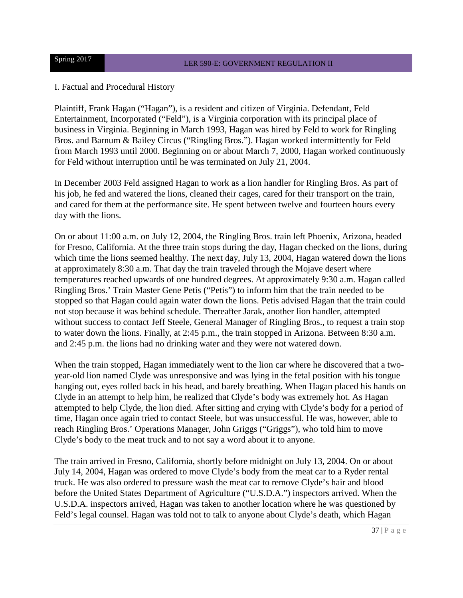## I. Factual and Procedural History

Plaintiff, Frank Hagan ("Hagan"), is a resident and citizen of Virginia. Defendant, Feld Entertainment, Incorporated ("Feld"), is a Virginia corporation with its principal place of business in Virginia. Beginning in March 1993, Hagan was hired by Feld to work for Ringling Bros. and Barnum & Bailey Circus ("Ringling Bros."). Hagan worked intermittently for Feld from March 1993 until 2000. Beginning on or about March 7, 2000, Hagan worked continuously for Feld without interruption until he was terminated on July 21, 2004.

In December 2003 Feld assigned Hagan to work as a lion handler for Ringling Bros. As part of his job, he fed and watered the lions, cleaned their cages, cared for their transport on the train, and cared for them at the performance site. He spent between twelve and fourteen hours every day with the lions.

On or about 11:00 a.m. on July 12, 2004, the Ringling Bros. train left Phoenix, Arizona, headed for Fresno, California. At the three train stops during the day, Hagan checked on the lions, during which time the lions seemed healthy. The next day, July 13, 2004, Hagan watered down the lions at approximately 8:30 a.m. That day the train traveled through the Mojave desert where temperatures reached upwards of one hundred degrees. At approximately 9:30 a.m. Hagan called Ringling Bros.' Train Master Gene Petis ("Petis") to inform him that the train needed to be stopped so that Hagan could again water down the lions. Petis advised Hagan that the train could not stop because it was behind schedule. Thereafter Jarak, another lion handler, attempted without success to contact Jeff Steele, General Manager of Ringling Bros., to request a train stop to water down the lions. Finally, at 2:45 p.m., the train stopped in Arizona. Between 8:30 a.m. and 2:45 p.m. the lions had no drinking water and they were not watered down.

When the train stopped, Hagan immediately went to the lion car where he discovered that a twoyear-old lion named Clyde was unresponsive and was lying in the fetal position with his tongue hanging out, eyes rolled back in his head, and barely breathing. When Hagan placed his hands on Clyde in an attempt to help him, he realized that Clyde's body was extremely hot. As Hagan attempted to help Clyde, the lion died. After sitting and crying with Clyde's body for a period of time, Hagan once again tried to contact Steele, but was unsuccessful. He was, however, able to reach Ringling Bros.' Operations Manager, John Griggs ("Griggs"), who told him to move Clyde's body to the meat truck and to not say a word about it to anyone.

The train arrived in Fresno, California, shortly before midnight on July 13, 2004. On or about July 14, 2004, Hagan was ordered to move Clyde's body from the meat car to a Ryder rental truck. He was also ordered to pressure wash the meat car to remove Clyde's hair and blood before the United States Department of Agriculture ("U.S.D.A.") inspectors arrived. When the U.S.D.A. inspectors arrived, Hagan was taken to another location where he was questioned by Feld's legal counsel. Hagan was told not to talk to anyone about Clyde's death, which Hagan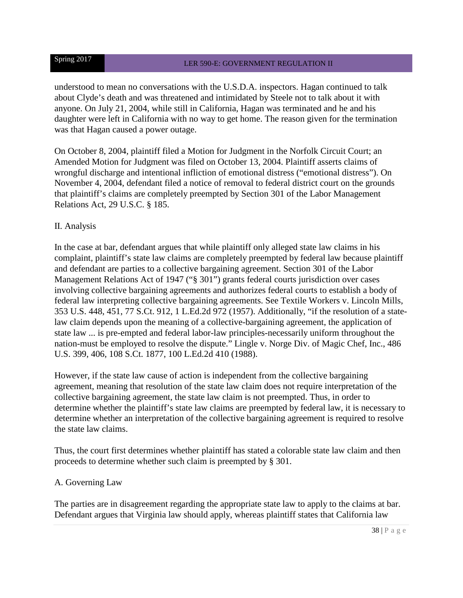understood to mean no conversations with the U.S.D.A. inspectors. Hagan continued to talk about Clyde's death and was threatened and intimidated by Steele not to talk about it with anyone. On July 21, 2004, while still in California, Hagan was terminated and he and his daughter were left in California with no way to get home. The reason given for the termination was that Hagan caused a power outage.

On October 8, 2004, plaintiff filed a Motion for Judgment in the Norfolk Circuit Court; an Amended Motion for Judgment was filed on October 13, 2004. Plaintiff asserts claims of wrongful discharge and intentional infliction of emotional distress ("emotional distress"). On November 4, 2004, defendant filed a notice of removal to federal district court on the grounds that plaintiff's claims are completely preempted by Section 301 of the Labor Management Relations Act, 29 U.S.C. § 185.

## II. Analysis

In the case at bar, defendant argues that while plaintiff only alleged state law claims in his complaint, plaintiff's state law claims are completely preempted by federal law because plaintiff and defendant are parties to a collective bargaining agreement. Section 301 of the Labor Management Relations Act of 1947 ("§ 301") grants federal courts jurisdiction over cases involving collective bargaining agreements and authorizes federal courts to establish a body of federal law interpreting collective bargaining agreements. See Textile Workers v. Lincoln Mills, 353 U.S. 448, 451, 77 S.Ct. 912, 1 L.Ed.2d 972 (1957). Additionally, "if the resolution of a statelaw claim depends upon the meaning of a collective-bargaining agreement, the application of state law ... is pre-empted and federal labor-law principles-necessarily uniform throughout the nation-must be employed to resolve the dispute." Lingle v. Norge Div. of Magic Chef, Inc., 486 U.S. 399, 406, 108 S.Ct. 1877, 100 L.Ed.2d 410 (1988).

However, if the state law cause of action is independent from the collective bargaining agreement, meaning that resolution of the state law claim does not require interpretation of the collective bargaining agreement, the state law claim is not preempted. Thus, in order to determine whether the plaintiff's state law claims are preempted by federal law, it is necessary to determine whether an interpretation of the collective bargaining agreement is required to resolve the state law claims.

Thus, the court first determines whether plaintiff has stated a colorable state law claim and then proceeds to determine whether such claim is preempted by § 301.

### A. Governing Law

The parties are in disagreement regarding the appropriate state law to apply to the claims at bar. Defendant argues that Virginia law should apply, whereas plaintiff states that California law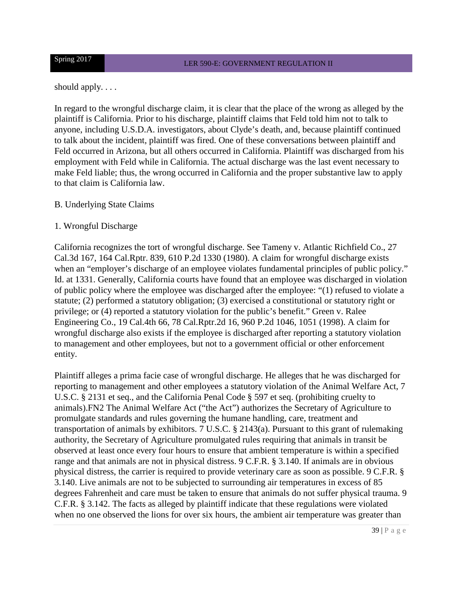should apply. . . .

In regard to the wrongful discharge claim, it is clear that the place of the wrong as alleged by the plaintiff is California. Prior to his discharge, plaintiff claims that Feld told him not to talk to anyone, including U.S.D.A. investigators, about Clyde's death, and, because plaintiff continued to talk about the incident, plaintiff was fired. One of these conversations between plaintiff and Feld occurred in Arizona, but all others occurred in California. Plaintiff was discharged from his employment with Feld while in California. The actual discharge was the last event necessary to make Feld liable; thus, the wrong occurred in California and the proper substantive law to apply to that claim is California law.

## B. Underlying State Claims

### 1. Wrongful Discharge

California recognizes the tort of wrongful discharge. See Tameny v. Atlantic Richfield Co., 27 Cal.3d 167, 164 Cal.Rptr. 839, 610 P.2d 1330 (1980). A claim for wrongful discharge exists when an "employer's discharge of an employee violates fundamental principles of public policy." Id. at 1331. Generally, California courts have found that an employee was discharged in violation of public policy where the employee was discharged after the employee: "(1) refused to violate a statute; (2) performed a statutory obligation; (3) exercised a constitutional or statutory right or privilege; or (4) reported a statutory violation for the public's benefit." Green v. Ralee Engineering Co., 19 Cal.4th 66, 78 Cal.Rptr.2d 16, 960 P.2d 1046, 1051 (1998). A claim for wrongful discharge also exists if the employee is discharged after reporting a statutory violation to management and other employees, but not to a government official or other enforcement entity.

Plaintiff alleges a prima facie case of wrongful discharge. He alleges that he was discharged for reporting to management and other employees a statutory violation of the Animal Welfare Act, 7 U.S.C. § 2131 et seq., and the California Penal Code § 597 et seq. (prohibiting cruelty to animals).FN2 The Animal Welfare Act ("the Act") authorizes the Secretary of Agriculture to promulgate standards and rules governing the humane handling, care, treatment and transportation of animals by exhibitors. 7 U.S.C. § 2143(a). Pursuant to this grant of rulemaking authority, the Secretary of Agriculture promulgated rules requiring that animals in transit be observed at least once every four hours to ensure that ambient temperature is within a specified range and that animals are not in physical distress. 9 C.F.R. § 3.140. If animals are in obvious physical distress, the carrier is required to provide veterinary care as soon as possible. 9 C.F.R. § 3.140. Live animals are not to be subjected to surrounding air temperatures in excess of 85 degrees Fahrenheit and care must be taken to ensure that animals do not suffer physical trauma. 9 C.F.R. § 3.142. The facts as alleged by plaintiff indicate that these regulations were violated when no one observed the lions for over six hours, the ambient air temperature was greater than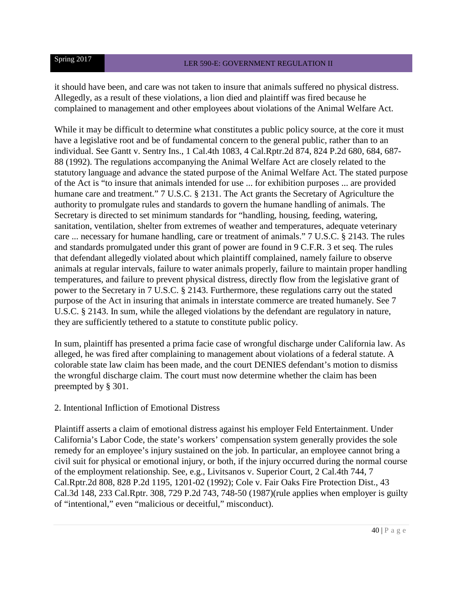it should have been, and care was not taken to insure that animals suffered no physical distress. Allegedly, as a result of these violations, a lion died and plaintiff was fired because he complained to management and other employees about violations of the Animal Welfare Act.

While it may be difficult to determine what constitutes a public policy source, at the core it must have a legislative root and be of fundamental concern to the general public, rather than to an individual. See Gantt v. Sentry Ins., 1 Cal.4th 1083, 4 Cal.Rptr.2d 874, 824 P.2d 680, 684, 687- 88 (1992). The regulations accompanying the Animal Welfare Act are closely related to the statutory language and advance the stated purpose of the Animal Welfare Act. The stated purpose of the Act is "to insure that animals intended for use ... for exhibition purposes ... are provided humane care and treatment." 7 U.S.C. § 2131. The Act grants the Secretary of Agriculture the authority to promulgate rules and standards to govern the humane handling of animals. The Secretary is directed to set minimum standards for "handling, housing, feeding, watering, sanitation, ventilation, shelter from extremes of weather and temperatures, adequate veterinary care ... necessary for humane handling, care or treatment of animals." 7 U.S.C. § 2143. The rules and standards promulgated under this grant of power are found in 9 C.F.R. 3 et seq. The rules that defendant allegedly violated about which plaintiff complained, namely failure to observe animals at regular intervals, failure to water animals properly, failure to maintain proper handling temperatures, and failure to prevent physical distress, directly flow from the legislative grant of power to the Secretary in 7 U.S.C. § 2143. Furthermore, these regulations carry out the stated purpose of the Act in insuring that animals in interstate commerce are treated humanely. See 7 U.S.C. § 2143. In sum, while the alleged violations by the defendant are regulatory in nature, they are sufficiently tethered to a statute to constitute public policy.

In sum, plaintiff has presented a prima facie case of wrongful discharge under California law. As alleged, he was fired after complaining to management about violations of a federal statute. A colorable state law claim has been made, and the court DENIES defendant's motion to dismiss the wrongful discharge claim. The court must now determine whether the claim has been preempted by § 301.

## 2. Intentional Infliction of Emotional Distress

Plaintiff asserts a claim of emotional distress against his employer Feld Entertainment. Under California's Labor Code, the state's workers' compensation system generally provides the sole remedy for an employee's injury sustained on the job. In particular, an employee cannot bring a civil suit for physical or emotional injury, or both, if the injury occurred during the normal course of the employment relationship. See, e.g., Livitsanos v. Superior Court, 2 Cal.4th 744, 7 Cal.Rptr.2d 808, 828 P.2d 1195, 1201-02 (1992); Cole v. Fair Oaks Fire Protection Dist., 43 Cal.3d 148, 233 Cal.Rptr. 308, 729 P.2d 743, 748-50 (1987)(rule applies when employer is guilty of "intentional," even "malicious or deceitful," misconduct).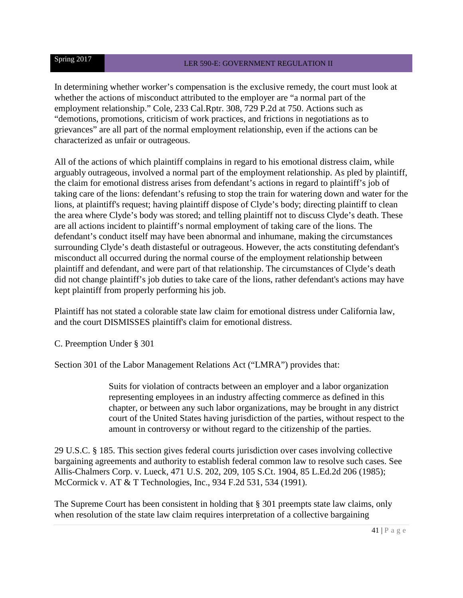In determining whether worker's compensation is the exclusive remedy, the court must look at whether the actions of misconduct attributed to the employer are "a normal part of the employment relationship." Cole, 233 Cal.Rptr. 308, 729 P.2d at 750. Actions such as "demotions, promotions, criticism of work practices, and frictions in negotiations as to grievances" are all part of the normal employment relationship, even if the actions can be characterized as unfair or outrageous.

All of the actions of which plaintiff complains in regard to his emotional distress claim, while arguably outrageous, involved a normal part of the employment relationship. As pled by plaintiff, the claim for emotional distress arises from defendant's actions in regard to plaintiff's job of taking care of the lions: defendant's refusing to stop the train for watering down and water for the lions, at plaintiff's request; having plaintiff dispose of Clyde's body; directing plaintiff to clean the area where Clyde's body was stored; and telling plaintiff not to discuss Clyde's death. These are all actions incident to plaintiff's normal employment of taking care of the lions. The defendant's conduct itself may have been abnormal and inhumane, making the circumstances surrounding Clyde's death distasteful or outrageous. However, the acts constituting defendant's misconduct all occurred during the normal course of the employment relationship between plaintiff and defendant, and were part of that relationship. The circumstances of Clyde's death did not change plaintiff's job duties to take care of the lions, rather defendant's actions may have kept plaintiff from properly performing his job.

Plaintiff has not stated a colorable state law claim for emotional distress under California law, and the court DISMISSES plaintiff's claim for emotional distress.

C. Preemption Under § 301

Section 301 of the Labor Management Relations Act ("LMRA") provides that:

Suits for violation of contracts between an employer and a labor organization representing employees in an industry affecting commerce as defined in this chapter, or between any such labor organizations, may be brought in any district court of the United States having jurisdiction of the parties, without respect to the amount in controversy or without regard to the citizenship of the parties.

29 U.S.C. § 185. This section gives federal courts jurisdiction over cases involving collective bargaining agreements and authority to establish federal common law to resolve such cases. See Allis-Chalmers Corp. v. Lueck, 471 U.S. 202, 209, 105 S.Ct. 1904, 85 L.Ed.2d 206 (1985); McCormick v. AT & T Technologies, Inc., 934 F.2d 531, 534 (1991).

The Supreme Court has been consistent in holding that § 301 preempts state law claims, only when resolution of the state law claim requires interpretation of a collective bargaining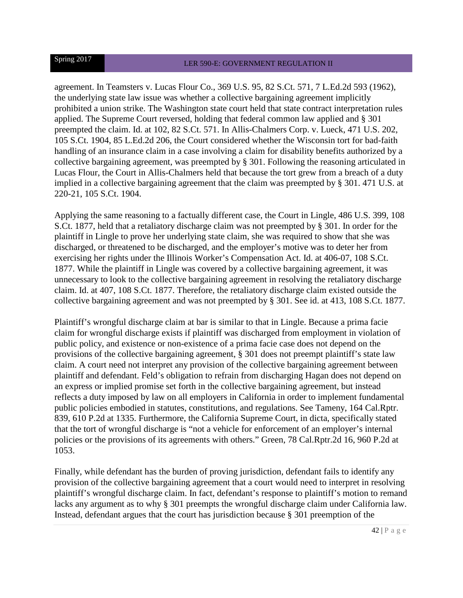agreement. In Teamsters v. Lucas Flour Co., 369 U.S. 95, 82 S.Ct. 571, 7 L.Ed.2d 593 (1962), the underlying state law issue was whether a collective bargaining agreement implicitly prohibited a union strike. The Washington state court held that state contract interpretation rules applied. The Supreme Court reversed, holding that federal common law applied and § 301 preempted the claim. Id. at 102, 82 S.Ct. 571. In Allis-Chalmers Corp. v. Lueck, 471 U.S. 202, 105 S.Ct. 1904, 85 L.Ed.2d 206, the Court considered whether the Wisconsin tort for bad-faith handling of an insurance claim in a case involving a claim for disability benefits authorized by a collective bargaining agreement, was preempted by § 301. Following the reasoning articulated in Lucas Flour, the Court in Allis-Chalmers held that because the tort grew from a breach of a duty implied in a collective bargaining agreement that the claim was preempted by § 301. 471 U.S. at 220-21, 105 S.Ct. 1904.

Applying the same reasoning to a factually different case, the Court in Lingle, 486 U.S. 399, 108 S.Ct. 1877, held that a retaliatory discharge claim was not preempted by § 301. In order for the plaintiff in Lingle to prove her underlying state claim, she was required to show that she was discharged, or threatened to be discharged, and the employer's motive was to deter her from exercising her rights under the Illinois Worker's Compensation Act. Id. at 406-07, 108 S.Ct. 1877. While the plaintiff in Lingle was covered by a collective bargaining agreement, it was unnecessary to look to the collective bargaining agreement in resolving the retaliatory discharge claim. Id. at 407, 108 S.Ct. 1877. Therefore, the retaliatory discharge claim existed outside the collective bargaining agreement and was not preempted by § 301. See id. at 413, 108 S.Ct. 1877.

Plaintiff's wrongful discharge claim at bar is similar to that in Lingle. Because a prima facie claim for wrongful discharge exists if plaintiff was discharged from employment in violation of public policy, and existence or non-existence of a prima facie case does not depend on the provisions of the collective bargaining agreement, § 301 does not preempt plaintiff's state law claim. A court need not interpret any provision of the collective bargaining agreement between plaintiff and defendant. Feld's obligation to refrain from discharging Hagan does not depend on an express or implied promise set forth in the collective bargaining agreement, but instead reflects a duty imposed by law on all employers in California in order to implement fundamental public policies embodied in statutes, constitutions, and regulations. See Tameny, 164 Cal.Rptr. 839, 610 P.2d at 1335. Furthermore, the California Supreme Court, in dicta, specifically stated that the tort of wrongful discharge is "not a vehicle for enforcement of an employer's internal policies or the provisions of its agreements with others." Green, 78 Cal.Rptr.2d 16, 960 P.2d at 1053.

Finally, while defendant has the burden of proving jurisdiction, defendant fails to identify any provision of the collective bargaining agreement that a court would need to interpret in resolving plaintiff's wrongful discharge claim. In fact, defendant's response to plaintiff's motion to remand lacks any argument as to why § 301 preempts the wrongful discharge claim under California law. Instead, defendant argues that the court has jurisdiction because § 301 preemption of the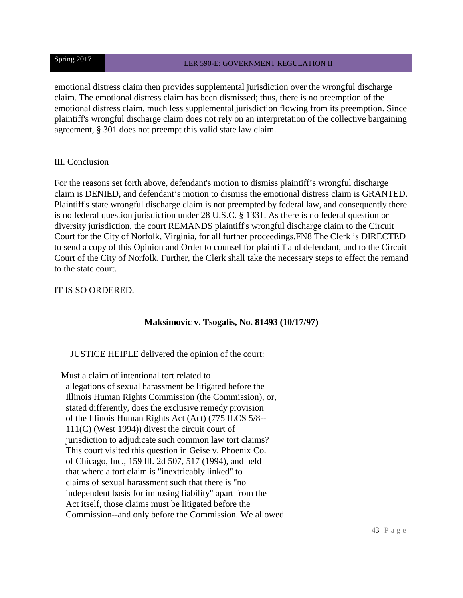emotional distress claim then provides supplemental jurisdiction over the wrongful discharge claim. The emotional distress claim has been dismissed; thus, there is no preemption of the emotional distress claim, much less supplemental jurisdiction flowing from its preemption. Since plaintiff's wrongful discharge claim does not rely on an interpretation of the collective bargaining agreement, § 301 does not preempt this valid state law claim.

## III. Conclusion

For the reasons set forth above, defendant's motion to dismiss plaintiff's wrongful discharge claim is DENIED, and defendant's motion to dismiss the emotional distress claim is GRANTED. Plaintiff's state wrongful discharge claim is not preempted by federal law, and consequently there is no federal question jurisdiction under 28 U.S.C. § 1331. As there is no federal question or diversity jurisdiction, the court REMANDS plaintiff's wrongful discharge claim to the Circuit Court for the City of Norfolk, Virginia, for all further proceedings.FN8 The Clerk is DIRECTED to send a copy of this Opinion and Order to counsel for plaintiff and defendant, and to the Circuit Court of the City of Norfolk. Further, the Clerk shall take the necessary steps to effect the remand to the state court.

### IT IS SO ORDERED.

## **Maksimovic v. Tsogalis, No. 81493 (10/17/97)**

JUSTICE HEIPLE delivered the opinion of the court:

 Must a claim of intentional tort related to allegations of sexual harassment be litigated before the Illinois Human Rights Commission (the Commission), or, stated differently, does the exclusive remedy provision of the Illinois Human Rights Act (Act) (775 ILCS 5/8-- 111(C) (West 1994)) divest the circuit court of jurisdiction to adjudicate such common law tort claims? This court visited this question in Geise v. Phoenix Co. of Chicago, Inc., 159 Ill. 2d 507, 517 (1994), and held that where a tort claim is "inextricably linked" to claims of sexual harassment such that there is "no independent basis for imposing liability" apart from the Act itself, those claims must be litigated before the Commission--and only before the Commission. We allowed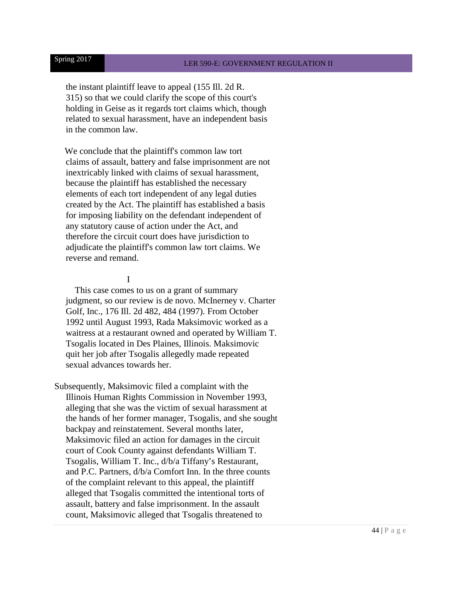the instant plaintiff leave to appeal (155 Ill. 2d R. 315) so that we could clarify the scope of this court's holding in Geise as it regards tort claims which, though related to sexual harassment, have an independent basis in the common law.

We conclude that the plaintiff's common law tort claims of assault, battery and false imprisonment are not inextricably linked with claims of sexual harassment, because the plaintiff has established the necessary elements of each tort independent of any legal duties created by the Act. The plaintiff has established a basis for imposing liability on the defendant independent of any statutory cause of action under the Act, and therefore the circuit court does have jurisdiction to adjudicate the plaintiff's common law tort claims. We reverse and remand.

### I

 This case comes to us on a grant of summary judgment, so our review is de novo. McInerney v. Charter Golf, Inc., 176 Ill. 2d 482, 484 (1997). From October 1992 until August 1993, Rada Maksimovic worked as a waitress at a restaurant owned and operated by William T. Tsogalis located in Des Plaines, Illinois. Maksimovic quit her job after Tsogalis allegedly made repeated sexual advances towards her.

Subsequently, Maksimovic filed a complaint with the Illinois Human Rights Commission in November 1993, alleging that she was the victim of sexual harassment at the hands of her former manager, Tsogalis, and she sought backpay and reinstatement. Several months later, Maksimovic filed an action for damages in the circuit court of Cook County against defendants William T. Tsogalis, William T. Inc., d/b/a Tiffany's Restaurant, and P.C. Partners, d/b/a Comfort Inn. In the three counts of the complaint relevant to this appeal, the plaintiff alleged that Tsogalis committed the intentional torts of assault, battery and false imprisonment. In the assault count, Maksimovic alleged that Tsogalis threatened to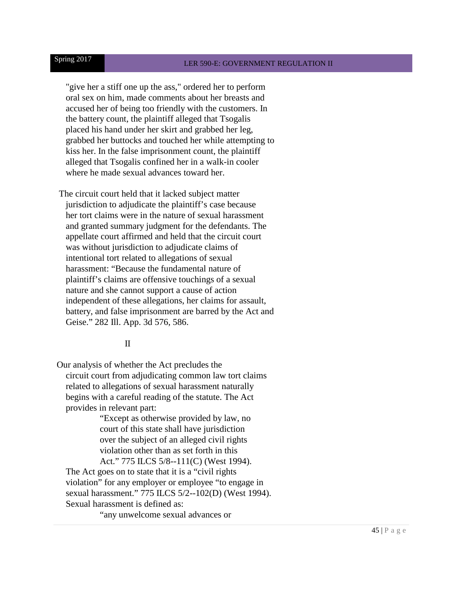"give her a stiff one up the ass," ordered her to perform oral sex on him, made comments about her breasts and accused her of being too friendly with the customers. In the battery count, the plaintiff alleged that Tsogalis placed his hand under her skirt and grabbed her leg, grabbed her buttocks and touched her while attempting to kiss her. In the false imprisonment count, the plaintiff alleged that Tsogalis confined her in a walk-in cooler where he made sexual advances toward her.

 The circuit court held that it lacked subject matter jurisdiction to adjudicate the plaintiff's case because her tort claims were in the nature of sexual harassment and granted summary judgment for the defendants. The appellate court affirmed and held that the circuit court was without jurisdiction to adjudicate claims of intentional tort related to allegations of sexual harassment: "Because the fundamental nature of plaintiff's claims are offensive touchings of a sexual nature and she cannot support a cause of action independent of these allegations, her claims for assault, battery, and false imprisonment are barred by the Act and Geise." 282 Ill. App. 3d 576, 586.

## II

Our analysis of whether the Act precludes the circuit court from adjudicating common law tort claims related to allegations of sexual harassment naturally begins with a careful reading of the statute. The Act provides in relevant part:

> "Except as otherwise provided by law, no court of this state shall have jurisdiction over the subject of an alleged civil rights violation other than as set forth in this

 Act." 775 ILCS 5/8--111(C) (West 1994). The Act goes on to state that it is a "civil rights violation" for any employer or employee "to engage in sexual harassment." 775 ILCS 5/2--102(D) (West 1994). Sexual harassment is defined as:

"any unwelcome sexual advances or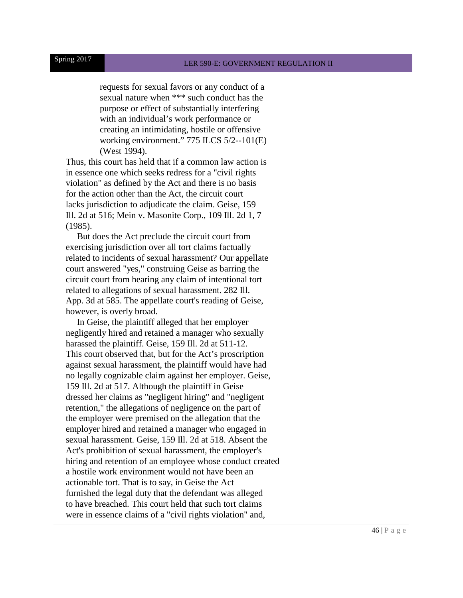requests for sexual favors or any conduct of a sexual nature when \*\*\* such conduct has the purpose or effect of substantially interfering with an individual's work performance or creating an intimidating, hostile or offensive working environment." 775 ILCS 5/2--101(E) (West 1994).

 Thus, this court has held that if a common law action is in essence one which seeks redress for a "civil rights violation" as defined by the Act and there is no basis for the action other than the Act, the circuit court lacks jurisdiction to adjudicate the claim. Geise, 159 Ill. 2d at 516; Mein v. Masonite Corp., 109 Ill. 2d 1, 7 (1985).

 But does the Act preclude the circuit court from exercising jurisdiction over all tort claims factually related to incidents of sexual harassment? Our appellate court answered "yes," construing Geise as barring the circuit court from hearing any claim of intentional tort related to allegations of sexual harassment. 282 Ill. App. 3d at 585. The appellate court's reading of Geise, however, is overly broad.

 In Geise, the plaintiff alleged that her employer negligently hired and retained a manager who sexually harassed the plaintiff. Geise, 159 Ill. 2d at 511-12. This court observed that, but for the Act's proscription against sexual harassment, the plaintiff would have had no legally cognizable claim against her employer. Geise, 159 Ill. 2d at 517. Although the plaintiff in Geise dressed her claims as "negligent hiring" and "negligent retention," the allegations of negligence on the part of the employer were premised on the allegation that the employer hired and retained a manager who engaged in sexual harassment. Geise, 159 Ill. 2d at 518. Absent the Act's prohibition of sexual harassment, the employer's hiring and retention of an employee whose conduct created a hostile work environment would not have been an actionable tort. That is to say, in Geise the Act furnished the legal duty that the defendant was alleged to have breached. This court held that such tort claims were in essence claims of a "civil rights violation" and,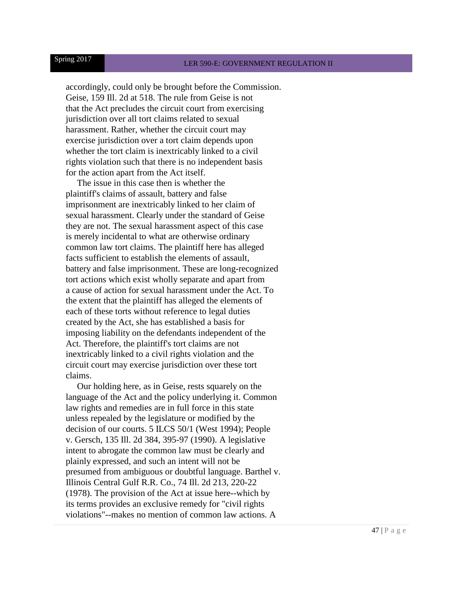accordingly, could only be brought before the Commission. Geise, 159 Ill. 2d at 518. The rule from Geise is not that the Act precludes the circuit court from exercising jurisdiction over all tort claims related to sexual harassment. Rather, whether the circuit court may exercise jurisdiction over a tort claim depends upon whether the tort claim is inextricably linked to a civil rights violation such that there is no independent basis for the action apart from the Act itself.

 The issue in this case then is whether the plaintiff's claims of assault, battery and false imprisonment are inextricably linked to her claim of sexual harassment. Clearly under the standard of Geise they are not. The sexual harassment aspect of this case is merely incidental to what are otherwise ordinary common law tort claims. The plaintiff here has alleged facts sufficient to establish the elements of assault, battery and false imprisonment. These are long-recognized tort actions which exist wholly separate and apart from a cause of action for sexual harassment under the Act. To the extent that the plaintiff has alleged the elements of each of these torts without reference to legal duties created by the Act, she has established a basis for imposing liability on the defendants independent of the Act. Therefore, the plaintiff's tort claims are not inextricably linked to a civil rights violation and the circuit court may exercise jurisdiction over these tort claims.

 Our holding here, as in Geise, rests squarely on the language of the Act and the policy underlying it. Common law rights and remedies are in full force in this state unless repealed by the legislature or modified by the decision of our courts. 5 ILCS 50/1 (West 1994); People v. Gersch, 135 Ill. 2d 384, 395-97 (1990). A legislative intent to abrogate the common law must be clearly and plainly expressed, and such an intent will not be presumed from ambiguous or doubtful language. Barthel v. Illinois Central Gulf R.R. Co., 74 Ill. 2d 213, 220-22 (1978). The provision of the Act at issue here--which by its terms provides an exclusive remedy for "civil rights violations"--makes no mention of common law actions. A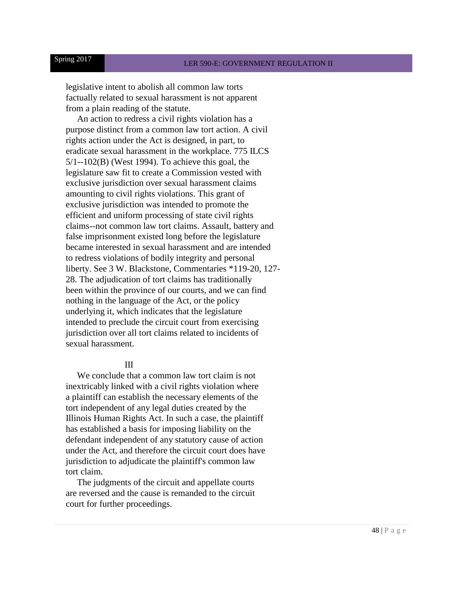legislative intent to abolish all common law torts factually related to sexual harassment is not apparent from a plain reading of the statute.

 An action to redress a civil rights violation has a purpose distinct from a common law tort action. A civil rights action under the Act is designed, in part, to eradicate sexual harassment in the workplace. 775 ILCS 5/1--102(B) (West 1994). To achieve this goal, the legislature saw fit to create a Commission vested with exclusive jurisdiction over sexual harassment claims amounting to civil rights violations. This grant of exclusive jurisdiction was intended to promote the efficient and uniform processing of state civil rights claims--not common law tort claims. Assault, battery and false imprisonment existed long before the legislature became interested in sexual harassment and are intended to redress violations of bodily integrity and personal liberty. See 3 W. Blackstone, Commentaries \*119-20, 127- 28. The adjudication of tort claims has traditionally been within the province of our courts, and we can find nothing in the language of the Act, or the policy underlying it, which indicates that the legislature intended to preclude the circuit court from exercising jurisdiction over all tort claims related to incidents of sexual harassment.

### <u>III am Bàrd ann an Dùbhad ann an Dùbhad ann an Dùbhad ann an Dùbhad ann an Dùbhad ann an Dùbhad ann an Dùbhad ann an Dùbhad ann an Dùbhad ann an Dùbhad ann an Dùbhad ann an Dùbhad ann an Dùbhad ann an Dùbhad ann an Dùbhad</u>

 We conclude that a common law tort claim is not inextricably linked with a civil rights violation where a plaintiff can establish the necessary elements of the tort independent of any legal duties created by the Illinois Human Rights Act. In such a case, the plaintiff has established a basis for imposing liability on the defendant independent of any statutory cause of action under the Act, and therefore the circuit court does have jurisdiction to adjudicate the plaintiff's common law tort claim.

 The judgments of the circuit and appellate courts are reversed and the cause is remanded to the circuit court for further proceedings.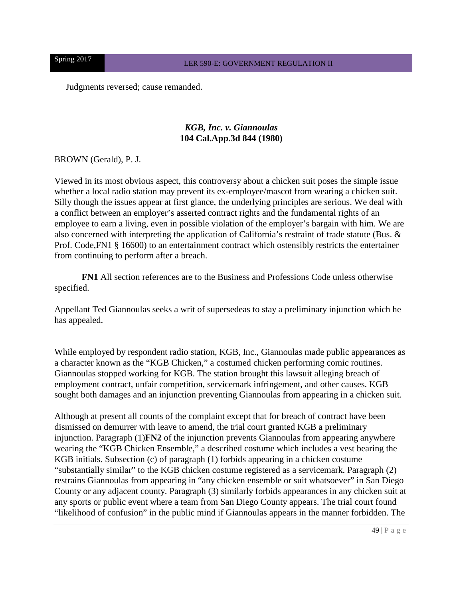Judgments reversed; cause remanded.

### *KGB, Inc. v. Giannoulas* **104 Cal.App.3d 844 (1980)**

### BROWN (Gerald), P. J.

Viewed in its most obvious aspect, this controversy about a chicken suit poses the simple issue whether a local radio station may prevent its ex-employee/mascot from wearing a chicken suit. Silly though the issues appear at first glance, the underlying principles are serious. We deal with a conflict between an employer's asserted contract rights and the fundamental rights of an employee to earn a living, even in possible violation of the employer's bargain with him. We are also concerned with interpreting the application of California's restraint of trade statute (Bus. & Prof. Code,FN1 § 16600) to an entertainment contract which ostensibly restricts the entertainer from continuing to perform after a breach.

**FN1** All section references are to the Business and Professions Code unless otherwise specified.

Appellant Ted Giannoulas seeks a writ of supersedeas to stay a preliminary injunction which he has appealed.

While employed by respondent radio station, KGB, Inc., Giannoulas made public appearances as a character known as the "KGB Chicken," a costumed chicken performing comic routines. Giannoulas stopped working for KGB. The station brought this lawsuit alleging breach of employment contract, unfair competition, servicemark infringement, and other causes. KGB sought both damages and an injunction preventing Giannoulas from appearing in a chicken suit.

Although at present all counts of the complaint except that for breach of contract have been dismissed on demurrer with leave to amend, the trial court granted KGB a preliminary injunction. Paragraph (1)**FN2** of the injunction prevents Giannoulas from appearing anywhere wearing the "KGB Chicken Ensemble," a described costume which includes a vest bearing the KGB initials. Subsection (c) of paragraph (1) forbids appearing in a chicken costume "substantially similar" to the KGB chicken costume registered as a servicemark. Paragraph (2) restrains Giannoulas from appearing in "any chicken ensemble or suit whatsoever" in San Diego County or any adjacent county. Paragraph (3) similarly forbids appearances in any chicken suit at any sports or public event where a team from San Diego County appears. The trial court found "likelihood of confusion" in the public mind if Giannoulas appears in the manner forbidden. The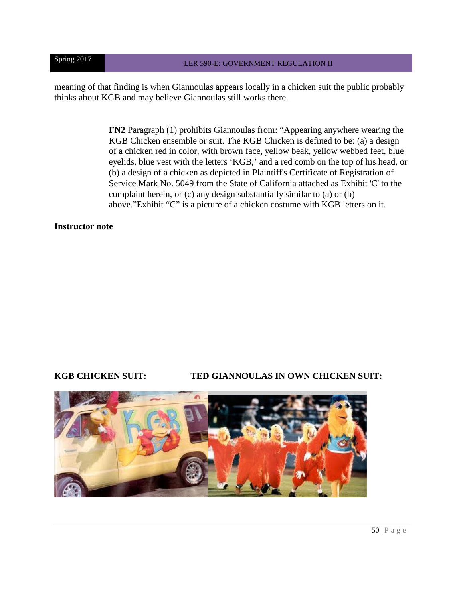meaning of that finding is when Giannoulas appears locally in a chicken suit the public probably thinks about KGB and may believe Giannoulas still works there.

> **FN2** Paragraph (1) prohibits Giannoulas from: "Appearing anywhere wearing the KGB Chicken ensemble or suit. The KGB Chicken is defined to be: (a) a design of a chicken red in color, with brown face, yellow beak, yellow webbed feet, blue eyelids, blue vest with the letters 'KGB,' and a red comb on the top of his head, or (b) a design of a chicken as depicted in Plaintiff's Certificate of Registration of Service Mark No. 5049 from the State of California attached as Exhibit 'C' to the complaint herein, or (c) any design substantially similar to (a) or (b) above."Exhibit "C" is a picture of a chicken costume with KGB letters on it.

### **Instructor note**

**KGB CHICKEN SUIT: TED GIANNOULAS IN OWN CHICKEN SUIT:**

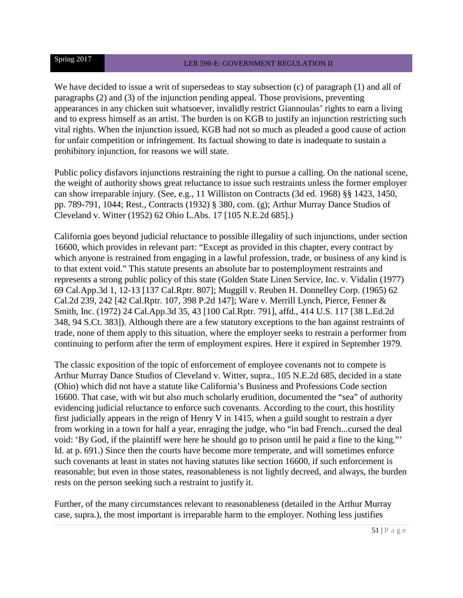We have decided to issue a writ of supersedeas to stay subsection (c) of paragraph (1) and all of paragraphs (2) and (3) of the injunction pending appeal. Those provisions, preventing appearances in any chicken suit whatsoever, invalidly restrict Giannoulas' rights to earn a living and to express himself as an artist. The burden is on KGB to justify an injunction restricting such vital rights. When the injunction issued, KGB had not so much as pleaded a good cause of action for unfair competition or infringement. Its factual showing to date is inadequate to sustain a prohibitory injunction, for reasons we will state.

Public policy disfavors injunctions restraining the right to pursue a calling. On the national scene, the weight of authority shows great reluctance to issue such restraints unless the former employer can show irreparable injury. (See, e.g., 11 Williston on Contracts (3d ed. 1968) §§ 1423, 1450, pp. 789-791, 1044; Rest., Contracts (1932) § 380, com. (g); Arthur Murray Dance Studios of Cleveland v. Witter (1952) 62 Ohio L.Abs. 17 [105 N.E.2d 685].)

California goes beyond judicial reluctance to possible illegality of such injunctions, under section 16600, which provides in relevant part: "Except as provided in this chapter, every contract by which anyone is restrained from engaging in a lawful profession, trade, or business of any kind is to that extent void." This statute presents an absolute bar to postemployment restraints and represents a strong public policy of this state (Golden State Linen Service, Inc. v. Vidalin (1977) 69 Cal.App.3d 1, 12-13 [137 Cal.Rptr. 807]; Muggill v. Reuben H. Donnelley Corp. (1965) 62 Cal.2d 239, 242 [42 Cal.Rptr. 107, 398 P.2d 147]; Ware v. Merrill Lynch, Pierce, Fenner & Smith, Inc. (1972) 24 Cal.App.3d 35, 43 [100 Cal.Rptr. 791], affd., 414 U.S. 117 [38 L.Ed.2d 348, 94 S.Ct. 383]). Although there are a few statutory exceptions to the ban against restraints of trade, none of them apply to this situation, where the employer seeks to restrain a performer from continuing to perform after the term of employment expires. Here it expired in September 1979.

The classic exposition of the topic of enforcement of employee covenants not to compete is Arthur Murray Dance Studios of Cleveland v. Witter, supra., 105 N.E.2d 685, decided in a state (Ohio) which did not have a statute like California's Business and Professions Code section 16600. That case, with wit but also much scholarly erudition, documented the "sea" of authority evidencing judicial reluctance to enforce such covenants. According to the court, this hostility first judicially appears in the reign of Henry V in 1415, when a guild sought to restrain a dyer from working in a town for half a year, enraging the judge, who "in bad French...cursed the deal void: 'By God, if the plaintiff were here he should go to prison until he paid a fine to the king."' Id. at p. 691.) Since then the courts have become more temperate, and will sometimes enforce such covenants at least in states not having statutes like section 16600, if such enforcement is reasonable; but even in those states, reasonableness is not lightly decreed, and always, the burden rests on the person seeking such a restraint to justify it.

Further, of the many circumstances relevant to reasonableness (detailed in the Arthur Murray case, supra.), the most important is irreparable harm to the employer. Nothing less justifies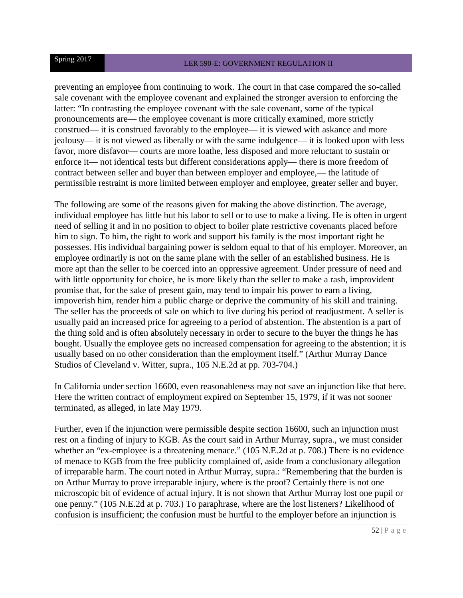preventing an employee from continuing to work. The court in that case compared the so-called sale covenant with the employee covenant and explained the stronger aversion to enforcing the latter: "In contrasting the employee covenant with the sale covenant, some of the typical pronouncements are— the employee covenant is more critically examined, more strictly construed— it is construed favorably to the employee— it is viewed with askance and more jealousy— it is not viewed as liberally or with the same indulgence— it is looked upon with less favor, more disfavor— courts are more loathe, less disposed and more reluctant to sustain or enforce it— not identical tests but different considerations apply— there is more freedom of contract between seller and buyer than between employer and employee,— the latitude of permissible restraint is more limited between employer and employee, greater seller and buyer.

The following are some of the reasons given for making the above distinction. The average, individual employee has little but his labor to sell or to use to make a living. He is often in urgent need of selling it and in no position to object to boiler plate restrictive covenants placed before him to sign. To him, the right to work and support his family is the most important right he possesses. His individual bargaining power is seldom equal to that of his employer. Moreover, an employee ordinarily is not on the same plane with the seller of an established business. He is more apt than the seller to be coerced into an oppressive agreement. Under pressure of need and with little opportunity for choice, he is more likely than the seller to make a rash, improvident promise that, for the sake of present gain, may tend to impair his power to earn a living, impoverish him, render him a public charge or deprive the community of his skill and training. The seller has the proceeds of sale on which to live during his period of readjustment. A seller is usually paid an increased price for agreeing to a period of abstention. The abstention is a part of the thing sold and is often absolutely necessary in order to secure to the buyer the things he has bought. Usually the employee gets no increased compensation for agreeing to the abstention; it is usually based on no other consideration than the employment itself." (Arthur Murray Dance Studios of Cleveland v. Witter, supra., 105 N.E.2d at pp. 703-704.)

In California under section 16600, even reasonableness may not save an injunction like that here. Here the written contract of employment expired on September 15, 1979, if it was not sooner terminated, as alleged, in late May 1979.

Further, even if the injunction were permissible despite section 16600, such an injunction must rest on a finding of injury to KGB. As the court said in Arthur Murray, supra., we must consider whether an "ex-employee is a threatening menace." (105 N.E.2d at p. 708.) There is no evidence of menace to KGB from the free publicity complained of, aside from a conclusionary allegation of irreparable harm. The court noted in Arthur Murray, supra.: "Remembering that the burden is on Arthur Murray to prove irreparable injury, where is the proof? Certainly there is not one microscopic bit of evidence of actual injury. It is not shown that Arthur Murray lost one pupil or one penny." (105 N.E.2d at p. 703.) To paraphrase, where are the lost listeners? Likelihood of confusion is insufficient; the confusion must be hurtful to the employer before an injunction is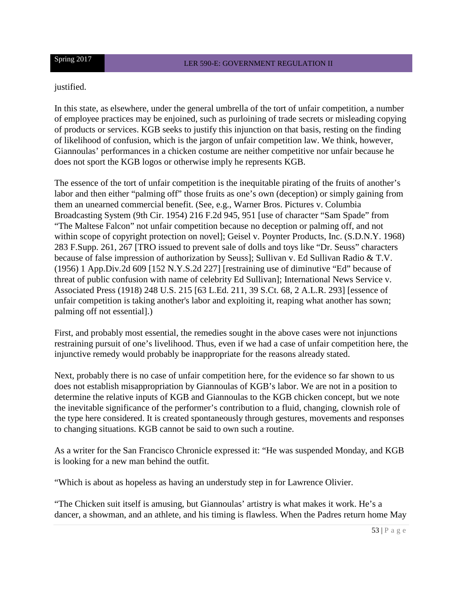## justified.

In this state, as elsewhere, under the general umbrella of the tort of unfair competition, a number of employee practices may be enjoined, such as purloining of trade secrets or misleading copying of products or services. KGB seeks to justify this injunction on that basis, resting on the finding of likelihood of confusion, which is the jargon of unfair competition law. We think, however, Giannoulas' performances in a chicken costume are neither competitive nor unfair because he does not sport the KGB logos or otherwise imply he represents KGB.

The essence of the tort of unfair competition is the inequitable pirating of the fruits of another's labor and then either "palming off" those fruits as one's own (deception) or simply gaining from them an unearned commercial benefit. (See, e.g., Warner Bros. Pictures v. Columbia Broadcasting System (9th Cir. 1954) 216 F.2d 945, 951 [use of character "Sam Spade" from "The Maltese Falcon" not unfair competition because no deception or palming off, and not within scope of copyright protection on novel]; Geisel v. Poynter Products, Inc. (S.D.N.Y. 1968) 283 F.Supp. 261, 267 [TRO issued to prevent sale of dolls and toys like "Dr. Seuss" characters because of false impression of authorization by Seuss]; Sullivan v. Ed Sullivan Radio & T.V. (1956) 1 App.Div.2d 609 [152 N.Y.S.2d 227] [restraining use of diminutive "Ed" because of threat of public confusion with name of celebrity Ed Sullivan]; International News Service v. Associated Press (1918) 248 U.S. 215 [63 L.Ed. 211, 39 S.Ct. 68, 2 A.L.R. 293] [essence of unfair competition is taking another's labor and exploiting it, reaping what another has sown; palming off not essential].)

First, and probably most essential, the remedies sought in the above cases were not injunctions restraining pursuit of one's livelihood. Thus, even if we had a case of unfair competition here, the injunctive remedy would probably be inappropriate for the reasons already stated.

Next, probably there is no case of unfair competition here, for the evidence so far shown to us does not establish misappropriation by Giannoulas of KGB's labor. We are not in a position to determine the relative inputs of KGB and Giannoulas to the KGB chicken concept, but we note the inevitable significance of the performer's contribution to a fluid, changing, clownish role of the type here considered. It is created spontaneously through gestures, movements and responses to changing situations. KGB cannot be said to own such a routine.

As a writer for the San Francisco Chronicle expressed it: "He was suspended Monday, and KGB is looking for a new man behind the outfit.

"Which is about as hopeless as having an understudy step in for Lawrence Olivier.

"The Chicken suit itself is amusing, but Giannoulas' artistry is what makes it work. He's a dancer, a showman, and an athlete, and his timing is flawless. When the Padres return home May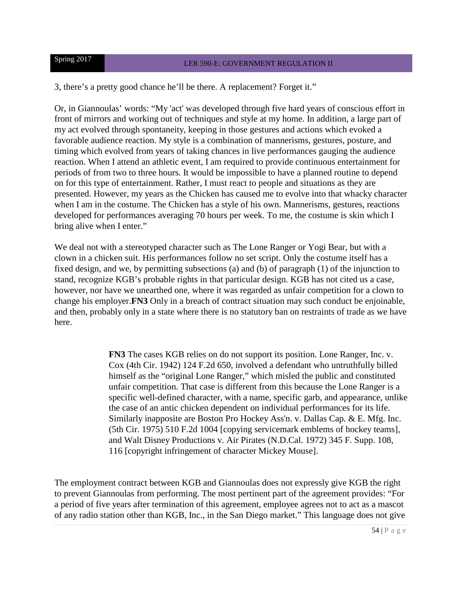3, there's a pretty good chance he'll be there. A replacement? Forget it."

Or, in Giannoulas' words: "My 'act' was developed through five hard years of conscious effort in front of mirrors and working out of techniques and style at my home. In addition, a large part of my act evolved through spontaneity, keeping in those gestures and actions which evoked a favorable audience reaction. My style is a combination of mannerisms, gestures, posture, and timing which evolved from years of taking chances in live performances gauging the audience reaction. When I attend an athletic event, I am required to provide continuous entertainment for periods of from two to three hours. It would be impossible to have a planned routine to depend on for this type of entertainment. Rather, I must react to people and situations as they are presented. However, my years as the Chicken has caused me to evolve into that whacky character when I am in the costume. The Chicken has a style of his own. Mannerisms, gestures, reactions developed for performances averaging 70 hours per week. To me, the costume is skin which I bring alive when I enter."

We deal not with a stereotyped character such as The Lone Ranger or Yogi Bear, but with a clown in a chicken suit. His performances follow no set script. Only the costume itself has a fixed design, and we, by permitting subsections (a) and (b) of paragraph (1) of the injunction to stand, recognize KGB's probable rights in that particular design. KGB has not cited us a case, however, nor have we unearthed one, where it was regarded as unfair competition for a clown to change his employer.**FN3** Only in a breach of contract situation may such conduct be enjoinable, and then, probably only in a state where there is no statutory ban on restraints of trade as we have here.

> **FN3** The cases KGB relies on do not support its position. Lone Ranger, Inc. v. Cox (4th Cir. 1942) 124 F.2d 650, involved a defendant who untruthfully billed himself as the "original Lone Ranger," which misled the public and constituted unfair competition. That case is different from this because the Lone Ranger is a specific well-defined character, with a name, specific garb, and appearance, unlike the case of an antic chicken dependent on individual performances for its life. Similarly inapposite are Boston Pro Hockey Ass'n. v. Dallas Cap. & E. Mfg. Inc. (5th Cir. 1975) 510 F.2d 1004 [copying servicemark emblems of hockey teams], and Walt Disney Productions v. Air Pirates (N.D.Cal. 1972) 345 F. Supp. 108, 116 [copyright infringement of character Mickey Mouse].

The employment contract between KGB and Giannoulas does not expressly give KGB the right to prevent Giannoulas from performing. The most pertinent part of the agreement provides: "For a period of five years after termination of this agreement, employee agrees not to act as a mascot of any radio station other than KGB, Inc., in the San Diego market." This language does not give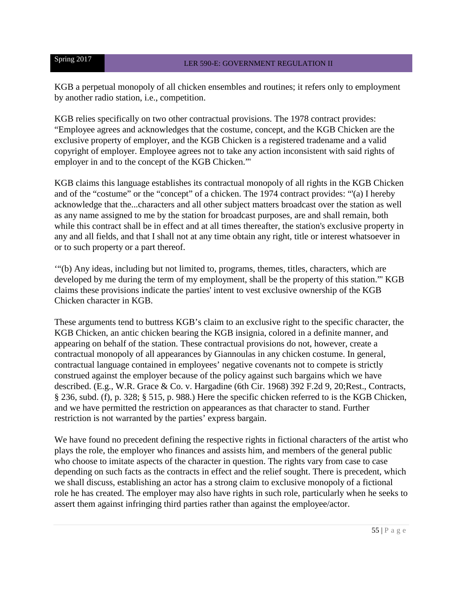KGB a perpetual monopoly of all chicken ensembles and routines; it refers only to employment by another radio station, i.e., competition.

KGB relies specifically on two other contractual provisions. The 1978 contract provides: "Employee agrees and acknowledges that the costume, concept, and the KGB Chicken are the exclusive property of employer, and the KGB Chicken is a registered tradename and a valid copyright of employer. Employee agrees not to take any action inconsistent with said rights of employer in and to the concept of the KGB Chicken."'

KGB claims this language establishes its contractual monopoly of all rights in the KGB Chicken and of the "costume" or the "concept" of a chicken. The 1974 contract provides: "'(a) I hereby acknowledge that the...characters and all other subject matters broadcast over the station as well as any name assigned to me by the station for broadcast purposes, are and shall remain, both while this contract shall be in effect and at all times thereafter, the station's exclusive property in any and all fields, and that I shall not at any time obtain any right, title or interest whatsoever in or to such property or a part thereof.

'"(b) Any ideas, including but not limited to, programs, themes, titles, characters, which are developed by me during the term of my employment, shall be the property of this station."' KGB claims these provisions indicate the parties' intent to vest exclusive ownership of the KGB Chicken character in KGB.

These arguments tend to buttress KGB's claim to an exclusive right to the specific character, the KGB Chicken, an antic chicken bearing the KGB insignia, colored in a definite manner, and appearing on behalf of the station. These contractual provisions do not, however, create a contractual monopoly of all appearances by Giannoulas in any chicken costume. In general, contractual language contained in employees' negative covenants not to compete is strictly construed against the employer because of the policy against such bargains which we have described. (E.g., W.R. Grace & Co. v. Hargadine (6th Cir. 1968) 392 F.2d 9, 20;Rest., Contracts, § 236, subd. (f), p. 328; § 515, p. 988.) Here the specific chicken referred to is the KGB Chicken, and we have permitted the restriction on appearances as that character to stand. Further restriction is not warranted by the parties' express bargain.

We have found no precedent defining the respective rights in fictional characters of the artist who plays the role, the employer who finances and assists him, and members of the general public who choose to imitate aspects of the character in question. The rights vary from case to case depending on such facts as the contracts in effect and the relief sought. There is precedent, which we shall discuss, establishing an actor has a strong claim to exclusive monopoly of a fictional role he has created. The employer may also have rights in such role, particularly when he seeks to assert them against infringing third parties rather than against the employee/actor.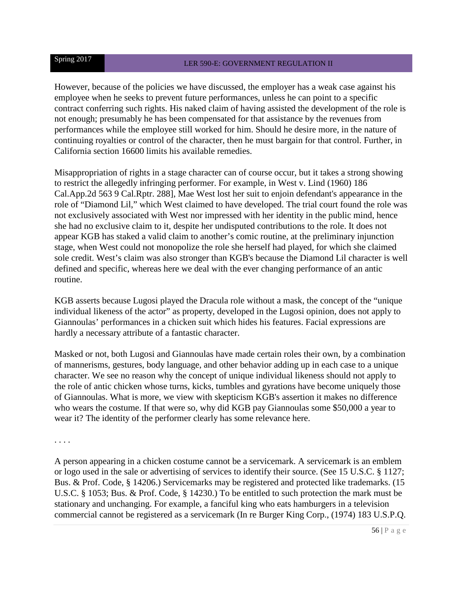However, because of the policies we have discussed, the employer has a weak case against his employee when he seeks to prevent future performances, unless he can point to a specific contract conferring such rights. His naked claim of having assisted the development of the role is not enough; presumably he has been compensated for that assistance by the revenues from performances while the employee still worked for him. Should he desire more, in the nature of continuing royalties or control of the character, then he must bargain for that control. Further, in California section 16600 limits his available remedies.

Misappropriation of rights in a stage character can of course occur, but it takes a strong showing to restrict the allegedly infringing performer. For example, in West v. Lind (1960) 186 Cal.App.2d 563 9 Cal.Rptr. 288], Mae West lost her suit to enjoin defendant's appearance in the role of "Diamond Lil," which West claimed to have developed. The trial court found the role was not exclusively associated with West nor impressed with her identity in the public mind, hence she had no exclusive claim to it, despite her undisputed contributions to the role. It does not appear KGB has staked a valid claim to another's comic routine, at the preliminary injunction stage, when West could not monopolize the role she herself had played, for which she claimed sole credit. West's claim was also stronger than KGB's because the Diamond Lil character is well defined and specific, whereas here we deal with the ever changing performance of an antic routine.

KGB asserts because Lugosi played the Dracula role without a mask, the concept of the "unique individual likeness of the actor" as property, developed in the Lugosi opinion, does not apply to Giannoulas' performances in a chicken suit which hides his features. Facial expressions are hardly a necessary attribute of a fantastic character.

Masked or not, both Lugosi and Giannoulas have made certain roles their own, by a combination of mannerisms, gestures, body language, and other behavior adding up in each case to a unique character. We see no reason why the concept of unique individual likeness should not apply to the role of antic chicken whose turns, kicks, tumbles and gyrations have become uniquely those of Giannoulas. What is more, we view with skepticism KGB's assertion it makes no difference who wears the costume. If that were so, why did KGB pay Giannoulas some \$50,000 a year to wear it? The identity of the performer clearly has some relevance here.

. . . .

A person appearing in a chicken costume cannot be a servicemark. A servicemark is an emblem or logo used in the sale or advertising of services to identify their source. (See 15 U.S.C. § 1127; Bus. & Prof. Code, § 14206.) Servicemarks may be registered and protected like trademarks. (15 U.S.C. § 1053; Bus. & Prof. Code, § 14230.) To be entitled to such protection the mark must be stationary and unchanging. For example, a fanciful king who eats hamburgers in a television commercial cannot be registered as a servicemark (In re Burger King Corp., (1974) 183 U.S.P.Q.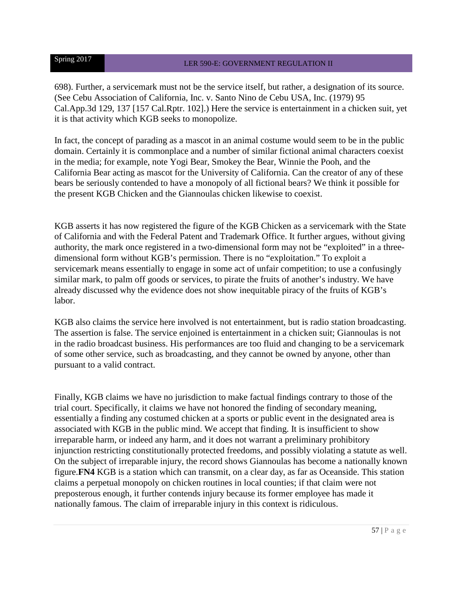698). Further, a servicemark must not be the service itself, but rather, a designation of its source. (See Cebu Association of California, Inc. v. Santo Nino de Cebu USA, Inc. (1979) 95 Cal.App.3d 129, 137 [157 Cal.Rptr. 102].) Here the service is entertainment in a chicken suit, yet it is that activity which KGB seeks to monopolize.

In fact, the concept of parading as a mascot in an animal costume would seem to be in the public domain. Certainly it is commonplace and a number of similar fictional animal characters coexist in the media; for example, note Yogi Bear, Smokey the Bear, Winnie the Pooh, and the California Bear acting as mascot for the University of California. Can the creator of any of these bears be seriously contended to have a monopoly of all fictional bears? We think it possible for the present KGB Chicken and the Giannoulas chicken likewise to coexist.

KGB asserts it has now registered the figure of the KGB Chicken as a servicemark with the State of California and with the Federal Patent and Trademark Office. It further argues, without giving authority, the mark once registered in a two-dimensional form may not be "exploited" in a threedimensional form without KGB's permission. There is no "exploitation." To exploit a servicemark means essentially to engage in some act of unfair competition; to use a confusingly similar mark, to palm off goods or services, to pirate the fruits of another's industry. We have already discussed why the evidence does not show inequitable piracy of the fruits of KGB's labor.

KGB also claims the service here involved is not entertainment, but is radio station broadcasting. The assertion is false. The service enjoined is entertainment in a chicken suit; Giannoulas is not in the radio broadcast business. His performances are too fluid and changing to be a servicemark of some other service, such as broadcasting, and they cannot be owned by anyone, other than pursuant to a valid contract.

Finally, KGB claims we have no jurisdiction to make factual findings contrary to those of the trial court. Specifically, it claims we have not honored the finding of secondary meaning, essentially a finding any costumed chicken at a sports or public event in the designated area is associated with KGB in the public mind. We accept that finding. It is insufficient to show irreparable harm, or indeed any harm, and it does not warrant a preliminary prohibitory injunction restricting constitutionally protected freedoms, and possibly violating a statute as well. On the subject of irreparable injury, the record shows Giannoulas has become a nationally known figure.**FN4** KGB is a station which can transmit, on a clear day, as far as Oceanside. This station claims a perpetual monopoly on chicken routines in local counties; if that claim were not preposterous enough, it further contends injury because its former employee has made it nationally famous. The claim of irreparable injury in this context is ridiculous.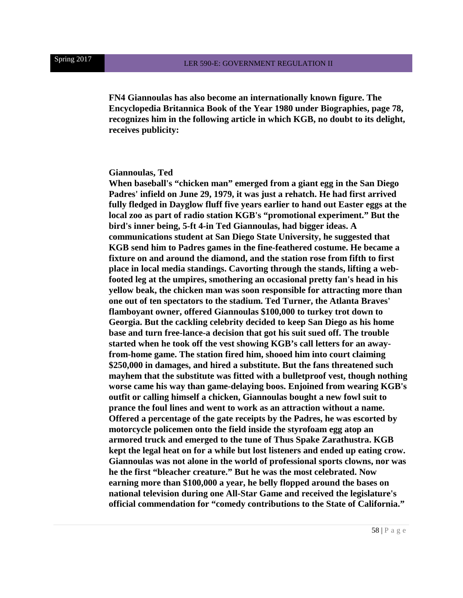**FN4 Giannoulas has also become an internationally known figure. The Encyclopedia Britannica Book of the Year 1980 under Biographies, page 78, recognizes him in the following article in which KGB, no doubt to its delight, receives publicity:**

### **Giannoulas, Ted**

**When baseball's "chicken man" emerged from a giant egg in the San Diego Padres' infield on June 29, 1979, it was just a rehatch. He had first arrived fully fledged in Dayglow fluff five years earlier to hand out Easter eggs at the local zoo as part of radio station KGB's "promotional experiment." But the bird's inner being, 5-ft 4-in Ted Giannoulas, had bigger ideas. A communications student at San Diego State University, he suggested that KGB send him to Padres games in the fine-feathered costume. He became a fixture on and around the diamond, and the station rose from fifth to first place in local media standings. Cavorting through the stands, lifting a webfooted leg at the umpires, smothering an occasional pretty fan's head in his yellow beak, the chicken man was soon responsible for attracting more than one out of ten spectators to the stadium. Ted Turner, the Atlanta Braves' flamboyant owner, offered Giannoulas \$100,000 to turkey trot down to Georgia. But the cackling celebrity decided to keep San Diego as his home base and turn free-lance-a decision that got his suit sued off. The trouble started when he took off the vest showing KGB's call letters for an awayfrom-home game. The station fired him, shooed him into court claiming \$250,000 in damages, and hired a substitute. But the fans threatened such mayhem that the substitute was fitted with a bulletproof vest, though nothing worse came his way than game-delaying boos. Enjoined from wearing KGB's outfit or calling himself a chicken, Giannoulas bought a new fowl suit to prance the foul lines and went to work as an attraction without a name. Offered a percentage of the gate receipts by the Padres, he was escorted by motorcycle policemen onto the field inside the styrofoam egg atop an armored truck and emerged to the tune of Thus Spake Zarathustra. KGB kept the legal heat on for a while but lost listeners and ended up eating crow. Giannoulas was not alone in the world of professional sports clowns, nor was he the first "bleacher creature." But he was the most celebrated. Now earning more than \$100,000 a year, he belly flopped around the bases on national television during one All-Star Game and received the legislature's official commendation for "comedy contributions to the State of California."**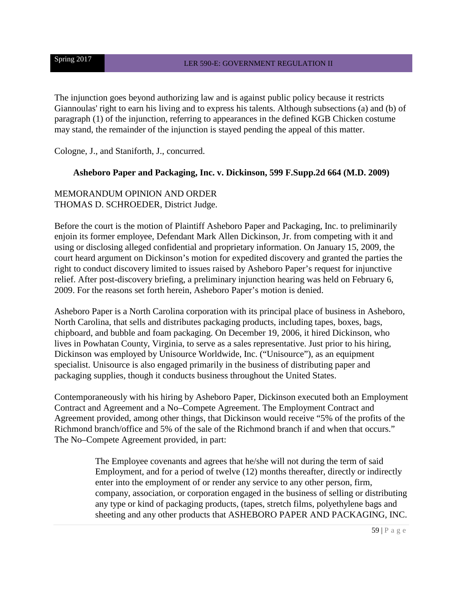The injunction goes beyond authorizing law and is against public policy because it restricts Giannoulas' right to earn his living and to express his talents. Although subsections (a) and (b) of paragraph (1) of the injunction, referring to appearances in the defined KGB Chicken costume may stand, the remainder of the injunction is stayed pending the appeal of this matter.

Cologne, J., and Staniforth, J., concurred.

## **Asheboro Paper and Packaging, Inc. v. Dickinson, 599 F.Supp.2d 664 (M.D. 2009)**

### MEMORANDUM OPINION AND ORDER THOMAS D. SCHROEDER, District Judge.

Before the court is the motion of Plaintiff Asheboro Paper and Packaging, Inc. to preliminarily enjoin its former employee, Defendant Mark Allen Dickinson, Jr. from competing with it and using or disclosing alleged confidential and proprietary information. On January 15, 2009, the court heard argument on Dickinson's motion for expedited discovery and granted the parties the right to conduct discovery limited to issues raised by Asheboro Paper's request for injunctive relief. After post-discovery briefing, a preliminary injunction hearing was held on February 6, 2009. For the reasons set forth herein, Asheboro Paper's motion is denied.

Asheboro Paper is a North Carolina corporation with its principal place of business in Asheboro, North Carolina, that sells and distributes packaging products, including tapes, boxes, bags, chipboard, and bubble and foam packaging. On December 19, 2006, it hired Dickinson, who lives in Powhatan County, Virginia, to serve as a sales representative. Just prior to his hiring, Dickinson was employed by Unisource Worldwide, Inc. ("Unisource"), as an equipment specialist. Unisource is also engaged primarily in the business of distributing paper and packaging supplies, though it conducts business throughout the United States.

Contemporaneously with his hiring by Asheboro Paper, Dickinson executed both an Employment Contract and Agreement and a No–Compete Agreement. The Employment Contract and Agreement provided, among other things, that Dickinson would receive "5% of the profits of the Richmond branch/office and 5% of the sale of the Richmond branch if and when that occurs." The No–Compete Agreement provided, in part:

> The Employee covenants and agrees that he/she will not during the term of said Employment, and for a period of twelve (12) months thereafter, directly or indirectly enter into the employment of or render any service to any other person, firm, company, association, or corporation engaged in the business of selling or distributing any type or kind of packaging products, (tapes, stretch films, polyethylene bags and sheeting and any other products that ASHEBORO PAPER AND PACKAGING, INC.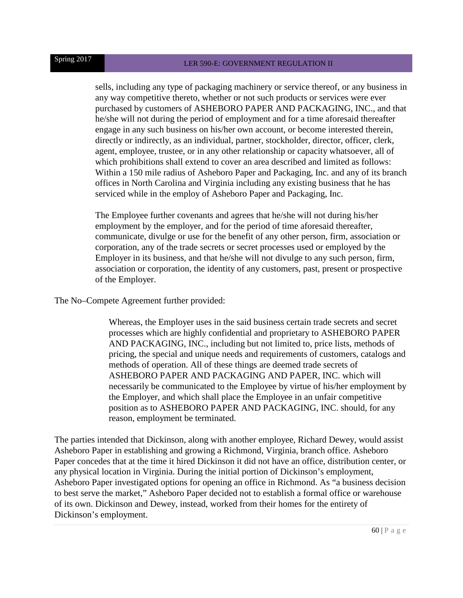sells, including any type of packaging machinery or service thereof, or any business in any way competitive thereto, whether or not such products or services were ever purchased by customers of ASHEBORO PAPER AND PACKAGING, INC., and that he/she will not during the period of employment and for a time aforesaid thereafter engage in any such business on his/her own account, or become interested therein, directly or indirectly, as an individual, partner, stockholder, director, officer, clerk, agent, employee, trustee, or in any other relationship or capacity whatsoever, all of which prohibitions shall extend to cover an area described and limited as follows: Within a 150 mile radius of Asheboro Paper and Packaging, Inc. and any of its branch offices in North Carolina and Virginia including any existing business that he has serviced while in the employ of Asheboro Paper and Packaging, Inc.

The Employee further covenants and agrees that he/she will not during his/her employment by the employer, and for the period of time aforesaid thereafter, communicate, divulge or use for the benefit of any other person, firm, association or corporation, any of the trade secrets or secret processes used or employed by the Employer in its business, and that he/she will not divulge to any such person, firm, association or corporation, the identity of any customers, past, present or prospective of the Employer.

The No–Compete Agreement further provided:

Whereas, the Employer uses in the said business certain trade secrets and secret processes which are highly confidential and proprietary to ASHEBORO PAPER AND PACKAGING, INC., including but not limited to, price lists, methods of pricing, the special and unique needs and requirements of customers, catalogs and methods of operation. All of these things are deemed trade secrets of ASHEBORO PAPER AND PACKAGING AND PAPER, INC. which will necessarily be communicated to the Employee by virtue of his/her employment by the Employer, and which shall place the Employee in an unfair competitive position as to ASHEBORO PAPER AND PACKAGING, INC. should, for any reason, employment be terminated.

The parties intended that Dickinson, along with another employee, Richard Dewey, would assist Asheboro Paper in establishing and growing a Richmond, Virginia, branch office. Asheboro Paper concedes that at the time it hired Dickinson it did not have an office, distribution center, or any physical location in Virginia. During the initial portion of Dickinson's employment, Asheboro Paper investigated options for opening an office in Richmond. As "a business decision to best serve the market," Asheboro Paper decided not to establish a formal office or warehouse of its own. Dickinson and Dewey, instead, worked from their homes for the entirety of Dickinson's employment.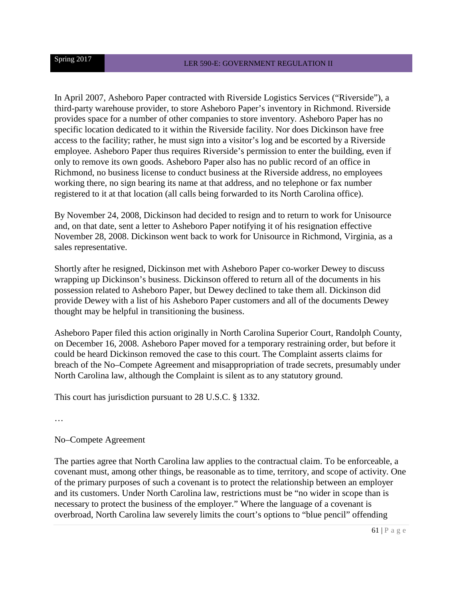In April 2007, Asheboro Paper contracted with Riverside Logistics Services ("Riverside"), a third-party warehouse provider, to store Asheboro Paper's inventory in Richmond. Riverside provides space for a number of other companies to store inventory. Asheboro Paper has no specific location dedicated to it within the Riverside facility. Nor does Dickinson have free access to the facility; rather, he must sign into a visitor's log and be escorted by a Riverside employee. Asheboro Paper thus requires Riverside's permission to enter the building, even if only to remove its own goods. Asheboro Paper also has no public record of an office in Richmond, no business license to conduct business at the Riverside address, no employees working there, no sign bearing its name at that address, and no telephone or fax number registered to it at that location (all calls being forwarded to its North Carolina office).

By November 24, 2008, Dickinson had decided to resign and to return to work for Unisource and, on that date, sent a letter to Asheboro Paper notifying it of his resignation effective November 28, 2008. Dickinson went back to work for Unisource in Richmond, Virginia, as a sales representative.

Shortly after he resigned, Dickinson met with Asheboro Paper co-worker Dewey to discuss wrapping up Dickinson's business. Dickinson offered to return all of the documents in his possession related to Asheboro Paper, but Dewey declined to take them all. Dickinson did provide Dewey with a list of his Asheboro Paper customers and all of the documents Dewey thought may be helpful in transitioning the business.

Asheboro Paper filed this action originally in North Carolina Superior Court, Randolph County, on December 16, 2008. Asheboro Paper moved for a temporary restraining order, but before it could be heard Dickinson removed the case to this court. The Complaint asserts claims for breach of the No–Compete Agreement and misappropriation of trade secrets, presumably under North Carolina law, although the Complaint is silent as to any statutory ground.

This court has jurisdiction pursuant to 28 U.S.C. § 1332.

…

No–Compete Agreement

The parties agree that North Carolina law applies to the contractual claim. To be enforceable, a covenant must, among other things, be reasonable as to time, territory, and scope of activity. One of the primary purposes of such a covenant is to protect the relationship between an employer and its customers. Under North Carolina law, restrictions must be "no wider in scope than is necessary to protect the business of the employer." Where the language of a covenant is overbroad, North Carolina law severely limits the court's options to "blue pencil" offending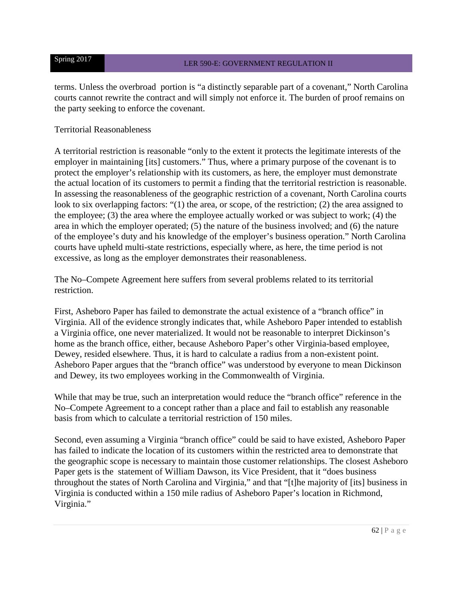terms. Unless the overbroad portion is "a distinctly separable part of a covenant," North Carolina courts cannot rewrite the contract and will simply not enforce it. The burden of proof remains on the party seeking to enforce the covenant.

## Territorial Reasonableness

A territorial restriction is reasonable "only to the extent it protects the legitimate interests of the employer in maintaining [its] customers." Thus, where a primary purpose of the covenant is to protect the employer's relationship with its customers, as here, the employer must demonstrate the actual location of its customers to permit a finding that the territorial restriction is reasonable. In assessing the reasonableness of the geographic restriction of a covenant, North Carolina courts look to six overlapping factors: "(1) the area, or scope, of the restriction; (2) the area assigned to the employee; (3) the area where the employee actually worked or was subject to work; (4) the area in which the employer operated; (5) the nature of the business involved; and (6) the nature of the employee's duty and his knowledge of the employer's business operation." North Carolina courts have upheld multi-state restrictions, especially where, as here, the time period is not excessive, as long as the employer demonstrates their reasonableness.

The No–Compete Agreement here suffers from several problems related to its territorial restriction.

First, Asheboro Paper has failed to demonstrate the actual existence of a "branch office" in Virginia. All of the evidence strongly indicates that, while Asheboro Paper intended to establish a Virginia office, one never materialized. It would not be reasonable to interpret Dickinson's home as the branch office, either, because Asheboro Paper's other Virginia-based employee, Dewey, resided elsewhere. Thus, it is hard to calculate a radius from a non-existent point. Asheboro Paper argues that the "branch office" was understood by everyone to mean Dickinson and Dewey, its two employees working in the Commonwealth of Virginia.

While that may be true, such an interpretation would reduce the "branch office" reference in the No–Compete Agreement to a concept rather than a place and fail to establish any reasonable basis from which to calculate a territorial restriction of 150 miles.

Second, even assuming a Virginia "branch office" could be said to have existed, Asheboro Paper has failed to indicate the location of its customers within the restricted area to demonstrate that the geographic scope is necessary to maintain those customer relationships. The closest Asheboro Paper gets is the statement of William Dawson, its Vice President, that it "does business throughout the states of North Carolina and Virginia," and that "[t]he majority of [its] business in Virginia is conducted within a 150 mile radius of Asheboro Paper's location in Richmond, Virginia."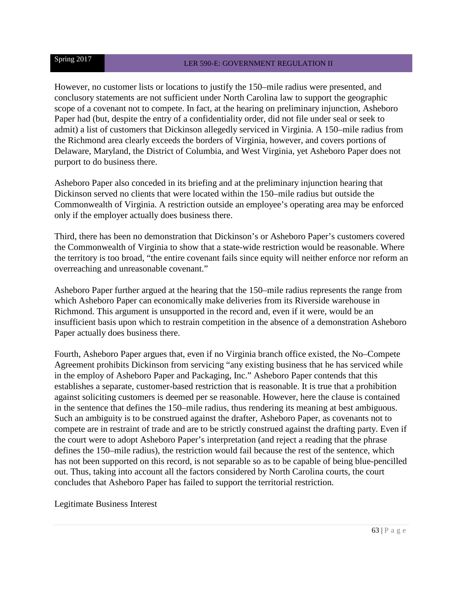However, no customer lists or locations to justify the 150–mile radius were presented, and conclusory statements are not sufficient under North Carolina law to support the geographic scope of a covenant not to compete. In fact, at the hearing on preliminary injunction, Asheboro Paper had (but, despite the entry of a confidentiality order, did not file under seal or seek to admit) a list of customers that Dickinson allegedly serviced in Virginia. A 150–mile radius from the Richmond area clearly exceeds the borders of Virginia, however, and covers portions of Delaware, Maryland, the District of Columbia, and West Virginia, yet Asheboro Paper does not purport to do business there.

Asheboro Paper also conceded in its briefing and at the preliminary injunction hearing that Dickinson served no clients that were located within the 150–mile radius but outside the Commonwealth of Virginia. A restriction outside an employee's operating area may be enforced only if the employer actually does business there.

Third, there has been no demonstration that Dickinson's or Asheboro Paper's customers covered the Commonwealth of Virginia to show that a state-wide restriction would be reasonable. Where the territory is too broad, "the entire covenant fails since equity will neither enforce nor reform an overreaching and unreasonable covenant."

Asheboro Paper further argued at the hearing that the 150–mile radius represents the range from which Asheboro Paper can economically make deliveries from its Riverside warehouse in Richmond. This argument is unsupported in the record and, even if it were, would be an insufficient basis upon which to restrain competition in the absence of a demonstration Asheboro Paper actually does business there.

Fourth, Asheboro Paper argues that, even if no Virginia branch office existed, the No–Compete Agreement prohibits Dickinson from servicing "any existing business that he has serviced while in the employ of Asheboro Paper and Packaging, Inc." Asheboro Paper contends that this establishes a separate, customer-based restriction that is reasonable. It is true that a prohibition against soliciting customers is deemed per se reasonable. However, here the clause is contained in the sentence that defines the 150–mile radius, thus rendering its meaning at best ambiguous. Such an ambiguity is to be construed against the drafter, Asheboro Paper, as covenants not to compete are in restraint of trade and are to be strictly construed against the drafting party. Even if the court were to adopt Asheboro Paper's interpretation (and reject a reading that the phrase defines the 150–mile radius), the restriction would fail because the rest of the sentence, which has not been supported on this record, is not separable so as to be capable of being blue-pencilled out. Thus, taking into account all the factors considered by North Carolina courts, the court concludes that Asheboro Paper has failed to support the territorial restriction.

Legitimate Business Interest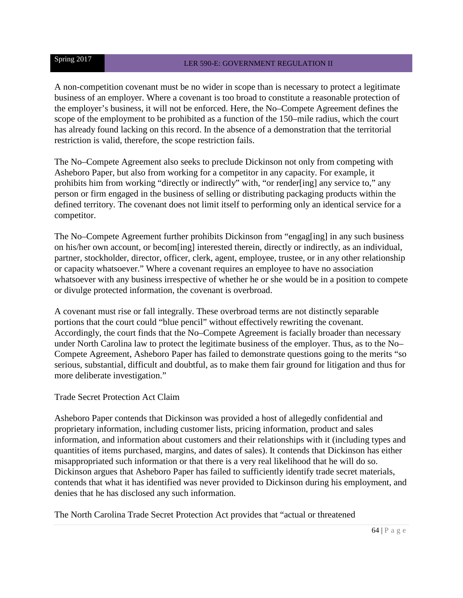A non-competition covenant must be no wider in scope than is necessary to protect a legitimate business of an employer. Where a covenant is too broad to constitute a reasonable protection of the employer's business, it will not be enforced. Here, the No–Compete Agreement defines the scope of the employment to be prohibited as a function of the 150–mile radius, which the court has already found lacking on this record. In the absence of a demonstration that the territorial restriction is valid, therefore, the scope restriction fails.

The No–Compete Agreement also seeks to preclude Dickinson not only from competing with Asheboro Paper, but also from working for a competitor in any capacity. For example, it prohibits him from working "directly or indirectly" with, "or render[ing] any service to," any person or firm engaged in the business of selling or distributing packaging products within the defined territory. The covenant does not limit itself to performing only an identical service for a competitor.

The No–Compete Agreement further prohibits Dickinson from "engag[ing] in any such business on his/her own account, or becom[ing] interested therein, directly or indirectly, as an individual, partner, stockholder, director, officer, clerk, agent, employee, trustee, or in any other relationship or capacity whatsoever." Where a covenant requires an employee to have no association whatsoever with any business irrespective of whether he or she would be in a position to compete or divulge protected information, the covenant is overbroad.

A covenant must rise or fall integrally. These overbroad terms are not distinctly separable portions that the court could "blue pencil" without effectively rewriting the covenant. Accordingly, the court finds that the No–Compete Agreement is facially broader than necessary under North Carolina law to protect the legitimate business of the employer. Thus, as to the No– Compete Agreement, Asheboro Paper has failed to demonstrate questions going to the merits "so serious, substantial, difficult and doubtful, as to make them fair ground for litigation and thus for more deliberate investigation."

Trade Secret Protection Act Claim

Asheboro Paper contends that Dickinson was provided a host of allegedly confidential and proprietary information, including customer lists, pricing information, product and sales information, and information about customers and their relationships with it (including types and quantities of items purchased, margins, and dates of sales). It contends that Dickinson has either misappropriated such information or that there is a very real likelihood that he will do so. Dickinson argues that Asheboro Paper has failed to sufficiently identify trade secret materials, contends that what it has identified was never provided to Dickinson during his employment, and denies that he has disclosed any such information.

The North Carolina Trade Secret Protection Act provides that "actual or threatened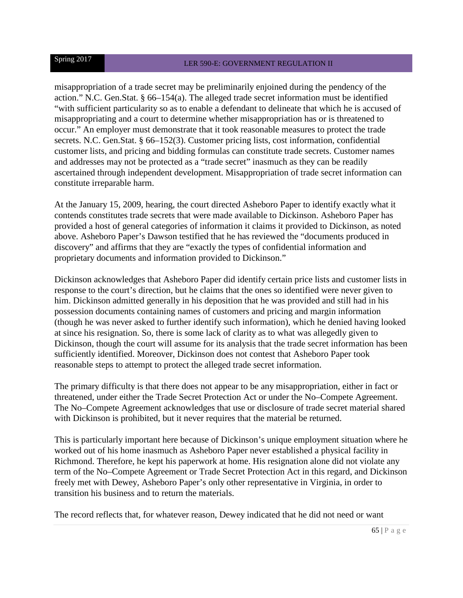misappropriation of a trade secret may be preliminarily enjoined during the pendency of the action." N.C. Gen.Stat. § 66–154(a). The alleged trade secret information must be identified "with sufficient particularity so as to enable a defendant to delineate that which he is accused of misappropriating and a court to determine whether misappropriation has or is threatened to occur." An employer must demonstrate that it took reasonable measures to protect the trade secrets. N.C. Gen.Stat. § 66–152(3). Customer pricing lists, cost information, confidential customer lists, and pricing and bidding formulas can constitute trade secrets. Customer names and addresses may not be protected as a "trade secret" inasmuch as they can be readily ascertained through independent development. Misappropriation of trade secret information can constitute irreparable harm.

At the January 15, 2009, hearing, the court directed Asheboro Paper to identify exactly what it contends constitutes trade secrets that were made available to Dickinson. Asheboro Paper has provided a host of general categories of information it claims it provided to Dickinson, as noted above. Asheboro Paper's Dawson testified that he has reviewed the "documents produced in discovery" and affirms that they are "exactly the types of confidential information and proprietary documents and information provided to Dickinson."

Dickinson acknowledges that Asheboro Paper did identify certain price lists and customer lists in response to the court's direction, but he claims that the ones so identified were never given to him. Dickinson admitted generally in his deposition that he was provided and still had in his possession documents containing names of customers and pricing and margin information (though he was never asked to further identify such information), which he denied having looked at since his resignation. So, there is some lack of clarity as to what was allegedly given to Dickinson, though the court will assume for its analysis that the trade secret information has been sufficiently identified. Moreover, Dickinson does not contest that Asheboro Paper took reasonable steps to attempt to protect the alleged trade secret information.

The primary difficulty is that there does not appear to be any misappropriation, either in fact or threatened, under either the Trade Secret Protection Act or under the No–Compete Agreement. The No–Compete Agreement acknowledges that use or disclosure of trade secret material shared with Dickinson is prohibited, but it never requires that the material be returned.

This is particularly important here because of Dickinson's unique employment situation where he worked out of his home inasmuch as Asheboro Paper never established a physical facility in Richmond. Therefore, he kept his paperwork at home. His resignation alone did not violate any term of the No–Compete Agreement or Trade Secret Protection Act in this regard, and Dickinson freely met with Dewey, Asheboro Paper's only other representative in Virginia, in order to transition his business and to return the materials.

The record reflects that, for whatever reason, Dewey indicated that he did not need or want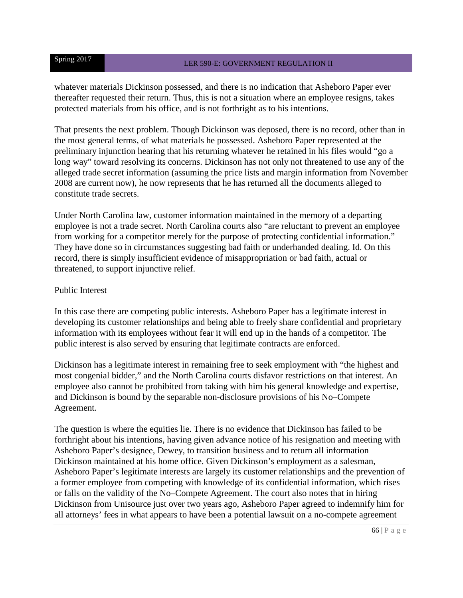whatever materials Dickinson possessed, and there is no indication that Asheboro Paper ever thereafter requested their return. Thus, this is not a situation where an employee resigns, takes protected materials from his office, and is not forthright as to his intentions.

That presents the next problem. Though Dickinson was deposed, there is no record, other than in the most general terms, of what materials he possessed. Asheboro Paper represented at the preliminary injunction hearing that his returning whatever he retained in his files would "go a long way" toward resolving its concerns. Dickinson has not only not threatened to use any of the alleged trade secret information (assuming the price lists and margin information from November 2008 are current now), he now represents that he has returned all the documents alleged to constitute trade secrets.

Under North Carolina law, customer information maintained in the memory of a departing employee is not a trade secret. North Carolina courts also "are reluctant to prevent an employee from working for a competitor merely for the purpose of protecting confidential information." They have done so in circumstances suggesting bad faith or underhanded dealing. Id. On this record, there is simply insufficient evidence of misappropriation or bad faith, actual or threatened, to support injunctive relief.

## Public Interest

In this case there are competing public interests. Asheboro Paper has a legitimate interest in developing its customer relationships and being able to freely share confidential and proprietary information with its employees without fear it will end up in the hands of a competitor. The public interest is also served by ensuring that legitimate contracts are enforced.

Dickinson has a legitimate interest in remaining free to seek employment with "the highest and most congenial bidder," and the North Carolina courts disfavor restrictions on that interest. An employee also cannot be prohibited from taking with him his general knowledge and expertise, and Dickinson is bound by the separable non-disclosure provisions of his No–Compete Agreement.

The question is where the equities lie. There is no evidence that Dickinson has failed to be forthright about his intentions, having given advance notice of his resignation and meeting with Asheboro Paper's designee, Dewey, to transition business and to return all information Dickinson maintained at his home office. Given Dickinson's employment as a salesman, Asheboro Paper's legitimate interests are largely its customer relationships and the prevention of a former employee from competing with knowledge of its confidential information, which rises or falls on the validity of the No–Compete Agreement. The court also notes that in hiring Dickinson from Unisource just over two years ago, Asheboro Paper agreed to indemnify him for all attorneys' fees in what appears to have been a potential lawsuit on a no-compete agreement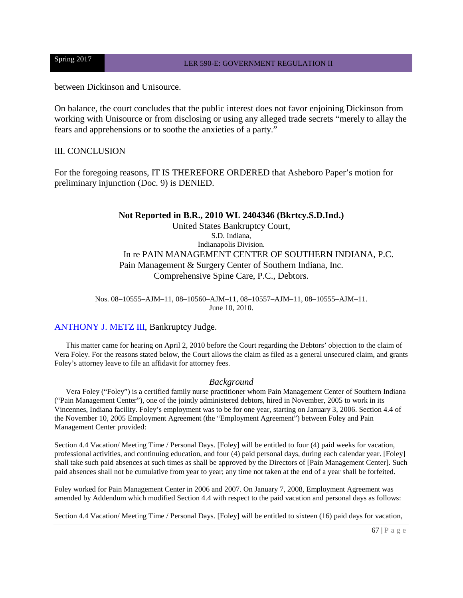between Dickinson and Unisource.

On balance, the court concludes that the public interest does not favor enjoining Dickinson from working with Unisource or from disclosing or using any alleged trade secrets "merely to allay the fears and apprehensions or to soothe the anxieties of a party."

### III. CONCLUSION

For the foregoing reasons, IT IS THEREFORE ORDERED that Asheboro Paper's motion for preliminary injunction (Doc. 9) is DENIED.

### **Not Reported in B.R., 2010 WL 2404346 (Bkrtcy.S.D.Ind.)** United States Bankruptcy Court, S.D. Indiana, Indianapolis Division. In re PAIN MANAGEMENT CENTER OF SOUTHERN INDIANA, P.C. Pain Management & Surgery Center of Southern Indiana, Inc. Comprehensive Spine Care, P.C., Debtors.

Nos. 08–10555–AJM–11, 08–10560–AJM–11, 08–10557–AJM–11, 08–10555–AJM–11. June 10, 2010.

### [ANTHONY J. METZ III,](http://web2.westlaw.com/find/default.wl?mt=208&db=PROFILER-WLD&docname=0196589601&rp=%2ffind%2fdefault.wl&findtype=h&ordoc=2022320034&tc=-1&vr=2.0&fn=_top&sv=Split&tf=-1&pbc=D42B1882&rs=WLW13.07) Bankruptcy Judge.

This matter came for hearing on April 2, 2010 before the Court regarding the Debtors' objection to the claim of Vera Foley. For the reasons stated below, the Court allows the claim as filed as a general unsecured claim, and grants Foley's attorney leave to file an affidavit for attorney fees.

### *Background*

Vera Foley ("Foley") is a certified family nurse practitioner whom Pain Management Center of Southern Indiana ("Pain Management Center"), one of the jointly administered debtors, hired in November, 2005 to work in its Vincennes, Indiana facility. Foley's employment was to be for one year, starting on January 3, 2006. Section 4.4 of the November 10, 2005 Employment Agreement (the "Employment Agreement") between Foley and Pain Management Center provided:

Section 4.4 Vacation/ Meeting Time / Personal Days. [Foley] will be entitled to four (4) paid weeks for vacation, professional activities, and continuing education, and four (4) paid personal days, during each calendar year. [Foley] shall take such paid absences at such times as shall be approved by the Directors of [Pain Management Center]. Such paid absences shall not be cumulative from year to year; any time not taken at the end of a year shall be forfeited.

Foley worked for Pain Management Center in 2006 and 2007. On January 7, 2008, Employment Agreement was amended by Addendum which modified Section 4.4 with respect to the paid vacation and personal days as follows:

Section 4.4 Vacation/ Meeting Time / Personal Days. [Foley] will be entitled to sixteen (16) paid days for vacation,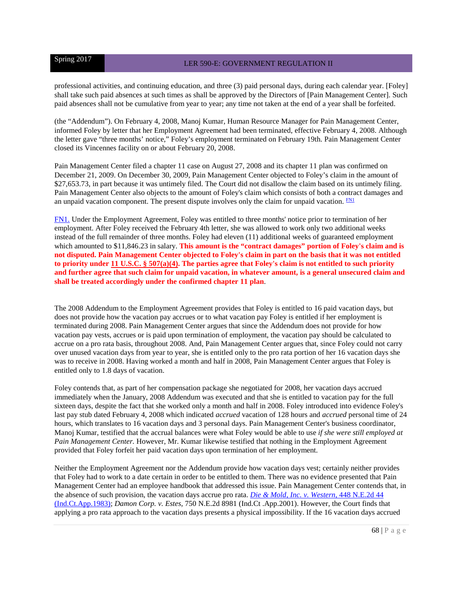professional activities, and continuing education, and three (3) paid personal days, during each calendar year. [Foley] shall take such paid absences at such times as shall be approved by the Directors of [Pain Management Center]. Such paid absences shall not be cumulative from year to year; any time not taken at the end of a year shall be forfeited.

(the "Addendum"). On February 4, 2008, Manoj Kumar, Human Resource Manager for Pain Management Center, informed Foley by letter that her Employment Agreement had been terminated, effective February 4, 2008. Although the letter gave "three months' notice," Foley's employment terminated on February 19th. Pain Management Center closed its Vincennes facility on or about February 20, 2008.

Pain Management Center filed a chapter 11 case on August 27, 2008 and its chapter 11 plan was confirmed on December 21, 2009. On December 30, 2009, Pain Management Center objected to Foley's claim in the amount of \$27,653.73, in part because it was untimely filed. The Court did not disallow the claim based on its untimely filing. Pain Management Center also objects to the amount of Foley's claim which consists of both a contract damages and an unpaid vacation component. The present dispute involves only the claim for unpaid vacation.  $\frac{FNI}{FPI}$ 

[FN1.](http://web2.westlaw.com/result/documenttext.aspx?cnt=DOC&cfid=1&eq=search&elmap=Inline&rlti=1&vr=2.0&tnprpdd=None&method=TNC&origin=Search&rltdb=CLID_DB58614111510&db=FLB-ALL&tnprpds=TaxNewsFIT&n=38&fn=_top&fmqv=c&service=Search&query=BANKRUPTCY+%26+%22CHAPTER+11%22+%26+ACCRUED+%26+%22VACATION+PAY%22&sskey=CLID_SSSA8137924111510&sv=Split&scxt=WL&rlt=CLID_QRYRLT3056525111510&cxt=DC&rs=WLW13.07&ss=CNT&rp=%2fsearch%2fdefault.wl&mt=208#F00112022320034) Under the Employment Agreement, Foley was entitled to three months' notice prior to termination of her employment. After Foley received the February 4th letter, she was allowed to work only two additional weeks instead of the full remainder of three months. Foley had eleven (11) additional weeks of guaranteed employment which amounted to \$11,846.23 in salary. **This amount is the "contract damages" portion of Foley's claim and is not disputed. Pain Management Center objected to Foley's claim in part on the basis that it was not entitled to priority unde[r 11 U.S.C. § 507\(a\)\(4\).](http://web2.westlaw.com/find/default.wl?mt=208&db=1000546&docname=11USCAS507&rp=%2ffind%2fdefault.wl&findtype=L&ordoc=2022320034&tc=-1&vr=2.0&fn=_top&sv=Split&tf=-1&referencepositiontype=T&pbc=D42B1882&referenceposition=SP%3bd40e000072291&rs=WLW13.07) The parties agree that Foley's claim is not entitled to such priority and further agree that such claim for unpaid vacation, in whatever amount, is a general unsecured claim and shall be treated accordingly under the confirmed chapter 11 plan**.

The 2008 Addendum to the Employment Agreement provides that Foley is entitled to 16 paid vacation days, but does not provide how the vacation pay accrues or to what vacation pay Foley is entitled if her employment is terminated during 2008. Pain Management Center argues that since the Addendum does not provide for how vacation pay vests, accrues or is paid upon termination of employment, the vacation pay should be calculated to accrue on a pro rata basis, throughout 2008. And, Pain Management Center argues that, since Foley could not carry over unused vacation days from year to year, she is entitled only to the pro rata portion of her 16 vacation days she was to receive in 2008. Having worked a month and half in 2008, Pain Management Center argues that Foley is entitled only to 1.8 days of vacation.

Foley contends that, as part of her compensation package she negotiated for 2008, her vacation days accrued immediately when the January, 2008 Addendum was executed and that she is entitled to vacation pay for the full sixteen days, despite the fact that she worked only a month and half in 2008. Foley introduced into evidence Foley's last pay stub dated February 4, 2008 which indicated *accrued* vacation of 128 hours and *accrued* personal time of 24 hours, which translates to 16 vacation days and 3 personal days. Pain Management Center's business coordinator, Manoj Kumar, testified that the accrual balances were what Foley would be able to use *if she were still employed at Pain Management Center.* However, Mr. Kumar likewise testified that nothing in the Employment Agreement provided that Foley forfeit her paid vacation days upon termination of her employment.

Neither the Employment Agreement nor the Addendum provide how vacation days vest; certainly neither provides that Foley had to work to a date certain in order to be entitled to them. There was no evidence presented that Pain Management Center had an employee handbook that addressed this issue. Pain Management Center contends that, in the absence of such provision, the vacation days accrue pro rata. *[Die & Mold, Inc. v. Western,](http://web2.westlaw.com/find/default.wl?mt=208&db=578&tc=-1&rp=%2ffind%2fdefault.wl&findtype=Y&ordoc=2022320034&serialnum=1983119771&vr=2.0&fn=_top&sv=Split&tf=-1&pbc=D42B1882&rs=WLW13.07)* 448 N.E.2d 44 [\(Ind.Ct.App.1983\);](http://web2.westlaw.com/find/default.wl?mt=208&db=578&tc=-1&rp=%2ffind%2fdefault.wl&findtype=Y&ordoc=2022320034&serialnum=1983119771&vr=2.0&fn=_top&sv=Split&tf=-1&pbc=D42B1882&rs=WLW13.07) *Damon Corp. v. Estes,* 750 N.E.2d 8981 (Ind.Ct .App.2001). However, the Court finds that applying a pro rata approach to the vacation days presents a physical impossibility. If the 16 vacation days accrued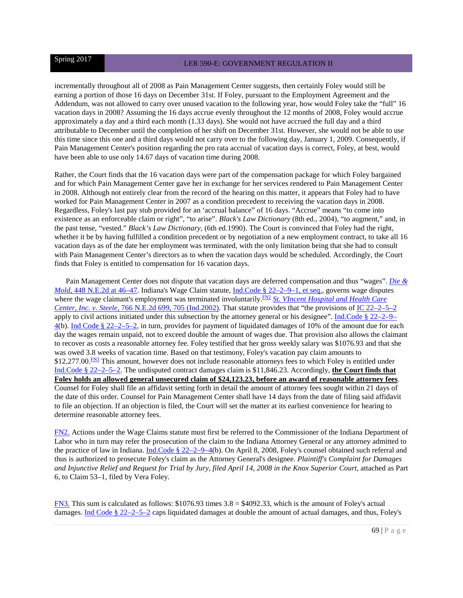incrementally throughout all of 2008 as Pain Management Center suggests, then certainly Foley would still be earning a portion of those 16 days on December 31st. If Foley, pursuant to the Employment Agreement and the Addendum, was not allowed to carry over unused vacation to the following year, how would Foley take the "full" 16 vacation days in 2008? Assuming the 16 days accrue evenly throughout the 12 months of 2008, Foley would accrue approximately a day and a third each month (1.33 days). She would not have accrued the full day and a third attributable to December until the completion of her shift on December 31st. However, she would not be able to use this time since this one and a third days would not carry over to the following day, January 1, 2009. Consequently, if Pain Management Center's position regarding the pro rata accrual of vacation days is correct, Foley, at best, would have been able to use only 14.67 days of vacation time during 2008.

Rather, the Court finds that the 16 vacation days were part of the compensation package for which Foley bargained and for which Pain Management Center gave her in exchange for her services rendered to Pain Management Center in 2008. Although not entirely clear from the record of the hearing on this matter, it appears that Foley had to have worked for Pain Management Center in 2007 as a condition precedent to receiving the vacation days in 2008. Regardless, Foley's last pay stub provided for an 'accrual balance" of 16 days. "Accrue" means "to come into existence as an enforceable claim or right", "to arise". *Black's Law Dictionary* (8th ed., 2004), "to augment," and, in the past tense, "vested." *Black's Law Dictionary,* (6th ed.1990). The Court is convinced that Foley had the right, whether it be by having fulfilled a condition precedent or by negotiation of a new employment contract, to take all 16 vacation days as of the date her employment was terminated, with the only limitation being that she had to consult with Pain Management Center's directors as to when the vacation days would be scheduled. Accordingly, the Court finds that Foley is entitled to compensation for 16 vacation days.

Pain Management Center does not dispute that vacation days are deferred compensation and thus "wages". *[Die &](http://web2.westlaw.com/find/default.wl?mt=208&db=578&tc=-1&rp=%2ffind%2fdefault.wl&findtype=Y&ordoc=2022320034&serialnum=1983119771&vr=2.0&fn=_top&sv=Split&tf=-1&referencepositiontype=S&pbc=D42B1882&referenceposition=46&rs=WLW13.07)  Mold,* [448 N.E.2d at 46–47.](http://web2.westlaw.com/find/default.wl?mt=208&db=578&tc=-1&rp=%2ffind%2fdefault.wl&findtype=Y&ordoc=2022320034&serialnum=1983119771&vr=2.0&fn=_top&sv=Split&tf=-1&referencepositiontype=S&pbc=D42B1882&referenceposition=46&rs=WLW13.07) Indiana's Wage Claim statute, [Ind.Code § 22–2–9–1, et seq.,](http://web2.westlaw.com/find/default.wl?mt=208&db=1000009&docname=INS22-2-9-1&rp=%2ffind%2fdefault.wl&findtype=L&ordoc=2022320034&tc=-1&vr=2.0&fn=_top&sv=Split&tf=-1&pbc=D42B1882&rs=WLW13.07) governs wage disputes where the wage claimant's employment was terminated involuntarily.<sup>FN2</sup> St. VIncent Hospital and Health Care *Center, Inc. v. Steele,* [766 N.E.2d 699, 705 \(Ind.2002\).](http://web2.westlaw.com/find/default.wl?mt=208&db=578&tc=-1&rp=%2ffind%2fdefault.wl&findtype=Y&ordoc=2022320034&serialnum=2002253924&vr=2.0&fn=_top&sv=Split&tf=-1&referencepositiontype=S&pbc=D42B1882&referenceposition=705&rs=WLW13.07) That statute provides that "the provisions of [IC 22–2–5–2](http://web2.westlaw.com/find/default.wl?mt=208&db=1000009&docname=INS22-2-5-2&rp=%2ffind%2fdefault.wl&findtype=L&ordoc=2022320034&tc=-1&vr=2.0&fn=_top&sv=Split&tf=-1&pbc=D42B1882&rs=WLW13.07) apply to civil actions initiated under this subsection by the attorney general or his designee". Ind.Code  $\S 22-2-9-$ [4\(](http://web2.westlaw.com/find/default.wl?mt=208&db=1000009&docname=INS22-2-9-4&rp=%2ffind%2fdefault.wl&findtype=L&ordoc=2022320034&tc=-1&vr=2.0&fn=_top&sv=Split&tf=-1&pbc=D42B1882&rs=WLW13.07)b). Ind [Code § 22–2–5–2,](http://web2.westlaw.com/find/default.wl?mt=208&db=1000009&docname=INS22-2-5-2&rp=%2ffind%2fdefault.wl&findtype=L&ordoc=2022320034&tc=-1&vr=2.0&fn=_top&sv=Split&tf=-1&pbc=D42B1882&rs=WLW13.07) in turn, provides for payment of liquidated damages of 10% of the amount due for each day the wages remain unpaid, not to exceed double the amount of wages due. That provision also allows the claimant to recover as costs a reasonable attorney fee. Foley testified that her gross weekly salary was \$1076.93 and that she was owed 3.8 weeks of vacation time. Based on that testimony, Foley's vacation pay claim amounts to \$12,277.00.<sup>FN3</sup> This amount, however does not include reasonable attorneys fees to which Foley is entitled under [Ind.Code § 22–2–5–2.](http://web2.westlaw.com/find/default.wl?mt=208&db=1000009&docname=INS22-2-5-2&rp=%2ffind%2fdefault.wl&findtype=L&ordoc=2022320034&tc=-1&vr=2.0&fn=_top&sv=Split&tf=-1&pbc=D42B1882&rs=WLW13.07) The undisputed contract damages claim is \$11,846.23. Accordingly, **the Court finds that Foley holds an allowed general unsecured claim of \$24,123.23, before an award of reasonable attorney fees**. Counsel for Foley shall file an affidavit setting forth in detail the amount of attorney fees sought within 21 days of the date of this order. Counsel for Pain Management Center shall have 14 days from the date of filing said affidavit to file an objection. If an objection is filed, the Court will set the matter at its earliest convenience for hearing to determine reasonable attorney fees.

[FN2.](http://web2.westlaw.com/result/documenttext.aspx?cnt=DOC&cfid=1&eq=search&elmap=Inline&rlti=1&vr=2.0&tnprpdd=None&method=TNC&origin=Search&rltdb=CLID_DB58614111510&db=FLB-ALL&tnprpds=TaxNewsFIT&n=38&fn=_top&fmqv=c&service=Search&query=BANKRUPTCY+%26+%22CHAPTER+11%22+%26+ACCRUED+%26+%22VACATION+PAY%22&sskey=CLID_SSSA8137924111510&sv=Split&scxt=WL&rlt=CLID_QRYRLT3056525111510&cxt=DC&rs=WLW13.07&ss=CNT&rp=%2fsearch%2fdefault.wl&mt=208#F00222022320034) Actions under the Wage Claims statute must first be referred to the Commissioner of the Indiana Department of Labor who in turn may refer the prosecution of the claim to the Indiana Attorney General or any attorney admitted to the practice of law in Indiana. Ind.Code  $\S 22-2-9-4(b)$ . On April 8, 2008, Foley's counsel obtained such referral and thus is authorized to prosecute Foley's claim as the Attorney General's designee. *Plaintiff's Complaint for Damages and Injunctive Relief and Request for Trial by Jury, filed April 14, 2008 in the Knox Superior Court,* attached as Part 6, to Claim 53–1, filed by Vera Foley.

[FN3.](http://web2.westlaw.com/result/documenttext.aspx?cnt=DOC&cfid=1&eq=search&elmap=Inline&rlti=1&vr=2.0&tnprpdd=None&method=TNC&origin=Search&rltdb=CLID_DB58614111510&db=FLB-ALL&tnprpds=TaxNewsFIT&n=38&fn=_top&fmqv=c&service=Search&query=BANKRUPTCY+%26+%22CHAPTER+11%22+%26+ACCRUED+%26+%22VACATION+PAY%22&sskey=CLID_SSSA8137924111510&sv=Split&scxt=WL&rlt=CLID_QRYRLT3056525111510&cxt=DC&rs=WLW13.07&ss=CNT&rp=%2fsearch%2fdefault.wl&mt=208#F00332022320034) This sum is calculated as follows: \$1076.93 times 3.8 = \$4092.33, which is the amount of Foley's actual damages[. Ind Code § 22–2–5–2](http://web2.westlaw.com/find/default.wl?mt=208&db=1000009&docname=INS22-2-5-2&rp=%2ffind%2fdefault.wl&findtype=L&ordoc=2022320034&tc=-1&vr=2.0&fn=_top&sv=Split&tf=-1&pbc=D42B1882&rs=WLW13.07) caps liquidated damages at double the amount of actual damages, and thus, Foley's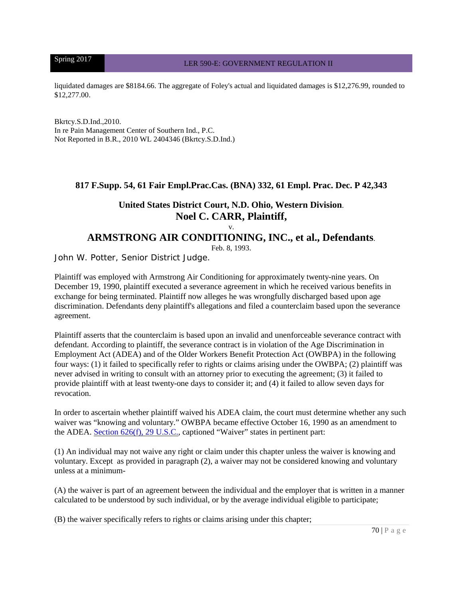liquidated damages are \$8184.66. The aggregate of Foley's actual and liquidated damages is \$12,276.99, rounded to \$12,277.00.

Bkrtcy.S.D.Ind.,2010. In re Pain Management Center of Southern Ind., P.C. Not Reported in B.R., 2010 WL 2404346 (Bkrtcy.S.D.Ind.)

### **817 F.Supp. 54, 61 Fair Empl.Prac.Cas. (BNA) 332, 61 Empl. Prac. Dec. P 42,343**

## **United States District Court, N.D. Ohio, Western Division**. **Noel C. CARR, Plaintiff,**

### v.

## **ARMSTRONG AIR CONDITIONING, INC., et al., Defendants**.

Feb. 8, 1993.

John W. Potter, Senior District Judge.

Plaintiff was employed with Armstrong Air Conditioning for approximately twenty-nine years. On December 19, 1990, plaintiff executed a severance agreement in which he received various benefits in exchange for being terminated. Plaintiff now alleges he was wrongfully discharged based upon age discrimination. Defendants deny plaintiff's allegations and filed a counterclaim based upon the severance agreement.

Plaintiff asserts that the counterclaim is based upon an invalid and unenforceable severance contract with defendant. According to plaintiff, the severance contract is in violation of the Age Discrimination in Employment Act (ADEA) and of the Older Workers Benefit Protection Act (OWBPA) in the following four ways: (1) it failed to specifically refer to rights or claims arising under the OWBPA; (2) plaintiff was never advised in writing to consult with an attorney prior to executing the agreement; (3) it failed to provide plaintiff with at least twenty-one days to consider it; and (4) it failed to allow seven days for revocation.

In order to ascertain whether plaintiff waived his ADEA claim, the court must determine whether any such waiver was "knowing and voluntary." OWBPA became effective October 16, 1990 as an amendment to the ADEA. [Section 626\(f\), 29 U.S.C.,](http://web2.westlaw.com/find/default.wl?tf=-1&rs=WLW7.10&fn=_top&sv=Split&tc=-1&findtype=L&docname=29USCAS626&db=1000546&vr=2.0&rp=%2ffind%2fdefault.wl&mt=LawSchoolPractitioner) captioned "Waiver" states in pertinent part:

(1) An individual may not waive any right or claim under this chapter unless the waiver is knowing and voluntary. Except as provided in paragraph (2), a waiver may not be considered knowing and voluntary unless at a minimum-

(A) the waiver is part of an agreement between the individual and the employer that is written in a manner calculated to be understood by such individual, or by the average individual eligible to participate;

(B) the waiver specifically refers to rights or claims arising under this chapter;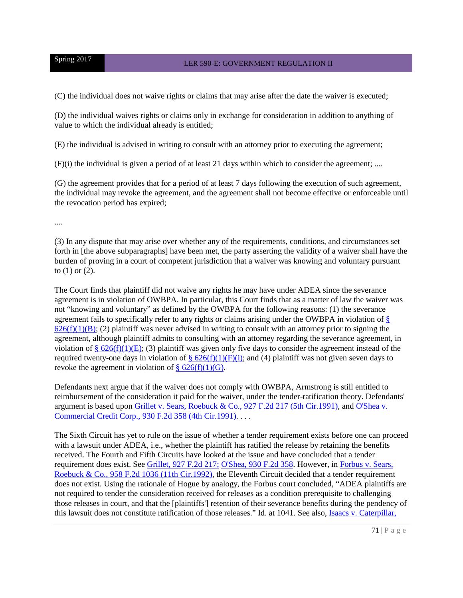(C) the individual does not waive rights or claims that may arise after the date the waiver is executed;

(D) the individual waives rights or claims only in exchange for consideration in addition to anything of value to which the individual already is entitled;

(E) the individual is advised in writing to consult with an attorney prior to executing the agreement;

(F)(i) the individual is given a period of at least 21 days within which to consider the agreement; ....

(G) the agreement provides that for a period of at least 7 days following the execution of such agreement, the individual may revoke the agreement, and the agreement shall not become effective or enforceable until the revocation period has expired;

....

(3) In any dispute that may arise over whether any of the requirements, conditions, and circumstances set forth in [the above subparagraphs] have been met, the party asserting the validity of a waiver shall have the burden of proving in a court of competent jurisdiction that a waiver was knowing and voluntary pursuant to (1) or (2).

The Court finds that plaintiff did not waive any rights he may have under ADEA since the severance agreement is in violation of OWBPA. In particular, this Court finds that as a matter of law the waiver was not "knowing and voluntary" as defined by the OWBPA for the following reasons: (1) the severance agreement fails to specifically refer to any rights or claims arising under the OWBPA in violation of [§](http://web2.westlaw.com/find/default.wl?tf=-1&rs=WLW7.10&fn=_top&sv=Split&tc=-1&findtype=L&docname=29USCAS626&db=1000546&vr=2.0&rp=%2ffind%2fdefault.wl&mt=LawSchoolPractitioner)   $626(f)(1)(B)$ ; (2) plaintiff was never advised in writing to consult with an attorney prior to signing the agreement, although plaintiff admits to consulting with an attorney regarding the severance agreement, in violation of §  $626(f)(1)(E)$ ; (3) plaintiff was given only five days to consider the agreement instead of the required twenty-one days in violation of §  $626(f)(1)(F)(i)$ ; and (4) plaintiff was not given seven days to revoke the agreement in violation of  $\S 626(f)(1)(G)$ .

Defendants next argue that if the waiver does not comply with OWBPA, Armstrong is still entitled to reimbursement of the consideration it paid for the waiver, under the tender-ratification theory. Defendants' argument is based upon [Grillet v. Sears, Roebuck & Co.,](http://web2.westlaw.com/find/default.wl?rs=WLW7.10&serialnum=1991051393&fn=_top&sv=Split&tc=-1&findtype=Y&tf=-1&db=350&vr=2.0&rp=%2ffind%2fdefault.wl&mt=LawSchoolPractitioner) 927 F.2d 217 (5th Cir.1991), and O'Shea v. Commercial Credit Corp., [930 F.2d 358 \(4th Cir.1991\).](http://web2.westlaw.com/find/default.wl?rs=WLW7.10&serialnum=1991072750&fn=_top&sv=Split&tc=-1&findtype=Y&tf=-1&db=350&vr=2.0&rp=%2ffind%2fdefault.wl&mt=LawSchoolPractitioner) . . .

The Sixth Circuit has yet to rule on the issue of whether a tender requirement exists before one can proceed with a lawsuit under ADEA, i.e., whether the plaintiff has ratified the release by retaining the benefits received. The Fourth and Fifth Circuits have looked at the issue and have concluded that a tender requirement does exist. See Grillet, [927 F.2d 217;](http://web2.westlaw.com/find/default.wl?rs=WLW7.10&serialnum=1991051393&fn=_top&sv=Split&tc=-1&findtype=Y&tf=-1&db=350&vr=2.0&rp=%2ffind%2fdefault.wl&mt=LawSchoolPractitioner) O'Shea, [930 F.2d 358.](http://web2.westlaw.com/find/default.wl?rs=WLW7.10&serialnum=1991072750&fn=_top&sv=Split&tc=-1&findtype=Y&tf=-1&db=350&vr=2.0&rp=%2ffind%2fdefault.wl&mt=LawSchoolPractitioner) However, in [Forbus v. Sears,](http://web2.westlaw.com/find/default.wl?rs=WLW7.10&serialnum=1992069181&fn=_top&sv=Split&tc=-1&findtype=Y&tf=-1&db=350&vr=2.0&rp=%2ffind%2fdefault.wl&mt=LawSchoolPractitioner)  Roebuck & Co., [958 F.2d 1036 \(11th Cir.1992\),](http://web2.westlaw.com/find/default.wl?rs=WLW7.10&serialnum=1992069181&fn=_top&sv=Split&tc=-1&findtype=Y&tf=-1&db=350&vr=2.0&rp=%2ffind%2fdefault.wl&mt=LawSchoolPractitioner) the Eleventh Circuit decided that a tender requirement does not exist. Using the rationale of Hogue by analogy, the Forbus court concluded, "ADEA plaintiffs are not required to tender the consideration received for releases as a condition prerequisite to challenging those releases in court, and that the [plaintiffs'] retention of their severance benefits during the pendency of this lawsuit does not constitute ratification of those releases." Id. at 1041. See also, [Isaacs v. Caterpillar,](http://web2.westlaw.com/find/default.wl?rs=WLW7.10&serialnum=1991114008&fn=_top&sv=Split&tc=-1&findtype=Y&tf=-1&db=345&vr=2.0&rp=%2ffind%2fdefault.wl&mt=LawSchoolPractitioner)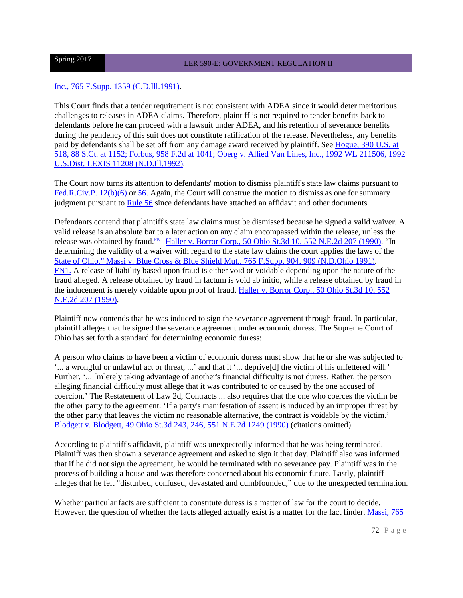### Inc., [765 F.Supp. 1359 \(C.D.Ill.1991\).](http://web2.westlaw.com/find/default.wl?rs=WLW7.10&serialnum=1991114008&fn=_top&sv=Split&tc=-1&findtype=Y&tf=-1&db=345&vr=2.0&rp=%2ffind%2fdefault.wl&mt=LawSchoolPractitioner)

This Court finds that a tender requirement is not consistent with ADEA since it would deter meritorious challenges to releases in ADEA claims. Therefore, plaintiff is not required to tender benefits back to defendants before he can proceed with a lawsuit under ADEA, and his retention of severance benefits during the pendency of this suit does not constitute ratification of the release. Nevertheless, any benefits paid by defendants shall be set off from any damage award received by plaintiff. See Hogue, [390 U.S. at](http://web2.westlaw.com/find/default.wl?tf=-1&rs=WLW7.10&referencepositiontype=S&serialnum=1968131156&fn=_top&sv=Split&tc=-1&findtype=Y&referenceposition=1152&db=708&vr=2.0&rp=%2ffind%2fdefault.wl&mt=LawSchoolPractitioner)  [518, 88 S.Ct. at 1152;](http://web2.westlaw.com/find/default.wl?tf=-1&rs=WLW7.10&referencepositiontype=S&serialnum=1968131156&fn=_top&sv=Split&tc=-1&findtype=Y&referenceposition=1152&db=708&vr=2.0&rp=%2ffind%2fdefault.wl&mt=LawSchoolPractitioner) Forbus, [958 F.2d at](http://web2.westlaw.com/find/default.wl?tf=-1&rs=WLW7.10&referencepositiontype=S&serialnum=1992069181&fn=_top&sv=Split&tc=-1&findtype=Y&referenceposition=1041&db=350&vr=2.0&rp=%2ffind%2fdefault.wl&mt=LawSchoolPractitioner) 1041; [Oberg v. Allied Van Lines, Inc.,](http://web2.westlaw.com/find/default.wl?rs=WLW7.10&serialnum=1992154976&fn=_top&sv=Split&tc=-1&findtype=Y&tf=-1&db=0000999&vr=2.0&rp=%2ffind%2fdefault.wl&mt=LawSchoolPractitioner) 1992 WL 211506, 1992 [U.S.Dist. LEXIS 11208 \(N.D.Ill.1992\).](http://web2.westlaw.com/find/default.wl?rs=WLW7.10&serialnum=1992154976&fn=_top&sv=Split&tc=-1&findtype=Y&tf=-1&db=0000999&vr=2.0&rp=%2ffind%2fdefault.wl&mt=LawSchoolPractitioner)

The Court now turns its attention to defendants' motion to dismiss plaintiff's state law claims pursuant to [Fed.R.Civ.P. 12\(b\)\(6\)](http://web2.westlaw.com/find/default.wl?tf=-1&rs=WLW7.10&fn=_top&sv=Split&tc=-1&findtype=L&docname=USFRCPR12&db=1004365&vr=2.0&rp=%2ffind%2fdefault.wl&mt=LawSchoolPractitioner) or [56.](http://web2.westlaw.com/find/default.wl?tf=-1&rs=WLW7.10&fn=_top&sv=Split&tc=-1&findtype=L&docname=USFRCPR56&db=1004365&vr=2.0&rp=%2ffind%2fdefault.wl&mt=LawSchoolPractitioner) Again, the Court will construe the motion to dismiss as one for summary judgment pursuant to [Rule 56](http://web2.westlaw.com/find/default.wl?tf=-1&rs=WLW7.10&fn=_top&sv=Split&tc=-1&findtype=L&docname=USFRCPR56&db=1004365&vr=2.0&rp=%2ffind%2fdefault.wl&mt=LawSchoolPractitioner) since defendants have attached an affidavit and other documents.

Defendants contend that plaintiff's state law claims must be dismissed because he signed a valid waiver. A valid release is an absolute bar to a later action on any claim encompassed within the release, unless the release was obtained by fraud.<sup>FN1</sup> Haller v. Borror Corp., [50 Ohio St.3d 10, 552 N.E.2d 207 \(1990\).](http://web2.westlaw.com/find/default.wl?rs=WLW7.10&serialnum=1990053892&fn=_top&sv=Split&tc=-1&findtype=Y&tf=-1&db=578&vr=2.0&rp=%2ffind%2fdefault.wl&mt=LawSchoolPractitioner) "In determining the validity of a waiver with regard to the state law claims the court applies the laws of the [State of Ohio." Massi v. Blue Cross & Blue Shield Mut.,](http://web2.westlaw.com/find/default.wl?tf=-1&rs=WLW7.10&referencepositiontype=S&serialnum=1991113985&fn=_top&sv=Split&tc=-1&findtype=Y&referenceposition=909&db=345&vr=2.0&rp=%2ffind%2fdefault.wl&mt=LawSchoolPractitioner) 765 F.Supp. 904, 909 (N.D.Ohio 1991). [FN1.](http://web2.westlaw.com/result/documenttext.aspx?sv=Split&service=Find&fcl=False&rlti=1&cnt=DOC&cxt=DC&rlt=CLID_FQRLT40172210&rs=WLW7.10&ss=CNT&scxt=WL&fn=_top&n=1&mt=LawSchoolPractitioner&vr=2.0&rp=%2fFind%2fdefault.wl&cite=817fsupp54&findjuris=00001&docsample=False#F00111993080124#F00111993080124) A release of liability based upon fraud is either void or voidable depending upon the nature of the fraud alleged. A release obtained by fraud in factum is void ab initio, while a release obtained by fraud in the inducement is merely voidable upon proof of fraud. [Haller v. Borror Corp.,](http://web2.westlaw.com/find/default.wl?rs=WLW7.10&serialnum=1990053892&fn=_top&sv=Split&tc=-1&findtype=Y&tf=-1&db=578&vr=2.0&rp=%2ffind%2fdefault.wl&mt=LawSchoolPractitioner) 50 Ohio St.3d 10, 552 [N.E.2d 207 \(1990\).](http://web2.westlaw.com/find/default.wl?rs=WLW7.10&serialnum=1990053892&fn=_top&sv=Split&tc=-1&findtype=Y&tf=-1&db=578&vr=2.0&rp=%2ffind%2fdefault.wl&mt=LawSchoolPractitioner)

Plaintiff now contends that he was induced to sign the severance agreement through fraud. In particular, plaintiff alleges that he signed the severance agreement under economic duress. The Supreme Court of Ohio has set forth a standard for determining economic duress:

A person who claims to have been a victim of economic duress must show that he or she was subjected to '... a wrongful or unlawful act or threat, ...' and that it '... deprive[d] the victim of his unfettered will.' Further, '... [m]erely taking advantage of another's financial difficulty is not duress. Rather, the person alleging financial difficulty must allege that it was contributed to or caused by the one accused of coercion.' The Restatement of Law 2d, Contracts ... also requires that the one who coerces the victim be the other party to the agreement: 'If a party's manifestation of assent is induced by an improper threat by the other party that leaves the victim no reasonable alternative, the contract is voidable by the victim.' Blodgett v. Blodgett, 49 Ohio St.3d [243, 246, 551 N.E.2d 1249 \(1990\)](http://web2.westlaw.com/find/default.wl?rs=WLW7.10&serialnum=1990050237&fn=_top&sv=Split&tc=-1&findtype=Y&tf=-1&db=578&vr=2.0&rp=%2ffind%2fdefault.wl&mt=LawSchoolPractitioner) (citations omitted).

According to plaintiff's affidavit, plaintiff was unexpectedly informed that he was being terminated. Plaintiff was then shown a severance agreement and asked to sign it that day. Plaintiff also was informed that if he did not sign the agreement, he would be terminated with no severance pay. Plaintiff was in the process of building a house and was therefore concerned about his economic future. Lastly, plaintiff alleges that he felt "disturbed, confused, devastated and dumbfounded," due to the unexpected termination.

Whether particular facts are sufficient to constitute duress is a matter of law for the court to decide. However, the question of whether the facts alleged actually exist is a matter for the fact finder. [Massi,](http://web2.westlaw.com/find/default.wl?tf=-1&rs=WLW7.10&referencepositiontype=S&serialnum=1991113985&fn=_top&sv=Split&tc=-1&findtype=Y&referenceposition=910&db=345&vr=2.0&rp=%2ffind%2fdefault.wl&mt=LawSchoolPractitioner) 765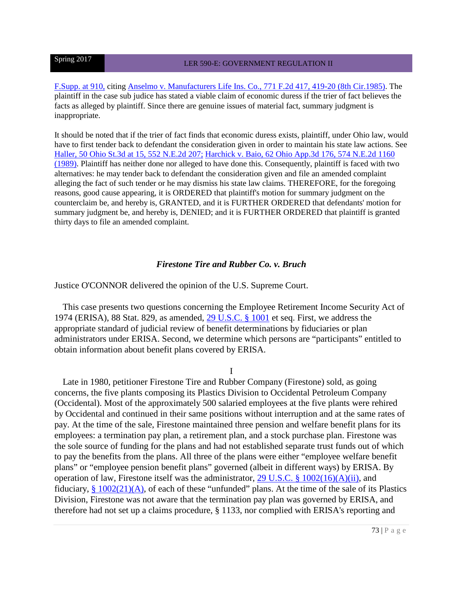[F.Supp. at 910,](http://web2.westlaw.com/find/default.wl?tf=-1&rs=WLW7.10&referencepositiontype=S&serialnum=1991113985&fn=_top&sv=Split&tc=-1&findtype=Y&referenceposition=910&db=345&vr=2.0&rp=%2ffind%2fdefault.wl&mt=LawSchoolPractitioner) citing [Anselmo v. Manufacturers Life Ins. Co.,](http://web2.westlaw.com/find/default.wl?tf=-1&rs=WLW7.10&referencepositiontype=S&serialnum=1985143472&fn=_top&sv=Split&tc=-1&findtype=Y&referenceposition=419&db=350&vr=2.0&rp=%2ffind%2fdefault.wl&mt=LawSchoolPractitioner) 771 F.2d 417, 419-20 (8th Cir.1985). The plaintiff in the case sub judice has stated a viable claim of economic duress if the trier of fact believes the facts as alleged by plaintiff. Since there are genuine issues of material fact, summary judgment is inappropriate.

It should be noted that if the trier of fact finds that economic duress exists, plaintiff, under Ohio law, would have to first tender back to defendant the consideration given in order to maintain his state law actions. See Haller, [50 Ohio St.3d at 15, 552 N.E.2d 207;](http://web2.westlaw.com/find/default.wl?rs=WLW7.10&serialnum=1990053892&fn=_top&sv=Split&tc=-1&findtype=Y&tf=-1&db=578&vr=2.0&rp=%2ffind%2fdefault.wl&mt=LawSchoolPractitioner) Harchick v. Baio, [62 Ohio App.3d 176, 574 N.E.2d 1160](http://web2.westlaw.com/find/default.wl?rs=WLW7.10&serialnum=1991098204&fn=_top&sv=Split&tc=-1&findtype=Y&tf=-1&db=578&vr=2.0&rp=%2ffind%2fdefault.wl&mt=LawSchoolPractitioner)  [\(1989\).](http://web2.westlaw.com/find/default.wl?rs=WLW7.10&serialnum=1991098204&fn=_top&sv=Split&tc=-1&findtype=Y&tf=-1&db=578&vr=2.0&rp=%2ffind%2fdefault.wl&mt=LawSchoolPractitioner) Plaintiff has neither done nor alleged to have done this. Consequently, plaintiff is faced with two alternatives: he may tender back to defendant the consideration given and file an amended complaint alleging the fact of such tender or he may dismiss his state law claims. THEREFORE, for the foregoing reasons, good cause appearing, it is ORDERED that plaintiff's motion for summary judgment on the counterclaim be, and hereby is, GRANTED, and it is FURTHER ORDERED that defendants' motion for summary judgment be, and hereby is, DENIED; and it is FURTHER ORDERED that plaintiff is granted thirty days to file an amended complaint.

### *Firestone Tire and Rubber Co. v. Bruch*

Justice O'CONNOR delivered the opinion of the U.S. Supreme Court.

This case presents two questions concerning the Employee Retirement Income Security Act of 1974 (ERISA), 88 Stat. 829, as amended, [29 U.S.C. § 1001](http://web2.westlaw.com/find/default.wl?tf=-1&rs=WLW9.10&fn=_top&sv=Split&docname=29USCAS1001&tc=-1&pbc=D5845283&ordoc=1989026578&findtype=L&db=1000546&vr=2.0&rp=%2ffind%2fdefault.wl&mt=208) et seq. First, we address the appropriate standard of judicial review of benefit determinations by fiduciaries or plan administrators under ERISA. Second, we determine which persons are "participants" entitled to obtain information about benefit plans covered by ERISA.

I

Late in 1980, petitioner Firestone Tire and Rubber Company (Firestone) sold, as going concerns, the five plants composing its Plastics Division to Occidental Petroleum Company (Occidental). Most of the approximately 500 salaried employees at the five plants were rehired by Occidental and continued in their same positions without interruption and at the same rates of pay. At the time of the sale, Firestone maintained three pension and welfare benefit plans for its employees: a termination pay plan, a retirement plan, and a stock purchase plan. Firestone was the sole source of funding for the plans and had not established separate trust funds out of which to pay the benefits from the plans. All three of the plans were either "employee welfare benefit plans" or "employee pension benefit plans" governed (albeit in different ways) by ERISA. By operation of law, Firestone itself was the administrator,  $29 \text{ U.S.C.}$  §  $1002(16)(\text{A})(\text{ii})$ , and fiduciary,  $\S$  1002(21)(A), of each of these "unfunded" plans. At the time of the sale of its Plastics Division, Firestone was not aware that the termination pay plan was governed by ERISA, and therefore had not set up a claims procedure, § 1133, nor complied with ERISA's reporting and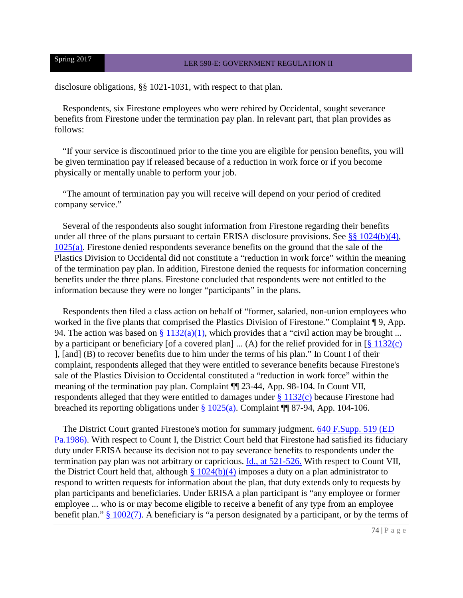disclosure obligations, §§ 1021-1031, with respect to that plan.

Respondents, six Firestone employees who were rehired by Occidental, sought severance benefits from Firestone under the termination pay plan. In relevant part, that plan provides as follows:

"If your service is discontinued prior to the time you are eligible for pension benefits, you will be given termination pay if released because of a reduction in work force or if you become physically or mentally unable to perform your job.

"The amount of termination pay you will receive will depend on your period of credited company service."

Several of the respondents also sought information from Firestone regarding their benefits under all three of the plans pursuant to certain ERISA disclosure provisions. See  $\S$ § 1024(b)(4), [1025\(a\).](http://web2.westlaw.com/find/default.wl?tf=-1&rs=WLW9.10&fn=_top&sv=Split&docname=29USCAS1025&tc=-1&pbc=D5845283&ordoc=1989026578&findtype=L&db=1000546&vr=2.0&rp=%2ffind%2fdefault.wl&mt=208) Firestone denied respondents severance benefits on the ground that the sale of the Plastics Division to Occidental did not constitute a "reduction in work force" within the meaning of the termination pay plan. In addition, Firestone denied the requests for information concerning benefits under the three plans. Firestone concluded that respondents were not entitled to the information because they were no longer "participants" in the plans.

Respondents then filed a class action on behalf of "former, salaried, non-union employees who worked in the five plants that comprised the Plastics Division of Firestone." Complaint ¶ 9, App. 94. The action was based on §  $1132(a)(1)$ , which provides that a "civil action may be brought ... by a participant or beneficiary [of a covered plan] ... (A) for the relief provided for in  $\lceil \S 1132(c) \rceil$ ], [and] (B) to recover benefits due to him under the terms of his plan." In Count I of their complaint, respondents alleged that they were entitled to severance benefits because Firestone's sale of the Plastics Division to Occidental constituted a "reduction in work force" within the meaning of the termination pay plan. Complaint ¶¶ 23-44, App. 98-104. In Count VII, respondents alleged that they were entitled to damages under [§ 1132\(c\)](http://web2.westlaw.com/find/default.wl?tf=-1&rs=WLW9.10&fn=_top&sv=Split&docname=29USCAS1132&tc=-1&pbc=D5845283&ordoc=1989026578&findtype=L&db=1000546&vr=2.0&rp=%2ffind%2fdefault.wl&mt=208) because Firestone had breached its reporting obligations under  $\S 1025(a)$ . Complaint ¶ 87-94, App. 104-106.

The District Court granted Firestone's motion for summary judgment. [640 F.Supp. 519 \(ED](http://web2.westlaw.com/find/default.wl?tf=-1&rs=WLW9.10&serialnum=1986139645&fn=_top&sv=Split&tc=-1&pbc=D5845283&ordoc=1989026578&findtype=Y&db=345&vr=2.0&rp=%2ffind%2fdefault.wl&mt=208)  [Pa.1986\).](http://web2.westlaw.com/find/default.wl?tf=-1&rs=WLW9.10&serialnum=1986139645&fn=_top&sv=Split&tc=-1&pbc=D5845283&ordoc=1989026578&findtype=Y&db=345&vr=2.0&rp=%2ffind%2fdefault.wl&mt=208) With respect to Count I, the District Court held that Firestone had satisfied its fiduciary duty under ERISA because its decision not to pay severance benefits to respondents under the termination pay plan was not arbitrary or capricious. Id., [at 521-526.](http://web2.westlaw.com/find/default.wl?tf=-1&rs=WLW9.10&serialnum=1986139645&fn=_top&sv=Split&tc=-1&pbc=D5845283&ordoc=1989026578&findtype=Y&vr=2.0&rp=%2ffind%2fdefault.wl&mt=208) With respect to Count VII, the District Court held that, although  $\S 1024(b)(4)$  imposes a duty on a plan administrator to respond to written requests for information about the plan, that duty extends only to requests by plan participants and beneficiaries. Under ERISA a plan participant is "any employee or former employee ... who is or may become eligible to receive a benefit of any type from an employee benefit plan."  $\frac{8}{9}$  1002(7). A beneficiary is "a person designated by a participant, or by the terms of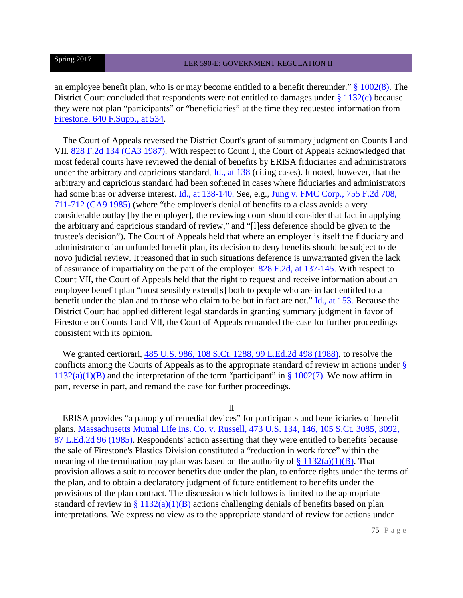an employee benefit plan, who is or may become entitled to a benefit thereunder." [§ 1002\(8\).](http://web2.westlaw.com/find/default.wl?tf=-1&rs=WLW9.10&fn=_top&sv=Split&docname=29USCAS1002&tc=-1&pbc=D5845283&ordoc=1989026578&findtype=L&db=1000546&vr=2.0&rp=%2ffind%2fdefault.wl&mt=208) The District Court concluded that respondents were not entitled to damages under  $\S 1132(c)$  because they were not plan "participants" or "beneficiaries" at the time they requested information from [Firestone. 640 F.Supp., at 534.](http://web2.westlaw.com/find/default.wl?tf=-1&rs=WLW9.10&referencepositiontype=S&serialnum=1986139645&fn=_top&sv=Split&referenceposition=534&pbc=D5845283&tc=-1&ordoc=1989026578&findtype=Y&db=345&vr=2.0&rp=%2ffind%2fdefault.wl&mt=208)

The Court of Appeals reversed the District Court's grant of summary judgment on Counts I and VII. [828 F.2d 134 \(CA3 1987\).](http://web2.westlaw.com/find/default.wl?tf=-1&rs=WLW9.10&serialnum=1987108189&fn=_top&sv=Split&tc=-1&pbc=D5845283&ordoc=1989026578&findtype=Y&db=350&vr=2.0&rp=%2ffind%2fdefault.wl&mt=208) With respect to Count I, the Court of Appeals acknowledged that most federal courts have reviewed the denial of benefits by ERISA fiduciaries and administrators under the arbitrary and capricious standard. Id., [at 138](http://web2.westlaw.com/find/default.wl?tf=-1&rs=WLW9.10&serialnum=1987108189&fn=_top&sv=Split&tc=-1&pbc=D5845283&ordoc=1989026578&findtype=Y&vr=2.0&rp=%2ffind%2fdefault.wl&mt=208) (citing cases). It noted, however, that the arbitrary and capricious standard had been softened in cases where fiduciaries and administrators had some bias or adverse interest. Id., [at 138-140.](http://web2.westlaw.com/find/default.wl?tf=-1&rs=WLW9.10&serialnum=1987108189&fn=_top&sv=Split&tc=-1&pbc=D5845283&ordoc=1989026578&findtype=Y&vr=2.0&rp=%2ffind%2fdefault.wl&mt=208) See, e.g., [Jung v. FMC Corp.,](http://web2.westlaw.com/find/default.wl?tf=-1&rs=WLW9.10&referencepositiontype=S&serialnum=1985113300&fn=_top&sv=Split&referenceposition=711&pbc=D5845283&tc=-1&ordoc=1989026578&findtype=Y&db=350&vr=2.0&rp=%2ffind%2fdefault.wl&mt=208) 755 F.2d 708, [711-712 \(CA9 1985\)](http://web2.westlaw.com/find/default.wl?tf=-1&rs=WLW9.10&referencepositiontype=S&serialnum=1985113300&fn=_top&sv=Split&referenceposition=711&pbc=D5845283&tc=-1&ordoc=1989026578&findtype=Y&db=350&vr=2.0&rp=%2ffind%2fdefault.wl&mt=208) (where "the employer's denial of benefits to a class avoids a very considerable outlay [by the employer], the reviewing court should consider that fact in applying the arbitrary and capricious standard of review," and "[l]ess deference should be given to the trustee's decision"). The Court of Appeals held that where an employer is itself the fiduciary and administrator of an unfunded benefit plan, its decision to deny benefits should be subject to de novo judicial review. It reasoned that in such situations deference is unwarranted given the lack of assurance of impartiality on the part of the employer. [828 F.2d, at 137-145.](http://web2.westlaw.com/find/default.wl?tf=-1&rs=WLW9.10&referencepositiontype=S&serialnum=1987108189&fn=_top&sv=Split&referenceposition=137&pbc=D5845283&tc=-1&ordoc=1989026578&findtype=Y&db=350&vr=2.0&rp=%2ffind%2fdefault.wl&mt=208) With respect to Count VII, the Court of Appeals held that the right to request and receive information about an employee benefit plan "most sensibly extend[s] both to people who are in fact entitled to a benefit under the plan and to those who claim to be but in fact are not." Id., [at 153.](http://web2.westlaw.com/find/default.wl?tf=-1&rs=WLW9.10&serialnum=1987108189&fn=_top&sv=Split&tc=-1&pbc=D5845283&ordoc=1989026578&findtype=Y&vr=2.0&rp=%2ffind%2fdefault.wl&mt=208) Because the District Court had applied different legal standards in granting summary judgment in favor of Firestone on Counts I and VII, the Court of Appeals remanded the case for further proceedings consistent with its opinion.

We granted certiorari, [485 U.S. 986, 108 S.Ct. 1288, 99 L.Ed.2d 498 \(1988\),](http://web2.westlaw.com/find/default.wl?tf=-1&rs=WLW9.10&fn=_top&sv=Split&docname=108SCT1288&tc=-1&pbc=D5845283&ordoc=1989026578&findtype=Y&db=708&vr=2.0&rp=%2ffind%2fdefault.wl&mt=208) to resolve the conflicts among the Courts of Appeals as to the appropriate standard of review in actions under [§](http://web2.westlaw.com/find/default.wl?tf=-1&rs=WLW9.10&fn=_top&sv=Split&docname=29USCAS1132&tc=-1&pbc=D5845283&ordoc=1989026578&findtype=L&db=1000546&vr=2.0&rp=%2ffind%2fdefault.wl&mt=208)   $1132(a)(1)(B)$  and the interpretation of the term "participant" in [§ 1002\(7\).](http://web2.westlaw.com/find/default.wl?tf=-1&rs=WLW9.10&fn=_top&sv=Split&docname=29USCAS1002&tc=-1&pbc=D5845283&ordoc=1989026578&findtype=L&db=1000546&vr=2.0&rp=%2ffind%2fdefault.wl&mt=208) We now affirm in part, reverse in part, and remand the case for further proceedings.

### II

ERISA provides "a panoply of remedial devices" for participants and beneficiaries of benefit plans. [Massachusetts Mutual Life Ins. Co. v. Russell,](http://web2.westlaw.com/find/default.wl?tf=-1&rs=WLW9.10&referencepositiontype=S&serialnum=1985132616&fn=_top&sv=Split&referenceposition=3092&pbc=D5845283&tc=-1&ordoc=1989026578&findtype=Y&db=708&vr=2.0&rp=%2ffind%2fdefault.wl&mt=208) 473 U.S. 134, 146, 105 S.Ct. 3085, 3092, [87 L.Ed.2d 96 \(1985\).](http://web2.westlaw.com/find/default.wl?tf=-1&rs=WLW9.10&referencepositiontype=S&serialnum=1985132616&fn=_top&sv=Split&referenceposition=3092&pbc=D5845283&tc=-1&ordoc=1989026578&findtype=Y&db=708&vr=2.0&rp=%2ffind%2fdefault.wl&mt=208) Respondents' action asserting that they were entitled to benefits because the sale of Firestone's Plastics Division constituted a "reduction in work force" within the meaning of the termination pay plan was based on the authority of  $\S 1132(a)(1)(B)$ . That provision allows a suit to recover benefits due under the plan, to enforce rights under the terms of the plan, and to obtain a declaratory judgment of future entitlement to benefits under the provisions of the plan contract. The discussion which follows is limited to the appropriate standard of review in §  $1132(a)(1)(B)$  actions challenging denials of benefits based on plan interpretations. We express no view as to the appropriate standard of review for actions under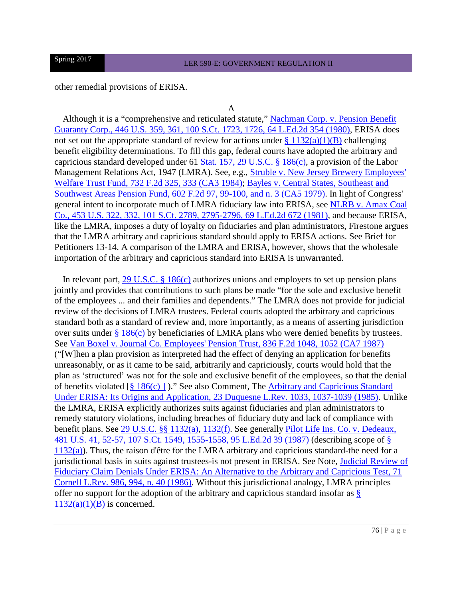other remedial provisions of ERISA.

A

Although it is a "comprehensive and reticulated statute," [Nachman Corp. v. Pension Benefit](http://web2.westlaw.com/find/default.wl?tf=-1&rs=WLW9.10&referencepositiontype=S&serialnum=1980116742&fn=_top&sv=Split&referenceposition=1726&pbc=D5845283&tc=-1&ordoc=1989026578&findtype=Y&db=708&vr=2.0&rp=%2ffind%2fdefault.wl&mt=208)  Guaranty Corp., [446 U.S. 359, 361, 100 S.Ct. 1723, 1726, 64 L.Ed.2d 354 \(1980\),](http://web2.westlaw.com/find/default.wl?tf=-1&rs=WLW9.10&referencepositiontype=S&serialnum=1980116742&fn=_top&sv=Split&referenceposition=1726&pbc=D5845283&tc=-1&ordoc=1989026578&findtype=Y&db=708&vr=2.0&rp=%2ffind%2fdefault.wl&mt=208) ERISA does not set out the appropriate standard of review for actions under  $\S 1132(a)(1)(B)$  challenging benefit eligibility determinations. To fill this gap, federal courts have adopted the arbitrary and capricious standard developed under 61 [Stat. 157, 29 U.S.C. § 186\(c\),](http://web2.westlaw.com/find/default.wl?tf=-1&rs=WLW9.10&fn=_top&sv=Split&docname=29USCAS186&tc=-1&pbc=D5845283&ordoc=1989026578&findtype=L&db=1000546&vr=2.0&rp=%2ffind%2fdefault.wl&mt=208) a provision of the Labor Management Relations Act, 1947 (LMRA). See, e.g., [Struble v. New Jersey Brewery Employees'](http://web2.westlaw.com/find/default.wl?tf=-1&rs=WLW9.10&referencepositiontype=S&serialnum=1984118796&fn=_top&sv=Split&referenceposition=333&pbc=D5845283&tc=-1&ordoc=1989026578&findtype=Y&db=350&vr=2.0&rp=%2ffind%2fdefault.wl&mt=208)  Welfare Trust Fund, [732 F.2d 325, 333 \(CA3 1984\);](http://web2.westlaw.com/find/default.wl?tf=-1&rs=WLW9.10&referencepositiontype=S&serialnum=1984118796&fn=_top&sv=Split&referenceposition=333&pbc=D5845283&tc=-1&ordoc=1989026578&findtype=Y&db=350&vr=2.0&rp=%2ffind%2fdefault.wl&mt=208) [Bayles v. Central States, Southeast and](http://web2.westlaw.com/find/default.wl?tf=-1&rs=WLW9.10&referencepositiontype=S&serialnum=1979113786&fn=_top&sv=Split&referenceposition=99&pbc=D5845283&tc=-1&ordoc=1989026578&findtype=Y&db=350&vr=2.0&rp=%2ffind%2fdefault.wl&mt=208)  Southwest Areas Pension Fund, [602 F.2d 97, 99-100, and n. 3 \(CA5 1979\).](http://web2.westlaw.com/find/default.wl?tf=-1&rs=WLW9.10&referencepositiontype=S&serialnum=1979113786&fn=_top&sv=Split&referenceposition=99&pbc=D5845283&tc=-1&ordoc=1989026578&findtype=Y&db=350&vr=2.0&rp=%2ffind%2fdefault.wl&mt=208) In light of Congress' general intent to incorporate much of LMRA fiduciary law into ERISA, see [NLRB v. Amax Coal](http://web2.westlaw.com/find/default.wl?tf=-1&rs=WLW9.10&referencepositiontype=S&serialnum=1981128570&fn=_top&sv=Split&referenceposition=2795&pbc=D5845283&tc=-1&ordoc=1989026578&findtype=Y&db=708&vr=2.0&rp=%2ffind%2fdefault.wl&mt=208)  Co., [453 U.S. 322, 332, 101 S.Ct. 2789, 2795-2796, 69 L.Ed.2d 672 \(1981\),](http://web2.westlaw.com/find/default.wl?tf=-1&rs=WLW9.10&referencepositiontype=S&serialnum=1981128570&fn=_top&sv=Split&referenceposition=2795&pbc=D5845283&tc=-1&ordoc=1989026578&findtype=Y&db=708&vr=2.0&rp=%2ffind%2fdefault.wl&mt=208) and because ERISA, like the LMRA, imposes a duty of loyalty on fiduciaries and plan administrators, Firestone argues that the LMRA arbitrary and capricious standard should apply to ERISA actions. See Brief for Petitioners 13-14. A comparison of the LMRA and ERISA, however, shows that the wholesale importation of the arbitrary and capricious standard into ERISA is unwarranted.

In relevant part, [29 U.S.C. § 186\(c\)](http://web2.westlaw.com/find/default.wl?tf=-1&rs=WLW9.10&fn=_top&sv=Split&docname=29USCAS186&tc=-1&pbc=D5845283&ordoc=1989026578&findtype=L&db=1000546&vr=2.0&rp=%2ffind%2fdefault.wl&mt=208) authorizes unions and employers to set up pension plans jointly and provides that contributions to such plans be made "for the sole and exclusive benefit of the employees ... and their families and dependents." The LMRA does not provide for judicial review of the decisions of LMRA trustees. Federal courts adopted the arbitrary and capricious standard both as a standard of review and, more importantly, as a means of asserting jurisdiction over suits under [§ 186\(c\)](http://web2.westlaw.com/find/default.wl?tf=-1&rs=WLW9.10&fn=_top&sv=Split&docname=29USCAS186&tc=-1&pbc=D5845283&ordoc=1989026578&findtype=L&db=1000546&vr=2.0&rp=%2ffind%2fdefault.wl&mt=208) by beneficiaries of LMRA plans who were denied benefits by trustees. See [Van Boxel v. Journal Co. Employees' Pension Trust,](http://web2.westlaw.com/find/default.wl?tf=-1&rs=WLW9.10&referencepositiontype=S&serialnum=1987160466&fn=_top&sv=Split&referenceposition=1052&pbc=D5845283&tc=-1&ordoc=1989026578&findtype=Y&db=350&vr=2.0&rp=%2ffind%2fdefault.wl&mt=208) 836 F.2d 1048, 1052 (CA7 1987) ("[W]hen a plan provision as interpreted had the effect of denying an application for benefits unreasonably, or as it came to be said, arbitrarily and capriciously, courts would hold that the plan as 'structured' was not for the sole and exclusive benefit of the employees, so that the denial of benefits violated [\[§ 186\(c\) \]](http://web2.westlaw.com/find/default.wl?tf=-1&rs=WLW9.10&fn=_top&sv=Split&docname=29USCAS186&tc=-1&pbc=D5845283&ordoc=1989026578&findtype=L&db=1000546&vr=2.0&rp=%2ffind%2fdefault.wl&mt=208) )." See also Comment, The [Arbitrary and Capricious Standard](http://web2.westlaw.com/find/default.wl?tf=-1&rs=WLW9.10&referencepositiontype=S&serialnum=0101358877&fn=_top&sv=Split&referenceposition=1037&pbc=D5845283&tc=-1&ordoc=1989026578&findtype=Y&db=1134&vr=2.0&rp=%2ffind%2fdefault.wl&mt=208)  [Under ERISA: Its Origins and Application, 23 Duquesne L.Rev. 1033, 1037-1039 \(1985\).](http://web2.westlaw.com/find/default.wl?tf=-1&rs=WLW9.10&referencepositiontype=S&serialnum=0101358877&fn=_top&sv=Split&referenceposition=1037&pbc=D5845283&tc=-1&ordoc=1989026578&findtype=Y&db=1134&vr=2.0&rp=%2ffind%2fdefault.wl&mt=208) Unlike the LMRA, ERISA explicitly authorizes suits against fiduciaries and plan administrators to remedy statutory violations, including breaches of fiduciary duty and lack of compliance with benefit plans. See [29 U.S.C. §§ 1132\(a\), 1132\(f\).](http://web2.westlaw.com/find/default.wl?tf=-1&rs=WLW9.10&fn=_top&sv=Split&docname=29USCAS1132&tc=-1&pbc=D5845283&ordoc=1989026578&findtype=L&db=1000546&vr=2.0&rp=%2ffind%2fdefault.wl&mt=208) See generally [Pilot Life Ins. Co. v. Dedeaux,](http://web2.westlaw.com/find/default.wl?tf=-1&rs=WLW9.10&referencepositiontype=S&serialnum=1987042953&fn=_top&sv=Split&referenceposition=1555&pbc=D5845283&tc=-1&ordoc=1989026578&findtype=Y&db=708&vr=2.0&rp=%2ffind%2fdefault.wl&mt=208) [481 U.S. 41, 52-57, 107 S.Ct. 1549, 1555-1558, 95 L.Ed.2d 39 \(1987\)](http://web2.westlaw.com/find/default.wl?tf=-1&rs=WLW9.10&referencepositiontype=S&serialnum=1987042953&fn=_top&sv=Split&referenceposition=1555&pbc=D5845283&tc=-1&ordoc=1989026578&findtype=Y&db=708&vr=2.0&rp=%2ffind%2fdefault.wl&mt=208) (describing scope of [§](http://web2.westlaw.com/find/default.wl?tf=-1&rs=WLW9.10&fn=_top&sv=Split&docname=29USCAS1132&tc=-1&pbc=D5845283&ordoc=1989026578&findtype=L&db=1000546&vr=2.0&rp=%2ffind%2fdefault.wl&mt=208)  [1132\(a\)\)](http://web2.westlaw.com/find/default.wl?tf=-1&rs=WLW9.10&fn=_top&sv=Split&docname=29USCAS1132&tc=-1&pbc=D5845283&ordoc=1989026578&findtype=L&db=1000546&vr=2.0&rp=%2ffind%2fdefault.wl&mt=208). Thus, the raison d'être for the LMRA arbitrary and capricious standard-the need for a jurisdictional basis in suits against trustees-is not present in ERISA. See Note, [Judicial Review of](http://web2.westlaw.com/find/default.wl?tf=-1&rs=WLW9.10&referencepositiontype=S&serialnum=0102694008&fn=_top&sv=Split&referenceposition=994&pbc=D5845283&tc=-1&ordoc=1989026578&findtype=Y&db=1111&vr=2.0&rp=%2ffind%2fdefault.wl&mt=208)  [Fiduciary Claim Denials Under ERISA: An Alternative to the Arbitrary and Capricious Test, 71](http://web2.westlaw.com/find/default.wl?tf=-1&rs=WLW9.10&referencepositiontype=S&serialnum=0102694008&fn=_top&sv=Split&referenceposition=994&pbc=D5845283&tc=-1&ordoc=1989026578&findtype=Y&db=1111&vr=2.0&rp=%2ffind%2fdefault.wl&mt=208)  [Cornell L.Rev. 986, 994, n. 40 \(1986\).](http://web2.westlaw.com/find/default.wl?tf=-1&rs=WLW9.10&referencepositiontype=S&serialnum=0102694008&fn=_top&sv=Split&referenceposition=994&pbc=D5845283&tc=-1&ordoc=1989026578&findtype=Y&db=1111&vr=2.0&rp=%2ffind%2fdefault.wl&mt=208) Without this jurisdictional analogy, LMRA principles offer no support for the adoption of the arbitrary and capricious standard insofar as  $\S$  $1132(a)(1)(B)$  is concerned.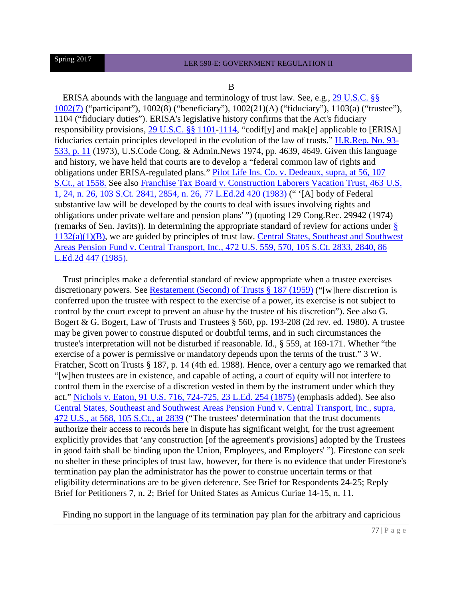B

ERISA abounds with the language and terminology of trust law. See, e.g., [29 U.S.C. §§](http://web2.westlaw.com/find/default.wl?tf=-1&rs=WLW9.10&fn=_top&sv=Split&docname=29USCAS1002&tc=-1&pbc=D5845283&ordoc=1989026578&findtype=L&db=1000546&vr=2.0&rp=%2ffind%2fdefault.wl&mt=208)  [1002\(7\)](http://web2.westlaw.com/find/default.wl?tf=-1&rs=WLW9.10&fn=_top&sv=Split&docname=29USCAS1002&tc=-1&pbc=D5845283&ordoc=1989026578&findtype=L&db=1000546&vr=2.0&rp=%2ffind%2fdefault.wl&mt=208) ("participant"), 1002(8) ("beneficiary"), 1002(21)(A) ("fiduciary"), 1103(a) ("trustee"), 1104 ("fiduciary duties"). ERISA's legislative history confirms that the Act's fiduciary responsibility provisions, [29 U.S.C. §§ 1101-](http://web2.westlaw.com/find/default.wl?tf=-1&rs=WLW9.10&fn=_top&sv=Split&docname=29USCAS1101&tc=-1&pbc=D5845283&ordoc=1989026578&findtype=L&db=1000546&vr=2.0&rp=%2ffind%2fdefault.wl&mt=208)[1114,](http://web2.westlaw.com/find/default.wl?tf=-1&rs=WLW9.10&fn=_top&sv=Split&docname=29USCAS1114&tc=-1&pbc=D5845283&ordoc=1989026578&findtype=L&db=1000546&vr=2.0&rp=%2ffind%2fdefault.wl&mt=208) "codif[y] and mak[e] applicable to [ERISA] fiduciaries certain principles developed in the evolution of the law of trusts." [H.R.Rep. No. 93-](http://web2.westlaw.com/find/default.wl?tf=-1&rs=WLW9.10&serialnum=0100747159&fn=_top&sv=Split&tc=-1&pbc=D5845283&ordoc=1989026578&findtype=Y&db=0100014&vr=2.0&rp=%2ffind%2fdefault.wl&mt=208) [533, p. 11](http://web2.westlaw.com/find/default.wl?tf=-1&rs=WLW9.10&serialnum=0100747159&fn=_top&sv=Split&tc=-1&pbc=D5845283&ordoc=1989026578&findtype=Y&db=0100014&vr=2.0&rp=%2ffind%2fdefault.wl&mt=208) (1973), U.S.Code Cong. & Admin.News 1974, pp. 4639, 4649. Given this language and history, we have held that courts are to develop a "federal common law of rights and obligations under ERISA-regulated plans." [Pilot Life Ins. Co. v. Dedeaux, supra,](http://web2.westlaw.com/find/default.wl?tf=-1&rs=WLW9.10&referencepositiontype=S&serialnum=1987042953&fn=_top&sv=Split&referenceposition=1558&pbc=D5845283&tc=-1&ordoc=1989026578&findtype=Y&db=708&vr=2.0&rp=%2ffind%2fdefault.wl&mt=208) at 56, 107 [S.Ct., at 1558.](http://web2.westlaw.com/find/default.wl?tf=-1&rs=WLW9.10&referencepositiontype=S&serialnum=1987042953&fn=_top&sv=Split&referenceposition=1558&pbc=D5845283&tc=-1&ordoc=1989026578&findtype=Y&db=708&vr=2.0&rp=%2ffind%2fdefault.wl&mt=208) See also [Franchise Tax Board v. Construction Laborers Vacation Trust,](http://web2.westlaw.com/find/default.wl?tf=-1&rs=WLW9.10&referencepositiontype=S&serialnum=1983129660&fn=_top&sv=Split&referenceposition=2854&pbc=D5845283&tc=-1&ordoc=1989026578&findtype=Y&db=708&vr=2.0&rp=%2ffind%2fdefault.wl&mt=208) 463 U.S. [1, 24, n. 26, 103 S.Ct. 2841, 2854, n. 26, 77 L.Ed.2d 420 \(1983\)](http://web2.westlaw.com/find/default.wl?tf=-1&rs=WLW9.10&referencepositiontype=S&serialnum=1983129660&fn=_top&sv=Split&referenceposition=2854&pbc=D5845283&tc=-1&ordoc=1989026578&findtype=Y&db=708&vr=2.0&rp=%2ffind%2fdefault.wl&mt=208) (" '[A] body of Federal substantive law will be developed by the courts to deal with issues involving rights and obligations under private welfare and pension plans' ") (quoting 129 Cong.Rec. 29942 (1974) (remarks of Sen. Javits)). In determining the appropriate standard of review for actions under [§](http://web2.westlaw.com/find/default.wl?tf=-1&rs=WLW9.10&fn=_top&sv=Split&docname=29USCAS1132&tc=-1&pbc=D5845283&ordoc=1989026578&findtype=L&db=1000546&vr=2.0&rp=%2ffind%2fdefault.wl&mt=208)  [1132\(a\)\(1\)\(B\),](http://web2.westlaw.com/find/default.wl?tf=-1&rs=WLW9.10&fn=_top&sv=Split&docname=29USCAS1132&tc=-1&pbc=D5845283&ordoc=1989026578&findtype=L&db=1000546&vr=2.0&rp=%2ffind%2fdefault.wl&mt=208) we are guided by principles of trust law. [Central States, Southeast and Southwest](http://web2.westlaw.com/find/default.wl?tf=-1&rs=WLW9.10&referencepositiontype=S&serialnum=1985131121&fn=_top&sv=Split&referenceposition=2840&pbc=D5845283&tc=-1&ordoc=1989026578&findtype=Y&db=708&vr=2.0&rp=%2ffind%2fdefault.wl&mt=208)  [Areas Pension Fund v. Central Transport, Inc.,](http://web2.westlaw.com/find/default.wl?tf=-1&rs=WLW9.10&referencepositiontype=S&serialnum=1985131121&fn=_top&sv=Split&referenceposition=2840&pbc=D5845283&tc=-1&ordoc=1989026578&findtype=Y&db=708&vr=2.0&rp=%2ffind%2fdefault.wl&mt=208) 472 U.S. 559, 570, 105 S.Ct. 2833, 2840, 86 [L.Ed.2d 447 \(1985\).](http://web2.westlaw.com/find/default.wl?tf=-1&rs=WLW9.10&referencepositiontype=S&serialnum=1985131121&fn=_top&sv=Split&referenceposition=2840&pbc=D5845283&tc=-1&ordoc=1989026578&findtype=Y&db=708&vr=2.0&rp=%2ffind%2fdefault.wl&mt=208)

Trust principles make a deferential standard of review appropriate when a trustee exercises discretionary powers. See [Restatement \(Second\) of Trusts § 187 \(1959\)](http://web2.westlaw.com/find/default.wl?tf=-1&rs=WLW9.10&serialnum=0291388739&fn=_top&sv=Split&tc=-1&pbc=D5845283&ordoc=1989026578&findtype=Y&db=0101580&vr=2.0&rp=%2ffind%2fdefault.wl&mt=208) ("[w]here discretion is conferred upon the trustee with respect to the exercise of a power, its exercise is not subject to control by the court except to prevent an abuse by the trustee of his discretion"). See also G. Bogert & G. Bogert, Law of Trusts and Trustees § 560, pp. 193-208 (2d rev. ed. 1980). A trustee may be given power to construe disputed or doubtful terms, and in such circumstances the trustee's interpretation will not be disturbed if reasonable. Id., § 559, at 169-171. Whether "the exercise of a power is permissive or mandatory depends upon the terms of the trust." 3 W. Fratcher, Scott on Trusts § 187, p. 14 (4th ed. 1988). Hence, over a century ago we remarked that "[w]hen trustees are in existence, and capable of acting, a court of equity will not interfere to control them in the exercise of a discretion vested in them by the instrument under which they act." Nichols v. Eaton, [91 U.S. 716, 724-725, 23 L.Ed. 254 \(1875\)](http://web2.westlaw.com/find/default.wl?tf=-1&rs=WLW9.10&referencepositiontype=S&serialnum=1875196305&fn=_top&sv=Split&referenceposition=724&pbc=D5845283&tc=-1&ordoc=1989026578&findtype=Y&db=780&vr=2.0&rp=%2ffind%2fdefault.wl&mt=208) (emphasis added). See also [Central States, Southeast and Southwest Areas Pension Fund v. Central Transport, Inc., supra,](http://web2.westlaw.com/find/default.wl?tf=-1&rs=WLW9.10&referencepositiontype=S&serialnum=1985131121&fn=_top&sv=Split&referenceposition=2839&pbc=D5845283&tc=-1&ordoc=1989026578&findtype=Y&db=708&vr=2.0&rp=%2ffind%2fdefault.wl&mt=208) [472 U.S., at 568, 105 S.Ct., at 2839](http://web2.westlaw.com/find/default.wl?tf=-1&rs=WLW9.10&referencepositiontype=S&serialnum=1985131121&fn=_top&sv=Split&referenceposition=2839&pbc=D5845283&tc=-1&ordoc=1989026578&findtype=Y&db=708&vr=2.0&rp=%2ffind%2fdefault.wl&mt=208) ("The trustees' determination that the trust documents authorize their access to records here in dispute has significant weight, for the trust agreement explicitly provides that 'any construction [of the agreement's provisions] adopted by the Trustees in good faith shall be binding upon the Union, Employees, and Employers' "). Firestone can seek no shelter in these principles of trust law, however, for there is no evidence that under Firestone's termination pay plan the administrator has the power to construe uncertain terms or that eligibility determinations are to be given deference. See Brief for Respondents 24-25; Reply Brief for Petitioners 7, n. 2; Brief for United States as Amicus Curiae 14-15, n. 11.

Finding no support in the language of its termination pay plan for the arbitrary and capricious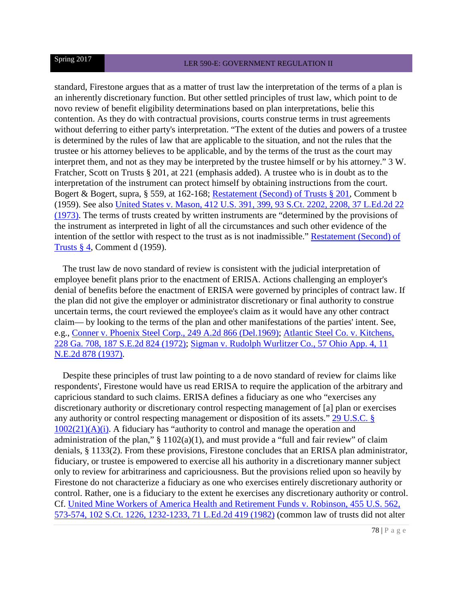standard, Firestone argues that as a matter of trust law the interpretation of the terms of a plan is an inherently discretionary function. But other settled principles of trust law, which point to de novo review of benefit eligibility determinations based on plan interpretations, belie this contention. As they do with contractual provisions, courts construe terms in trust agreements without deferring to either party's interpretation. "The extent of the duties and powers of a trustee is determined by the rules of law that are applicable to the situation, and not the rules that the trustee or his attorney believes to be applicable, and by the terms of the trust as the court may interpret them, and not as they may be interpreted by the trustee himself or by his attorney." 3 W. Fratcher, Scott on Trusts § 201, at 221 (emphasis added). A trustee who is in doubt as to the interpretation of the instrument can protect himself by obtaining instructions from the court. Bogert & Bogert, supra, § 559, at 162-168; [Restatement \(Second\) of Trusts § 201,](http://web2.westlaw.com/find/default.wl?tf=-1&rs=WLW9.10&serialnum=0291388755&fn=_top&sv=Split&tc=-1&pbc=D5845283&ordoc=1989026578&findtype=Y&db=0101580&vr=2.0&rp=%2ffind%2fdefault.wl&mt=208) Comment b (1959). See also United States v. Mason, [412 U.S. 391, 399, 93 S.Ct. 2202, 2208, 37 L.Ed.2d 22](http://web2.westlaw.com/find/default.wl?tf=-1&rs=WLW9.10&referencepositiontype=S&serialnum=1973126411&fn=_top&sv=Split&referenceposition=2208&pbc=D5845283&tc=-1&ordoc=1989026578&findtype=Y&db=708&vr=2.0&rp=%2ffind%2fdefault.wl&mt=208)  [\(1973\).](http://web2.westlaw.com/find/default.wl?tf=-1&rs=WLW9.10&referencepositiontype=S&serialnum=1973126411&fn=_top&sv=Split&referenceposition=2208&pbc=D5845283&tc=-1&ordoc=1989026578&findtype=Y&db=708&vr=2.0&rp=%2ffind%2fdefault.wl&mt=208) The terms of trusts created by written instruments are "determined by the provisions of the instrument as interpreted in light of all the circumstances and such other evidence of the intention of the settlor with respect to the trust as is not inadmissible." [Restatement \(Second\) of](http://web2.westlaw.com/find/default.wl?tf=-1&rs=WLW9.10&serialnum=0291388528&fn=_top&sv=Split&tc=-1&pbc=D5845283&ordoc=1989026578&findtype=Y&db=0101580&vr=2.0&rp=%2ffind%2fdefault.wl&mt=208)  [Trusts § 4,](http://web2.westlaw.com/find/default.wl?tf=-1&rs=WLW9.10&serialnum=0291388528&fn=_top&sv=Split&tc=-1&pbc=D5845283&ordoc=1989026578&findtype=Y&db=0101580&vr=2.0&rp=%2ffind%2fdefault.wl&mt=208) Comment d (1959).

The trust law de novo standard of review is consistent with the judicial interpretation of employee benefit plans prior to the enactment of ERISA. Actions challenging an employer's denial of benefits before the enactment of ERISA were governed by principles of contract law. If the plan did not give the employer or administrator discretionary or final authority to construe uncertain terms, the court reviewed the employee's claim as it would have any other contract claim— by looking to the terms of the plan and other manifestations of the parties' intent. See, e.g., [Conner v. Phoenix Steel Corp.,](http://web2.westlaw.com/find/default.wl?tf=-1&rs=WLW9.10&serialnum=1969109148&fn=_top&sv=Split&tc=-1&pbc=D5845283&ordoc=1989026578&findtype=Y&db=162&vr=2.0&rp=%2ffind%2fdefault.wl&mt=208) 249 A.2d 866 (Del.1969); [Atlantic Steel Co. v. Kitchens,](http://web2.westlaw.com/find/default.wl?tf=-1&rs=WLW9.10&serialnum=1972127700&fn=_top&sv=Split&tc=-1&pbc=D5845283&ordoc=1989026578&findtype=Y&db=711&vr=2.0&rp=%2ffind%2fdefault.wl&mt=208) [228 Ga. 708, 187 S.E.2d 824 \(1972\);](http://web2.westlaw.com/find/default.wl?tf=-1&rs=WLW9.10&serialnum=1972127700&fn=_top&sv=Split&tc=-1&pbc=D5845283&ordoc=1989026578&findtype=Y&db=711&vr=2.0&rp=%2ffind%2fdefault.wl&mt=208) [Sigman v. Rudolph Wurlitzer Co.,](http://web2.westlaw.com/find/default.wl?tf=-1&rs=WLW9.10&serialnum=1938111985&fn=_top&sv=Split&tc=-1&pbc=D5845283&ordoc=1989026578&findtype=Y&db=578&vr=2.0&rp=%2ffind%2fdefault.wl&mt=208) 57 Ohio App. 4, 11 [N.E.2d 878 \(1937\).](http://web2.westlaw.com/find/default.wl?tf=-1&rs=WLW9.10&serialnum=1938111985&fn=_top&sv=Split&tc=-1&pbc=D5845283&ordoc=1989026578&findtype=Y&db=578&vr=2.0&rp=%2ffind%2fdefault.wl&mt=208)

Despite these principles of trust law pointing to a de novo standard of review for claims like respondents', Firestone would have us read ERISA to require the application of the arbitrary and capricious standard to such claims. ERISA defines a fiduciary as one who "exercises any discretionary authority or discretionary control respecting management of [a] plan or exercises any authority or control respecting management or disposition of its assets." [29 U.S.C. §](http://web2.westlaw.com/find/default.wl?tf=-1&rs=WLW9.10&fn=_top&sv=Split&docname=29USCAS1002&tc=-1&pbc=D5845283&ordoc=1989026578&findtype=L&db=1000546&vr=2.0&rp=%2ffind%2fdefault.wl&mt=208)   $1002(21)(A)(i)$ . A fiduciary has "authority to control and manage the operation and administration of the plan,"  $\S 1102(a)(1)$ , and must provide a "full and fair review" of claim denials, § 1133(2). From these provisions, Firestone concludes that an ERISA plan administrator, fiduciary, or trustee is empowered to exercise all his authority in a discretionary manner subject only to review for arbitrariness and capriciousness. But the provisions relied upon so heavily by Firestone do not characterize a fiduciary as one who exercises entirely discretionary authority or control. Rather, one is a fiduciary to the extent he exercises any discretionary authority or control. Cf. [United Mine Workers of America Health and Retirement Funds v. Robinson,](http://web2.westlaw.com/find/default.wl?tf=-1&rs=WLW9.10&referencepositiontype=S&serialnum=1982110649&fn=_top&sv=Split&referenceposition=1232&pbc=D5845283&tc=-1&ordoc=1989026578&findtype=Y&db=708&vr=2.0&rp=%2ffind%2fdefault.wl&mt=208) 455 U.S. 562, [573-574, 102 S.Ct. 1226, 1232-1233, 71 L.Ed.2d 419 \(1982\)](http://web2.westlaw.com/find/default.wl?tf=-1&rs=WLW9.10&referencepositiontype=S&serialnum=1982110649&fn=_top&sv=Split&referenceposition=1232&pbc=D5845283&tc=-1&ordoc=1989026578&findtype=Y&db=708&vr=2.0&rp=%2ffind%2fdefault.wl&mt=208) (common law of trusts did not alter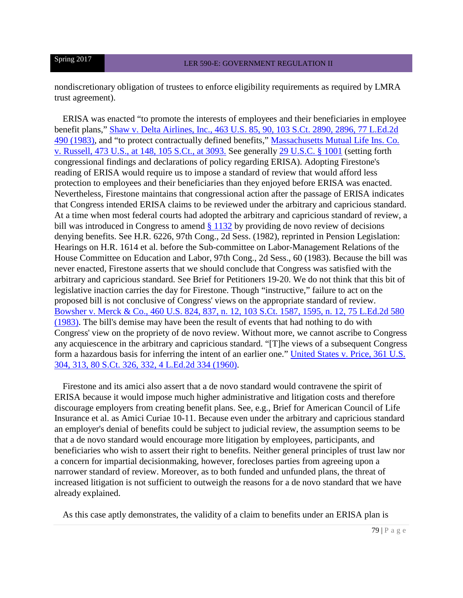nondiscretionary obligation of trustees to enforce eligibility requirements as required by LMRA trust agreement).

ERISA was enacted "to promote the interests of employees and their beneficiaries in employee benefit plans," Shaw v. Delta Airlines, Inc., [463 U.S. 85, 90, 103 S.Ct. 2890, 2896, 77 L.Ed.2d](http://web2.westlaw.com/find/default.wl?tf=-1&rs=WLW9.10&referencepositiontype=S&serialnum=1983129663&fn=_top&sv=Split&referenceposition=2896&pbc=D5845283&tc=-1&ordoc=1989026578&findtype=Y&db=708&vr=2.0&rp=%2ffind%2fdefault.wl&mt=208)  [490 \(1983\),](http://web2.westlaw.com/find/default.wl?tf=-1&rs=WLW9.10&referencepositiontype=S&serialnum=1983129663&fn=_top&sv=Split&referenceposition=2896&pbc=D5845283&tc=-1&ordoc=1989026578&findtype=Y&db=708&vr=2.0&rp=%2ffind%2fdefault.wl&mt=208) and "to protect contractually defined benefits," [Massachusetts Mutual Life Ins. Co.](http://web2.westlaw.com/find/default.wl?tf=-1&rs=WLW9.10&referencepositiontype=S&serialnum=1985132616&fn=_top&sv=Split&referenceposition=3093&pbc=D5845283&tc=-1&ordoc=1989026578&findtype=Y&db=708&vr=2.0&rp=%2ffind%2fdefault.wl&mt=208)  v. Russell, [473 U.S., at 148, 105 S.Ct., at 3093.](http://web2.westlaw.com/find/default.wl?tf=-1&rs=WLW9.10&referencepositiontype=S&serialnum=1985132616&fn=_top&sv=Split&referenceposition=3093&pbc=D5845283&tc=-1&ordoc=1989026578&findtype=Y&db=708&vr=2.0&rp=%2ffind%2fdefault.wl&mt=208) See generally [29 U.S.C. § 1001](http://web2.westlaw.com/find/default.wl?tf=-1&rs=WLW9.10&fn=_top&sv=Split&docname=29USCAS1001&tc=-1&pbc=D5845283&ordoc=1989026578&findtype=L&db=1000546&vr=2.0&rp=%2ffind%2fdefault.wl&mt=208) (setting forth congressional findings and declarations of policy regarding ERISA). Adopting Firestone's reading of ERISA would require us to impose a standard of review that would afford less protection to employees and their beneficiaries than they enjoyed before ERISA was enacted. Nevertheless, Firestone maintains that congressional action after the passage of ERISA indicates that Congress intended ERISA claims to be reviewed under the arbitrary and capricious standard. At a time when most federal courts had adopted the arbitrary and capricious standard of review, a bill was introduced in Congress to amend [§ 1132](http://web2.westlaw.com/find/default.wl?tf=-1&rs=WLW9.10&fn=_top&sv=Split&docname=29USCAS1132&tc=-1&pbc=D5845283&ordoc=1989026578&findtype=L&db=1000546&vr=2.0&rp=%2ffind%2fdefault.wl&mt=208) by providing de novo review of decisions denying benefits. See H.R. 6226, 97th Cong., 2d Sess. (1982), reprinted in Pension Legislation: Hearings on H.R. 1614 et al. before the Sub-committee on Labor-Management Relations of the House Committee on Education and Labor, 97th Cong., 2d Sess., 60 (1983). Because the bill was never enacted, Firestone asserts that we should conclude that Congress was satisfied with the arbitrary and capricious standard. See Brief for Petitioners 19-20. We do not think that this bit of legislative inaction carries the day for Firestone. Though "instructive," failure to act on the proposed bill is not conclusive of Congress' views on the appropriate standard of review. Bowsher v. Merck & Co., [460 U.S. 824, 837, n. 12, 103 S.Ct. 1587, 1595, n. 12, 75 L.Ed.2d 580](http://web2.westlaw.com/find/default.wl?tf=-1&rs=WLW9.10&referencepositiontype=S&serialnum=1983118155&fn=_top&sv=Split&referenceposition=1595&pbc=D5845283&tc=-1&ordoc=1989026578&findtype=Y&db=708&vr=2.0&rp=%2ffind%2fdefault.wl&mt=208)  [\(1983\).](http://web2.westlaw.com/find/default.wl?tf=-1&rs=WLW9.10&referencepositiontype=S&serialnum=1983118155&fn=_top&sv=Split&referenceposition=1595&pbc=D5845283&tc=-1&ordoc=1989026578&findtype=Y&db=708&vr=2.0&rp=%2ffind%2fdefault.wl&mt=208) The bill's demise may have been the result of events that had nothing to do with Congress' view on the propriety of de novo review. Without more, we cannot ascribe to Congress any acquiescence in the arbitrary and capricious standard. "[T]he views of a subsequent Congress form a hazardous basis for inferring the intent of an earlier one." [United States v. Price,](http://web2.westlaw.com/find/default.wl?tf=-1&rs=WLW9.10&referencepositiontype=S&serialnum=1960122464&fn=_top&sv=Split&referenceposition=332&pbc=D5845283&tc=-1&ordoc=1989026578&findtype=Y&db=708&vr=2.0&rp=%2ffind%2fdefault.wl&mt=208) 361 U.S. [304, 313, 80 S.Ct. 326, 332, 4 L.Ed.2d 334 \(1960\).](http://web2.westlaw.com/find/default.wl?tf=-1&rs=WLW9.10&referencepositiontype=S&serialnum=1960122464&fn=_top&sv=Split&referenceposition=332&pbc=D5845283&tc=-1&ordoc=1989026578&findtype=Y&db=708&vr=2.0&rp=%2ffind%2fdefault.wl&mt=208)

Firestone and its amici also assert that a de novo standard would contravene the spirit of ERISA because it would impose much higher administrative and litigation costs and therefore discourage employers from creating benefit plans. See, e.g., Brief for American Council of Life Insurance et al. as Amici Curiae 10-11. Because even under the arbitrary and capricious standard an employer's denial of benefits could be subject to judicial review, the assumption seems to be that a de novo standard would encourage more litigation by employees, participants, and beneficiaries who wish to assert their right to benefits. Neither general principles of trust law nor a concern for impartial decisionmaking, however, forecloses parties from agreeing upon a narrower standard of review. Moreover, as to both funded and unfunded plans, the threat of increased litigation is not sufficient to outweigh the reasons for a de novo standard that we have already explained.

As this case aptly demonstrates, the validity of a claim to benefits under an ERISA plan is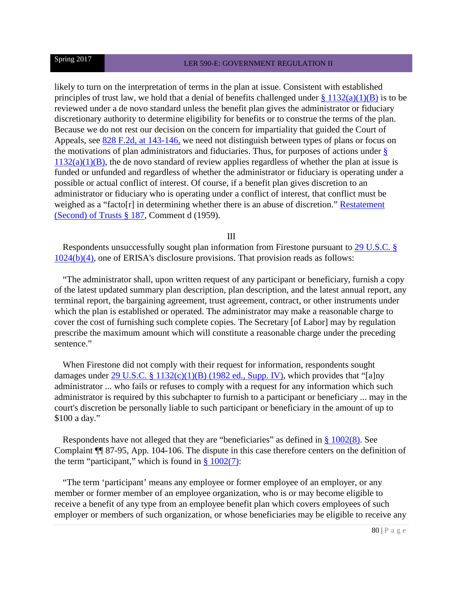likely to turn on the interpretation of terms in the plan at issue. Consistent with established principles of trust law, we hold that a denial of benefits challenged under  $\S 1132(a)(1)(B)$  is to be reviewed under a de novo standard unless the benefit plan gives the administrator or fiduciary discretionary authority to determine eligibility for benefits or to construe the terms of the plan. Because we do not rest our decision on the concern for impartiality that guided the Court of Appeals, see [828 F.2d, at 143-146,](http://web2.westlaw.com/find/default.wl?tf=-1&rs=WLW9.10&referencepositiontype=S&serialnum=1987108189&fn=_top&sv=Split&referenceposition=143&pbc=D5845283&tc=-1&ordoc=1989026578&findtype=Y&db=350&vr=2.0&rp=%2ffind%2fdefault.wl&mt=208) we need not distinguish between types of plans or focus on the motivations of plan administrators and fiduciaries. Thus, for purposes of actions under  $\frac{8}{9}$  $1132(a)(1)(B)$ , the de novo standard of review applies regardless of whether the plan at issue is funded or unfunded and regardless of whether the administrator or fiduciary is operating under a possible or actual conflict of interest. Of course, if a benefit plan gives discretion to an administrator or fiduciary who is operating under a conflict of interest, that conflict must be weighed as a "facto<sup>[r]</sup> in determining whether there is an abuse of discretion." Restatement [\(Second\) of Trusts §](http://web2.westlaw.com/find/default.wl?tf=-1&rs=WLW9.10&serialnum=0291388739&fn=_top&sv=Split&tc=-1&pbc=D5845283&ordoc=1989026578&findtype=Y&db=0101580&vr=2.0&rp=%2ffind%2fdefault.wl&mt=208) 187, Comment d (1959).

III

Respondents unsuccessfully sought plan information from Firestone pursuant to [29 U.S.C. §](http://web2.westlaw.com/find/default.wl?tf=-1&rs=WLW9.10&fn=_top&sv=Split&docname=29USCAS1024&tc=-1&pbc=D5845283&ordoc=1989026578&findtype=L&db=1000546&vr=2.0&rp=%2ffind%2fdefault.wl&mt=208)  [1024\(b\)\(4\),](http://web2.westlaw.com/find/default.wl?tf=-1&rs=WLW9.10&fn=_top&sv=Split&docname=29USCAS1024&tc=-1&pbc=D5845283&ordoc=1989026578&findtype=L&db=1000546&vr=2.0&rp=%2ffind%2fdefault.wl&mt=208) one of ERISA's disclosure provisions. That provision reads as follows:

"The administrator shall, upon written request of any participant or beneficiary, furnish a copy of the latest updated summary plan description, plan description, and the latest annual report, any terminal report, the bargaining agreement, trust agreement, contract, or other instruments under which the plan is established or operated. The administrator may make a reasonable charge to cover the cost of furnishing such complete copies. The Secretary [of Labor] may by regulation prescribe the maximum amount which will constitute a reasonable charge under the preceding sentence."

When Firestone did not comply with their request for information, respondents sought damages under [29 U.S.C. § 1132\(c\)\(1\)\(B\) \(1982 ed., Supp. IV\),](http://web2.westlaw.com/find/default.wl?tf=-1&rs=WLW9.10&fn=_top&sv=Split&docname=29USCAS1132&tc=-1&pbc=D5845283&ordoc=1989026578&findtype=L&db=1000546&vr=2.0&rp=%2ffind%2fdefault.wl&mt=208) which provides that "[a]ny administrator ... who fails or refuses to comply with a request for any information which such administrator is required by this subchapter to furnish to a participant or beneficiary ... may in the court's discretion be personally liable to such participant or beneficiary in the amount of up to \$100 a day."

Respondents have not alleged that they are "beneficiaries" as defined in [§ 1002\(8\).](http://web2.westlaw.com/find/default.wl?tf=-1&rs=WLW9.10&fn=_top&sv=Split&docname=29USCAS1002&tc=-1&pbc=D5845283&ordoc=1989026578&findtype=L&db=1000546&vr=2.0&rp=%2ffind%2fdefault.wl&mt=208) See Complaint ¶¶ 87-95, App. 104-106. The dispute in this case therefore centers on the definition of the term "participant," which is found in  $\S$  1002(7):

"The term 'participant' means any employee or former employee of an employer, or any member or former member of an employee organization, who is or may become eligible to receive a benefit of any type from an employee benefit plan which covers employees of such employer or members of such organization, or whose beneficiaries may be eligible to receive any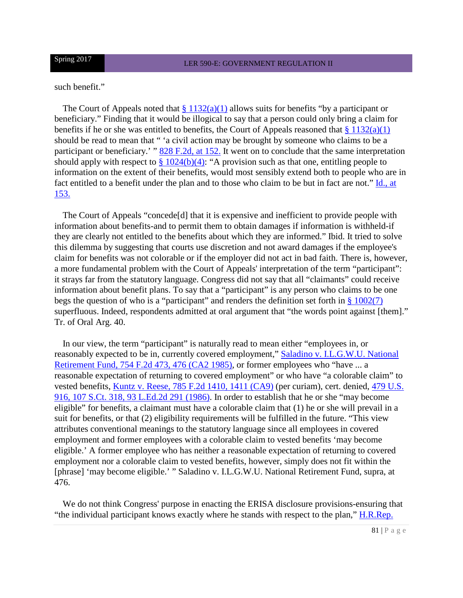such benefit."

The Court of Appeals noted that  $\S 1132(a)(1)$  allows suits for benefits "by a participant or beneficiary." Finding that it would be illogical to say that a person could only bring a claim for benefits if he or she was entitled to benefits, the Court of Appeals reasoned that  $\S 1132(a)(1)$ should be read to mean that " 'a civil action may be brought by someone who claims to be a participant or beneficiary.' " [828 F.2d, at 152.](http://web2.westlaw.com/find/default.wl?tf=-1&rs=WLW9.10&referencepositiontype=S&serialnum=1987108189&fn=_top&sv=Split&referenceposition=152&pbc=D5845283&tc=-1&ordoc=1989026578&findtype=Y&db=350&vr=2.0&rp=%2ffind%2fdefault.wl&mt=208) It went on to conclude that the same interpretation should apply with respect to  $\frac{8}{9}$  1024(b)(4): "A provision such as that one, entitling people to information on the extent of their benefits, would most sensibly extend both to people who are in fact entitled to a benefit under the plan and to those who claim to be but in fact are not." [Id.,](http://web2.westlaw.com/find/default.wl?tf=-1&rs=WLW9.10&serialnum=1987108189&fn=_top&sv=Split&tc=-1&pbc=D5845283&ordoc=1989026578&findtype=Y&vr=2.0&rp=%2ffind%2fdefault.wl&mt=208) at [153.](http://web2.westlaw.com/find/default.wl?tf=-1&rs=WLW9.10&serialnum=1987108189&fn=_top&sv=Split&tc=-1&pbc=D5845283&ordoc=1989026578&findtype=Y&vr=2.0&rp=%2ffind%2fdefault.wl&mt=208)

The Court of Appeals "concede[d] that it is expensive and inefficient to provide people with information about benefits-and to permit them to obtain damages if information is withheld-if they are clearly not entitled to the benefits about which they are informed." Ibid. It tried to solve this dilemma by suggesting that courts use discretion and not award damages if the employee's claim for benefits was not colorable or if the employer did not act in bad faith. There is, however, a more fundamental problem with the Court of Appeals' interpretation of the term "participant": it strays far from the statutory language. Congress did not say that all "claimants" could receive information about benefit plans. To say that a "participant" is any person who claims to be one begs the question of who is a "participant" and renders the definition set forth in  $\S 1002(7)$ superfluous. Indeed, respondents admitted at oral argument that "the words point against [them]." Tr. of Oral Arg. 40.

In our view, the term "participant" is naturally read to mean either "employees in, or reasonably expected to be in, currently covered employment," [Saladino v. I.L.G.W.U. National](http://web2.westlaw.com/find/default.wl?tf=-1&rs=WLW9.10&referencepositiontype=S&serialnum=1985108514&fn=_top&sv=Split&referenceposition=476&pbc=D5845283&tc=-1&ordoc=1989026578&findtype=Y&db=350&vr=2.0&rp=%2ffind%2fdefault.wl&mt=208)  Retirement Fund, [754 F.2d 473, 476 \(CA2 1985\),](http://web2.westlaw.com/find/default.wl?tf=-1&rs=WLW9.10&referencepositiontype=S&serialnum=1985108514&fn=_top&sv=Split&referenceposition=476&pbc=D5845283&tc=-1&ordoc=1989026578&findtype=Y&db=350&vr=2.0&rp=%2ffind%2fdefault.wl&mt=208) or former employees who "have ... a reasonable expectation of returning to covered employment" or who have "a colorable claim" to vested benefits, Kuntz v. Reese, [785 F.2d 1410, 1411 \(CA9\)](http://web2.westlaw.com/find/default.wl?tf=-1&rs=WLW9.10&referencepositiontype=S&serialnum=1986116483&fn=_top&sv=Split&referenceposition=1411&pbc=D5845283&tc=-1&ordoc=1989026578&findtype=Y&db=350&vr=2.0&rp=%2ffind%2fdefault.wl&mt=208) (per curiam), cert. denied, [479 U.S.](http://web2.westlaw.com/find/default.wl?tf=-1&rs=WLW9.10&serialnum=1986255708&fn=_top&sv=Split&tc=-1&pbc=D5845283&ordoc=1989026578&findtype=Y&db=708&vr=2.0&rp=%2ffind%2fdefault.wl&mt=208)  [916, 107 S.Ct. 318, 93 L.Ed.2d 291 \(1986\).](http://web2.westlaw.com/find/default.wl?tf=-1&rs=WLW9.10&serialnum=1986255708&fn=_top&sv=Split&tc=-1&pbc=D5845283&ordoc=1989026578&findtype=Y&db=708&vr=2.0&rp=%2ffind%2fdefault.wl&mt=208) In order to establish that he or she "may become eligible" for benefits, a claimant must have a colorable claim that (1) he or she will prevail in a suit for benefits, or that (2) eligibility requirements will be fulfilled in the future. "This view attributes conventional meanings to the statutory language since all employees in covered employment and former employees with a colorable claim to vested benefits 'may become eligible.' A former employee who has neither a reasonable expectation of returning to covered employment nor a colorable claim to vested benefits, however, simply does not fit within the [phrase] 'may become eligible.' " Saladino v. I.L.G.W.U. National Retirement Fund, supra, at 476.

We do not think Congress' purpose in enacting the ERISA disclosure provisions-ensuring that "the individual participant knows exactly where he stands with respect to the plan," [H.R.Rep.](http://web2.westlaw.com/find/default.wl?tf=-1&rs=WLW9.10&serialnum=0100747159&fn=_top&sv=Split&tc=-1&pbc=D5845283&ordoc=1989026578&findtype=Y&db=0100014&vr=2.0&rp=%2ffind%2fdefault.wl&mt=208)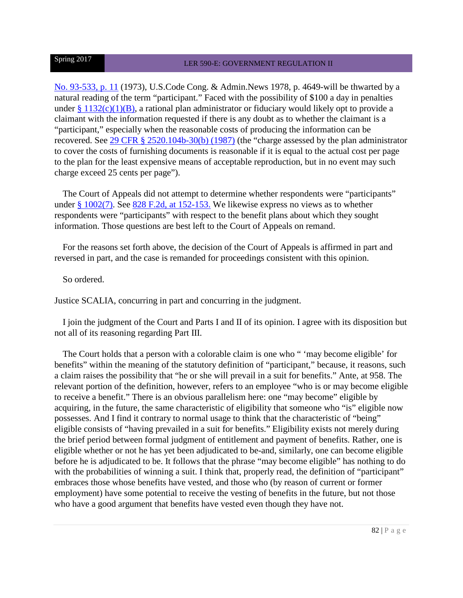[No. 93-533, p. 11](http://web2.westlaw.com/find/default.wl?tf=-1&rs=WLW9.10&serialnum=0100747159&fn=_top&sv=Split&tc=-1&pbc=D5845283&ordoc=1989026578&findtype=Y&db=0100014&vr=2.0&rp=%2ffind%2fdefault.wl&mt=208) (1973), U.S.Code Cong. & Admin.News 1978, p. 4649-will be thwarted by a natural reading of the term "participant." Faced with the possibility of \$100 a day in penalties under [§ 1132\(c\)\(1\)\(B\),](http://web2.westlaw.com/find/default.wl?tf=-1&rs=WLW9.10&fn=_top&sv=Split&docname=29USCAS1132&tc=-1&pbc=D5845283&ordoc=1989026578&findtype=L&db=1000546&vr=2.0&rp=%2ffind%2fdefault.wl&mt=208) a rational plan administrator or fiduciary would likely opt to provide a claimant with the information requested if there is any doubt as to whether the claimant is a "participant," especially when the reasonable costs of producing the information can be recovered. See [29 CFR § 2520.104b-30\(b\) \(1987\)](http://web2.westlaw.com/find/default.wl?tf=-1&rs=WLW9.10&fn=_top&sv=Split&docname=29CFRS2520.104B-30&tc=-1&pbc=D5845283&ordoc=1989026578&findtype=L&db=1000547&vr=2.0&rp=%2ffind%2fdefault.wl&mt=208) (the "charge assessed by the plan administrator to cover the costs of furnishing documents is reasonable if it is equal to the actual cost per page to the plan for the least expensive means of acceptable reproduction, but in no event may such charge exceed 25 cents per page").

The Court of Appeals did not attempt to determine whether respondents were "participants" under [§ 1002\(7\).](http://web2.westlaw.com/find/default.wl?tf=-1&rs=WLW9.10&fn=_top&sv=Split&docname=29USCAS1002&tc=-1&pbc=D5845283&ordoc=1989026578&findtype=L&db=1000546&vr=2.0&rp=%2ffind%2fdefault.wl&mt=208) See [828 F.2d, at 152-153.](http://web2.westlaw.com/find/default.wl?tf=-1&rs=WLW9.10&referencepositiontype=S&serialnum=1987108189&fn=_top&sv=Split&referenceposition=152&pbc=D5845283&tc=-1&ordoc=1989026578&findtype=Y&db=350&vr=2.0&rp=%2ffind%2fdefault.wl&mt=208) We likewise express no views as to whether respondents were "participants" with respect to the benefit plans about which they sought information. Those questions are best left to the Court of Appeals on remand.

For the reasons set forth above, the decision of the Court of Appeals is affirmed in part and reversed in part, and the case is remanded for proceedings consistent with this opinion.

So ordered.

Justice SCALIA, concurring in part and concurring in the judgment.

I join the judgment of the Court and Parts I and II of its opinion. I agree with its disposition but not all of its reasoning regarding Part III.

The Court holds that a person with a colorable claim is one who " 'may become eligible' for benefits" within the meaning of the statutory definition of "participant," because, it reasons, such a claim raises the possibility that "he or she will prevail in a suit for benefits." Ante, at 958. The relevant portion of the definition, however, refers to an employee "who is or may become eligible to receive a benefit." There is an obvious parallelism here: one "may become" eligible by acquiring, in the future, the same characteristic of eligibility that someone who "is" eligible now possesses. And I find it contrary to normal usage to think that the characteristic of "being" eligible consists of "having prevailed in a suit for benefits." Eligibility exists not merely during the brief period between formal judgment of entitlement and payment of benefits. Rather, one is eligible whether or not he has yet been adjudicated to be-and, similarly, one can become eligible before he is adjudicated to be. It follows that the phrase "may become eligible" has nothing to do with the probabilities of winning a suit. I think that, properly read, the definition of "participant" embraces those whose benefits have vested, and those who (by reason of current or former employment) have some potential to receive the vesting of benefits in the future, but not those who have a good argument that benefits have vested even though they have not.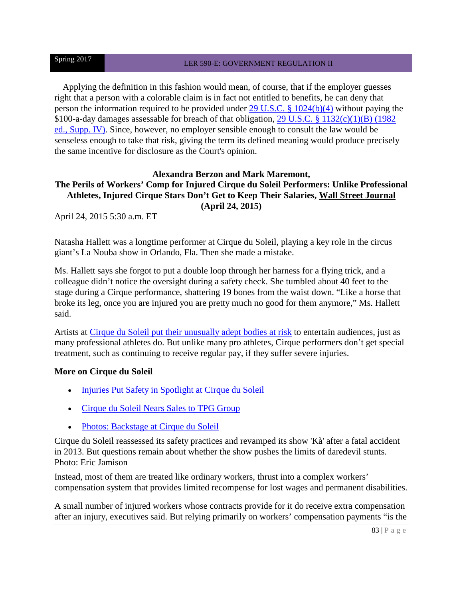Applying the definition in this fashion would mean, of course, that if the employer guesses right that a person with a colorable claim is in fact not entitled to benefits, he can deny that person the information required to be provided under [29 U.S.C. § 1024\(b\)\(4\)](http://web2.westlaw.com/find/default.wl?tf=-1&rs=WLW9.10&fn=_top&sv=Split&docname=29USCAS1024&tc=-1&pbc=D5845283&ordoc=1989026578&findtype=L&db=1000546&vr=2.0&rp=%2ffind%2fdefault.wl&mt=208) without paying the \$100-a-day damages assessable for breach of that obligation, [29 U.S.C. § 1132\(c\)\(1\)\(B\) \(1982](http://web2.westlaw.com/find/default.wl?tf=-1&rs=WLW9.10&fn=_top&sv=Split&docname=29USCAS1132&tc=-1&pbc=D5845283&ordoc=1989026578&findtype=L&db=1000546&vr=2.0&rp=%2ffind%2fdefault.wl&mt=208)  [ed., Supp. IV\).](http://web2.westlaw.com/find/default.wl?tf=-1&rs=WLW9.10&fn=_top&sv=Split&docname=29USCAS1132&tc=-1&pbc=D5845283&ordoc=1989026578&findtype=L&db=1000546&vr=2.0&rp=%2ffind%2fdefault.wl&mt=208) Since, however, no employer sensible enough to consult the law would be senseless enough to take that risk, giving the term its defined meaning would produce precisely the same incentive for disclosure as the Court's opinion.

### **Alexandra Berzon and Mark Maremont,**

## **The Perils of Workers' Comp for Injured Cirque du Soleil Performers: Unlike Professional Athletes, Injured Cirque Stars Don't Get to Keep Their Salaries, Wall Street Journal (April 24, 2015)**

April 24, 2015 5:30 a.m. ET

Natasha Hallett was a longtime performer at Cirque du Soleil, playing a key role in the circus giant's La Nouba show in Orlando, Fla. Then she made a mistake.

Ms. Hallett says she forgot to put a double loop through her harness for a flying trick, and a colleague didn't notice the oversight during a safety check. She tumbled about 40 feet to the stage during a Cirque performance, shattering 19 bones from the waist down. "Like a horse that broke its leg, once you are injured you are pretty much no good for them anymore," Ms. Hallett said.

Artists at [Cirque du Soleil put their unusually adept bodies at risk](http://www.wsj.com/articles/injuries-put-safety-in-spotlight-at-cirque-du-soleil-1429723558) to entertain audiences, just as many professional athletes do. But unlike many pro athletes, Cirque performers don't get special treatment, such as continuing to receive regular pay, if they suffer severe injuries.

### **More on Cirque du Soleil**

- Injuries Put Safety in Spotlight at Cirque du Soleil
- [Cirque du Soleil Nears Sales to TPG Group](http://www.wsj.com/articles/cirque-du-soleil-nears-sale-to-tpg-group-1429220100)
- [Photos: Backstage at Cirque du Soleil](http://www.wsj.com/articles/backstage-at-cirque-du-soleil-1429722483)

Cirque du Soleil reassessed its safety practices and revamped its show 'Kà' after a fatal accident in 2013. But questions remain about whether the show pushes the limits of daredevil stunts. Photo: Eric Jamison

Instead, most of them are treated like ordinary workers, thrust into a complex workers' compensation system that provides limited recompense for lost wages and permanent disabilities.

A small number of injured workers whose contracts provide for it do receive extra compensation after an injury, executives said. But relying primarily on workers' compensation payments "is the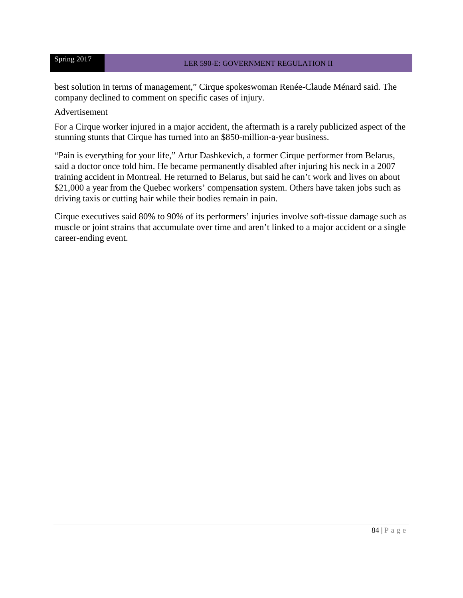best solution in terms of management," Cirque spokeswoman Renée-Claude Ménard said. The company declined to comment on specific cases of injury.

### Advertisement

For a Cirque worker injured in a major accident, the aftermath is a rarely publicized aspect of the stunning stunts that Cirque has turned into an \$850-million-a-year business.

"Pain is everything for your life," Artur Dashkevich, a former Cirque performer from Belarus, said a doctor once told him. He became permanently disabled after injuring his neck in a 2007 training accident in Montreal. He returned to Belarus, but said he can't work and lives on about \$21,000 a year from the Quebec workers' compensation system. Others have taken jobs such as driving taxis or cutting hair while their bodies remain in pain.

Cirque executives said 80% to 90% of its performers' injuries involve soft-tissue damage such as muscle or joint strains that accumulate over time and aren't linked to a major accident or a single career-ending event.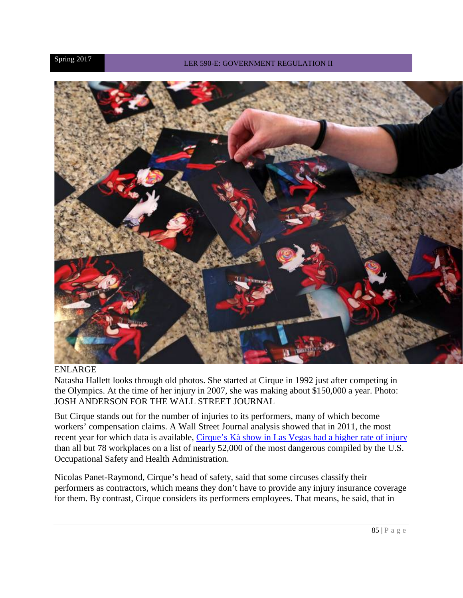

### ENLARGE

Natasha Hallett looks through old photos. She started at Cirque in 1992 just after competing in the Olympics. At the time of her injury in 2007, she was making about \$150,000 a year. Photo: JOSH ANDERSON FOR THE WALL STREET JOURNAL

But Cirque stands out for the number of injuries to its performers, many of which become workers' compensation claims. A Wall Street Journal analysis showed that in 2011, the most recent year for which data is available, [Cirque's Kà show in Las Vegas had a higher rate of injury](http://www.wsj.com/articles/injuries-put-safety-in-spotlight-at-cirque-du-soleil-1429723558) than all but 78 workplaces on a list of nearly 52,000 of the most dangerous compiled by the U.S. Occupational Safety and Health Administration.

Nicolas Panet-Raymond, Cirque's head of safety, said that some circuses classify their performers as contractors, which means they don't have to provide any injury insurance coverage for them. By contrast, Cirque considers its performers employees. That means, he said, that in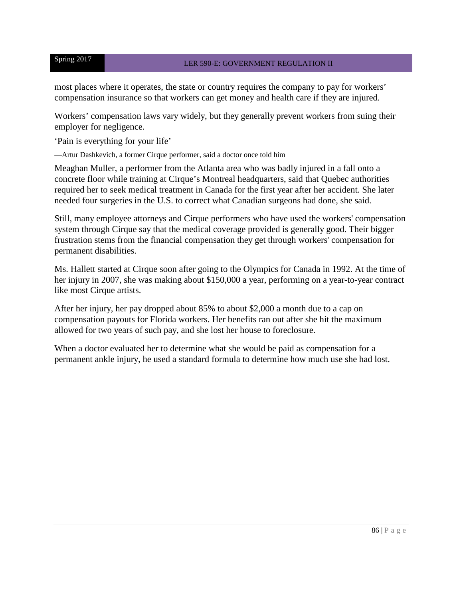most places where it operates, the state or country requires the company to pay for workers' compensation insurance so that workers can get money and health care if they are injured.

Workers' compensation laws vary widely, but they generally prevent workers from suing their employer for negligence.

'Pain is everything for your life'

—Artur Dashkevich, a former Cirque performer, said a doctor once told him

Meaghan Muller, a performer from the Atlanta area who was badly injured in a fall onto a concrete floor while training at Cirque's Montreal headquarters, said that Quebec authorities required her to seek medical treatment in Canada for the first year after her accident. She later needed four surgeries in the U.S. to correct what Canadian surgeons had done, she said.

Still, many employee attorneys and Cirque performers who have used the workers' compensation system through Cirque say that the medical coverage provided is generally good. Their bigger frustration stems from the financial compensation they get through workers' compensation for permanent disabilities.

Ms. Hallett started at Cirque soon after going to the Olympics for Canada in 1992. At the time of her injury in 2007, she was making about \$150,000 a year, performing on a year-to-year contract like most Cirque artists.

After her injury, her pay dropped about 85% to about \$2,000 a month due to a cap on compensation payouts for Florida workers. Her benefits ran out after she hit the maximum allowed for two years of such pay, and she lost her house to foreclosure.

When a doctor evaluated her to determine what she would be paid as compensation for a permanent ankle injury, he used a standard formula to determine how much use she had lost.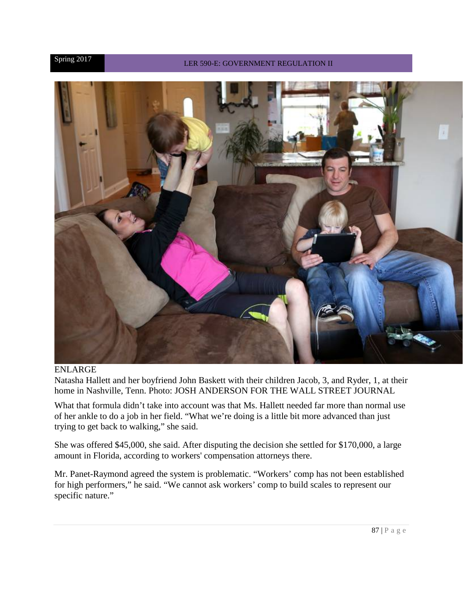

### ENLARGE

Natasha Hallett and her boyfriend John Baskett with their children Jacob, 3, and Ryder, 1, at their home in Nashville, Tenn. Photo: JOSH ANDERSON FOR THE WALL STREET JOURNAL

What that formula didn't take into account was that Ms. Hallett needed far more than normal use of her ankle to do a job in her field. "What we're doing is a little bit more advanced than just trying to get back to walking," she said.

She was offered \$45,000, she said. After disputing the decision she settled for \$170,000, a large amount in Florida, according to workers' compensation attorneys there.

Mr. Panet-Raymond agreed the system is problematic. "Workers' comp has not been established for high performers," he said. "We cannot ask workers' comp to build scales to represent our specific nature."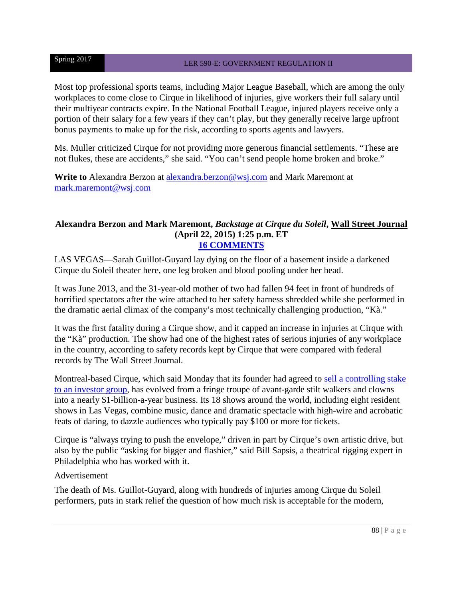Most top professional sports teams, including Major League Baseball, which are among the only workplaces to come close to Cirque in likelihood of injuries, give workers their full salary until their multiyear contracts expire. In the National Football League, injured players receive only a portion of their salary for a few years if they can't play, but they generally receive large upfront bonus payments to make up for the risk, according to sports agents and lawyers.

Ms. Muller criticized Cirque for not providing more generous financial settlements. "These are not flukes, these are accidents," she said. "You can't send people home broken and broke."

**Write to** Alexandra Berzon at [alexandra.berzon@wsj.com](mailto:alexandra.berzon@wsj.com) and Mark Maremont at [mark.maremont@wsj.com](mailto:mark.maremont@wsj.com)

### **Alexandra Berzon and Mark Maremont,** *Backstage at Cirque du Soleil***, Wall Street Journal (April 22, 2015) 1:25 p.m. ET [16 COMMENTS](http://www.wsj.com/articles/injuries-put-safety-in-spotlight-at-cirque-du-soleil-1429723558#livefyre-comment)**

LAS VEGAS—Sarah Guillot-Guyard lay dying on the floor of a basement inside a darkened Cirque du Soleil theater here, one leg broken and blood pooling under her head.

It was June 2013, and the 31-year-old mother of two had fallen 94 feet in front of hundreds of horrified spectators after the wire attached to her safety harness shredded while she performed in the dramatic aerial climax of the company's most technically challenging production, "Kà."

It was the first fatality during a Cirque show, and it capped an increase in injuries at Cirque with the "Kà" production. The show had one of the highest rates of serious injuries of any workplace in the country, according to safety records kept by Cirque that were compared with federal records by The Wall Street Journal.

Montreal-based Cirque, which said Monday that its founder had agreed to [sell a controlling stake](http://www.wsj.com/articles/cirque-du-soleil-being-sold-to-private-equity-group-1429543292)  [to an investor group,](http://www.wsj.com/articles/cirque-du-soleil-being-sold-to-private-equity-group-1429543292) has evolved from a fringe troupe of avant-garde stilt walkers and clowns into a nearly \$1-billion-a-year business. Its 18 shows around the world, including eight resident shows in Las Vegas, combine music, dance and dramatic spectacle with high-wire and acrobatic feats of daring, to dazzle audiences who typically pay \$100 or more for tickets.

Cirque is "always trying to push the envelope," driven in part by Cirque's own artistic drive, but also by the public "asking for bigger and flashier," said Bill Sapsis, a theatrical rigging expert in Philadelphia who has worked with it.

### Advertisement

The death of Ms. Guillot-Guyard, along with hundreds of injuries among Cirque du Soleil performers, puts in stark relief the question of how much risk is acceptable for the modern,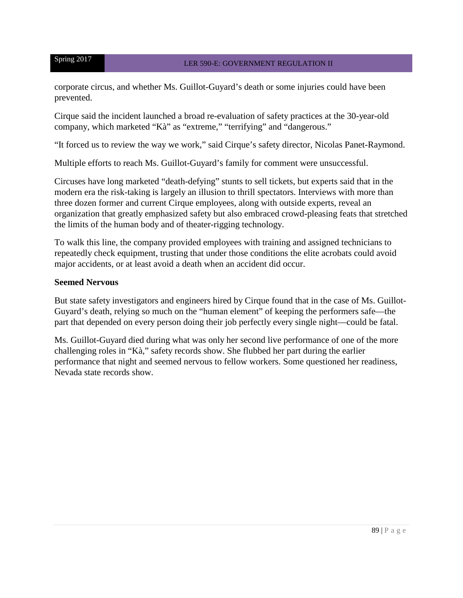corporate circus, and whether Ms. Guillot-Guyard's death or some injuries could have been prevented.

Cirque said the incident launched a broad re-evaluation of safety practices at the 30-year-old company, which marketed "Kà" as "extreme," "terrifying" and "dangerous."

"It forced us to review the way we work," said Cirque's safety director, Nicolas Panet-Raymond.

Multiple efforts to reach Ms. Guillot-Guyard's family for comment were unsuccessful.

Circuses have long marketed "death-defying" stunts to sell tickets, but experts said that in the modern era the risk-taking is largely an illusion to thrill spectators. Interviews with more than three dozen former and current Cirque employees, along with outside experts, reveal an organization that greatly emphasized safety but also embraced crowd-pleasing feats that stretched the limits of the human body and of theater-rigging technology.

To walk this line, the company provided employees with training and assigned technicians to repeatedly check equipment, trusting that under those conditions the elite acrobats could avoid major accidents, or at least avoid a death when an accident did occur.

### **Seemed Nervous**

But state safety investigators and engineers hired by Cirque found that in the case of Ms. Guillot-Guyard's death, relying so much on the "human element" of keeping the performers safe—the part that depended on every person doing their job perfectly every single night—could be fatal.

Ms. Guillot-Guyard died during what was only her second live performance of one of the more challenging roles in "Kà," safety records show. She flubbed her part during the earlier performance that night and seemed nervous to fellow workers. Some questioned her readiness, Nevada state records show.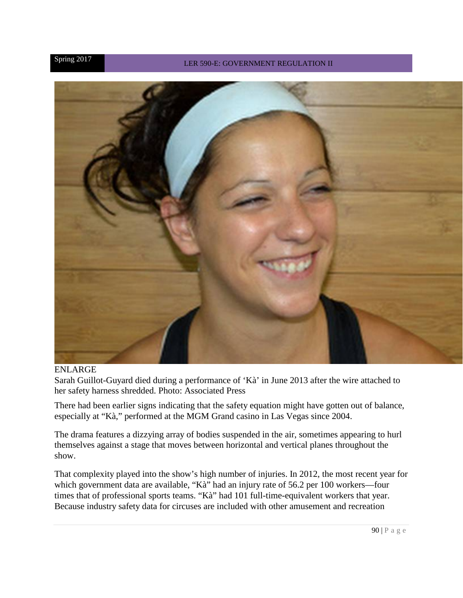

### ENLARGE

Sarah Guillot-Guyard died during a performance of 'Kà' in June 2013 after the wire attached to her safety harness shredded. Photo: Associated Press

There had been earlier signs indicating that the safety equation might have gotten out of balance, especially at "Kà," performed at the MGM Grand casino in Las Vegas since 2004.

The drama features a dizzying array of bodies suspended in the air, sometimes appearing to hurl themselves against a stage that moves between horizontal and vertical planes throughout the show.

That complexity played into the show's high number of injuries. In 2012, the most recent year for which government data are available, "Kà" had an injury rate of 56.2 per 100 workers—four times that of professional sports teams. "Kà" had 101 full-time-equivalent workers that year. Because industry safety data for circuses are included with other amusement and recreation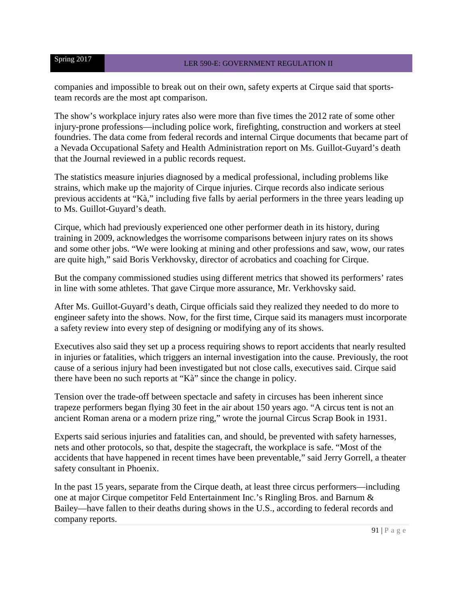companies and impossible to break out on their own, safety experts at Cirque said that sportsteam records are the most apt comparison.

The show's workplace injury rates also were more than five times the 2012 rate of some other injury-prone professions—including police work, firefighting, construction and workers at steel foundries. The data come from federal records and internal Cirque documents that became part of a Nevada Occupational Safety and Health Administration report on Ms. Guillot-Guyard's death that the Journal reviewed in a public records request.

The statistics measure injuries diagnosed by a medical professional, including problems like strains, which make up the majority of Cirque injuries. Cirque records also indicate serious previous accidents at "Kà," including five falls by aerial performers in the three years leading up to Ms. Guillot-Guyard's death.

Cirque, which had previously experienced one other performer death in its history, during training in 2009, acknowledges the worrisome comparisons between injury rates on its shows and some other jobs. "We were looking at mining and other professions and saw, wow, our rates are quite high," said Boris Verkhovsky, director of acrobatics and coaching for Cirque.

But the company commissioned studies using different metrics that showed its performers' rates in line with some athletes. That gave Cirque more assurance, Mr. Verkhovsky said.

After Ms. Guillot-Guyard's death, Cirque officials said they realized they needed to do more to engineer safety into the shows. Now, for the first time, Cirque said its managers must incorporate a safety review into every step of designing or modifying any of its shows.

Executives also said they set up a process requiring shows to report accidents that nearly resulted in injuries or fatalities, which triggers an internal investigation into the cause. Previously, the root cause of a serious injury had been investigated but not close calls, executives said. Cirque said there have been no such reports at "Kà" since the change in policy.

Tension over the trade-off between spectacle and safety in circuses has been inherent since trapeze performers began flying 30 feet in the air about 150 years ago. "A circus tent is not an ancient Roman arena or a modern prize ring," wrote the journal Circus Scrap Book in 1931.

Experts said serious injuries and fatalities can, and should, be prevented with safety harnesses, nets and other protocols, so that, despite the stagecraft, the workplace is safe. "Most of the accidents that have happened in recent times have been preventable," said Jerry Gorrell, a theater safety consultant in Phoenix.

In the past 15 years, separate from the Cirque death, at least three circus performers—including one at major Cirque competitor Feld Entertainment Inc.'s Ringling Bros. and Barnum & Bailey—have fallen to their deaths during shows in the U.S., according to federal records and company reports.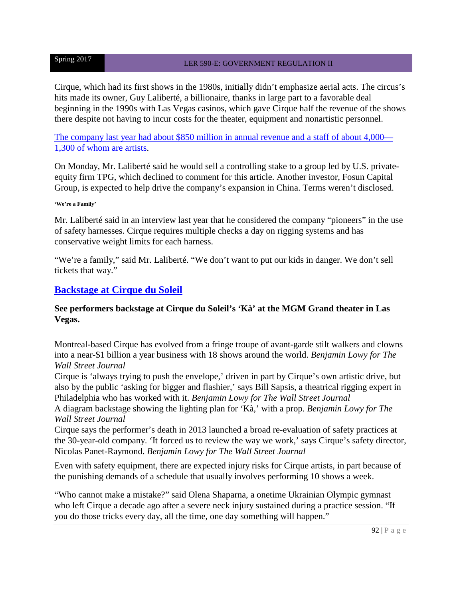Cirque, which had its first shows in the 1980s, initially didn't emphasize aerial acts. The circus's hits made its owner, Guy Laliberté, a billionaire, thanks in large part to a favorable deal beginning in the 1990s with Las Vegas casinos, which gave Cirque half the revenue of the shows there despite not having to incur costs for the theater, equipment and nonartistic personnel.

[The company last year had about \\$850 million in annual revenue and a staff of about 4,000—](http://www.wsj.com/articles/cirque-du-soleils-next-act-rebalancing-the-business-1417474778) [1,300 of whom are artists.](http://www.wsj.com/articles/cirque-du-soleils-next-act-rebalancing-the-business-1417474778)

On Monday, Mr. Laliberté said he would sell a controlling stake to a group led by U.S. privateequity firm TPG, which declined to comment for this article. Another investor, Fosun Capital Group, is expected to help drive the company's expansion in China. Terms weren't disclosed.

**'We're a Family'**

Mr. Laliberté said in an interview last year that he considered the company "pioneers" in the use of safety harnesses. Cirque requires multiple checks a day on rigging systems and has conservative weight limits for each harness.

"We're a family," said Mr. Laliberté. "We don't want to put our kids in danger. We don't sell tickets that way."

## **[Backstage at Cirque du Soleil](http://www.wsj.com/articles/backstage-at-cirque-du-soleil-1429722483)**

### **See performers backstage at Cirque du Soleil's 'Kà' at the MGM Grand theater in Las Vegas.**

Montreal-based Cirque has evolved from a fringe troupe of avant-garde stilt walkers and clowns into a near-\$1 billion a year business with 18 shows around the world. *Benjamin Lowy for The Wall Street Journal*

Cirque is 'always trying to push the envelope,' driven in part by Cirque's own artistic drive, but also by the public 'asking for bigger and flashier,' says Bill Sapsis, a theatrical rigging expert in Philadelphia who has worked with it. *Benjamin Lowy for The Wall Street Journal*

A diagram backstage showing the lighting plan for 'Kà,' with a prop. *Benjamin Lowy for The Wall Street Journal*

Cirque says the performer's death in 2013 launched a broad re-evaluation of safety practices at the 30-year-old company. 'It forced us to review the way we work,' says Cirque's safety director, Nicolas Panet-Raymond. *Benjamin Lowy for The Wall Street Journal*

Even with safety equipment, there are expected injury risks for Cirque artists, in part because of the punishing demands of a schedule that usually involves performing 10 shows a week.

"Who cannot make a mistake?" said Olena Shaparna, a onetime Ukrainian Olympic gymnast who left Cirque a decade ago after a severe neck injury sustained during a practice session. "If you do those tricks every day, all the time, one day something will happen."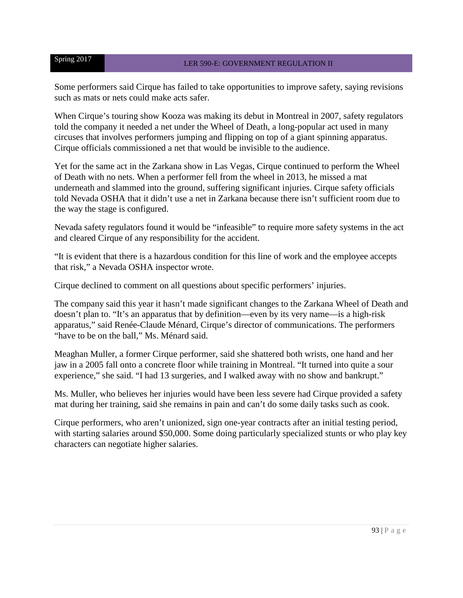Some performers said Cirque has failed to take opportunities to improve safety, saying revisions such as mats or nets could make acts safer.

When Cirque's touring show Kooza was making its debut in Montreal in 2007, safety regulators told the company it needed a net under the Wheel of Death, a long-popular act used in many circuses that involves performers jumping and flipping on top of a giant spinning apparatus. Cirque officials commissioned a net that would be invisible to the audience.

Yet for the same act in the Zarkana show in Las Vegas, Cirque continued to perform the Wheel of Death with no nets. When a performer fell from the wheel in 2013, he missed a mat underneath and slammed into the ground, suffering significant injuries. Cirque safety officials told Nevada OSHA that it didn't use a net in Zarkana because there isn't sufficient room due to the way the stage is configured.

Nevada safety regulators found it would be "infeasible" to require more safety systems in the act and cleared Cirque of any responsibility for the accident.

"It is evident that there is a hazardous condition for this line of work and the employee accepts that risk," a Nevada OSHA inspector wrote.

Cirque declined to comment on all questions about specific performers' injuries.

The company said this year it hasn't made significant changes to the Zarkana Wheel of Death and doesn't plan to. "It's an apparatus that by definition—even by its very name—is a high-risk apparatus," said Renée-Claude Ménard, Cirque's director of communications. The performers "have to be on the ball," Ms. Ménard said.

Meaghan Muller, a former Cirque performer, said she shattered both wrists, one hand and her jaw in a 2005 fall onto a concrete floor while training in Montreal. "It turned into quite a sour experience," she said. "I had 13 surgeries, and I walked away with no show and bankrupt."

Ms. Muller, who believes her injuries would have been less severe had Cirque provided a safety mat during her training, said she remains in pain and can't do some daily tasks such as cook.

Cirque performers, who aren't unionized, sign one-year contracts after an initial testing period, with starting salaries around \$50,000. Some doing particularly specialized stunts or who play key characters can negotiate higher salaries.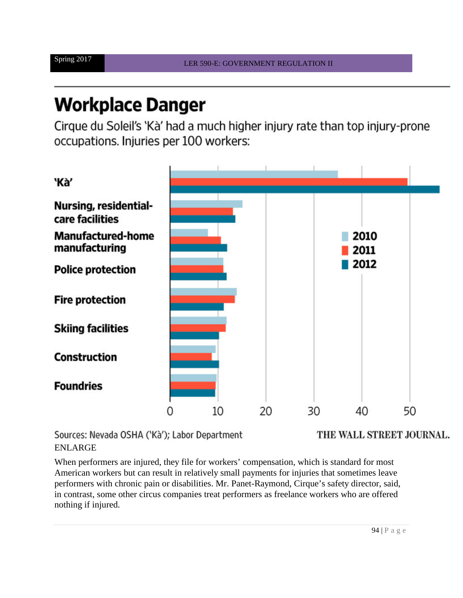# **Workplace Danger**

Cirque du Soleil's 'Kà' had a much higher injury rate than top injury-prone occupations. Injuries per 100 workers:



Sources: Nevada OSHA ('Kà'); Labor Department ENLARGE

THE WALL STREET JOURNAL.

When performers are injured, they file for workers' compensation, which is standard for most American workers but can result in relatively small payments for injuries that sometimes leave performers with chronic pain or disabilities. Mr. Panet-Raymond, Cirque's safety director, said, in contrast, some other circus companies treat performers as freelance workers who are offered nothing if injured.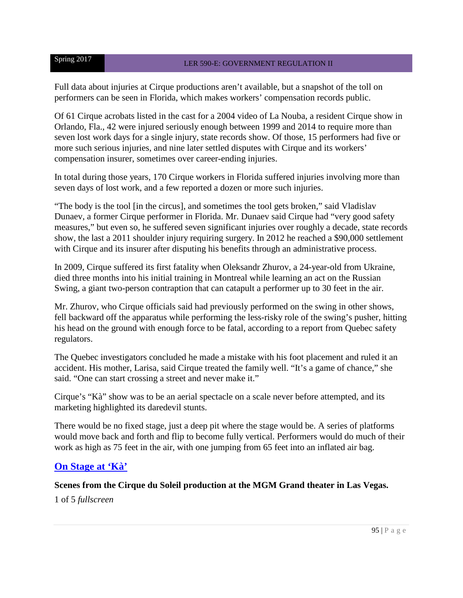Full data about injuries at Cirque productions aren't available, but a snapshot of the toll on performers can be seen in Florida, which makes workers' compensation records public.

Of 61 Cirque acrobats listed in the cast for a 2004 video of La Nouba, a resident Cirque show in Orlando, Fla., 42 were injured seriously enough between 1999 and 2014 to require more than seven lost work days for a single injury, state records show. Of those, 15 performers had five or more such serious injuries, and nine later settled disputes with Cirque and its workers' compensation insurer, sometimes over career-ending injuries.

In total during those years, 170 Cirque workers in Florida suffered injuries involving more than seven days of lost work, and a few reported a dozen or more such injuries.

"The body is the tool [in the circus], and sometimes the tool gets broken," said Vladislav Dunaev, a former Cirque performer in Florida. Mr. Dunaev said Cirque had "very good safety measures," but even so, he suffered seven significant injuries over roughly a decade, state records show, the last a 2011 shoulder injury requiring surgery. In 2012 he reached a \$90,000 settlement with Cirque and its insurer after disputing his benefits through an administrative process.

In 2009, Cirque suffered its first fatality when Oleksandr Zhurov, a 24-year-old from Ukraine, died three months into his initial training in Montreal while learning an act on the Russian Swing, a giant two-person contraption that can catapult a performer up to 30 feet in the air.

Mr. Zhurov, who Cirque officials said had previously performed on the swing in other shows, fell backward off the apparatus while performing the less-risky role of the swing's pusher, hitting his head on the ground with enough force to be fatal, according to a report from Quebec safety regulators.

The Quebec investigators concluded he made a mistake with his foot placement and ruled it an accident. His mother, Larisa, said Cirque treated the family well. "It's a game of chance," she said. "One can start crossing a street and never make it."

Cirque's "Kà" show was to be an aerial spectacle on a scale never before attempted, and its marketing highlighted its daredevil stunts.

There would be no fixed stage, just a deep pit where the stage would be. A series of platforms would move back and forth and flip to become fully vertical. Performers would do much of their work as high as 75 feet in the air, with one jumping from 65 feet into an inflated air bag.

## **[On Stage at 'Kà'](http://www.wsj.com/articles/on-stage-at-ka-1429722579)**

## **Scenes from the Cirque du Soleil production at the MGM Grand theater in Las Vegas.**

1 of 5 *fullscreen*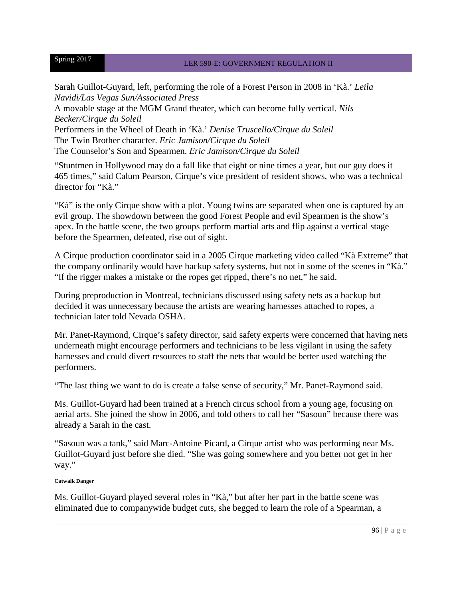Sarah Guillot-Guyard, left, performing the role of a Forest Person in 2008 in 'Kà.' *Leila Navidi/Las Vegas Sun/Associated Press* A movable stage at the MGM Grand theater, which can become fully vertical. *Nils Becker/Cirque du Soleil* Performers in the Wheel of Death in 'Kà.' *Denise Truscello/Cirque du Soleil* The Twin Brother character. *Eric Jamison/Cirque du Soleil* The Counselor's Son and Spearmen. *Eric Jamison/Cirque du Soleil*

"Stuntmen in Hollywood may do a fall like that eight or nine times a year, but our guy does it 465 times," said Calum Pearson, Cirque's vice president of resident shows, who was a technical director for "Kà."

"Kà" is the only Cirque show with a plot. Young twins are separated when one is captured by an evil group. The showdown between the good Forest People and evil Spearmen is the show's apex. In the battle scene, the two groups perform martial arts and flip against a vertical stage before the Spearmen, defeated, rise out of sight.

A Cirque production coordinator said in a 2005 Cirque marketing video called "Kà Extreme" that the company ordinarily would have backup safety systems, but not in some of the scenes in "Kà." "If the rigger makes a mistake or the ropes get ripped, there's no net," he said.

During preproduction in Montreal, technicians discussed using safety nets as a backup but decided it was unnecessary because the artists are wearing harnesses attached to ropes, a technician later told Nevada OSHA.

Mr. Panet-Raymond, Cirque's safety director, said safety experts were concerned that having nets underneath might encourage performers and technicians to be less vigilant in using the safety harnesses and could divert resources to staff the nets that would be better used watching the performers.

"The last thing we want to do is create a false sense of security," Mr. Panet-Raymond said.

Ms. Guillot-Guyard had been trained at a French circus school from a young age, focusing on aerial arts. She joined the show in 2006, and told others to call her "Sasoun" because there was already a Sarah in the cast.

"Sasoun was a tank," said Marc-Antoine Picard, a Cirque artist who was performing near Ms. Guillot-Guyard just before she died. "She was going somewhere and you better not get in her way."

### **Catwalk Danger**

Ms. Guillot-Guyard played several roles in "Kà," but after her part in the battle scene was eliminated due to companywide budget cuts, she begged to learn the role of a Spearman, a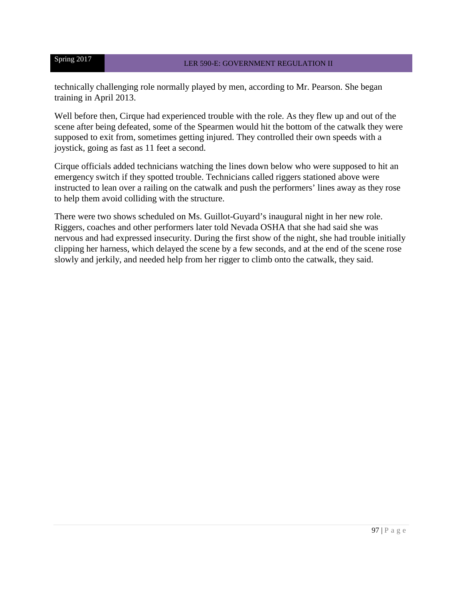technically challenging role normally played by men, according to Mr. Pearson. She began training in April 2013.

Well before then, Cirque had experienced trouble with the role. As they flew up and out of the scene after being defeated, some of the Spearmen would hit the bottom of the catwalk they were supposed to exit from, sometimes getting injured. They controlled their own speeds with a joystick, going as fast as 11 feet a second.

Cirque officials added technicians watching the lines down below who were supposed to hit an emergency switch if they spotted trouble. Technicians called riggers stationed above were instructed to lean over a railing on the catwalk and push the performers' lines away as they rose to help them avoid colliding with the structure.

There were two shows scheduled on Ms. Guillot-Guyard's inaugural night in her new role. Riggers, coaches and other performers later told Nevada OSHA that she had said she was nervous and had expressed insecurity. During the first show of the night, she had trouble initially clipping her harness, which delayed the scene by a few seconds, and at the end of the scene rose slowly and jerkily, and needed help from her rigger to climb onto the catwalk, they said.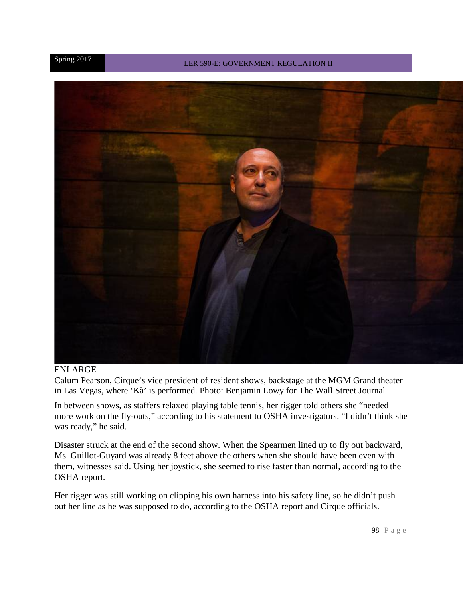

### ENLARGE

Calum Pearson, Cirque's vice president of resident shows, backstage at the MGM Grand theater in Las Vegas, where 'Kà' is performed. Photo: Benjamin Lowy for The Wall Street Journal

In between shows, as staffers relaxed playing table tennis, her rigger told others she "needed more work on the fly-outs," according to his statement to OSHA investigators. "I didn't think she was ready," he said.

Disaster struck at the end of the second show. When the Spearmen lined up to fly out backward, Ms. Guillot-Guyard was already 8 feet above the others when she should have been even with them, witnesses said. Using her joystick, she seemed to rise faster than normal, according to the OSHA report.

Her rigger was still working on clipping his own harness into his safety line, so he didn't push out her line as he was supposed to do, according to the OSHA report and Cirque officials.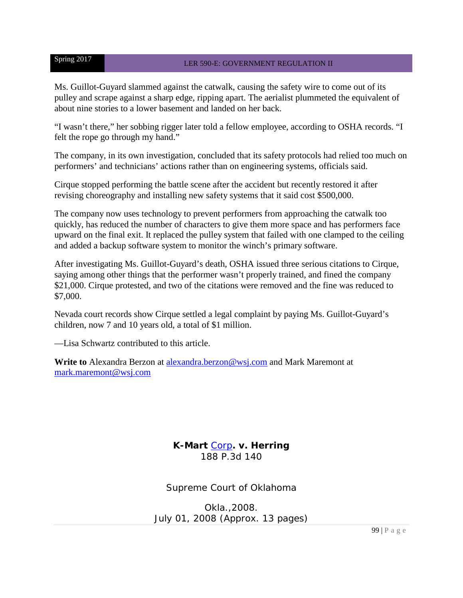Ms. Guillot-Guyard slammed against the catwalk, causing the safety wire to come out of its pulley and scrape against a sharp edge, ripping apart. The aerialist plummeted the equivalent of about nine stories to a lower basement and landed on her back.

"I wasn't there," her sobbing rigger later told a fellow employee, according to OSHA records. "I felt the rope go through my hand."

The company, in its own investigation, concluded that its safety protocols had relied too much on performers' and technicians' actions rather than on engineering systems, officials said.

Cirque stopped performing the battle scene after the accident but recently restored it after revising choreography and installing new safety systems that it said cost \$500,000.

The company now uses technology to prevent performers from approaching the catwalk too quickly, has reduced the number of characters to give them more space and has performers face upward on the final exit. It replaced the pulley system that failed with one clamped to the ceiling and added a backup software system to monitor the winch's primary software.

After investigating Ms. Guillot-Guyard's death, OSHA issued three serious citations to Cirque, saying among other things that the performer wasn't properly trained, and fined the company \$21,000. Cirque protested, and two of the citations were removed and the fine was reduced to \$7,000.

Nevada court records show Cirque settled a legal complaint by paying Ms. Guillot-Guyard's children, now 7 and 10 years old, a total of \$1 million.

—Lisa Schwartz contributed to this article.

**Write to** Alexandra Berzon at [alexandra.berzon@wsj.com](mailto:alexandra.berzon@wsj.com) and Mark Maremont at [mark.maremont@wsj.com](mailto:mark.maremont@wsj.com)

## **K-Mart** [Corp](http://web2.westlaw.com/find/default.wl?rs=WLW10.01&ifm=NotSet&fn=_top&sv=Split&findtype=l&docname=CIK(0000014177)&db=CO-LPAGE&vr=2.0&rp=%2ffind%2fdefault.wl&mt=208)**. v. Herring** 188 P.3d 140

## Supreme Court of Oklahoma

Okla.,2008. July 01, 2008 (Approx. 13 pages)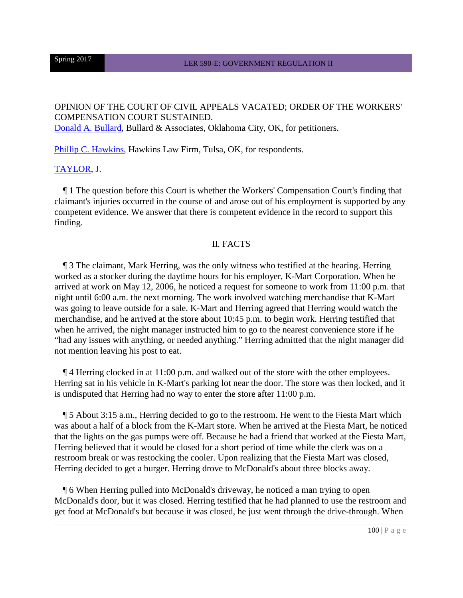## OPINION OF THE COURT OF CIVIL APPEALS VACATED; ORDER OF THE WORKERS' COMPENSATION COURT SUSTAINED.

[Donald A. Bullard,](http://web2.westlaw.com/find/default.wl?tf=-1&rs=WLW10.01&fn=_top&sv=Split&docname=0190208801&tc=-1&pbc=24098525&ordoc=2016448600&findtype=h&db=PROFILER-WLD&vr=2.0&rp=%2ffind%2fdefault.wl&mt=208) Bullard & Associates, Oklahoma City, OK, for petitioners.

[Phillip C. Hawkins,](http://web2.westlaw.com/find/default.wl?tf=-1&rs=WLW10.01&fn=_top&sv=Split&docname=0296738801&tc=-1&pbc=24098525&ordoc=2016448600&findtype=h&db=PROFILER-WLD&vr=2.0&rp=%2ffind%2fdefault.wl&mt=208) Hawkins Law Firm, Tulsa, OK, for respondents.

[TAYLOR,](http://web2.westlaw.com/find/default.wl?tf=-1&rs=WLW10.01&fn=_top&sv=Split&docname=0169500901&tc=-1&pbc=24098525&ordoc=2016448600&findtype=h&db=PROFILER-WLD&vr=2.0&rp=%2ffind%2fdefault.wl&mt=208) J.

¶ 1 The question before this Court is whether the Workers' Compensation Court's finding that claimant's injuries occurred in the course of and arose out of his employment is supported by any competent evidence. We answer that there is competent evidence in the record to support this finding.

### II. FACTS

¶ 3 The claimant, Mark Herring, was the only witness who testified at the hearing. Herring worked as a stocker during the daytime hours for his employer, K-Mart Corporation. When he arrived at work on May 12, 2006, he noticed a request for someone to work from 11:00 p.m. that night until 6:00 a.m. the next morning. The work involved watching merchandise that K-Mart was going to leave outside for a sale. K-Mart and Herring agreed that Herring would watch the merchandise, and he arrived at the store about 10:45 p.m. to begin work. Herring testified that when he arrived, the night manager instructed him to go to the nearest convenience store if he "had any issues with anything, or needed anything." Herring admitted that the night manager did not mention leaving his post to eat.

¶ 4 Herring clocked in at 11:00 p.m. and walked out of the store with the other employees. Herring sat in his vehicle in K-Mart's parking lot near the door. The store was then locked, and it is undisputed that Herring had no way to enter the store after 11:00 p.m.

¶ 5 About 3:15 a.m., Herring decided to go to the restroom. He went to the Fiesta Mart which was about a half of a block from the K-Mart store. When he arrived at the Fiesta Mart, he noticed that the lights on the gas pumps were off. Because he had a friend that worked at the Fiesta Mart, Herring believed that it would be closed for a short period of time while the clerk was on a restroom break or was restocking the cooler. Upon realizing that the Fiesta Mart was closed, Herring decided to get a burger. Herring drove to McDonald's about three blocks away.

¶ 6 When Herring pulled into McDonald's driveway, he noticed a man trying to open McDonald's door, but it was closed. Herring testified that he had planned to use the restroom and get food at McDonald's but because it was closed, he just went through the drive-through. When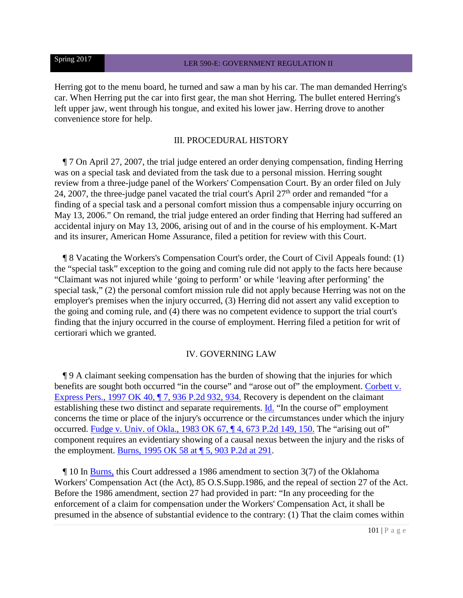Herring got to the menu board, he turned and saw a man by his car. The man demanded Herring's car. When Herring put the car into first gear, the man shot Herring. The bullet entered Herring's left upper jaw, went through his tongue, and exited his lower jaw. Herring drove to another convenience store for help.

### III. PROCEDURAL HISTORY

¶ 7 On April 27, 2007, the trial judge entered an order denying compensation, finding Herring was on a special task and deviated from the task due to a personal mission. Herring sought review from a three-judge panel of the Workers' Compensation Court. By an order filed on July 24, 2007, the three-judge panel vacated the trial court's April  $27<sup>th</sup>$  order and remanded "for a finding of a special task and a personal comfort mission thus a compensable injury occurring on May 13, 2006." On remand, the trial judge entered an order finding that Herring had suffered an accidental injury on May 13, 2006, arising out of and in the course of his employment. K-Mart and its insurer, American Home Assurance, filed a petition for review with this Court.

¶ 8 Vacating the Workers's Compensation Court's order, the Court of Civil Appeals found: (1) the "special task" exception to the going and coming rule did not apply to the facts here because "Claimant was not injured while 'going to perform' or while 'leaving after performing' the special task," (2) the personal comfort mission rule did not apply because Herring was not on the employer's premises when the injury occurred, (3) Herring did not assert any valid exception to the going and coming rule, and (4) there was no competent evidence to support the trial court's finding that the injury occurred in the course of employment. Herring filed a petition for writ of certiorari which we granted.

### IV. GOVERNING LAW

¶ 9 A claimant seeking compensation has the burden of showing that the injuries for which benefits are sought both occurred "in the course" and "arose out of" the employment. [Corbett v.](http://web2.westlaw.com/find/default.wl?tf=-1&rs=WLW10.01&referencepositiontype=S&serialnum=1997087533&fn=_top&sv=Split&referenceposition=934&pbc=24098525&tc=-1&ordoc=2016448600&findtype=Y&db=661&vr=2.0&rp=%2ffind%2fdefault.wl&mt=208)  Express Pers., [1997 OK 40, ¶ 7, 936 P.2d 932, 934.](http://web2.westlaw.com/find/default.wl?tf=-1&rs=WLW10.01&referencepositiontype=S&serialnum=1997087533&fn=_top&sv=Split&referenceposition=934&pbc=24098525&tc=-1&ordoc=2016448600&findtype=Y&db=661&vr=2.0&rp=%2ffind%2fdefault.wl&mt=208) Recovery is dependent on the claimant establishing these two distinct and separate requirements. [Id.](http://web2.westlaw.com/find/default.wl?tf=-1&rs=WLW10.01&serialnum=1997087533&fn=_top&sv=Split&tc=-1&pbc=24098525&ordoc=2016448600&findtype=Y&vr=2.0&rp=%2ffind%2fdefault.wl&mt=208) "In the course of" employment concerns the time or place of the injury's occurrence or the circumstances under which the injury occurred. Fudge v. Univ. of Okla., [1983 OK 67, ¶ 4, 673 P.2d 149, 150.](http://web2.westlaw.com/find/default.wl?tf=-1&rs=WLW10.01&referencepositiontype=S&serialnum=1983128391&fn=_top&sv=Split&referenceposition=150&pbc=24098525&tc=-1&ordoc=2016448600&findtype=Y&db=661&vr=2.0&rp=%2ffind%2fdefault.wl&mt=208) The "arising out of" component requires an evidentiary showing of a causal nexus between the injury and the risks of the employment. Burns, [1995 OK 58 at ¶ 5, 903 P.2d at 291.](http://web2.westlaw.com/find/default.wl?tf=-1&rs=WLW10.01&referencepositiontype=S&serialnum=1995124700&fn=_top&sv=Split&referenceposition=291&pbc=24098525&tc=-1&ordoc=2016448600&findtype=Y&db=661&vr=2.0&rp=%2ffind%2fdefault.wl&mt=208)

¶ 10 In [Burns,](http://web2.westlaw.com/find/default.wl?tf=-1&rs=WLW10.01&serialnum=1995124700&fn=_top&sv=Split&tc=-1&pbc=24098525&ordoc=2016448600&findtype=Y&vr=2.0&rp=%2ffind%2fdefault.wl&mt=208) this Court addressed a 1986 amendment to section 3(7) of the Oklahoma Workers' Compensation Act (the Act), 85 O.S.Supp.1986, and the repeal of section 27 of the Act. Before the 1986 amendment, section 27 had provided in part: "In any proceeding for the enforcement of a claim for compensation under the Workers' Compensation Act, it shall be presumed in the absence of substantial evidence to the contrary: (1) That the claim comes within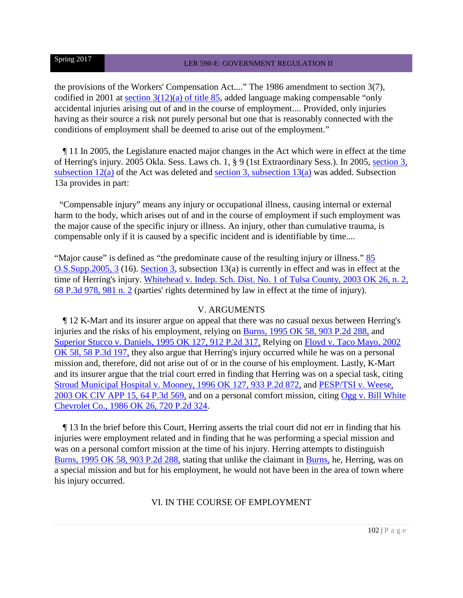the provisions of the Workers' Compensation Act...." The 1986 amendment to section 3(7), codified in 2001 at section  $3(12)(a)$  of title 85, added language making compensable "only" accidental injuries arising out of and in the course of employment.... Provided, only injuries having as their source a risk not purely personal but one that is reasonably connected with the conditions of employment shall be deemed to arise out of the employment."

¶ 11 In 2005, the Legislature enacted major changes in the Act which were in effect at the time of Herring's injury. 2005 Okla. Sess. Laws ch. 1, § 9 (1st Extraordinary Sess.). In 2005, [section 3,](http://web2.westlaw.com/find/default.wl?tf=-1&rs=WLW10.01&fn=_top&sv=Split&docname=OKSTT85S3&tc=-1&pbc=24098525&ordoc=2016448600&findtype=L&db=1000165&vr=2.0&rp=%2ffind%2fdefault.wl&mt=208)  subsection  $12(a)$  of the Act was deleted and section 3, subsection  $13(a)$  was added. Subsection 13a provides in part:

"Compensable injury" means any injury or occupational illness, causing internal or external harm to the body, which arises out of and in the course of employment if such employment was the major cause of the specific injury or illness. An injury, other than cumulative trauma, is compensable only if it is caused by a specific incident and is identifiable by time....

"Major cause" is defined as "the predominate cause of the resulting injury or illness." [85](http://web2.westlaw.com/find/default.wl?tf=-1&rs=WLW10.01&fn=_top&sv=Split&docname=OKSTT85S3&tc=-1&pbc=24098525&ordoc=2016448600&findtype=L&db=1000165&vr=2.0&rp=%2ffind%2fdefault.wl&mt=208)  [O.S.Supp.2005, 3](http://web2.westlaw.com/find/default.wl?tf=-1&rs=WLW10.01&fn=_top&sv=Split&docname=OKSTT85S3&tc=-1&pbc=24098525&ordoc=2016448600&findtype=L&db=1000165&vr=2.0&rp=%2ffind%2fdefault.wl&mt=208) (16). [Section 3,](http://web2.westlaw.com/find/default.wl?tf=-1&rs=WLW10.01&fn=_top&sv=Split&docname=OKSTT85S3&tc=-1&pbc=24098525&ordoc=2016448600&findtype=L&db=1000165&vr=2.0&rp=%2ffind%2fdefault.wl&mt=208) subsection 13(a) is currently in effect and was in effect at the time of Herring's injury. [Whitehead v. Indep. Sch. Dist. No. 1 of Tulsa County,](http://web2.westlaw.com/find/default.wl?tf=-1&rs=WLW10.01&referencepositiontype=S&serialnum=2003206924&fn=_top&sv=Split&referenceposition=981&pbc=24098525&tc=-1&ordoc=2016448600&findtype=Y&db=4645&vr=2.0&rp=%2ffind%2fdefault.wl&mt=208) 2003 OK 26, n. 2, [68 P.3d 978, 981 n. 2](http://web2.westlaw.com/find/default.wl?tf=-1&rs=WLW10.01&referencepositiontype=S&serialnum=2003206924&fn=_top&sv=Split&referenceposition=981&pbc=24098525&tc=-1&ordoc=2016448600&findtype=Y&db=4645&vr=2.0&rp=%2ffind%2fdefault.wl&mt=208) (parties' rights determined by law in effect at the time of injury).

### V. ARGUMENTS

¶ 12 K-Mart and its insurer argue on appeal that there was no casual nexus between Herring's injuries and the risks of his employment, relying on Burns, [1995 OK 58, 903 P.2d 288,](http://web2.westlaw.com/find/default.wl?tf=-1&rs=WLW10.01&serialnum=1995124700&fn=_top&sv=Split&tc=-1&pbc=24098525&ordoc=2016448600&findtype=Y&db=661&vr=2.0&rp=%2ffind%2fdefault.wl&mt=208) and Superior Stucco v. Daniels, [1995 OK 127, 912 P.2d 317.](http://web2.westlaw.com/find/default.wl?tf=-1&rs=WLW10.01&serialnum=1995222567&fn=_top&sv=Split&tc=-1&pbc=24098525&ordoc=2016448600&findtype=Y&db=661&vr=2.0&rp=%2ffind%2fdefault.wl&mt=208) Relying on [Floyd v. Taco Mayo,](http://web2.westlaw.com/find/default.wl?tf=-1&rs=WLW10.01&serialnum=2002392176&fn=_top&sv=Split&tc=-1&pbc=24098525&ordoc=2016448600&findtype=Y&db=4645&vr=2.0&rp=%2ffind%2fdefault.wl&mt=208) 2002 [OK 58, 58 P.3d 197,](http://web2.westlaw.com/find/default.wl?tf=-1&rs=WLW10.01&serialnum=2002392176&fn=_top&sv=Split&tc=-1&pbc=24098525&ordoc=2016448600&findtype=Y&db=4645&vr=2.0&rp=%2ffind%2fdefault.wl&mt=208) they also argue that Herring's injury occurred while he was on a personal mission and, therefore, did not arise out of or in the course of his employment. Lastly, K-Mart and its insurer argue that the trial court erred in finding that Herring was on a special task, citing [Stroud Municipal Hospital v. Mooney,](http://web2.westlaw.com/find/default.wl?tf=-1&rs=WLW10.01&serialnum=1996263086&fn=_top&sv=Split&tc=-1&pbc=24098525&ordoc=2016448600&findtype=Y&db=661&vr=2.0&rp=%2ffind%2fdefault.wl&mt=208) 1996 OK 127, 933 P.2d 872, and [PESP/TSI v. Weese,](http://web2.westlaw.com/find/default.wl?tf=-1&rs=WLW10.01&serialnum=2003182869&fn=_top&sv=Split&tc=-1&pbc=24098525&ordoc=2016448600&findtype=Y&db=4645&vr=2.0&rp=%2ffind%2fdefault.wl&mt=208) [2003 OK CIV APP 15, 64 P.3d 569,](http://web2.westlaw.com/find/default.wl?tf=-1&rs=WLW10.01&serialnum=2003182869&fn=_top&sv=Split&tc=-1&pbc=24098525&ordoc=2016448600&findtype=Y&db=4645&vr=2.0&rp=%2ffind%2fdefault.wl&mt=208) and on a personal comfort mission, citing [Ogg v. Bill White](http://web2.westlaw.com/find/default.wl?tf=-1&rs=WLW10.01&serialnum=1986128811&fn=_top&sv=Split&tc=-1&pbc=24098525&ordoc=2016448600&findtype=Y&db=661&vr=2.0&rp=%2ffind%2fdefault.wl&mt=208)  Chevrolet Co., [1986 OK 26, 720 P.2d 324.](http://web2.westlaw.com/find/default.wl?tf=-1&rs=WLW10.01&serialnum=1986128811&fn=_top&sv=Split&tc=-1&pbc=24098525&ordoc=2016448600&findtype=Y&db=661&vr=2.0&rp=%2ffind%2fdefault.wl&mt=208)

¶ 13 In the brief before this Court, Herring asserts the trial court did not err in finding that his injuries were employment related and in finding that he was performing a special mission and was on a personal comfort mission at the time of his injury. Herring attempts to distinguish Burns, [1995 OK 58, 903 P.2d 288,](http://web2.westlaw.com/find/default.wl?tf=-1&rs=WLW10.01&serialnum=1995124700&fn=_top&sv=Split&tc=-1&pbc=24098525&ordoc=2016448600&findtype=Y&db=661&vr=2.0&rp=%2ffind%2fdefault.wl&mt=208) stating that unlike the claimant in [Burns,](http://web2.westlaw.com/find/default.wl?tf=-1&rs=WLW10.01&serialnum=1995124700&fn=_top&sv=Split&tc=-1&pbc=24098525&ordoc=2016448600&findtype=Y&vr=2.0&rp=%2ffind%2fdefault.wl&mt=208) he, Herring, was on a special mission and but for his employment, he would not have been in the area of town where his injury occurred.

### VI. IN THE COURSE OF EMPLOYMENT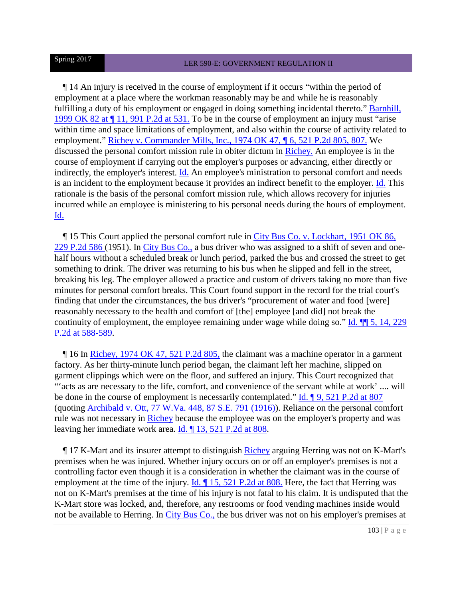¶ 14 An injury is received in the course of employment if it occurs "within the period of employment at a place where the workman reasonably may be and while he is reasonably fulfilling a duty of his employment or engaged in doing something incidental thereto." [Barnhill,](http://web2.westlaw.com/find/default.wl?tf=-1&rs=WLW10.01&referencepositiontype=S&serialnum=1999230031&fn=_top&sv=Split&referenceposition=531&pbc=24098525&tc=-1&ordoc=2016448600&findtype=Y&db=661&vr=2.0&rp=%2ffind%2fdefault.wl&mt=208) [1999 OK 82 at ¶ 11, 991 P.2d at 531.](http://web2.westlaw.com/find/default.wl?tf=-1&rs=WLW10.01&referencepositiontype=S&serialnum=1999230031&fn=_top&sv=Split&referenceposition=531&pbc=24098525&tc=-1&ordoc=2016448600&findtype=Y&db=661&vr=2.0&rp=%2ffind%2fdefault.wl&mt=208) To be in the course of employment an injury must "arise within time and space limitations of employment, and also within the course of activity related to employment." Richey v. Commander Mills, Inc., [1974 OK 47, ¶ 6, 521 P.2d 805, 807.](http://web2.westlaw.com/find/default.wl?tf=-1&rs=WLW10.01&referencepositiontype=S&serialnum=1974124030&fn=_top&sv=Split&referenceposition=807&pbc=24098525&tc=-1&ordoc=2016448600&findtype=Y&db=661&vr=2.0&rp=%2ffind%2fdefault.wl&mt=208) We discussed the personal comfort mission rule in obiter dictum in [Richey.](http://web2.westlaw.com/find/default.wl?tf=-1&rs=WLW10.01&serialnum=1974124030&fn=_top&sv=Split&tc=-1&pbc=24098525&ordoc=2016448600&findtype=Y&vr=2.0&rp=%2ffind%2fdefault.wl&mt=208) An employee is in the course of employment if carrying out the employer's purposes or advancing, either directly or indirectly, the employer's interest. [Id.](http://web2.westlaw.com/find/default.wl?tf=-1&rs=WLW10.01&serialnum=1974124030&fn=_top&sv=Split&tc=-1&pbc=24098525&ordoc=2016448600&findtype=Y&vr=2.0&rp=%2ffind%2fdefault.wl&mt=208) An employee's ministration to personal comfort and needs is an incident to the employment because it provides an indirect benefit to the employer. [Id.](http://web2.westlaw.com/find/default.wl?tf=-1&rs=WLW10.01&serialnum=1974124030&fn=_top&sv=Split&tc=-1&pbc=24098525&ordoc=2016448600&findtype=Y&vr=2.0&rp=%2ffind%2fdefault.wl&mt=208) This rationale is the basis of the personal comfort mission rule, which allows recovery for injuries incurred while an employee is ministering to his personal needs during the hours of employment. [Id.](http://web2.westlaw.com/find/default.wl?tf=-1&rs=WLW10.01&serialnum=1974124030&fn=_top&sv=Split&tc=-1&pbc=24098525&ordoc=2016448600&findtype=Y&vr=2.0&rp=%2ffind%2fdefault.wl&mt=208)

¶ 15 This Court applied the personal comfort rule in City Bus Co. v. Lockhart, 1951 OK 86, 229 P.2d 586 (1951). In [City Bus Co.,](http://web2.westlaw.com/find/default.wl?tf=-1&rs=WLW10.01&serialnum=1951114186&fn=_top&sv=Split&tc=-1&pbc=24098525&ordoc=2016448600&findtype=Y&vr=2.0&rp=%2ffind%2fdefault.wl&mt=208) a bus driver who was assigned to a shift of seven and onehalf hours without a scheduled break or lunch period, parked the bus and crossed the street to get something to drink. The driver was returning to his bus when he slipped and fell in the street, breaking his leg. The employer allowed a practice and custom of drivers taking no more than five minutes for personal comfort breaks. This Court found support in the record for the trial court's finding that under the circumstances, the bus driver's "procurement of water and food [were] reasonably necessary to the health and comfort of [the] employee [and did] not break the continuity of employment, the employee remaining under wage while doing so." Id.  $\P$  5, 14, 229 [P.2d at 588-589.](http://web2.westlaw.com/find/default.wl?tf=-1&rs=WLW10.01&referencepositiontype=S&serialnum=1951114186&fn=_top&sv=Split&referenceposition=588&pbc=24098525&tc=-1&ordoc=2016448600&findtype=Y&db=661&vr=2.0&rp=%2ffind%2fdefault.wl&mt=208)

¶ 16 In Richey, [1974 OK 47, 521 P.2d 805,](http://web2.westlaw.com/find/default.wl?tf=-1&rs=WLW10.01&serialnum=1974124030&fn=_top&sv=Split&tc=-1&pbc=24098525&ordoc=2016448600&findtype=Y&db=661&vr=2.0&rp=%2ffind%2fdefault.wl&mt=208) the claimant was a machine operator in a garment factory. As her thirty-minute lunch period began, the claimant left her machine, slipped on garment clippings which were on the floor, and suffered an injury. This Court recognized that "'acts as are necessary to the life, comfort, and convenience of the servant while at work' .... will be done in the course of employment is necessarily contemplated." Id.  $\sqrt{9}$ , 521 P.2d at 807 (quoting Archibald v. Ott, [77 W.Va. 448, 87 S.E. 791 \(1916\)\)](http://web2.westlaw.com/find/default.wl?tf=-1&rs=WLW10.01&serialnum=1916019110&fn=_top&sv=Split&tc=-1&pbc=24098525&ordoc=2016448600&findtype=Y&db=710&vr=2.0&rp=%2ffind%2fdefault.wl&mt=208). Reliance on the personal comfort rule was not necessary in [Richey](http://web2.westlaw.com/find/default.wl?tf=-1&rs=WLW10.01&serialnum=1974124030&fn=_top&sv=Split&tc=-1&pbc=24098525&ordoc=2016448600&findtype=Y&vr=2.0&rp=%2ffind%2fdefault.wl&mt=208) because the employee was on the employer's property and was leaving her immediate work area. Id. [¶ 13, 521 P.2d at 808.](http://web2.westlaw.com/find/default.wl?tf=-1&rs=WLW10.01&referencepositiontype=S&serialnum=1974124030&fn=_top&sv=Split&referenceposition=808&pbc=24098525&tc=-1&ordoc=2016448600&findtype=Y&db=661&vr=2.0&rp=%2ffind%2fdefault.wl&mt=208)

¶ 17 K-Mart and its insurer attempt to distinguish [Richey](http://web2.westlaw.com/find/default.wl?tf=-1&rs=WLW10.01&serialnum=1974124030&fn=_top&sv=Split&tc=-1&pbc=24098525&ordoc=2016448600&findtype=Y&vr=2.0&rp=%2ffind%2fdefault.wl&mt=208) arguing Herring was not on K-Mart's premises when he was injured. Whether injury occurs on or off an employer's premises is not a controlling factor even though it is a consideration in whether the claimant was in the course of employment at the time of the injury. Id.  $\P$  15, 521 P.2d at 808. Here, the fact that Herring was not on K-Mart's premises at the time of his injury is not fatal to his claim. It is undisputed that the K-Mart store was locked, and, therefore, any restrooms or food vending machines inside would not be available to Herring. In [City Bus Co.,](http://web2.westlaw.com/find/default.wl?tf=-1&rs=WLW10.01&serialnum=1951114186&fn=_top&sv=Split&tc=-1&pbc=24098525&ordoc=2016448600&findtype=Y&vr=2.0&rp=%2ffind%2fdefault.wl&mt=208) the bus driver was not on his employer's premises at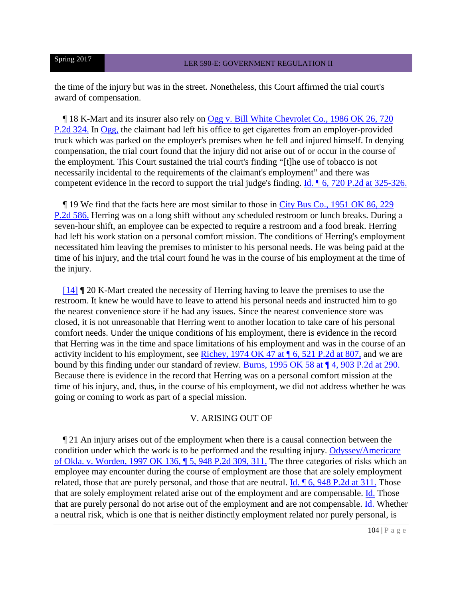the time of the injury but was in the street. Nonetheless, this Court affirmed the trial court's award of compensation.

¶ 18 K-Mart and its insurer also rely on [Ogg v. Bill White Chevrolet Co.,](http://web2.westlaw.com/find/default.wl?tf=-1&rs=WLW10.01&serialnum=1986128811&fn=_top&sv=Split&tc=-1&pbc=24098525&ordoc=2016448600&findtype=Y&db=661&vr=2.0&rp=%2ffind%2fdefault.wl&mt=208) 1986 OK 26, 720 [P.2d 324.](http://web2.westlaw.com/find/default.wl?tf=-1&rs=WLW10.01&serialnum=1986128811&fn=_top&sv=Split&tc=-1&pbc=24098525&ordoc=2016448600&findtype=Y&db=661&vr=2.0&rp=%2ffind%2fdefault.wl&mt=208) In [Ogg,](http://web2.westlaw.com/find/default.wl?tf=-1&rs=WLW10.01&serialnum=1986128811&fn=_top&sv=Split&tc=-1&pbc=24098525&ordoc=2016448600&findtype=Y&vr=2.0&rp=%2ffind%2fdefault.wl&mt=208) the claimant had left his office to get cigarettes from an employer-provided truck which was parked on the employer's premises when he fell and injured himself. In denying compensation, the trial court found that the injury did not arise out of or occur in the course of the employment. This Court sustained the trial court's finding "[t]he use of tobacco is not necessarily incidental to the requirements of the claimant's employment" and there was competent evidence in the record to support the trial judge's finding. Id. [¶ 6, 720 P.2d at 325-326.](http://web2.westlaw.com/find/default.wl?tf=-1&rs=WLW10.01&referencepositiontype=S&serialnum=1986128811&fn=_top&sv=Split&referenceposition=325&pbc=24098525&tc=-1&ordoc=2016448600&findtype=Y&db=661&vr=2.0&rp=%2ffind%2fdefault.wl&mt=208)

¶ 19 We find that the facts here are most similar to those in City Bus Co., [1951 OK 86, 229](http://web2.westlaw.com/find/default.wl?tf=-1&rs=WLW10.01&serialnum=1951114186&fn=_top&sv=Split&tc=-1&pbc=24098525&ordoc=2016448600&findtype=Y&db=661&vr=2.0&rp=%2ffind%2fdefault.wl&mt=208)  [P.2d 586.](http://web2.westlaw.com/find/default.wl?tf=-1&rs=WLW10.01&serialnum=1951114186&fn=_top&sv=Split&tc=-1&pbc=24098525&ordoc=2016448600&findtype=Y&db=661&vr=2.0&rp=%2ffind%2fdefault.wl&mt=208) Herring was on a long shift without any scheduled restroom or lunch breaks. During a seven-hour shift, an employee can be expected to require a restroom and a food break. Herring had left his work station on a personal comfort mission. The conditions of Herring's employment necessitated him leaving the premises to minister to his personal needs. He was being paid at the time of his injury, and the trial court found he was in the course of his employment at the time of the injury.

[\[14\]](http://web2.westlaw.com/result/documenttext.aspx?sv=Split&service=Find&scxt=WL&rlti=1&cxt=DC&ifm=NotSet&n=1&mt=208&fn=_top&vr=2.0&rlt=CLID_FQRLT865465512151&rp=%2fFind%2fdefault.wl&cite=188+P.3d+140&cnt=DOC&rs=WLW10.01&ss=CNT#F142016448600#F142016448600) ¶ 20 K-Mart created the necessity of Herring having to leave the premises to use the restroom. It knew he would have to leave to attend his personal needs and instructed him to go the nearest convenience store if he had any issues. Since the nearest convenience store was closed, it is not unreasonable that Herring went to another location to take care of his personal comfort needs. Under the unique conditions of his employment, there is evidence in the record that Herring was in the time and space limitations of his employment and was in the course of an activity incident to his employment, see Richey, [1974 OK 47 at ¶ 6, 521 P.2d at 807,](http://web2.westlaw.com/find/default.wl?tf=-1&rs=WLW10.01&referencepositiontype=S&serialnum=1974124030&fn=_top&sv=Split&referenceposition=807&pbc=24098525&tc=-1&ordoc=2016448600&findtype=Y&db=661&vr=2.0&rp=%2ffind%2fdefault.wl&mt=208) and we are bound by this finding under our standard of review. Burns, [1995 OK 58 at ¶ 4, 903 P.2d at 290.](http://web2.westlaw.com/find/default.wl?tf=-1&rs=WLW10.01&referencepositiontype=S&serialnum=1995124700&fn=_top&sv=Split&referenceposition=290&pbc=24098525&tc=-1&ordoc=2016448600&findtype=Y&db=661&vr=2.0&rp=%2ffind%2fdefault.wl&mt=208) Because there is evidence in the record that Herring was on a personal comfort mission at the time of his injury, and, thus, in the course of his employment, we did not address whether he was going or coming to work as part of a special mission.

### V. ARISING OUT OF

¶ 21 An injury arises out of the employment when there is a causal connection between the condition under which the work is to be performed and the resulting injury. [Odyssey/Americare](http://web2.westlaw.com/find/default.wl?tf=-1&rs=WLW10.01&referencepositiontype=S&serialnum=1997222423&fn=_top&sv=Split&referenceposition=311&pbc=24098525&tc=-1&ordoc=2016448600&findtype=Y&db=661&vr=2.0&rp=%2ffind%2fdefault.wl&mt=208)  of Okla. v. Worden, [1997 OK 136, ¶ 5, 948 P.2d 309, 311.](http://web2.westlaw.com/find/default.wl?tf=-1&rs=WLW10.01&referencepositiontype=S&serialnum=1997222423&fn=_top&sv=Split&referenceposition=311&pbc=24098525&tc=-1&ordoc=2016448600&findtype=Y&db=661&vr=2.0&rp=%2ffind%2fdefault.wl&mt=208) The three categories of risks which an employee may encounter during the course of employment are those that are solely employment related, those that are purely personal, and those that are neutral. Id. 16, 948 P.2d at 311. Those that are solely employment related arise out of the employment and are compensable. [Id.](http://web2.westlaw.com/find/default.wl?tf=-1&rs=WLW10.01&serialnum=1997222423&fn=_top&sv=Split&tc=-1&pbc=24098525&ordoc=2016448600&findtype=Y&vr=2.0&rp=%2ffind%2fdefault.wl&mt=208) Those that are purely personal do not arise out of the employment and are not compensable. [Id.](http://web2.westlaw.com/find/default.wl?tf=-1&rs=WLW10.01&serialnum=1997222423&fn=_top&sv=Split&tc=-1&pbc=24098525&ordoc=2016448600&findtype=Y&vr=2.0&rp=%2ffind%2fdefault.wl&mt=208) Whether a neutral risk, which is one that is neither distinctly employment related nor purely personal, is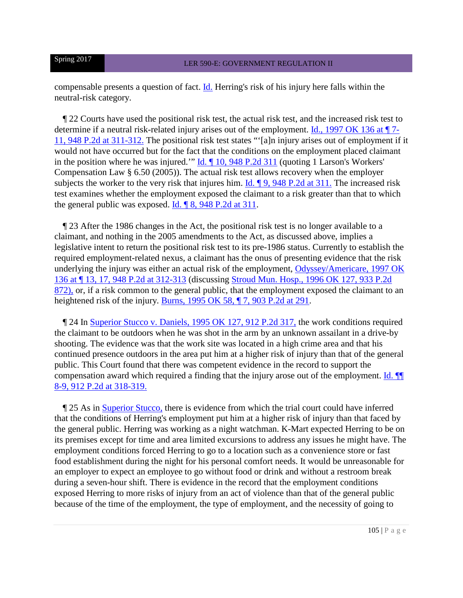compensable presents a question of fact. [Id.](http://web2.westlaw.com/find/default.wl?tf=-1&rs=WLW10.01&serialnum=1997222423&fn=_top&sv=Split&tc=-1&pbc=24098525&ordoc=2016448600&findtype=Y&vr=2.0&rp=%2ffind%2fdefault.wl&mt=208) Herring's risk of his injury here falls within the neutral-risk category.

¶ 22 Courts have used the positional risk test, the actual risk test, and the increased risk test to determine if a neutral risk-related injury arises out of the employment. Id., [1997 OK 136 at ¶ 7-](http://web2.westlaw.com/find/default.wl?tf=-1&rs=WLW10.01&referencepositiontype=S&serialnum=1997222423&fn=_top&sv=Split&referenceposition=311&pbc=24098525&tc=-1&ordoc=2016448600&findtype=Y&db=661&vr=2.0&rp=%2ffind%2fdefault.wl&mt=208) [11, 948 P.2d at 311-312.](http://web2.westlaw.com/find/default.wl?tf=-1&rs=WLW10.01&referencepositiontype=S&serialnum=1997222423&fn=_top&sv=Split&referenceposition=311&pbc=24098525&tc=-1&ordoc=2016448600&findtype=Y&db=661&vr=2.0&rp=%2ffind%2fdefault.wl&mt=208) The positional risk test states "'[a]n injury arises out of employment if it would not have occurred but for the fact that the conditions on the employment placed claimant in the position where he was injured.'" Id. [¶ 10, 948 P.2d 311](http://web2.westlaw.com/find/default.wl?tf=-1&rs=WLW10.01&serialnum=1997222423&fn=_top&sv=Split&tc=-1&pbc=24098525&ordoc=2016448600&findtype=Y&db=661&vr=2.0&rp=%2ffind%2fdefault.wl&mt=208) (quoting 1 Larson's Workers' Compensation Law § 6.50 (2005)). The actual risk test allows recovery when the employer subjects the worker to the very risk that injures him. Id. ¶ [9, 948 P.2d at 311.](http://web2.westlaw.com/find/default.wl?tf=-1&rs=WLW10.01&referencepositiontype=S&serialnum=1997222423&fn=_top&sv=Split&referenceposition=311&pbc=24098525&tc=-1&ordoc=2016448600&findtype=Y&db=661&vr=2.0&rp=%2ffind%2fdefault.wl&mt=208) The increased risk test examines whether the employment exposed the claimant to a risk greater than that to which the general public was exposed. Id.  $\sqrt{\frac{8,948 \text{ P}.2d \text{ at } 311}}$ .

¶ 23 After the 1986 changes in the Act, the positional risk test is no longer available to a claimant, and nothing in the 2005 amendments to the Act, as discussed above, implies a legislative intent to return the positional risk test to its pre-1986 status. Currently to establish the required employment-related nexus, a claimant has the onus of presenting evidence that the risk underlying the injury was either an actual risk of the employment, [Odyssey/Americare,](http://web2.westlaw.com/find/default.wl?tf=-1&rs=WLW10.01&referencepositiontype=S&serialnum=1997222423&fn=_top&sv=Split&referenceposition=312&pbc=24098525&tc=-1&ordoc=2016448600&findtype=Y&db=661&vr=2.0&rp=%2ffind%2fdefault.wl&mt=208) 1997 OK [136 at ¶ 13, 17, 948 P.2d at 312-313](http://web2.westlaw.com/find/default.wl?tf=-1&rs=WLW10.01&referencepositiontype=S&serialnum=1997222423&fn=_top&sv=Split&referenceposition=312&pbc=24098525&tc=-1&ordoc=2016448600&findtype=Y&db=661&vr=2.0&rp=%2ffind%2fdefault.wl&mt=208) (discussing Stroud Mun. Hosp., [1996 OK 127, 933 P.2d](http://web2.westlaw.com/find/default.wl?tf=-1&rs=WLW10.01&serialnum=1996263086&fn=_top&sv=Split&tc=-1&pbc=24098525&ordoc=2016448600&findtype=Y&db=661&vr=2.0&rp=%2ffind%2fdefault.wl&mt=208)  [872\),](http://web2.westlaw.com/find/default.wl?tf=-1&rs=WLW10.01&serialnum=1996263086&fn=_top&sv=Split&tc=-1&pbc=24098525&ordoc=2016448600&findtype=Y&db=661&vr=2.0&rp=%2ffind%2fdefault.wl&mt=208) or, if a risk common to the general public, that the employment exposed the claimant to an heightened risk of the injury. Burns, [1995 OK 58, ¶ 7, 903 P.2d at 291.](http://web2.westlaw.com/find/default.wl?tf=-1&rs=WLW10.01&referencepositiontype=S&serialnum=1995124700&fn=_top&sv=Split&referenceposition=291&pbc=24098525&tc=-1&ordoc=2016448600&findtype=Y&db=661&vr=2.0&rp=%2ffind%2fdefault.wl&mt=208)

¶ 24 In Superior Stucco v. Daniels, [1995 OK 127, 912 P.2d 317,](http://web2.westlaw.com/find/default.wl?tf=-1&rs=WLW10.01&serialnum=1995222567&fn=_top&sv=Split&tc=-1&pbc=24098525&ordoc=2016448600&findtype=Y&db=661&vr=2.0&rp=%2ffind%2fdefault.wl&mt=208) the work conditions required the claimant to be outdoors when he was shot in the arm by an unknown assailant in a drive-by shooting. The evidence was that the work site was located in a high crime area and that his continued presence outdoors in the area put him at a higher risk of injury than that of the general public. This Court found that there was competent evidence in the record to support the compensation award which required a finding that the injury arose out of the employment. [Id.](http://web2.westlaw.com/find/default.wl?tf=-1&rs=WLW10.01&referencepositiontype=S&serialnum=1995222567&fn=_top&sv=Split&referenceposition=318&pbc=24098525&tc=-1&ordoc=2016448600&findtype=Y&db=661&vr=2.0&rp=%2ffind%2fdefault.wl&mt=208) ¶¶ [8-9, 912 P.2d at 318-319.](http://web2.westlaw.com/find/default.wl?tf=-1&rs=WLW10.01&referencepositiontype=S&serialnum=1995222567&fn=_top&sv=Split&referenceposition=318&pbc=24098525&tc=-1&ordoc=2016448600&findtype=Y&db=661&vr=2.0&rp=%2ffind%2fdefault.wl&mt=208)

¶ 25 As in [Superior Stucco,](http://web2.westlaw.com/find/default.wl?tf=-1&rs=WLW10.01&serialnum=1995222567&fn=_top&sv=Split&tc=-1&pbc=24098525&ordoc=2016448600&findtype=Y&vr=2.0&rp=%2ffind%2fdefault.wl&mt=208) there is evidence from which the trial court could have inferred that the conditions of Herring's employment put him at a higher risk of injury than that faced by the general public. Herring was working as a night watchman. K-Mart expected Herring to be on its premises except for time and area limited excursions to address any issues he might have. The employment conditions forced Herring to go to a location such as a convenience store or fast food establishment during the night for his personal comfort needs. It would be unreasonable for an employer to expect an employee to go without food or drink and without a restroom break during a seven-hour shift. There is evidence in the record that the employment conditions exposed Herring to more risks of injury from an act of violence than that of the general public because of the time of the employment, the type of employment, and the necessity of going to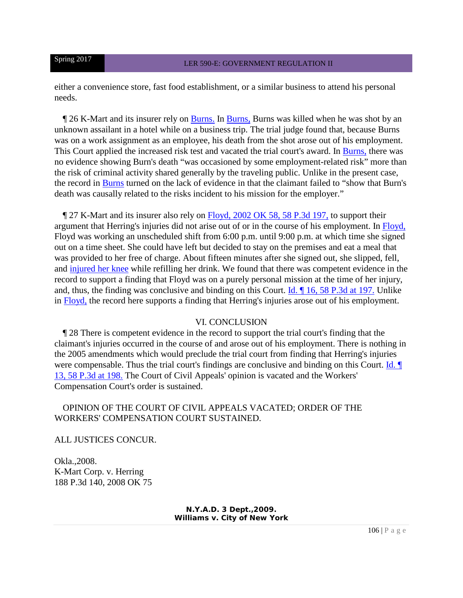either a convenience store, fast food establishment, or a similar business to attend his personal needs.

¶ 26 K-Mart and its insurer rely on [Burns.](http://web2.westlaw.com/find/default.wl?tf=-1&rs=WLW10.01&serialnum=1995124700&fn=_top&sv=Split&tc=-1&pbc=24098525&ordoc=2016448600&findtype=Y&vr=2.0&rp=%2ffind%2fdefault.wl&mt=208) In [Burns,](http://web2.westlaw.com/find/default.wl?tf=-1&rs=WLW10.01&serialnum=1995124700&fn=_top&sv=Split&tc=-1&pbc=24098525&ordoc=2016448600&findtype=Y&vr=2.0&rp=%2ffind%2fdefault.wl&mt=208) Burns was killed when he was shot by an unknown assailant in a hotel while on a business trip. The trial judge found that, because Burns was on a work assignment as an employee, his death from the shot arose out of his employment. This Court applied the increased risk test and vacated the trial court's award. In [Burns,](http://web2.westlaw.com/find/default.wl?tf=-1&rs=WLW10.01&serialnum=1995124700&fn=_top&sv=Split&tc=-1&pbc=24098525&ordoc=2016448600&findtype=Y&vr=2.0&rp=%2ffind%2fdefault.wl&mt=208) there was no evidence showing Burn's death "was occasioned by some employment-related risk" more than the risk of criminal activity shared generally by the traveling public. Unlike in the present case, the record in [Burns](http://web2.westlaw.com/find/default.wl?tf=-1&rs=WLW10.01&serialnum=1995124700&fn=_top&sv=Split&tc=-1&pbc=24098525&ordoc=2016448600&findtype=Y&vr=2.0&rp=%2ffind%2fdefault.wl&mt=208) turned on the lack of evidence in that the claimant failed to "show that Burn's death was causally related to the risks incident to his mission for the employer."

¶ 27 K-Mart and its insurer also rely on Floyd, [2002 OK 58, 58 P.3d 197,](http://web2.westlaw.com/find/default.wl?tf=-1&rs=WLW10.01&serialnum=2002392176&fn=_top&sv=Split&tc=-1&pbc=24098525&ordoc=2016448600&findtype=Y&db=4645&vr=2.0&rp=%2ffind%2fdefault.wl&mt=208) to support their argument that Herring's injuries did not arise out of or in the course of his employment. In [Floyd,](http://web2.westlaw.com/find/default.wl?tf=-1&rs=WLW10.01&serialnum=2002392176&fn=_top&sv=Split&tc=-1&pbc=24098525&ordoc=2016448600&findtype=Y&vr=2.0&rp=%2ffind%2fdefault.wl&mt=208) Floyd was working an unscheduled shift from 6:00 p.m. until 9:00 p.m. at which time she signed out on a time sheet. She could have left but decided to stay on the premises and eat a meal that was provided to her free of charge. About fifteen minutes after she signed out, she slipped, fell, and [injured her knee](http://web2.westlaw.com/find/default.wl?rs=WLW10.01&ifm=NotSet&fn=_top&sv=Split&docname=Ibf97725b475411db9765f9243f53508a&pbc=24098525&ordoc=2016448600&findtype=IJ&vr=2.0&rp=%2ffind%2fdefault.wl&mt=208) while refilling her drink. We found that there was competent evidence in the record to support a finding that Floyd was on a purely personal mission at the time of her injury, and, thus, the finding was conclusive and binding on this Court. Id. [¶ 16, 58 P.3d at 197.](http://web2.westlaw.com/find/default.wl?tf=-1&rs=WLW10.01&referencepositiontype=S&serialnum=2002392176&fn=_top&sv=Split&referenceposition=197&pbc=24098525&tc=-1&ordoc=2016448600&findtype=Y&db=4645&vr=2.0&rp=%2ffind%2fdefault.wl&mt=208) Unlike in [Floyd,](http://web2.westlaw.com/find/default.wl?tf=-1&rs=WLW10.01&serialnum=2002392176&fn=_top&sv=Split&tc=-1&pbc=24098525&ordoc=2016448600&findtype=Y&vr=2.0&rp=%2ffind%2fdefault.wl&mt=208) the record here supports a finding that Herring's injuries arose out of his employment.

### VI. CONCLUSION

¶ 28 There is competent evidence in the record to support the trial court's finding that the claimant's injuries occurred in the course of and arose out of his employment. There is nothing in the 2005 amendments which would preclude the trial court from finding that Herring's injuries were compensable. Thus the trial court's findings are conclusive and binding on this Court. [Id.](http://web2.westlaw.com/find/default.wl?tf=-1&rs=WLW10.01&referencepositiontype=S&serialnum=2002392176&fn=_top&sv=Split&referenceposition=198&pbc=24098525&tc=-1&ordoc=2016448600&findtype=Y&db=4645&vr=2.0&rp=%2ffind%2fdefault.wl&mt=208) [13, 58 P.3d at 198.](http://web2.westlaw.com/find/default.wl?tf=-1&rs=WLW10.01&referencepositiontype=S&serialnum=2002392176&fn=_top&sv=Split&referenceposition=198&pbc=24098525&tc=-1&ordoc=2016448600&findtype=Y&db=4645&vr=2.0&rp=%2ffind%2fdefault.wl&mt=208) The Court of Civil Appeals' opinion is vacated and the Workers' Compensation Court's order is sustained.

### OPINION OF THE COURT OF CIVIL APPEALS VACATED; ORDER OF THE WORKERS' COMPENSATION COURT SUSTAINED.

ALL JUSTICES CONCUR.

Okla.,2008. K-Mart Corp. v. Herring 188 P.3d 140, 2008 OK 75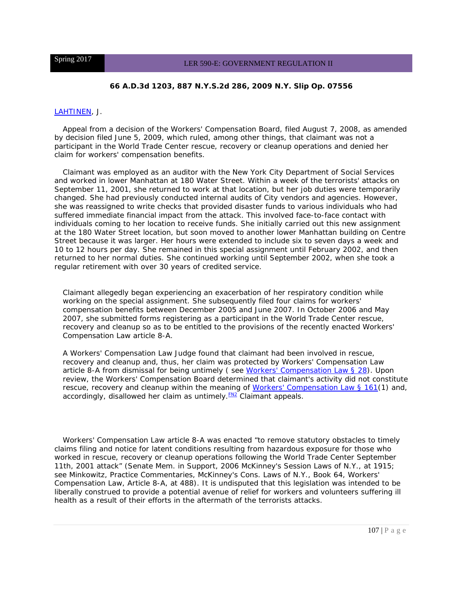### **66 A.D.3d 1203, 887 N.Y.S.2d 286, 2009 N.Y. Slip Op. 07556**

### [LAHTINEN,](http://web2.westlaw.com/find/default.wl?tf=-1&rs=WLW10.01&fn=_top&sv=Split&docname=0318150501&tc=-1&pbc=1929A49D&ordoc=2020174200&findtype=h&db=PROFILER-WLD&vr=2.0&rp=%2ffind%2fdefault.wl&mt=208) J.

Appeal from a decision of the Workers' Compensation Board, filed August 7, 2008, as amended by decision filed June 5, 2009, which ruled, among other things, that claimant was not a participant in the World Trade Center rescue, recovery or cleanup operations and denied her claim for workers' compensation benefits.

Claimant was employed as an auditor with the New York City Department of Social Services and worked in lower Manhattan at 180 Water Street. Within a week of the terrorists' attacks on September 11, 2001, she returned to work at that location, but her job duties were temporarily changed. She had previously conducted internal audits of City vendors and agencies. However, she was reassigned to write checks that provided disaster funds to various individuals who had suffered immediate financial impact from the attack. This involved face-to-face contact with individuals coming to her location to receive funds. She initially carried out this new assignment at the 180 Water Street location, but soon moved to another lower Manhattan building on Centre Street because it was larger. Her hours were extended to include six to seven days a week and 10 to 12 hours per day. She remained in this special assignment until February 2002, and then returned to her normal duties. She continued working until September 2002, when she took a regular retirement with over 30 years of credited service.

Claimant allegedly began experiencing an exacerbation of her respiratory condition while working on the special assignment. She subsequently filed four claims for workers' compensation benefits between December 2005 and June 2007. In October 2006 and May 2007, she submitted forms registering as a participant in the World Trade Center rescue, recovery and cleanup so as to be entitled to the provisions of the recently enacted Workers' Compensation Law article 8-A.

A Workers' Compensation Law Judge found that claimant had been involved in rescue, recovery and cleanup and, thus, her claim was protected by Workers' Compensation Law article 8-A from dismissal for being untimely ( *see* [Workers' Compensation Law § 28\)](http://web2.westlaw.com/find/default.wl?tf=-1&rs=WLW10.01&fn=_top&sv=Split&docname=NYWCS28&tc=-1&pbc=1929A49D&ordoc=2020174200&findtype=L&db=1000159&vr=2.0&rp=%2ffind%2fdefault.wl&mt=208). Upon review, the Workers' Compensation Board determined that claimant's activity did not constitute rescue, recovery and cleanup within the meaning of [Workers' Compensation Law § 161\(](http://web2.westlaw.com/find/default.wl?tf=-1&rs=WLW10.01&fn=_top&sv=Split&docname=NYWCS161&tc=-1&pbc=1929A49D&ordoc=2020174200&findtype=L&db=1000159&vr=2.0&rp=%2ffind%2fdefault.wl&mt=208)1) and, accordingly, disallowed her claim as untimely. $\frac{FN2}{FN2}$  Claimant appeals.

Workers' Compensation Law article 8-A was enacted "to remove statutory obstacles to timely claims filing and notice for latent conditions resulting from hazardous exposure for those who worked in rescue, recovery or cleanup operations following the World Trade Center September 11th, 2001 attack" (Senate Mem. in Support, 2006 McKinney's Session Laws of N.Y., at 1915; *see* Minkowitz, Practice Commentaries, McKinney's Cons. Laws of N.Y., Book 64, Workers' Compensation Law, Article 8-A, at 488). It is undisputed that this legislation was intended to be liberally construed to provide a potential avenue of relief for workers and volunteers suffering ill health as a result of their efforts in the aftermath of the terrorists attacks.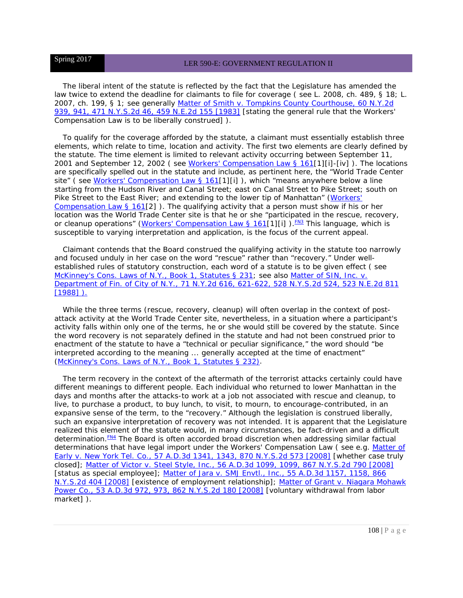The liberal intent of the statute is reflected by the fact that the Legislature has amended the law twice to extend the deadline for claimants to file for coverage ( *see* L. 2008, ch. 489, § 18; L. 2007, ch. 199, § 1; *see generally [Matter of Smith v. Tompkins County Courthouse,](http://web2.westlaw.com/find/default.wl?tf=-1&rs=WLW10.01&serialnum=1984106834&fn=_top&sv=Split&tc=-1&pbc=1929A49D&ordoc=2020174200&findtype=Y&db=578&vr=2.0&rp=%2ffind%2fdefault.wl&mt=208)* 60 N.Y.2d [939, 941, 471 N.Y.S.2d 46, 459 N.E.2d 155 \[1983\]](http://web2.westlaw.com/find/default.wl?tf=-1&rs=WLW10.01&serialnum=1984106834&fn=_top&sv=Split&tc=-1&pbc=1929A49D&ordoc=2020174200&findtype=Y&db=578&vr=2.0&rp=%2ffind%2fdefault.wl&mt=208) [stating the general rule that the Workers' Compensation Law is to be liberally construed] ).

To qualify for the coverage afforded by the statute, a claimant must essentially establish three elements, which relate to time, location and activity. The first two elements are clearly defined by the statute. The time element is limited to relevant activity occurring between September 11, 2001 and September 12, 2002 ( *see* [Workers' Compensation Law § 161\[](http://web2.westlaw.com/find/default.wl?tf=-1&rs=WLW10.01&fn=_top&sv=Split&docname=NYWCS161&tc=-1&pbc=1929A49D&ordoc=2020174200&findtype=L&db=1000159&vr=2.0&rp=%2ffind%2fdefault.wl&mt=208)1][i]-[iv] ). The locations are specifically spelled out in the statute and include, as pertinent here, the "World Trade Center site" ( *see* [Workers' Compensation Law § 161\[](http://web2.westlaw.com/find/default.wl?tf=-1&rs=WLW10.01&fn=_top&sv=Split&docname=NYWCS161&tc=-1&pbc=1929A49D&ordoc=2020174200&findtype=L&db=1000159&vr=2.0&rp=%2ffind%2fdefault.wl&mt=208)1][i] ), which "means anywhere below a line starting from the Hudson River and Canal Street; east on Canal Street to Pike Street; south on Pike Street to the East River; and extending to the lower tip of Manhattan" [\(Workers'](http://web2.westlaw.com/find/default.wl?tf=-1&rs=WLW10.01&fn=_top&sv=Split&docname=NYWCS161&tc=-1&pbc=1929A49D&ordoc=2020174200&findtype=L&db=1000159&vr=2.0&rp=%2ffind%2fdefault.wl&mt=208)  [Compensation Law § 161\[](http://web2.westlaw.com/find/default.wl?tf=-1&rs=WLW10.01&fn=_top&sv=Split&docname=NYWCS161&tc=-1&pbc=1929A49D&ordoc=2020174200&findtype=L&db=1000159&vr=2.0&rp=%2ffind%2fdefault.wl&mt=208)2] ). The qualifying activity that a person must show if his or her location was the World Trade Center site is that he or she "participated in the rescue, recovery, or cleanup operations" [\(Workers' Compensation Law § 161\[](http://web2.westlaw.com/find/default.wl?tf=-1&rs=WLW10.01&fn=_top&sv=Split&docname=NYWCS161&tc=-1&pbc=1929A49D&ordoc=2020174200&findtype=L&db=1000159&vr=2.0&rp=%2ffind%2fdefault.wl&mt=208)1][i] ).  $F^{N3}$  This language, which is susceptible to varying interpretation and application, is the focus of the current appeal.

Claimant contends that the Board construed the qualifying activity in the statute too narrowly and focused unduly in her case on the word "rescue" rather than "recovery." Under wellestablished rules of statutory construction, each word of a statute is to be given effect ( *see* [McKinney's Cons. Laws of N.Y., Book 1, Statutes § 231;](http://web2.westlaw.com/find/default.wl?tf=-1&rs=WLW10.01&fn=_top&sv=Split&docname=NYSUS231&tc=-1&pbc=1929A49D&ordoc=2020174200&findtype=L&db=1000300&vr=2.0&rp=%2ffind%2fdefault.wl&mt=208) *see also Matter [of SIN, Inc. v.](http://web2.westlaw.com/find/default.wl?tf=-1&rs=WLW10.01&serialnum=1988057720&fn=_top&sv=Split&tc=-1&pbc=1929A49D&ordoc=2020174200&findtype=Y&db=578&vr=2.0&rp=%2ffind%2fdefault.wl&mt=208)  Department of Fin. of City of N.Y.,* [71 N.Y.2d 616, 621-622, 528 N.Y.S.2d 524, 523 N.E.2d 811](http://web2.westlaw.com/find/default.wl?tf=-1&rs=WLW10.01&serialnum=1988057720&fn=_top&sv=Split&tc=-1&pbc=1929A49D&ordoc=2020174200&findtype=Y&db=578&vr=2.0&rp=%2ffind%2fdefault.wl&mt=208)  [\[1988\] \).](http://web2.westlaw.com/find/default.wl?tf=-1&rs=WLW10.01&serialnum=1988057720&fn=_top&sv=Split&tc=-1&pbc=1929A49D&ordoc=2020174200&findtype=Y&db=578&vr=2.0&rp=%2ffind%2fdefault.wl&mt=208)

While the three terms (rescue, recovery, cleanup) will often overlap in the context of postattack activity at the World Trade Center site, nevertheless, in a situation where a participant's activity falls within only one of the terms, he or she would still be covered by the statute. Since the word recovery is not separately defined in the statute and had not been construed prior to enactment of the statute to have a "technical or peculiar significance," the word should "be interpreted according to the meaning ... generally accepted at the time of enactment" [\(McKinney's Cons. Laws of N.Y., Book 1, Statutes § 232\).](http://web2.westlaw.com/find/default.wl?tf=-1&rs=WLW10.01&fn=_top&sv=Split&docname=NYSUS232&tc=-1&pbc=1929A49D&ordoc=2020174200&findtype=L&db=1000300&vr=2.0&rp=%2ffind%2fdefault.wl&mt=208)

The term recovery in the context of the aftermath of the terrorist attacks certainly could have different meanings to different people. Each individual who returned to lower Manhattan in the days and months after the attacks-to work at a job not associated with rescue and cleanup, to live, to purchase a product, to buy lunch, to visit, to mourn, to encourage-contributed, in an expansive sense of the term, to the "recovery." Although the legislation is construed liberally, such an expansive interpretation of recovery was not intended. It is apparent that the Legislature realized this element of the statute would, in many circumstances, be fact-driven and a difficult determination. EN4 The Board is often accorded broad discretion when addressing similar factual determinations that have legal import under the Workers' Compensation Law ( *see e.g. [Matter of](http://web2.westlaw.com/find/default.wl?tf=-1&rs=WLW10.01&serialnum=2017791951&fn=_top&sv=Split&tc=-1&pbc=1929A49D&ordoc=2020174200&findtype=Y&db=602&vr=2.0&rp=%2ffind%2fdefault.wl&mt=208) Early v. New York Tel. Co.,* [57 A.D.3d 1341, 1343, 870 N.Y.S.2d 573 \[2008\]](http://web2.westlaw.com/find/default.wl?tf=-1&rs=WLW10.01&serialnum=2017791951&fn=_top&sv=Split&tc=-1&pbc=1929A49D&ordoc=2020174200&findtype=Y&db=602&vr=2.0&rp=%2ffind%2fdefault.wl&mt=208) [whether case truly closed]; *Matter of Victor v. Steel Style, Inc.,* [56 A.D.3d 1099, 1099, 867 N.Y.S.2d 790 \[2008\]](http://web2.westlaw.com/find/default.wl?tf=-1&rs=WLW10.01&serialnum=2017510115&fn=_top&sv=Split&tc=-1&pbc=1929A49D&ordoc=2020174200&findtype=Y&db=602&vr=2.0&rp=%2ffind%2fdefault.wl&mt=208) [status as special employee]; *[Matter of Jara v. SMJ Envtl., Inc.,](http://web2.westlaw.com/find/default.wl?tf=-1&rs=WLW10.01&serialnum=2017375529&fn=_top&sv=Split&tc=-1&pbc=1929A49D&ordoc=2020174200&findtype=Y&db=602&vr=2.0&rp=%2ffind%2fdefault.wl&mt=208)* 55 A.D.3d 1157, 1158, 866 [N.Y.S.2d 404 \[2008\]](http://web2.westlaw.com/find/default.wl?tf=-1&rs=WLW10.01&serialnum=2017375529&fn=_top&sv=Split&tc=-1&pbc=1929A49D&ordoc=2020174200&findtype=Y&db=602&vr=2.0&rp=%2ffind%2fdefault.wl&mt=208) [existence of employment relationship]; *[Matter of Grant v. Niagara Mohawk](http://web2.westlaw.com/find/default.wl?tf=-1&rs=WLW10.01&serialnum=2016589104&fn=_top&sv=Split&tc=-1&pbc=1929A49D&ordoc=2020174200&findtype=Y&db=602&vr=2.0&rp=%2ffind%2fdefault.wl&mt=208)  Power Co.,* [53 A.D.3d 972, 973, 862 N.Y.S.2d 180 \[2008\]](http://web2.westlaw.com/find/default.wl?tf=-1&rs=WLW10.01&serialnum=2016589104&fn=_top&sv=Split&tc=-1&pbc=1929A49D&ordoc=2020174200&findtype=Y&db=602&vr=2.0&rp=%2ffind%2fdefault.wl&mt=208) [voluntary withdrawal from labor market] ).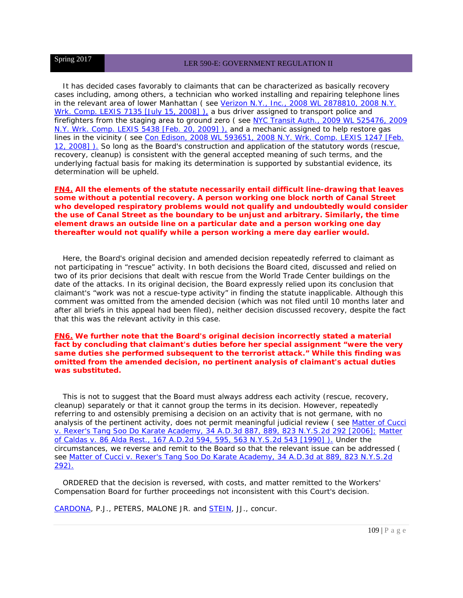It has decided cases favorably to claimants that can be characterized as basically recovery cases including, among others, a technician who worked installing and repairing telephone lines in the relevant area of lower Manhattan ( *see Verizon N.Y., Inc.,* [2008 WL 2878810, 2008 N.Y.](http://web2.westlaw.com/find/default.wl?tf=-1&rs=WLW10.01&fn=_top&sv=Split&docname=2008WESTLAW2878810&tc=-1&pbc=1929A49D&ordoc=2020174200&findtype=Y&db=999&vr=2.0&rp=%2ffind%2fdefault.wl&mt=208)  [Wrk. Comp. LEXIS 7135 \[July 15, 2008\] \),](http://web2.westlaw.com/find/default.wl?tf=-1&rs=WLW10.01&fn=_top&sv=Split&docname=2008WESTLAW2878810&tc=-1&pbc=1929A49D&ordoc=2020174200&findtype=Y&db=999&vr=2.0&rp=%2ffind%2fdefault.wl&mt=208) a bus driver assigned to transport police and firefighters from the staging area to ground zero ( *see NYC Transit Auth.,* [2009 WL 525476, 2009](http://web2.westlaw.com/find/default.wl?tf=-1&rs=WLW10.01&fn=_top&sv=Split&docname=2009WESTLAW525476&tc=-1&pbc=1929A49D&ordoc=2020174200&findtype=Y&db=999&vr=2.0&rp=%2ffind%2fdefault.wl&mt=208)  [N.Y. Wrk. Comp. LEXIS 5438 \[Feb. 20, 2009\] \),](http://web2.westlaw.com/find/default.wl?tf=-1&rs=WLW10.01&fn=_top&sv=Split&docname=2009WESTLAW525476&tc=-1&pbc=1929A49D&ordoc=2020174200&findtype=Y&db=999&vr=2.0&rp=%2ffind%2fdefault.wl&mt=208) and a mechanic assigned to help restore gas lines in the vicinity ( *see Con Edison,* [2008 WL 593651, 2008 N.Y. Wrk. Comp. LEXIS 1247 \[Feb.](http://web2.westlaw.com/find/default.wl?tf=-1&rs=WLW10.01&fn=_top&sv=Split&docname=2008WESTLAW593651&tc=-1&pbc=1929A49D&ordoc=2020174200&findtype=Y&db=999&vr=2.0&rp=%2ffind%2fdefault.wl&mt=208)  [12, 2008\] \).](http://web2.westlaw.com/find/default.wl?tf=-1&rs=WLW10.01&fn=_top&sv=Split&docname=2008WESTLAW593651&tc=-1&pbc=1929A49D&ordoc=2020174200&findtype=Y&db=999&vr=2.0&rp=%2ffind%2fdefault.wl&mt=208) So long as the Board's construction and application of the statutory words (rescue, recovery, cleanup) is consistent with the general accepted meaning of such terms, and the underlying factual basis for making its determination is supported by substantial evidence, its determination will be upheld.

**[FN4.](http://web2.westlaw.com/result/documenttext.aspx?sv=Split&service=Find&scxt=WL&rlti=1&cxt=DC&ifm=NotSet&n=1&mt=208&fn=_top&vr=2.0&rlt=CLID_FQRLT3985915369161&rp=%2fFind%2fdefault.wl&cite=887+N.Y.S.2d+286&cnt=DOC&rs=WLW10.01&ss=CNT#F00442020174200) All the elements of the statute necessarily entail difficult line-drawing that leaves some without a potential recovery. A person working one block north of Canal Street who developed respiratory problems would not qualify and undoubtedly would consider the use of Canal Street as the boundary to be unjust and arbitrary. Similarly, the time element draws an outside line on a particular date and a person working one day thereafter would not qualify while a person working a mere day earlier would.**

Here, the Board's original decision and amended decision repeatedly referred to claimant as not participating in "rescue" activity. In both decisions the Board cited, discussed and relied on two of its prior decisions that dealt with rescue from the World Trade Center buildings on the date of the attacks. In its original decision, the Board expressly relied upon its conclusion that claimant's "work was not a rescue-type activity" in finding the statute inapplicable. Although this comment was omitted from the amended decision (which was not filed until 10 months later and after all briefs in this appeal had been filed), neither decision discussed recovery, despite the fact that this was the relevant activity in this case.

**[FN6.](http://web2.westlaw.com/result/documenttext.aspx?sv=Split&service=Find&scxt=WL&rlti=1&cxt=DC&ifm=NotSet&n=1&mt=208&fn=_top&vr=2.0&rlt=CLID_FQRLT3985915369161&rp=%2fFind%2fdefault.wl&cite=887+N.Y.S.2d+286&cnt=DOC&rs=WLW10.01&ss=CNT#F00662020174200) We further note that the Board's original decision incorrectly stated a material fact by concluding that claimant's duties before her special assignment "were the very same duties she performed subsequent to the terrorist attack." While this finding was omitted from the amended decision, no pertinent analysis of claimant's actual duties was substituted.**

This is not to suggest that the Board must always address each activity (rescue, recovery, cleanup) separately or that it cannot group the terms in its decision. However, repeatedly referring to and ostensibly premising a decision on an activity that is not germane, with no analysis of the pertinent activity, does not permit meaningful judicial review ( *see [Matter of Cucci](http://web2.westlaw.com/find/default.wl?tf=-1&rs=WLW10.01&serialnum=2010568845&fn=_top&sv=Split&tc=-1&pbc=1929A49D&ordoc=2020174200&findtype=Y&db=602&vr=2.0&rp=%2ffind%2fdefault.wl&mt=208)  v. Rexer's Tang Soo Do Karate Academy,* [34 A.D.3d 887, 889, 823 N.Y.S.2d 292 \[2006\];](http://web2.westlaw.com/find/default.wl?tf=-1&rs=WLW10.01&serialnum=2010568845&fn=_top&sv=Split&tc=-1&pbc=1929A49D&ordoc=2020174200&findtype=Y&db=602&vr=2.0&rp=%2ffind%2fdefault.wl&mt=208) *[Matter](http://web2.westlaw.com/find/default.wl?tf=-1&rs=WLW10.01&serialnum=1990156753&fn=_top&sv=Split&tc=-1&pbc=1929A49D&ordoc=2020174200&findtype=Y&db=602&vr=2.0&rp=%2ffind%2fdefault.wl&mt=208)  of Caldas v. 86 Alda Rest.,* [167 A.D.2d 594, 595, 563 N.Y.S.2d 543 \[1990\] \).](http://web2.westlaw.com/find/default.wl?tf=-1&rs=WLW10.01&serialnum=1990156753&fn=_top&sv=Split&tc=-1&pbc=1929A49D&ordoc=2020174200&findtype=Y&db=602&vr=2.0&rp=%2ffind%2fdefault.wl&mt=208) Under the circumstances, we reverse and remit to the Board so that the relevant issue can be addressed ( *see [Matter of Cucci v. Rexer's Tang Soo Do Karate Academy,](http://web2.westlaw.com/find/default.wl?tf=-1&rs=WLW10.01&serialnum=2010568845&fn=_top&sv=Split&tc=-1&pbc=1929A49D&ordoc=2020174200&findtype=Y&db=602&vr=2.0&rp=%2ffind%2fdefault.wl&mt=208)* 34 A.D.3d at 889, 823 N.Y.S.2d [292\).](http://web2.westlaw.com/find/default.wl?tf=-1&rs=WLW10.01&serialnum=2010568845&fn=_top&sv=Split&tc=-1&pbc=1929A49D&ordoc=2020174200&findtype=Y&db=602&vr=2.0&rp=%2ffind%2fdefault.wl&mt=208)

ORDERED that the decision is reversed, with costs, and matter remitted to the Workers' Compensation Board for further proceedings not inconsistent with this Court's decision.

[CARDONA,](http://web2.westlaw.com/find/default.wl?tf=-1&rs=WLW10.01&fn=_top&sv=Split&docname=0216947801&tc=-1&pbc=1929A49D&ordoc=2020174200&findtype=h&db=PROFILER-WLD&vr=2.0&rp=%2ffind%2fdefault.wl&mt=208) P.J., PETERS, MALONE JR. and [STEIN,](http://web2.westlaw.com/find/default.wl?tf=-1&rs=WLW10.01&fn=_top&sv=Split&docname=0331071001&tc=-1&pbc=1929A49D&ordoc=2020174200&findtype=h&db=PROFILER-WLD&vr=2.0&rp=%2ffind%2fdefault.wl&mt=208) JJ., concur.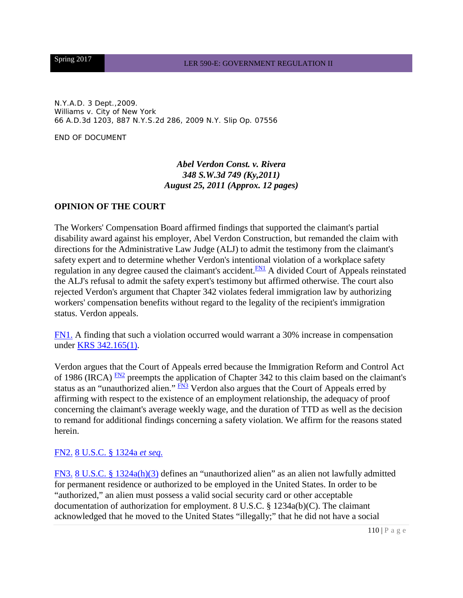N.Y.A.D. 3 Dept.,2009. Williams v. City of New York 66 A.D.3d 1203, 887 N.Y.S.2d 286, 2009 N.Y. Slip Op. 07556

END OF DOCUMENT

*Abel Verdon Const. v. Rivera 348 S.W.3d 749 (Ky,2011) August 25, 2011 (Approx. 12 pages)*

### **OPINION OF THE COURT**

The Workers' Compensation Board affirmed findings that supported the claimant's partial disability award against his employer, Abel Verdon Construction, but remanded the claim with directions for the Administrative Law Judge (ALJ) to admit the testimony from the claimant's safety expert and to determine whether Verdon's intentional violation of a workplace safety regulation in any degree caused the claimant's accident.<sup>FN1</sup> A divided Court of Appeals reinstated the ALJ's refusal to admit the safety expert's testimony but affirmed otherwise. The court also rejected Verdon's argument that Chapter 342 violates federal immigration law by authorizing workers' compensation benefits without regard to the legality of the recipient's immigration status. Verdon appeals.

[FN1.](http://web2.westlaw.com/result/%09%09%09%09%09%09#F00112025942110) A finding that such a violation occurred would warrant a 30% increase in compensation under [KRS 342.165\(1\).](http://web2.westlaw.com/find/default.wl?mt=208&db=1000010&docname=KYSTS342.165&rp=%2ffind%2fdefault.wl&findtype=L&ordoc=2025942110&tc=-1&vr=2.0&fn=_top&sv=Split&tf=-1&referencepositiontype=T&pbc=6095E7EC&referenceposition=SP%3bf1c50000821b0&rs=WLW12.07)

Verdon argues that the Court of Appeals erred because the Immigration Reform and Control Act of 1986 (IRCA)  $\frac{FN2}{FN}$  $\frac{FN2}{FN}$  $\frac{FN2}{FN}$  preempts the application of Chapter 342 to this claim based on the claimant's status as an "unauthorized alien."  $\frac{FN3}{FN3}$  Verdon also argues that the Court of Appeals erred by affirming with respect to the existence of an employment relationship, the adequacy of proof concerning the claimant's average weekly wage, and the duration of TTD as well as the decision to remand for additional findings concerning a safety violation. We affirm for the reasons stated herein.

### [FN2.](http://web2.westlaw.com/result/%09%09%09%09%09%09#F00222025942110) [8 U.S.C. § 1324a](http://web2.westlaw.com/find/default.wl?mt=208&db=1000546&docname=8USCAS1324A&rp=%2ffind%2fdefault.wl&findtype=L&ordoc=2025942110&tc=-1&vr=2.0&fn=_top&sv=Split&tf=-1&pbc=6095E7EC&rs=WLW12.07) *et seq.*

[FN3.](http://web2.westlaw.com/result/%09%09%09%09%09%09#F00332025942110) 8 U.S.C. [§ 1324a\(h\)\(3\)](http://web2.westlaw.com/find/default.wl?mt=208&db=1000546&docname=8USCAS1324A&rp=%2ffind%2fdefault.wl&findtype=L&ordoc=2025942110&tc=-1&vr=2.0&fn=_top&sv=Split&tf=-1&referencepositiontype=T&pbc=6095E7EC&referenceposition=SP%3b9d43000088150&rs=WLW12.07) defines an "unauthorized alien" as an alien not lawfully admitted for permanent residence or authorized to be employed in the United States. In order to be "authorized," an alien must possess a valid social security card or other acceptable documentation of authorization for employment. 8 U.S.C. § 1234a(b)(C). The claimant acknowledged that he moved to the United States "illegally;" that he did not have a social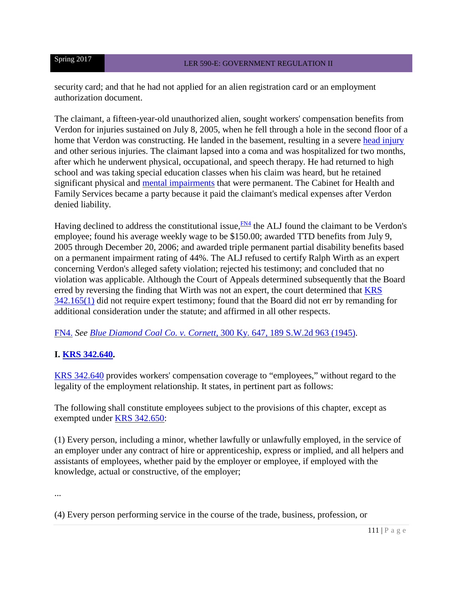security card; and that he had not applied for an alien registration card or an employment authorization document.

The claimant, a fifteen-year-old unauthorized alien, sought workers' compensation benefits from Verdon for injuries sustained on July 8, 2005, when he fell through a hole in the second floor of a home that Verdon was constructing. He landed in the basement, resulting in a severe [head injury](http://web2.westlaw.com/find/default.wl?rs=WLW12.07&pbc=6095E7EC&vr=2.0&findtype=IJ&rp=%2ffind%2fdefault.wl&sv=Split&fn=_top&ordoc=2025942110&mt=208&docname=Ib89a81be475411db9765f9243f53508a) and other serious injuries. The claimant lapsed into a coma and was hospitalized for two months, after which he underwent physical, occupational, and speech therapy. He had returned to high school and was taking special education classes when his claim was heard, but he retained significant physical and [mental impairments](http://web2.westlaw.com/find/default.wl?rs=WLW12.07&pbc=6095E7EC&vr=2.0&findtype=UM&rp=%2ffind%2fdefault.wl&sv=Split&fn=_top&ordoc=2025942110&mt=208&docname=Ic94ca545475411db9765f9243f53508a) that were permanent. The Cabinet for Health and Family Services became a party because it paid the claimant's medical expenses after Verdon denied liability.

Having declined to address the constitutional issue,  $\frac{FN4}{FN4}$  the ALJ found the claimant to be Verdon's employee; found his average weekly wage to be \$150.00; awarded TTD benefits from July 9, 2005 through December 20, 2006; and awarded triple permanent partial disability benefits based on a permanent impairment rating of 44%. The ALJ refused to certify Ralph Wirth as an expert concerning Verdon's alleged safety violation; rejected his testimony; and concluded that no violation was applicable. Although the Court of Appeals determined subsequently that the Board erred by reversing the finding that Wirth was not an expert, the court determined that [KRS](http://web2.westlaw.com/find/default.wl?mt=208&db=1000010&docname=KYSTS342.165&rp=%2ffind%2fdefault.wl&findtype=L&ordoc=2025942110&tc=-1&vr=2.0&fn=_top&sv=Split&tf=-1&referencepositiontype=T&pbc=6095E7EC&referenceposition=SP%3bf1c50000821b0&rs=WLW12.07)  [342.165\(1\)](http://web2.westlaw.com/find/default.wl?mt=208&db=1000010&docname=KYSTS342.165&rp=%2ffind%2fdefault.wl&findtype=L&ordoc=2025942110&tc=-1&vr=2.0&fn=_top&sv=Split&tf=-1&referencepositiontype=T&pbc=6095E7EC&referenceposition=SP%3bf1c50000821b0&rs=WLW12.07) did not require expert testimony; found that the Board did not err by remanding for additional consideration under the statute; and affirmed in all other respects.

[FN4.](http://web2.westlaw.com/result/%09%09%09%09%09%09#F00442025942110) *See Blue Diamond Coal Co. v. Cornett,* [300 Ky. 647, 189 S.W.2d 963 \(1945\).](http://web2.westlaw.com/find/default.wl?mt=208&db=713&tc=-1&rp=%2ffind%2fdefault.wl&findtype=Y&ordoc=2025942110&serialnum=1945111561&vr=2.0&fn=_top&sv=Split&tf=-1&pbc=6095E7EC&rs=WLW12.07)

## **I. [KRS 342.640.](http://web2.westlaw.com/find/default.wl?mt=208&db=1000010&docname=KYSTS342.640&rp=%2ffind%2fdefault.wl&findtype=L&ordoc=2025942110&tc=-1&vr=2.0&fn=_top&sv=Split&tf=-1&pbc=6095E7EC&rs=WLW12.07)**

[KRS 342.640](http://web2.westlaw.com/find/default.wl?mt=208&db=1000010&docname=KYSTS342.640&rp=%2ffind%2fdefault.wl&findtype=L&ordoc=2025942110&tc=-1&vr=2.0&fn=_top&sv=Split&tf=-1&pbc=6095E7EC&rs=WLW12.07) provides workers' compensation coverage to "employees," without regard to the legality of the employment relationship. It states, in pertinent part as follows:

The following shall constitute employees subject to the provisions of this chapter, except as exempted under [KRS 342.650:](http://web2.westlaw.com/find/default.wl?mt=208&db=1000010&docname=KYSTS342.650&rp=%2ffind%2fdefault.wl&findtype=L&ordoc=2025942110&tc=-1&vr=2.0&fn=_top&sv=Split&tf=-1&pbc=6095E7EC&rs=WLW12.07)

(1) Every person, including a minor, whether lawfully or unlawfully employed, in the service of an employer under any contract of hire or apprenticeship, express or implied, and all helpers and assistants of employees, whether paid by the employer or employee, if employed with the knowledge, actual or constructive, of the employer;

...

(4) Every person performing service in the course of the trade, business, profession, or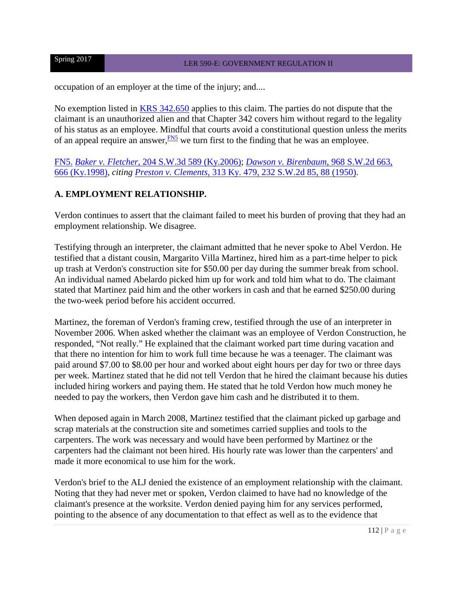occupation of an employer at the time of the injury; and....

No exemption listed in [KRS 342.650](http://web2.westlaw.com/find/default.wl?mt=208&db=1000010&docname=KYSTS342.650&rp=%2ffind%2fdefault.wl&findtype=L&ordoc=2025942110&tc=-1&vr=2.0&fn=_top&sv=Split&tf=-1&pbc=6095E7EC&rs=WLW12.07) applies to this claim. The parties do not dispute that the claimant is an unauthorized alien and that Chapter 342 covers him without regard to the legality of his status as an employee. Mindful that courts avoid a constitutional question unless the merits of an appeal require an answer,  $\frac{FN5}{FN}$  $\frac{FN5}{FN}$  $\frac{FN5}{FN}$  we turn first to the finding that he was an employee.

[FN5.](http://web2.westlaw.com/result/%09%09%09%09%09%09#F00552025942110) *Baker v. Fletcher,* [204 S.W.3d 589 \(Ky.2006\);](http://web2.westlaw.com/find/default.wl?mt=208&db=4644&tc=-1&rp=%2ffind%2fdefault.wl&findtype=Y&ordoc=2025942110&serialnum=2009365763&vr=2.0&fn=_top&sv=Split&tf=-1&pbc=6095E7EC&rs=WLW12.07) *[Dawson v. Birenbaum,](http://web2.westlaw.com/find/default.wl?mt=208&db=713&tc=-1&rp=%2ffind%2fdefault.wl&findtype=Y&ordoc=2025942110&serialnum=1998089835&vr=2.0&fn=_top&sv=Split&tf=-1&referencepositiontype=S&pbc=6095E7EC&referenceposition=666&rs=WLW12.07)* 968 S.W.2d 663, [666 \(Ky.1998\),](http://web2.westlaw.com/find/default.wl?mt=208&db=713&tc=-1&rp=%2ffind%2fdefault.wl&findtype=Y&ordoc=2025942110&serialnum=1998089835&vr=2.0&fn=_top&sv=Split&tf=-1&referencepositiontype=S&pbc=6095E7EC&referenceposition=666&rs=WLW12.07) *citing Preston v. Clements,* [313 Ky. 479, 232 S.W.2d 85, 88 \(1950\).](http://web2.westlaw.com/find/default.wl?mt=208&db=713&tc=-1&rp=%2ffind%2fdefault.wl&findtype=Y&ordoc=2025942110&serialnum=1950113129&vr=2.0&fn=_top&sv=Split&tf=-1&referencepositiontype=S&pbc=6095E7EC&referenceposition=88&rs=WLW12.07)

## **A. EMPLOYMENT RELATIONSHIP.**

Verdon continues to assert that the claimant failed to meet his burden of proving that they had an employment relationship. We disagree.

Testifying through an interpreter, the claimant admitted that he never spoke to Abel Verdon. He testified that a distant cousin, Margarito Villa Martinez, hired him as a part-time helper to pick up trash at Verdon's construction site for \$50.00 per day during the summer break from school. An individual named Abelardo picked him up for work and told him what to do. The claimant stated that Martinez paid him and the other workers in cash and that he earned \$250.00 during the two-week period before his accident occurred.

Martinez, the foreman of Verdon's framing crew, testified through the use of an interpreter in November 2006. When asked whether the claimant was an employee of Verdon Construction, he responded, "Not really." He explained that the claimant worked part time during vacation and that there no intention for him to work full time because he was a teenager. The claimant was paid around \$7.00 to \$8.00 per hour and worked about eight hours per day for two or three days per week. Martinez stated that he did not tell Verdon that he hired the claimant because his duties included hiring workers and paying them. He stated that he told Verdon how much money he needed to pay the workers, then Verdon gave him cash and he distributed it to them.

When deposed again in March 2008, Martinez testified that the claimant picked up garbage and scrap materials at the construction site and sometimes carried supplies and tools to the carpenters. The work was necessary and would have been performed by Martinez or the carpenters had the claimant not been hired. His hourly rate was lower than the carpenters' and made it more economical to use him for the work.

Verdon's brief to the ALJ denied the existence of an employment relationship with the claimant. Noting that they had never met or spoken, Verdon claimed to have had no knowledge of the claimant's presence at the worksite. Verdon denied paying him for any services performed, pointing to the absence of any documentation to that effect as well as to the evidence that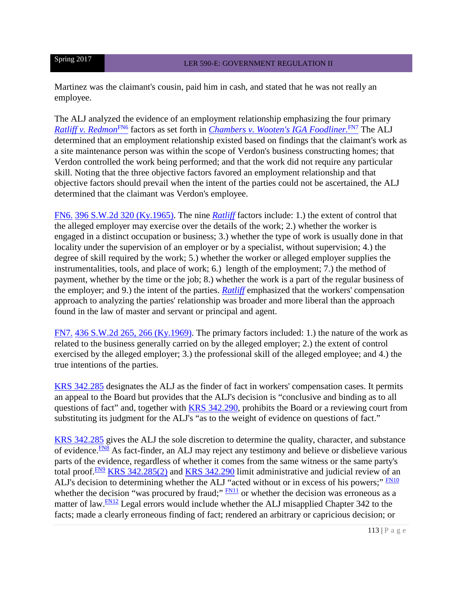Martinez was the claimant's cousin, paid him in cash, and stated that he was not really an employee.

The ALJ analyzed the evidence of an employment relationship emphasizing the four primary *[Ratliff v. Redmon](http://web2.westlaw.com/find/default.wl?rs=WLW12.07&pbc=6095E7EC&vr=2.0&findtype=Y&rp=%2ffind%2fdefault.wl&sv=Split&fn=_top&tf=-1&ordoc=2025942110&mt=208&serialnum=1965129423&tc=-1)*<sup>[FN6](http://web2.westlaw.com/find/default.wl?rs=WLW12.07&pbc=6095E7EC&vr=2.0&findtype=Y&rp=%2ffind%2fdefault.wl&sv=Split&fn=_top&tf=-1&ordoc=2025942110&mt=208&serialnum=1965129423&tc=-1)</sup> factors as set forth in *Chambers v. Wooten's IGA Foodliner*.<sup>[FN7](http://web2.westlaw.com/find/default.wl?rs=WLW12.07&pbc=6095E7EC&vr=2.0&findtype=Y&rp=%2ffind%2fdefault.wl&sv=Split&fn=_top&tf=-1&ordoc=2025942110&mt=208&serialnum=1969135042&tc=-1)</sup> The ALJ determined that an employment relationship existed based on findings that the claimant's work as a site maintenance person was within the scope of Verdon's business constructing homes; that Verdon controlled the work being performed; and that the work did not require any particular skill. Noting that the three objective factors favored an employment relationship and that objective factors should prevail when the intent of the parties could not be ascertained, the ALJ determined that the claimant was Verdon's employee.

[FN6.](http://web2.westlaw.com/result/%09%09%09%09%09%09#F00662025942110) [396 S.W.2d 320 \(Ky.1965\).](http://web2.westlaw.com/find/default.wl?mt=208&db=713&tc=-1&rp=%2ffind%2fdefault.wl&findtype=Y&ordoc=2025942110&serialnum=1965129423&vr=2.0&fn=_top&sv=Split&tf=-1&pbc=6095E7EC&rs=WLW12.07) The nine *[Ratliff](http://web2.westlaw.com/find/default.wl?rs=WLW12.07&pbc=6095E7EC&vr=2.0&findtype=Y&rp=%2ffind%2fdefault.wl&sv=Split&fn=_top&tf=-1&ordoc=2025942110&mt=208&serialnum=1965129423&tc=-1)* factors include: 1.) the extent of control that the alleged employer may exercise over the details of the work; 2.) whether the worker is engaged in a distinct occupation or business; 3.) whether the type of work is usually done in that locality under the supervision of an employer or by a specialist, without supervision; 4.) the degree of skill required by the work; 5.) whether the worker or alleged employer supplies the instrumentalities, tools, and place of work; 6.) length of the employment; 7.) the method of payment, whether by the time or the job; 8.) whether the work is a part of the regular business of the employer; and 9.) the intent of the parties. *[Ratliff](http://web2.westlaw.com/find/default.wl?rs=WLW12.07&pbc=6095E7EC&vr=2.0&findtype=Y&rp=%2ffind%2fdefault.wl&sv=Split&fn=_top&tf=-1&ordoc=2025942110&mt=208&serialnum=1965129423&tc=-1)* emphasized that the workers' compensation approach to analyzing the parties' relationship was broader and more liberal than the approach found in the law of master and servant or principal and agent.

[FN7.](http://web2.westlaw.com/result/%09%09%09%09%09%09#F00772025942110) [436 S.W.2d 265, 266 \(Ky.1969\).](http://web2.westlaw.com/find/default.wl?mt=208&db=713&tc=-1&rp=%2ffind%2fdefault.wl&findtype=Y&ordoc=2025942110&serialnum=1969135042&vr=2.0&fn=_top&sv=Split&tf=-1&referencepositiontype=S&pbc=6095E7EC&referenceposition=266&rs=WLW12.07) The primary factors included: 1.) the nature of the work as related to the business generally carried on by the alleged employer; 2.) the extent of control exercised by the alleged employer; 3.) the professional skill of the alleged employee; and 4.) the true intentions of the parties.

[KRS 342.285](http://web2.westlaw.com/find/default.wl?mt=208&db=1000010&docname=KYSTS342.285&rp=%2ffind%2fdefault.wl&findtype=L&ordoc=2025942110&tc=-1&vr=2.0&fn=_top&sv=Split&tf=-1&pbc=6095E7EC&rs=WLW12.07) designates the ALJ as the finder of fact in workers' compensation cases. It permits an appeal to the Board but provides that the ALJ's decision is "conclusive and binding as to all questions of fact" and, together with [KRS 342.290,](http://web2.westlaw.com/find/default.wl?mt=208&db=1000010&docname=KYSTS342.290&rp=%2ffind%2fdefault.wl&findtype=L&ordoc=2025942110&tc=-1&vr=2.0&fn=_top&sv=Split&tf=-1&pbc=6095E7EC&rs=WLW12.07) prohibits the Board or a reviewing court from substituting its judgment for the ALJ's "as to the weight of evidence on questions of fact."

[KRS 342.285](http://web2.westlaw.com/find/default.wl?mt=208&db=1000010&docname=KYSTS342.285&rp=%2ffind%2fdefault.wl&findtype=L&ordoc=2025942110&tc=-1&vr=2.0&fn=_top&sv=Split&tf=-1&pbc=6095E7EC&rs=WLW12.07) gives the ALJ the sole discretion to determine the quality, character, and substance of evidence.<sup>FN8</sup> As fact-finder, an ALJ may reject any testimony and believe or disbelieve various parts of the evidence, regardless of whether it comes from the same witness or the same party's total proof. $\frac{FN9}{FN8}$  [KRS 342.285\(2\)](http://web2.westlaw.com/find/default.wl?mt=208&db=1000010&docname=KYSTS342.285&rp=%2ffind%2fdefault.wl&findtype=L&ordoc=2025942110&tc=-1&vr=2.0&fn=_top&sv=Split&tf=-1&referencepositiontype=T&pbc=6095E7EC&referenceposition=SP%3b58730000872b1&rs=WLW12.07) and [KRS 342.290](http://web2.westlaw.com/find/default.wl?mt=208&db=1000010&docname=KYSTS342.290&rp=%2ffind%2fdefault.wl&findtype=L&ordoc=2025942110&tc=-1&vr=2.0&fn=_top&sv=Split&tf=-1&pbc=6095E7EC&rs=WLW12.07) limit administrative and judicial review of an ALJ's decision to determining whether the ALJ "acted without or in excess of his powers;"  $\frac{FN10}{FN10}$ whether the decision "was procured by fraud;"  $\frac{FN11}{FN}$  or whether the decision was erroneous as a matter of law.<sup>FN12</sup> Legal errors would include whether the ALJ misapplied Chapter 342 to the facts; made a clearly erroneous finding of fact; rendered an arbitrary or capricious decision; or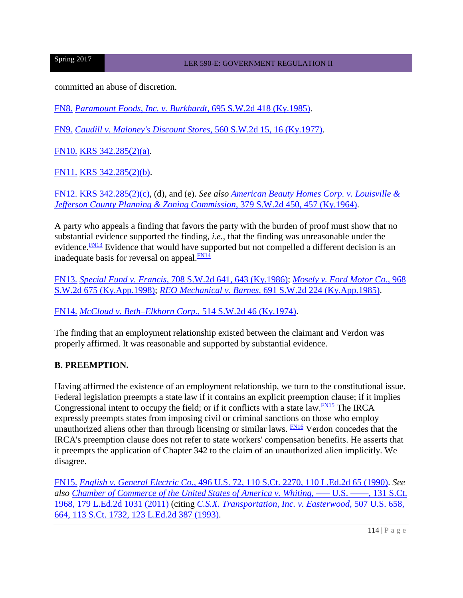committed an abuse of discretion.

[FN8.](http://web2.westlaw.com/result/%09%09%09%09%09%09#F00882025942110) *[Paramount Foods, Inc. v. Burkhardt,](http://web2.westlaw.com/find/default.wl?mt=208&db=713&tc=-1&rp=%2ffind%2fdefault.wl&findtype=Y&ordoc=2025942110&serialnum=1985131074&vr=2.0&fn=_top&sv=Split&tf=-1&pbc=6095E7EC&rs=WLW12.07)* 695 S.W.2d 418 (Ky.1985).

[FN9.](http://web2.westlaw.com/result/%09%09%09%09%09%09#F00992025942110) *[Caudill v. Maloney's Discount Stores,](http://web2.westlaw.com/find/default.wl?mt=208&db=713&tc=-1&rp=%2ffind%2fdefault.wl&findtype=Y&ordoc=2025942110&serialnum=1977138066&vr=2.0&fn=_top&sv=Split&tf=-1&referencepositiontype=S&pbc=6095E7EC&referenceposition=16&rs=WLW12.07)* 560 S.W.2d 15, 16 (Ky.1977).

[FN10.](http://web2.westlaw.com/result/%09%09%09%09%09%09#F010102025942110) [KRS 342.285\(2\)\(a\).](http://web2.westlaw.com/find/default.wl?mt=208&db=1000010&docname=KYSTS342.285&rp=%2ffind%2fdefault.wl&findtype=L&ordoc=2025942110&tc=-1&vr=2.0&fn=_top&sv=Split&tf=-1&referencepositiontype=T&pbc=6095E7EC&referenceposition=SP%3b0eb50000c74e2&rs=WLW12.07)

[FN11.](http://web2.westlaw.com/result/%09%09%09%09%09%09#F011112025942110) [KRS 342.285\(2\)\(b\).](http://web2.westlaw.com/find/default.wl?mt=208&db=1000010&docname=KYSTS342.285&rp=%2ffind%2fdefault.wl&findtype=L&ordoc=2025942110&tc=-1&vr=2.0&fn=_top&sv=Split&tf=-1&referencepositiontype=T&pbc=6095E7EC&referenceposition=SP%3b674e0000c3d66&rs=WLW12.07)

[FN12.](http://web2.westlaw.com/result/%09%09%09%09%09%09#F012122025942110) [KRS 342.285\(2\)\(c\),](http://web2.westlaw.com/find/default.wl?mt=208&db=1000010&docname=KYSTS342.285&rp=%2ffind%2fdefault.wl&findtype=L&ordoc=2025942110&tc=-1&vr=2.0&fn=_top&sv=Split&tf=-1&referencepositiontype=T&pbc=6095E7EC&referenceposition=SP%3b0446000051070&rs=WLW12.07) (d), and (e). *See also [American Beauty Homes Corp. v. Louisville &](http://web2.westlaw.com/find/default.wl?mt=208&db=713&tc=-1&rp=%2ffind%2fdefault.wl&findtype=Y&ordoc=2025942110&serialnum=1964127735&vr=2.0&fn=_top&sv=Split&tf=-1&referencepositiontype=S&pbc=6095E7EC&referenceposition=457&rs=WLW12.07)  [Jefferson County Planning & Zoning Commission,](http://web2.westlaw.com/find/default.wl?mt=208&db=713&tc=-1&rp=%2ffind%2fdefault.wl&findtype=Y&ordoc=2025942110&serialnum=1964127735&vr=2.0&fn=_top&sv=Split&tf=-1&referencepositiontype=S&pbc=6095E7EC&referenceposition=457&rs=WLW12.07)* 379 S.W.2d 450, 457 (Ky.1964).

A party who appeals a finding that favors the party with the burden of proof must show that no substantial evidence supported the finding, *i.e.,* that the finding was unreasonable under the evidence. $\frac{FNI3}{FNI3}$  Evidence that would have supported but not compelled a different decision is an inadequate basis for reversal on appeal. $\frac{FN14}{FN}$ 

[FN13.](http://web2.westlaw.com/result/%09%09%09%09%09%09#F013132025942110) *[Special Fund v. Francis,](http://web2.westlaw.com/find/default.wl?mt=208&db=713&tc=-1&rp=%2ffind%2fdefault.wl&findtype=Y&ordoc=2025942110&serialnum=1986123717&vr=2.0&fn=_top&sv=Split&tf=-1&referencepositiontype=S&pbc=6095E7EC&referenceposition=643&rs=WLW12.07)* 708 S.W.2d 641, 643 (Ky.1986); *[Mosely v. Ford Motor Co.,](http://web2.westlaw.com/find/default.wl?mt=208&db=713&tc=-1&rp=%2ffind%2fdefault.wl&findtype=Y&ordoc=2025942110&serialnum=1998109089&vr=2.0&fn=_top&sv=Split&tf=-1&pbc=6095E7EC&rs=WLW12.07)* 968 [S.W.2d 675 \(Ky.App.1998\);](http://web2.westlaw.com/find/default.wl?mt=208&db=713&tc=-1&rp=%2ffind%2fdefault.wl&findtype=Y&ordoc=2025942110&serialnum=1998109089&vr=2.0&fn=_top&sv=Split&tf=-1&pbc=6095E7EC&rs=WLW12.07) *REO Mechanical v. Barnes,* [691 S.W.2d 224 \(Ky.App.1985\).](http://web2.westlaw.com/find/default.wl?mt=208&db=713&tc=-1&rp=%2ffind%2fdefault.wl&findtype=Y&ordoc=2025942110&serialnum=1985111993&vr=2.0&fn=_top&sv=Split&tf=-1&pbc=6095E7EC&rs=WLW12.07)

[FN14.](http://web2.westlaw.com/result/%09%09%09%09%09%09#F014142025942110) *[McCloud v. Beth–Elkhorn Corp.,](http://web2.westlaw.com/find/default.wl?mt=208&db=713&tc=-1&rp=%2ffind%2fdefault.wl&findtype=Y&ordoc=2025942110&serialnum=1974132500&vr=2.0&fn=_top&sv=Split&tf=-1&pbc=6095E7EC&rs=WLW12.07)* 514 S.W.2d 46 (Ky.1974).

The finding that an employment relationship existed between the claimant and Verdon was properly affirmed. It was reasonable and supported by substantial evidence.

### **B. PREEMPTION.**

Having affirmed the existence of an employment relationship, we turn to the constitutional issue. Federal legislation preempts a state law if it contains an explicit preemption clause; if it implies Congressional intent to occupy the field; or if it conflicts with a state law.  $F<sub>N15</sub>$  The IRCA expressly preempts states from imposing civil or criminal sanctions on those who employ unauthorized aliens other than through licensing or similar laws. **FN16** Verdon concedes that the IRCA's preemption clause does not refer to state workers' compensation benefits. He asserts that it preempts the application of Chapter 342 to the claim of an unauthorized alien implicitly. We disagree.

[FN15.](http://web2.westlaw.com/result/%09%09%09%09%09%09#F015152025942110) *English v. General Electric Co.,* [496 U.S. 72, 110 S.Ct. 2270, 110 L.Ed.2d 65 \(1990\).](http://web2.westlaw.com/find/default.wl?mt=208&db=708&tc=-1&rp=%2ffind%2fdefault.wl&findtype=Y&ordoc=2025942110&serialnum=1990086719&vr=2.0&fn=_top&sv=Split&tf=-1&pbc=6095E7EC&rs=WLW12.07) *See also [Chamber of Commerce of the United States of America v. Whiting,](http://web2.westlaw.com/find/default.wl?mt=208&db=708&tc=-1&rp=%2ffind%2fdefault.wl&findtype=Y&ordoc=2025942110&serialnum=2025354670&vr=2.0&fn=_top&sv=Split&tf=-1&pbc=6095E7EC&rs=WLW12.07)* ––– U.S. ––––, 131 S.Ct. [1968, 179 L.Ed.2d 1031 \(2011\)](http://web2.westlaw.com/find/default.wl?mt=208&db=708&tc=-1&rp=%2ffind%2fdefault.wl&findtype=Y&ordoc=2025942110&serialnum=2025354670&vr=2.0&fn=_top&sv=Split&tf=-1&pbc=6095E7EC&rs=WLW12.07) (citing *[C.S.X. Transportation, Inc. v. Easterwood,](http://web2.westlaw.com/find/default.wl?mt=208&db=708&tc=-1&rp=%2ffind%2fdefault.wl&findtype=Y&ordoc=2025942110&serialnum=1993088972&vr=2.0&fn=_top&sv=Split&tf=-1&pbc=6095E7EC&rs=WLW12.07)* 507 U.S. 658, [664, 113 S.Ct. 1732, 123 L.Ed.2d 387 \(1993\).](http://web2.westlaw.com/find/default.wl?mt=208&db=708&tc=-1&rp=%2ffind%2fdefault.wl&findtype=Y&ordoc=2025942110&serialnum=1993088972&vr=2.0&fn=_top&sv=Split&tf=-1&pbc=6095E7EC&rs=WLW12.07)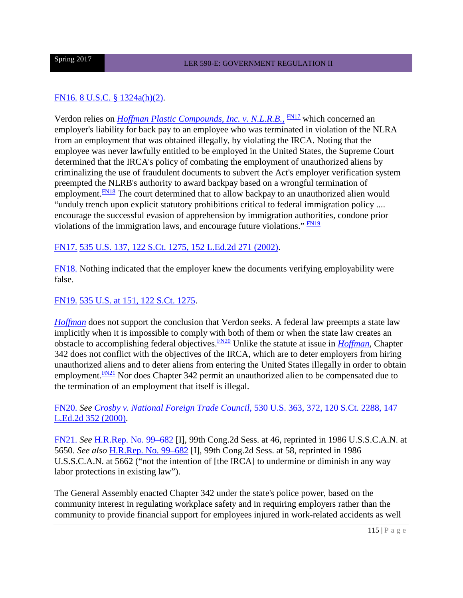## [FN16.](http://web2.westlaw.com/result/%09%09%09%09%09%09#F016162025942110) [8 U.S.C. § 1324a\(h\)\(2\).](http://web2.westlaw.com/find/default.wl?mt=208&db=1000546&docname=8USCAS1324A&rp=%2ffind%2fdefault.wl&findtype=L&ordoc=2025942110&tc=-1&vr=2.0&fn=_top&sv=Split&tf=-1&referencepositiontype=T&pbc=6095E7EC&referenceposition=SP%3b1d410000745d2&rs=WLW12.07)

Verdon relies on *Hoffman Plastic Compounds, Inc. v. N.L.R.B.*, **[FN17](http://web2.westlaw.com/result/%09%09%09%09%09%09#B017172025942110)** which concerned an employer's liability for back pay to an employee who was terminated in violation of the NLRA from an employment that was obtained illegally, by violating the IRCA. Noting that the employee was never lawfully entitled to be employed in the United States, the Supreme Court determined that the IRCA's policy of combating the employment of unauthorized aliens by criminalizing the use of fraudulent documents to subvert the Act's employer verification system preempted the NLRB's authority to award backpay based on a wrongful termination of employment.<sup>FN18</sup> The court determined that to allow backpay to an unauthorized alien would "unduly trench upon explicit statutory prohibitions critical to federal immigration policy .... encourage the successful evasion of apprehension by immigration authorities, condone prior violations of the immigration laws, and encourage future violations."  $\frac{FN19}{FN19}$ 

## [FN17.](http://web2.westlaw.com/result/%09%09%09%09%09%09#F017172025942110) [535 U.S. 137, 122 S.Ct. 1275, 152 L.Ed.2d 271 \(2002\).](http://web2.westlaw.com/find/default.wl?mt=208&db=708&tc=-1&rp=%2ffind%2fdefault.wl&findtype=Y&ordoc=2025942110&serialnum=2002209253&vr=2.0&fn=_top&sv=Split&tf=-1&pbc=6095E7EC&rs=WLW12.07)

[FN18.](http://web2.westlaw.com/result/%09%09%09%09%09%09#F018182025942110) Nothing indicated that the employer knew the documents verifying employability were false.

## [FN19.](http://web2.westlaw.com/result/%09%09%09%09%09%09#F019192025942110) [535 U.S. at 151, 122 S.Ct. 1275.](http://web2.westlaw.com/find/default.wl?mt=208&db=708&tc=-1&rp=%2ffind%2fdefault.wl&findtype=Y&ordoc=2025942110&serialnum=2002209253&vr=2.0&fn=_top&sv=Split&tf=-1&pbc=6095E7EC&rs=WLW12.07)

*[Hoffman](http://web2.westlaw.com/find/default.wl?rs=WLW12.07&pbc=6095E7EC&vr=2.0&findtype=Y&rp=%2ffind%2fdefault.wl&sv=Split&fn=_top&tf=-1&ordoc=2025942110&mt=208&serialnum=2002209253&tc=-1)* does not support the conclusion that Verdon seeks. A federal law preempts a state law implicitly when it is impossible to comply with both of them or when the state law creates an obstacle to accomplishing federal objectives.[FN20](http://web2.westlaw.com/result/%09%09%09%09%09%09#B020202025942110) Unlike the statute at issue in *[Hoffman](http://web2.westlaw.com/find/default.wl?rs=WLW12.07&pbc=6095E7EC&vr=2.0&findtype=Y&rp=%2ffind%2fdefault.wl&sv=Split&fn=_top&tf=-1&ordoc=2025942110&mt=208&serialnum=2002209253&tc=-1)*, Chapter 342 does not conflict with the objectives of the IRCA, which are to deter employers from hiring unauthorized aliens and to deter aliens from entering the United States illegally in order to obtain employment.<sup>FN21</sup> Nor does Chapter 342 permit an unauthorized alien to be compensated due to the termination of an employment that itself is illegal.

## [FN20.](http://web2.westlaw.com/result/%09%09%09%09%09%09#F020202025942110) *See [Crosby v. National Foreign Trade Council,](http://web2.westlaw.com/find/default.wl?mt=208&db=708&tc=-1&rp=%2ffind%2fdefault.wl&findtype=Y&ordoc=2025942110&serialnum=2000382973&vr=2.0&fn=_top&sv=Split&tf=-1&pbc=6095E7EC&rs=WLW12.07)* 530 U.S. 363, 372, 120 S.Ct. 2288, 147 [L.Ed.2d 352 \(2000\).](http://web2.westlaw.com/find/default.wl?mt=208&db=708&tc=-1&rp=%2ffind%2fdefault.wl&findtype=Y&ordoc=2025942110&serialnum=2000382973&vr=2.0&fn=_top&sv=Split&tf=-1&pbc=6095E7EC&rs=WLW12.07)

[FN21.](http://web2.westlaw.com/result/%09%09%09%09%09%09#F021212025942110) *See* [H.R.Rep. No. 99–682](http://web2.westlaw.com/find/default.wl?mt=208&db=0100014&docname=HRREP99-682&rp=%2ffind%2fdefault.wl&findtype=Y&ordoc=2025942110&tc=-1&vr=2.0&fn=_top&sv=Split&tf=-1&pbc=6095E7EC&rs=WLW12.07) [I], 99th Cong.2d Sess. at 46, reprinted in 1986 U.S.S.C.A.N. at 5650. *See also* [H.R.Rep. No. 99–682](http://web2.westlaw.com/find/default.wl?mt=208&db=0100014&docname=HRREP99-682&rp=%2ffind%2fdefault.wl&findtype=Y&ordoc=2025942110&tc=-1&vr=2.0&fn=_top&sv=Split&tf=-1&pbc=6095E7EC&rs=WLW12.07) [I], 99th Cong.2d Sess. at 58, reprinted in 1986 U.S.S.C.A.N. at 5662 ("not the intention of [the IRCA] to undermine or diminish in any way labor protections in existing law").

The General Assembly enacted Chapter 342 under the state's police power, based on the community interest in regulating workplace safety and in requiring employers rather than the community to provide financial support for employees injured in work-related accidents as well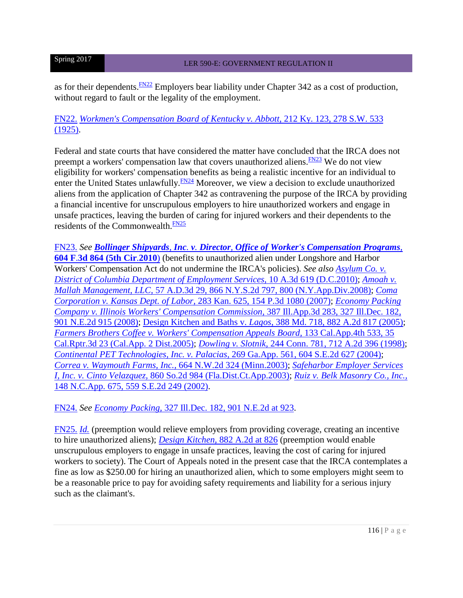as for their dependents. $\frac{FN22}{FN22}$  Employers bear liability under Chapter 342 as a cost of production, without regard to fault or the legality of the employment.

## [FN22.](http://web2.westlaw.com/result/%09%09%09%09%09%09#F022222025942110) *[Workmen's Compensation Board of Kentucky v. Abbott,](http://web2.westlaw.com/find/default.wl?mt=208&db=712&tc=-1&rp=%2ffind%2fdefault.wl&findtype=Y&ordoc=2025942110&serialnum=1926117654&vr=2.0&fn=_top&sv=Split&tf=-1&pbc=6095E7EC&rs=WLW12.07)* 212 Ky. 123, 278 S.W. 533 [\(1925\).](http://web2.westlaw.com/find/default.wl?mt=208&db=712&tc=-1&rp=%2ffind%2fdefault.wl&findtype=Y&ordoc=2025942110&serialnum=1926117654&vr=2.0&fn=_top&sv=Split&tf=-1&pbc=6095E7EC&rs=WLW12.07)

Federal and state courts that have considered the matter have concluded that the IRCA does not preempt a workers' compensation law that covers unauthorized aliens.  $\frac{FN23}{FN23}$  We do not view eligibility for workers' compensation benefits as being a realistic incentive for an individual to enter the United States unlawfully.  $\frac{FN24}{FN2}$  Moreover, we view a decision to exclude unauthorized aliens from the application of Chapter 342 as contravening the purpose of the IRCA by providing a financial incentive for unscrupulous employers to hire unauthorized workers and engage in unsafe practices, leaving the burden of caring for injured workers and their dependents to the residents of the Commonwealth.<sup>[FN25](http://web2.westlaw.com/result/%09%09%09%09%09%09#B025252025942110)</sup>

[FN23.](http://web2.westlaw.com/result/%09%09%09%09%09%09#F023232025942110) *See Bollinger Shipyards, Inc. v. Director, Office of Worker's [Compensation](http://web2.westlaw.com/find/default.wl?mt=208&db=506&tc=-1&rp=%2ffind%2fdefault.wl&findtype=Y&ordoc=2025942110&serialnum=2021813883&vr=2.0&fn=_top&sv=Split&tf=-1&pbc=6095E7EC&rs=WLW12.07) Programs,* **604 F**.**3d [864 \(5th](http://web2.westlaw.com/find/default.wl?mt=208&db=506&tc=-1&rp=%2ffind%2fdefault.wl&findtype=Y&ordoc=2025942110&serialnum=2021813883&vr=2.0&fn=_top&sv=Split&tf=-1&pbc=6095E7EC&rs=WLW12.07) Cir**.**2010**) (benefits to unauthorized alien under Longshore and Harbor Workers' Compensation Act do not undermine the IRCA's policies). *See also [Asylum Co. v.](http://web2.westlaw.com/find/default.wl?mt=208&db=7691&tc=-1&rp=%2ffind%2fdefault.wl&findtype=Y&ordoc=2025942110&serialnum=2024180159&vr=2.0&fn=_top&sv=Split&tf=-1&pbc=6095E7EC&rs=WLW12.07)  [District of Columbia Department of Employment Services,](http://web2.westlaw.com/find/default.wl?mt=208&db=7691&tc=-1&rp=%2ffind%2fdefault.wl&findtype=Y&ordoc=2025942110&serialnum=2024180159&vr=2.0&fn=_top&sv=Split&tf=-1&pbc=6095E7EC&rs=WLW12.07)* 10 A.3d 619 (D.C.2010); *[Amoah v.](http://web2.westlaw.com/find/default.wl?mt=208&db=602&tc=-1&rp=%2ffind%2fdefault.wl&findtype=Y&ordoc=2025942110&serialnum=2017375622&vr=2.0&fn=_top&sv=Split&tf=-1&referencepositiontype=S&pbc=6095E7EC&referenceposition=800&rs=WLW12.07)  Mallah Management, LLC,* [57 A.D.3d 29, 866 N.Y.S.2d 797, 800 \(N.Y.App.Div.2008\);](http://web2.westlaw.com/find/default.wl?mt=208&db=602&tc=-1&rp=%2ffind%2fdefault.wl&findtype=Y&ordoc=2025942110&serialnum=2017375622&vr=2.0&fn=_top&sv=Split&tf=-1&referencepositiontype=S&pbc=6095E7EC&referenceposition=800&rs=WLW12.07) *[Coma](http://web2.westlaw.com/find/default.wl?mt=208&db=4645&tc=-1&rp=%2ffind%2fdefault.wl&findtype=Y&ordoc=2025942110&serialnum=2011761334&vr=2.0&fn=_top&sv=Split&tf=-1&pbc=6095E7EC&rs=WLW12.07) [Corporation v. Kansas Dept. of Labor,](http://web2.westlaw.com/find/default.wl?mt=208&db=4645&tc=-1&rp=%2ffind%2fdefault.wl&findtype=Y&ordoc=2025942110&serialnum=2011761334&vr=2.0&fn=_top&sv=Split&tf=-1&pbc=6095E7EC&rs=WLW12.07)* 283 Kan. 625, 154 P.3d 1080 (2007); *[Economy Packing](http://web2.westlaw.com/find/default.wl?mt=208&db=578&tc=-1&rp=%2ffind%2fdefault.wl&findtype=Y&ordoc=2025942110&serialnum=2017653534&vr=2.0&fn=_top&sv=Split&tf=-1&pbc=6095E7EC&rs=WLW12.07)  [Company v. Illinois Workers' Compensation Commission,](http://web2.westlaw.com/find/default.wl?mt=208&db=578&tc=-1&rp=%2ffind%2fdefault.wl&findtype=Y&ordoc=2025942110&serialnum=2017653534&vr=2.0&fn=_top&sv=Split&tf=-1&pbc=6095E7EC&rs=WLW12.07)* 387 Ill.App.3d 283, 327 Ill.Dec. 182, [901 N.E.2d 915 \(2008\);](http://web2.westlaw.com/find/default.wl?mt=208&db=578&tc=-1&rp=%2ffind%2fdefault.wl&findtype=Y&ordoc=2025942110&serialnum=2017653534&vr=2.0&fn=_top&sv=Split&tf=-1&pbc=6095E7EC&rs=WLW12.07) Design Kitchen and Baths v. *Lagos*[, 388 Md. 718, 882 A.2d 817 \(2005\);](http://web2.westlaw.com/find/default.wl?mt=208&db=162&tc=-1&rp=%2ffind%2fdefault.wl&findtype=Y&ordoc=2025942110&serialnum=2007280552&vr=2.0&fn=_top&sv=Split&tf=-1&pbc=6095E7EC&rs=WLW12.07) *[Farmers Brothers Coffee v. Workers' Compensation Appeals Board,](http://web2.westlaw.com/find/default.wl?mt=208&db=7047&tc=-1&rp=%2ffind%2fdefault.wl&findtype=Y&ordoc=2025942110&serialnum=2007524001&vr=2.0&fn=_top&sv=Split&tf=-1&pbc=6095E7EC&rs=WLW12.07)* 133 Cal.App.4th 533, 35 [Cal.Rptr.3d 23 \(Cal.App. 2 Dist.2005\);](http://web2.westlaw.com/find/default.wl?mt=208&db=7047&tc=-1&rp=%2ffind%2fdefault.wl&findtype=Y&ordoc=2025942110&serialnum=2007524001&vr=2.0&fn=_top&sv=Split&tf=-1&pbc=6095E7EC&rs=WLW12.07) *Dowling v. Slotnik,* [244 Conn. 781, 712 A.2d 396 \(1998\);](http://web2.westlaw.com/find/default.wl?mt=208&db=162&tc=-1&rp=%2ffind%2fdefault.wl&findtype=Y&ordoc=2025942110&serialnum=1998113676&vr=2.0&fn=_top&sv=Split&tf=-1&pbc=6095E7EC&rs=WLW12.07) *[Continental PET Technologies, Inc. v. Palacias,](http://web2.westlaw.com/find/default.wl?mt=208&db=711&tc=-1&rp=%2ffind%2fdefault.wl&findtype=Y&ordoc=2025942110&serialnum=2005072571&vr=2.0&fn=_top&sv=Split&tf=-1&pbc=6095E7EC&rs=WLW12.07)* 269 Ga.App. 561, 604 S.E.2d 627 (2004); *[Correa v. Waymouth Farms, Inc.,](http://web2.westlaw.com/find/default.wl?mt=208&db=595&tc=-1&rp=%2ffind%2fdefault.wl&findtype=Y&ordoc=2025942110&serialnum=2003468145&vr=2.0&fn=_top&sv=Split&tf=-1&pbc=6095E7EC&rs=WLW12.07)* 664 N.W.2d 324 (Minn.2003); *[Safeharbor Employer Services](http://web2.westlaw.com/find/default.wl?mt=208&db=735&tc=-1&rp=%2ffind%2fdefault.wl&findtype=Y&ordoc=2025942110&serialnum=2003694253&vr=2.0&fn=_top&sv=Split&tf=-1&pbc=6095E7EC&rs=WLW12.07)  I, Inc. v. Cinto Velazquez,* [860 So.2d 984 \(Fla.Dist.Ct.App.2003\);](http://web2.westlaw.com/find/default.wl?mt=208&db=735&tc=-1&rp=%2ffind%2fdefault.wl&findtype=Y&ordoc=2025942110&serialnum=2003694253&vr=2.0&fn=_top&sv=Split&tf=-1&pbc=6095E7EC&rs=WLW12.07) *[Ruiz v. Belk Masonry Co., Inc.,](http://web2.westlaw.com/find/default.wl?mt=208&db=711&tc=-1&rp=%2ffind%2fdefault.wl&findtype=Y&ordoc=2025942110&serialnum=2002132496&vr=2.0&fn=_top&sv=Split&tf=-1&pbc=6095E7EC&rs=WLW12.07)* [148 N.C.App. 675, 559 S.E.2d 249 \(2002\).](http://web2.westlaw.com/find/default.wl?mt=208&db=711&tc=-1&rp=%2ffind%2fdefault.wl&findtype=Y&ordoc=2025942110&serialnum=2002132496&vr=2.0&fn=_top&sv=Split&tf=-1&pbc=6095E7EC&rs=WLW12.07)

[FN24.](http://web2.westlaw.com/result/%09%09%09%09%09%09#F024242025942110) *See Economy Packing,* [327 Ill.Dec. 182, 901 N.E.2d at 923.](http://web2.westlaw.com/find/default.wl?mt=208&db=578&tc=-1&rp=%2ffind%2fdefault.wl&findtype=Y&ordoc=2025942110&serialnum=2017653534&vr=2.0&fn=_top&sv=Split&tf=-1&referencepositiontype=S&pbc=6095E7EC&referenceposition=923&rs=WLW12.07)

[FN25.](http://web2.westlaw.com/result/%09%09%09%09%09%09#F025252025942110) *[Id.](http://web2.westlaw.com/find/default.wl?rs=WLW12.07&pbc=6095E7EC&vr=2.0&findtype=Y&rp=%2ffind%2fdefault.wl&sv=Split&fn=_top&tf=-1&ordoc=2025942110&mt=208&serialnum=2017653534&tc=-1)* (preemption would relieve employers from providing coverage, creating an incentive to hire unauthorized aliens); *[Design Kitchen,](http://web2.westlaw.com/find/default.wl?mt=208&db=162&tc=-1&rp=%2ffind%2fdefault.wl&findtype=Y&ordoc=2025942110&serialnum=2007280552&vr=2.0&fn=_top&sv=Split&tf=-1&referencepositiontype=S&pbc=6095E7EC&referenceposition=826&rs=WLW12.07)* 882 A.2d at 826 (preemption would enable unscrupulous employers to engage in unsafe practices, leaving the cost of caring for injured workers to society). The Court of Appeals noted in the present case that the IRCA contemplates a fine as low as \$250.00 for hiring an unauthorized alien, which to some employers might seem to be a reasonable price to pay for avoiding safety requirements and liability for a serious injury such as the claimant's.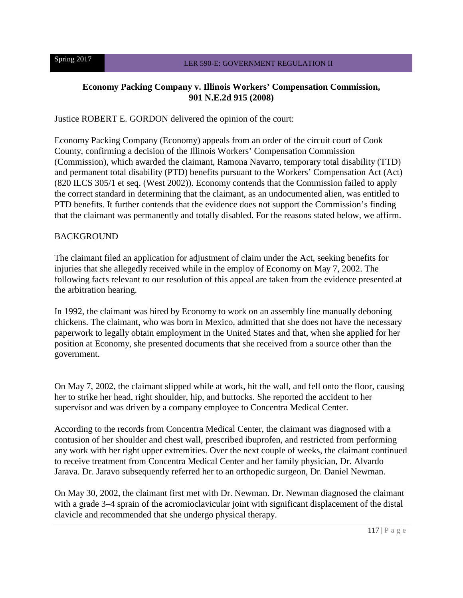## **Economy Packing Company v. Illinois Workers' Compensation Commission, 901 N.E.2d 915 (2008)**

Justice ROBERT E. GORDON delivered the opinion of the court:

Economy Packing Company (Economy) appeals from an order of the circuit court of Cook County, confirming a decision of the Illinois Workers' Compensation Commission (Commission), which awarded the claimant, Ramona Navarro, temporary total disability (TTD) and permanent total disability (PTD) benefits pursuant to the Workers' Compensation Act (Act) (820 ILCS 305/1 et seq. (West 2002)). Economy contends that the Commission failed to apply the correct standard in determining that the claimant, as an undocumented alien, was entitled to PTD benefits. It further contends that the evidence does not support the Commission's finding that the claimant was permanently and totally disabled. For the reasons stated below, we affirm.

### BACKGROUND

The claimant filed an application for adjustment of claim under the Act, seeking benefits for injuries that she allegedly received while in the employ of Economy on May 7, 2002. The following facts relevant to our resolution of this appeal are taken from the evidence presented at the arbitration hearing.

In 1992, the claimant was hired by Economy to work on an assembly line manually deboning chickens. The claimant, who was born in Mexico, admitted that she does not have the necessary paperwork to legally obtain employment in the United States and that, when she applied for her position at Economy, she presented documents that she received from a source other than the government.

On May 7, 2002, the claimant slipped while at work, hit the wall, and fell onto the floor, causing her to strike her head, right shoulder, hip, and buttocks. She reported the accident to her supervisor and was driven by a company employee to Concentra Medical Center.

According to the records from Concentra Medical Center, the claimant was diagnosed with a contusion of her shoulder and chest wall, prescribed ibuprofen, and restricted from performing any work with her right upper extremities. Over the next couple of weeks, the claimant continued to receive treatment from Concentra Medical Center and her family physician, Dr. Alvardo Jarava. Dr. Jaravo subsequently referred her to an orthopedic surgeon, Dr. Daniel Newman.

On May 30, 2002, the claimant first met with Dr. Newman. Dr. Newman diagnosed the claimant with a grade 3–4 sprain of the acromioclavicular joint with significant displacement of the distal clavicle and recommended that she undergo physical therapy.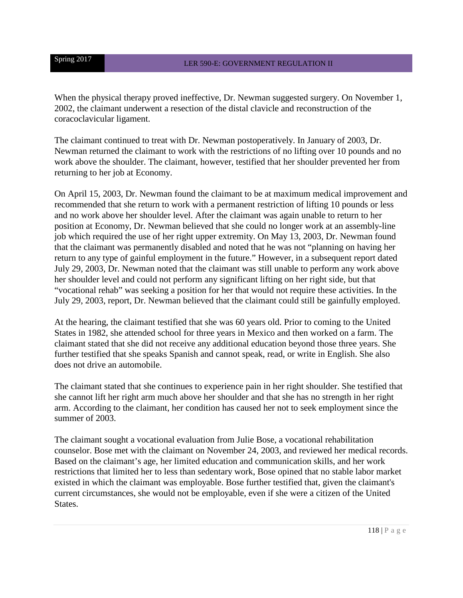When the physical therapy proved ineffective, Dr. Newman suggested surgery. On November 1, 2002, the claimant underwent a resection of the distal clavicle and reconstruction of the coracoclavicular ligament.

The claimant continued to treat with Dr. Newman postoperatively. In January of 2003, Dr. Newman returned the claimant to work with the restrictions of no lifting over 10 pounds and no work above the shoulder. The claimant, however, testified that her shoulder prevented her from returning to her job at Economy.

On April 15, 2003, Dr. Newman found the claimant to be at maximum medical improvement and recommended that she return to work with a permanent restriction of lifting 10 pounds or less and no work above her shoulder level. After the claimant was again unable to return to her position at Economy, Dr. Newman believed that she could no longer work at an assembly-line job which required the use of her right upper extremity. On May 13, 2003, Dr. Newman found that the claimant was permanently disabled and noted that he was not "planning on having her return to any type of gainful employment in the future." However, in a subsequent report dated July 29, 2003, Dr. Newman noted that the claimant was still unable to perform any work above her shoulder level and could not perform any significant lifting on her right side, but that "vocational rehab" was seeking a position for her that would not require these activities. In the July 29, 2003, report, Dr. Newman believed that the claimant could still be gainfully employed.

At the hearing, the claimant testified that she was 60 years old. Prior to coming to the United States in 1982, she attended school for three years in Mexico and then worked on a farm. The claimant stated that she did not receive any additional education beyond those three years. She further testified that she speaks Spanish and cannot speak, read, or write in English. She also does not drive an automobile.

The claimant stated that she continues to experience pain in her right shoulder. She testified that she cannot lift her right arm much above her shoulder and that she has no strength in her right arm. According to the claimant, her condition has caused her not to seek employment since the summer of 2003.

The claimant sought a vocational evaluation from Julie Bose, a vocational rehabilitation counselor. Bose met with the claimant on November 24, 2003, and reviewed her medical records. Based on the claimant's age, her limited education and communication skills, and her work restrictions that limited her to less than sedentary work, Bose opined that no stable labor market existed in which the claimant was employable. Bose further testified that, given the claimant's current circumstances, she would not be employable, even if she were a citizen of the United States.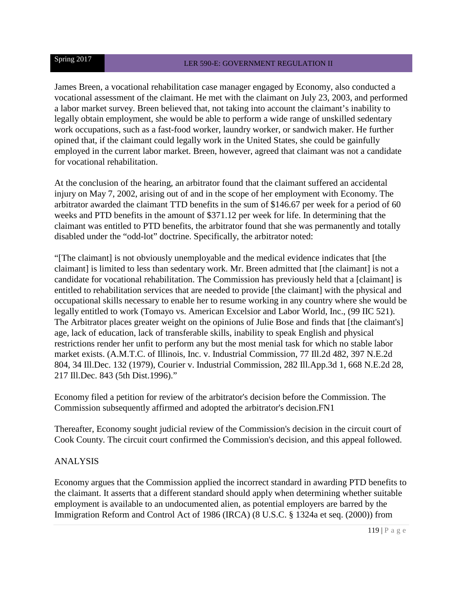James Breen, a vocational rehabilitation case manager engaged by Economy, also conducted a vocational assessment of the claimant. He met with the claimant on July 23, 2003, and performed a labor market survey. Breen believed that, not taking into account the claimant's inability to legally obtain employment, she would be able to perform a wide range of unskilled sedentary work occupations, such as a fast-food worker, laundry worker, or sandwich maker. He further opined that, if the claimant could legally work in the United States, she could be gainfully employed in the current labor market. Breen, however, agreed that claimant was not a candidate for vocational rehabilitation.

At the conclusion of the hearing, an arbitrator found that the claimant suffered an accidental injury on May 7, 2002, arising out of and in the scope of her employment with Economy. The arbitrator awarded the claimant TTD benefits in the sum of \$146.67 per week for a period of 60 weeks and PTD benefits in the amount of \$371.12 per week for life. In determining that the claimant was entitled to PTD benefits, the arbitrator found that she was permanently and totally disabled under the "odd-lot" doctrine. Specifically, the arbitrator noted:

"[The claimant] is not obviously unemployable and the medical evidence indicates that [the claimant] is limited to less than sedentary work. Mr. Breen admitted that [the claimant] is not a candidate for vocational rehabilitation. The Commission has previously held that a [claimant] is entitled to rehabilitation services that are needed to provide [the claimant] with the physical and occupational skills necessary to enable her to resume working in any country where she would be legally entitled to work (Tomayo vs. American Excelsior and Labor World, Inc., (99 IIC 521). The Arbitrator places greater weight on the opinions of Julie Bose and finds that [the claimant's] age, lack of education, lack of transferable skills, inability to speak English and physical restrictions render her unfit to perform any but the most menial task for which no stable labor market exists. (A.M.T.C. of Illinois, Inc. v. Industrial Commission, 77 Ill.2d 482, 397 N.E.2d 804, 34 Ill.Dec. 132 (1979), Courier v. Industrial Commission, 282 Ill.App.3d 1, 668 N.E.2d 28, 217 Ill.Dec. 843 (5th Dist.1996)."

Economy filed a petition for review of the arbitrator's decision before the Commission. The Commission subsequently affirmed and adopted the arbitrator's decision.FN1

Thereafter, Economy sought judicial review of the Commission's decision in the circuit court of Cook County. The circuit court confirmed the Commission's decision, and this appeal followed.

### ANALYSIS

Economy argues that the Commission applied the incorrect standard in awarding PTD benefits to the claimant. It asserts that a different standard should apply when determining whether suitable employment is available to an undocumented alien, as potential employers are barred by the Immigration Reform and Control Act of 1986 (IRCA) (8 U.S.C. § 1324a et seq. (2000)) from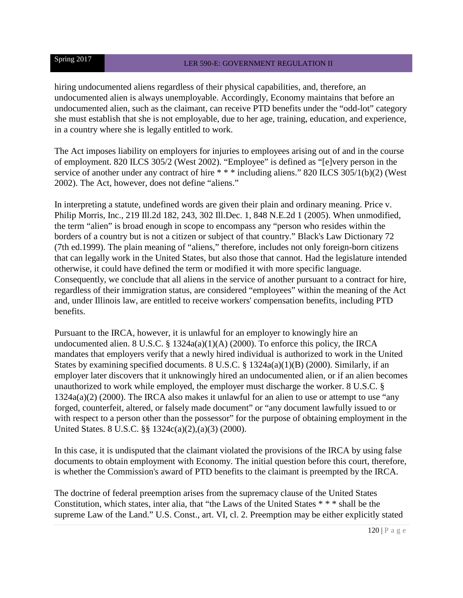hiring undocumented aliens regardless of their physical capabilities, and, therefore, an undocumented alien is always unemployable. Accordingly, Economy maintains that before an undocumented alien, such as the claimant, can receive PTD benefits under the "odd-lot" category she must establish that she is not employable, due to her age, training, education, and experience, in a country where she is legally entitled to work.

The Act imposes liability on employers for injuries to employees arising out of and in the course of employment. 820 ILCS 305/2 (West 2002). "Employee" is defined as "[e]very person in the service of another under any contract of hire  $***$  including aliens." 820 ILCS 305/1(b)(2) (West 2002). The Act, however, does not define "aliens."

In interpreting a statute, undefined words are given their plain and ordinary meaning. Price v. Philip Morris, Inc., 219 Ill.2d 182, 243, 302 Ill.Dec. 1, 848 N.E.2d 1 (2005). When unmodified, the term "alien" is broad enough in scope to encompass any "person who resides within the borders of a country but is not a citizen or subject of that country." Black's Law Dictionary 72 (7th ed.1999). The plain meaning of "aliens," therefore, includes not only foreign-born citizens that can legally work in the United States, but also those that cannot. Had the legislature intended otherwise, it could have defined the term or modified it with more specific language. Consequently, we conclude that all aliens in the service of another pursuant to a contract for hire, regardless of their immigration status, are considered "employees" within the meaning of the Act and, under Illinois law, are entitled to receive workers' compensation benefits, including PTD benefits.

Pursuant to the IRCA, however, it is unlawful for an employer to knowingly hire an undocumented alien. 8 U.S.C. § 1324a(a)(1)(A) (2000). To enforce this policy, the IRCA mandates that employers verify that a newly hired individual is authorized to work in the United States by examining specified documents. 8 U.S.C. § 1324a(a)(1)(B) (2000). Similarly, if an employer later discovers that it unknowingly hired an undocumented alien, or if an alien becomes unauthorized to work while employed, the employer must discharge the worker. 8 U.S.C. §  $1324a(a)(2)$  (2000). The IRCA also makes it unlawful for an alien to use or attempt to use "any forged, counterfeit, altered, or falsely made document" or "any document lawfully issued to or with respect to a person other than the possessor" for the purpose of obtaining employment in the United States. 8 U.S.C. §§ 1324c(a)(2),(a)(3) (2000).

In this case, it is undisputed that the claimant violated the provisions of the IRCA by using false documents to obtain employment with Economy. The initial question before this court, therefore, is whether the Commission's award of PTD benefits to the claimant is preempted by the IRCA.

The doctrine of federal preemption arises from the supremacy clause of the United States Constitution, which states, inter alia, that "the Laws of the United States \* \* \* shall be the supreme Law of the Land." U.S. Const., art. VI, cl. 2. Preemption may be either explicitly stated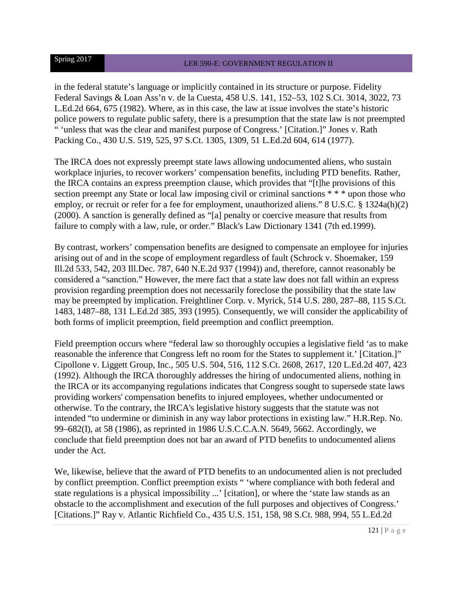in the federal statute's language or implicitly contained in its structure or purpose. Fidelity Federal Savings & Loan Ass'n v. de la Cuesta, 458 U.S. 141, 152–53, 102 S.Ct. 3014, 3022, 73 L.Ed.2d 664, 675 (1982). Where, as in this case, the law at issue involves the state's historic police powers to regulate public safety, there is a presumption that the state law is not preempted " 'unless that was the clear and manifest purpose of Congress.' [Citation.]" Jones v. Rath Packing Co., 430 U.S. 519, 525, 97 S.Ct. 1305, 1309, 51 L.Ed.2d 604, 614 (1977).

The IRCA does not expressly preempt state laws allowing undocumented aliens, who sustain workplace injuries, to recover workers' compensation benefits, including PTD benefits. Rather, the IRCA contains an express preemption clause, which provides that "[t]he provisions of this section preempt any State or local law imposing civil or criminal sanctions  $**$  \* upon those who employ, or recruit or refer for a fee for employment, unauthorized aliens." 8 U.S.C. § 1324a(h)(2) (2000). A sanction is generally defined as "[a] penalty or coercive measure that results from failure to comply with a law, rule, or order." Black's Law Dictionary 1341 (7th ed.1999).

By contrast, workers' compensation benefits are designed to compensate an employee for injuries arising out of and in the scope of employment regardless of fault (Schrock v. Shoemaker, 159 Ill.2d 533, 542, 203 Ill.Dec. 787, 640 N.E.2d 937 (1994)) and, therefore, cannot reasonably be considered a "sanction." However, the mere fact that a state law does not fall within an express provision regarding preemption does not necessarily foreclose the possibility that the state law may be preempted by implication. Freightliner Corp. v. Myrick, 514 U.S. 280, 287–88, 115 S.Ct. 1483, 1487–88, 131 L.Ed.2d 385, 393 (1995). Consequently, we will consider the applicability of both forms of implicit preemption, field preemption and conflict preemption.

Field preemption occurs where "federal law so thoroughly occupies a legislative field 'as to make reasonable the inference that Congress left no room for the States to supplement it.' [Citation.]" Cipollone v. Liggett Group, Inc., 505 U.S. 504, 516, 112 S.Ct. 2608, 2617, 120 L.Ed.2d 407, 423 (1992). Although the IRCA thoroughly addresses the hiring of undocumented aliens, nothing in the IRCA or its accompanying regulations indicates that Congress sought to supersede state laws providing workers' compensation benefits to injured employees, whether undocumented or otherwise. To the contrary, the IRCA's legislative history suggests that the statute was not intended "to undermine or diminish in any way labor protections in existing law." H.R.Rep. No. 99–682(I), at 58 (1986), as reprinted in 1986 U.S.C.C.A.N. 5649, 5662. Accordingly, we conclude that field preemption does not bar an award of PTD benefits to undocumented aliens under the Act.

We, likewise, believe that the award of PTD benefits to an undocumented alien is not precluded by conflict preemption. Conflict preemption exists " 'where compliance with both federal and state regulations is a physical impossibility ...' [citation], or where the 'state law stands as an obstacle to the accomplishment and execution of the full purposes and objectives of Congress.' [Citations.]" Ray v. Atlantic Richfield Co., 435 U.S. 151, 158, 98 S.Ct. 988, 994, 55 L.Ed.2d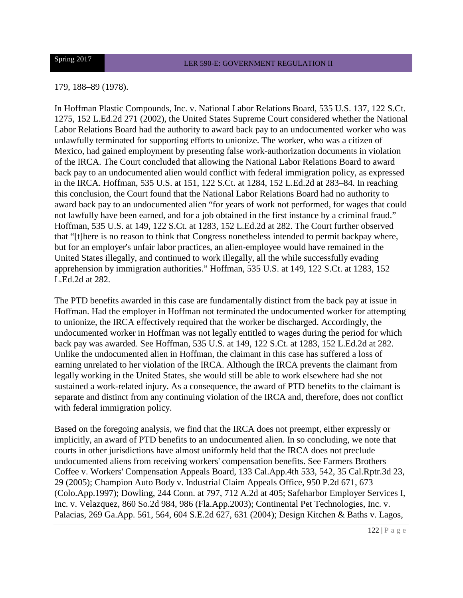### 179, 188–89 (1978).

In Hoffman Plastic Compounds, Inc. v. National Labor Relations Board, 535 U.S. 137, 122 S.Ct. 1275, 152 L.Ed.2d 271 (2002), the United States Supreme Court considered whether the National Labor Relations Board had the authority to award back pay to an undocumented worker who was unlawfully terminated for supporting efforts to unionize. The worker, who was a citizen of Mexico, had gained employment by presenting false work-authorization documents in violation of the IRCA. The Court concluded that allowing the National Labor Relations Board to award back pay to an undocumented alien would conflict with federal immigration policy, as expressed in the IRCA. Hoffman, 535 U.S. at 151, 122 S.Ct. at 1284, 152 L.Ed.2d at 283–84. In reaching this conclusion, the Court found that the National Labor Relations Board had no authority to award back pay to an undocumented alien "for years of work not performed, for wages that could not lawfully have been earned, and for a job obtained in the first instance by a criminal fraud." Hoffman, 535 U.S. at 149, 122 S.Ct. at 1283, 152 L.Ed.2d at 282. The Court further observed that "[t]here is no reason to think that Congress nonetheless intended to permit backpay where, but for an employer's unfair labor practices, an alien-employee would have remained in the United States illegally, and continued to work illegally, all the while successfully evading apprehension by immigration authorities." Hoffman, 535 U.S. at 149, 122 S.Ct. at 1283, 152 L.Ed.2d at 282.

The PTD benefits awarded in this case are fundamentally distinct from the back pay at issue in Hoffman. Had the employer in Hoffman not terminated the undocumented worker for attempting to unionize, the IRCA effectively required that the worker be discharged. Accordingly, the undocumented worker in Hoffman was not legally entitled to wages during the period for which back pay was awarded. See Hoffman, 535 U.S. at 149, 122 S.Ct. at 1283, 152 L.Ed.2d at 282. Unlike the undocumented alien in Hoffman, the claimant in this case has suffered a loss of earning unrelated to her violation of the IRCA. Although the IRCA prevents the claimant from legally working in the United States, she would still be able to work elsewhere had she not sustained a work-related injury. As a consequence, the award of PTD benefits to the claimant is separate and distinct from any continuing violation of the IRCA and, therefore, does not conflict with federal immigration policy.

Based on the foregoing analysis, we find that the IRCA does not preempt, either expressly or implicitly, an award of PTD benefits to an undocumented alien. In so concluding, we note that courts in other jurisdictions have almost uniformly held that the IRCA does not preclude undocumented aliens from receiving workers' compensation benefits. See Farmers Brothers Coffee v. Workers' Compensation Appeals Board, 133 Cal.App.4th 533, 542, 35 Cal.Rptr.3d 23, 29 (2005); Champion Auto Body v. Industrial Claim Appeals Office, 950 P.2d 671, 673 (Colo.App.1997); Dowling, 244 Conn. at 797, 712 A.2d at 405; Safeharbor Employer Services I, Inc. v. Velazquez, 860 So.2d 984, 986 (Fla.App.2003); Continental Pet Technologies, Inc. v. Palacias, 269 Ga.App. 561, 564, 604 S.E.2d 627, 631 (2004); Design Kitchen & Baths v. Lagos,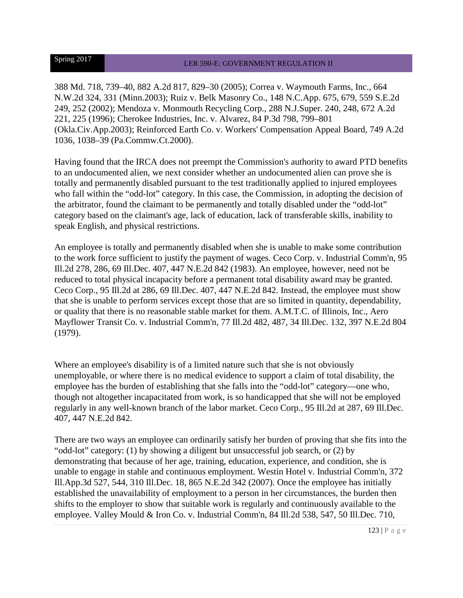388 Md. 718, 739–40, 882 A.2d 817, 829–30 (2005); Correa v. Waymouth Farms, Inc., 664 N.W.2d 324, 331 (Minn.2003); Ruiz v. Belk Masonry Co., 148 N.C.App. 675, 679, 559 S.E.2d 249, 252 (2002); Mendoza v. Monmouth Recycling Corp., 288 N.J.Super. 240, 248, 672 A.2d 221, 225 (1996); Cherokee Industries, Inc. v. Alvarez, 84 P.3d 798, 799–801 (Okla.Civ.App.2003); Reinforced Earth Co. v. Workers' Compensation Appeal Board, 749 A.2d 1036, 1038–39 (Pa.Commw.Ct.2000).

Having found that the IRCA does not preempt the Commission's authority to award PTD benefits to an undocumented alien, we next consider whether an undocumented alien can prove she is totally and permanently disabled pursuant to the test traditionally applied to injured employees who fall within the "odd-lot" category. In this case, the Commission, in adopting the decision of the arbitrator, found the claimant to be permanently and totally disabled under the "odd-lot" category based on the claimant's age, lack of education, lack of transferable skills, inability to speak English, and physical restrictions.

An employee is totally and permanently disabled when she is unable to make some contribution to the work force sufficient to justify the payment of wages. Ceco Corp. v. Industrial Comm'n, 95 Ill.2d 278, 286, 69 Ill.Dec. 407, 447 N.E.2d 842 (1983). An employee, however, need not be reduced to total physical incapacity before a permanent total disability award may be granted. Ceco Corp., 95 Ill.2d at 286, 69 Ill.Dec. 407, 447 N.E.2d 842. Instead, the employee must show that she is unable to perform services except those that are so limited in quantity, dependability, or quality that there is no reasonable stable market for them. A.M.T.C. of Illinois, Inc., Aero Mayflower Transit Co. v. Industrial Comm'n, 77 Ill.2d 482, 487, 34 Ill.Dec. 132, 397 N.E.2d 804 (1979).

Where an employee's disability is of a limited nature such that she is not obviously unemployable, or where there is no medical evidence to support a claim of total disability, the employee has the burden of establishing that she falls into the "odd-lot" category—one who, though not altogether incapacitated from work, is so handicapped that she will not be employed regularly in any well-known branch of the labor market. Ceco Corp., 95 Ill.2d at 287, 69 Ill.Dec. 407, 447 N.E.2d 842.

There are two ways an employee can ordinarily satisfy her burden of proving that she fits into the "odd-lot" category: (1) by showing a diligent but unsuccessful job search, or (2) by demonstrating that because of her age, training, education, experience, and condition, she is unable to engage in stable and continuous employment. Westin Hotel v. Industrial Comm'n, 372 Ill.App.3d 527, 544, 310 Ill.Dec. 18, 865 N.E.2d 342 (2007). Once the employee has initially established the unavailability of employment to a person in her circumstances, the burden then shifts to the employer to show that suitable work is regularly and continuously available to the employee. Valley Mould & Iron Co. v. Industrial Comm'n, 84 Ill.2d 538, 547, 50 Ill.Dec. 710,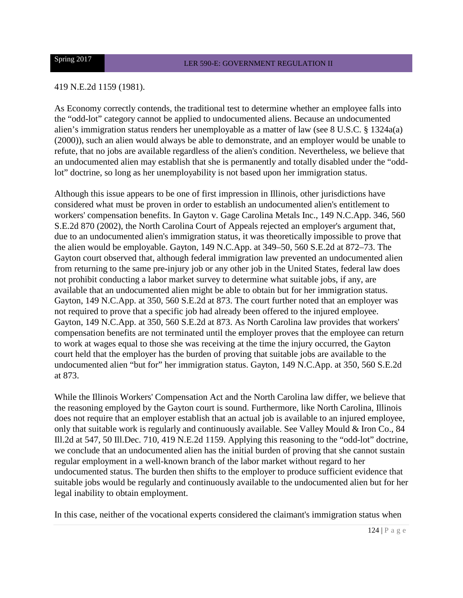### 419 N.E.2d 1159 (1981).

As Economy correctly contends, the traditional test to determine whether an employee falls into the "odd-lot" category cannot be applied to undocumented aliens. Because an undocumented alien's immigration status renders her unemployable as a matter of law (see 8 U.S.C. § 1324a(a) (2000)), such an alien would always be able to demonstrate, and an employer would be unable to refute, that no jobs are available regardless of the alien's condition. Nevertheless, we believe that an undocumented alien may establish that she is permanently and totally disabled under the "oddlot" doctrine, so long as her unemployability is not based upon her immigration status.

Although this issue appears to be one of first impression in Illinois, other jurisdictions have considered what must be proven in order to establish an undocumented alien's entitlement to workers' compensation benefits. In Gayton v. Gage Carolina Metals Inc., 149 N.C.App. 346, 560 S.E.2d 870 (2002), the North Carolina Court of Appeals rejected an employer's argument that, due to an undocumented alien's immigration status, it was theoretically impossible to prove that the alien would be employable. Gayton, 149 N.C.App. at 349–50, 560 S.E.2d at 872–73. The Gayton court observed that, although federal immigration law prevented an undocumented alien from returning to the same pre-injury job or any other job in the United States, federal law does not prohibit conducting a labor market survey to determine what suitable jobs, if any, are available that an undocumented alien might be able to obtain but for her immigration status. Gayton, 149 N.C.App. at 350, 560 S.E.2d at 873. The court further noted that an employer was not required to prove that a specific job had already been offered to the injured employee. Gayton, 149 N.C.App. at 350, 560 S.E.2d at 873. As North Carolina law provides that workers' compensation benefits are not terminated until the employer proves that the employee can return to work at wages equal to those she was receiving at the time the injury occurred, the Gayton court held that the employer has the burden of proving that suitable jobs are available to the undocumented alien "but for" her immigration status. Gayton, 149 N.C.App. at 350, 560 S.E.2d at 873.

While the Illinois Workers' Compensation Act and the North Carolina law differ, we believe that the reasoning employed by the Gayton court is sound. Furthermore, like North Carolina, Illinois does not require that an employer establish that an actual job is available to an injured employee, only that suitable work is regularly and continuously available. See Valley Mould & Iron Co., 84 Ill.2d at 547, 50 Ill.Dec. 710, 419 N.E.2d 1159. Applying this reasoning to the "odd-lot" doctrine, we conclude that an undocumented alien has the initial burden of proving that she cannot sustain regular employment in a well-known branch of the labor market without regard to her undocumented status. The burden then shifts to the employer to produce sufficient evidence that suitable jobs would be regularly and continuously available to the undocumented alien but for her legal inability to obtain employment.

In this case, neither of the vocational experts considered the claimant's immigration status when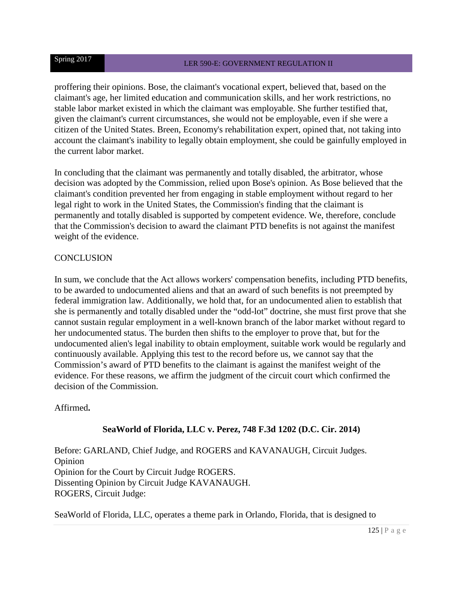proffering their opinions. Bose, the claimant's vocational expert, believed that, based on the claimant's age, her limited education and communication skills, and her work restrictions, no stable labor market existed in which the claimant was employable. She further testified that, given the claimant's current circumstances, she would not be employable, even if she were a citizen of the United States. Breen, Economy's rehabilitation expert, opined that, not taking into account the claimant's inability to legally obtain employment, she could be gainfully employed in the current labor market.

In concluding that the claimant was permanently and totally disabled, the arbitrator, whose decision was adopted by the Commission, relied upon Bose's opinion. As Bose believed that the claimant's condition prevented her from engaging in stable employment without regard to her legal right to work in the United States, the Commission's finding that the claimant is permanently and totally disabled is supported by competent evidence. We, therefore, conclude that the Commission's decision to award the claimant PTD benefits is not against the manifest weight of the evidence.

### **CONCLUSION**

In sum, we conclude that the Act allows workers' compensation benefits, including PTD benefits, to be awarded to undocumented aliens and that an award of such benefits is not preempted by federal immigration law. Additionally, we hold that, for an undocumented alien to establish that she is permanently and totally disabled under the "odd-lot" doctrine, she must first prove that she cannot sustain regular employment in a well-known branch of the labor market without regard to her undocumented status. The burden then shifts to the employer to prove that, but for the undocumented alien's legal inability to obtain employment, suitable work would be regularly and continuously available. Applying this test to the record before us, we cannot say that the Commission's award of PTD benefits to the claimant is against the manifest weight of the evidence. For these reasons, we affirm the judgment of the circuit court which confirmed the decision of the Commission.

### Affirmed**.**

### **SeaWorld of Florida, LLC v. Perez, 748 F.3d 1202 (D.C. Cir. 2014)**

Before: GARLAND, Chief Judge, and ROGERS and KAVANAUGH, Circuit Judges. Opinion Opinion for the Court by Circuit Judge ROGERS. Dissenting Opinion by Circuit Judge KAVANAUGH. ROGERS, Circuit Judge:

SeaWorld of Florida, LLC, operates a theme park in Orlando, Florida, that is designed to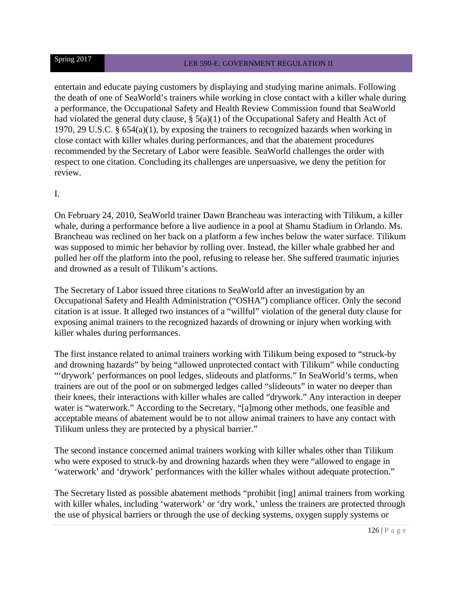entertain and educate paying customers by displaying and studying marine animals. Following the death of one of SeaWorld's trainers while working in close contact with a killer whale during a performance, the Occupational Safety and Health Review Commission found that SeaWorld had violated the general duty clause, § 5(a)(1) of the Occupational Safety and Health Act of 1970, 29 U.S.C. § 654(a)(1), by exposing the trainers to recognized hazards when working in close contact with killer whales during performances, and that the abatement procedures recommended by the Secretary of Labor were feasible. SeaWorld challenges the order with respect to one citation. Concluding its challenges are unpersuasive, we deny the petition for review.

### I.

On February 24, 2010, SeaWorld trainer Dawn Brancheau was interacting with Tilikum, a killer whale, during a performance before a live audience in a pool at Shamu Stadium in Orlando. Ms. Brancheau was reclined on her back on a platform a few inches below the water surface. Tilikum was supposed to mimic her behavior by rolling over. Instead, the killer whale grabbed her and pulled her off the platform into the pool, refusing to release her. She suffered traumatic injuries and drowned as a result of Tilikum's actions.

The Secretary of Labor issued three citations to SeaWorld after an investigation by an Occupational Safety and Health Administration ("OSHA") compliance officer. Only the second citation is at issue. It alleged two instances of a "willful" violation of the general duty clause for exposing animal trainers to the recognized hazards of drowning or injury when working with killer whales during performances.

The first instance related to animal trainers working with Tilikum being exposed to "struck-by and drowning hazards" by being "allowed unprotected contact with Tilikum" while conducting "'drywork' performances on pool ledges, slideouts and platforms." In SeaWorld's terms, when trainers are out of the pool or on submerged ledges called "slideouts" in water no deeper than their knees, their interactions with killer whales are called "drywork." Any interaction in deeper water is "waterwork." According to the Secretary, "[a]mong other methods, one feasible and acceptable means of abatement would be to not allow animal trainers to have any contact with Tilikum unless they are protected by a physical barrier."

The second instance concerned animal trainers working with killer whales other than Tilikum who were exposed to struck-by and drowning hazards when they were "allowed to engage in 'waterwork' and 'drywork' performances with the killer whales without adequate protection."

The Secretary listed as possible abatement methods "prohibit [ing] animal trainers from working with killer whales, including 'waterwork' or 'dry work,' unless the trainers are protected through the use of physical barriers or through the use of decking systems, oxygen supply systems or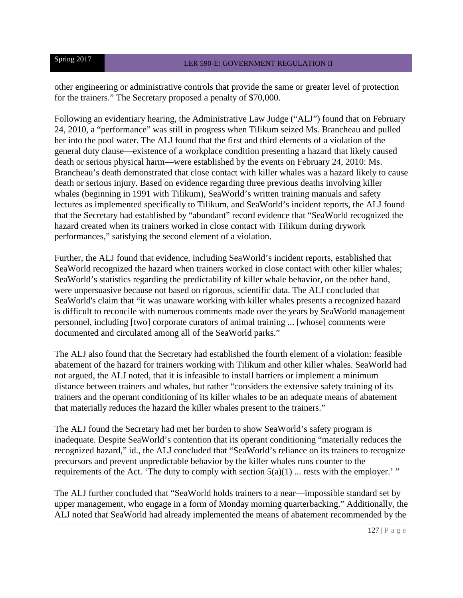other engineering or administrative controls that provide the same or greater level of protection for the trainers." The Secretary proposed a penalty of \$70,000.

Following an evidentiary hearing, the Administrative Law Judge ("ALJ") found that on February 24, 2010, a "performance" was still in progress when Tilikum seized Ms. Brancheau and pulled her into the pool water. The ALJ found that the first and third elements of a violation of the general duty clause—existence of a workplace condition presenting a hazard that likely caused death or serious physical harm—were established by the events on February 24, 2010: Ms. Brancheau's death demonstrated that close contact with killer whales was a hazard likely to cause death or serious injury. Based on evidence regarding three previous deaths involving killer whales (beginning in 1991 with Tilikum), SeaWorld's written training manuals and safety lectures as implemented specifically to Tilikum, and SeaWorld's incident reports, the ALJ found that the Secretary had established by "abundant" record evidence that "SeaWorld recognized the hazard created when its trainers worked in close contact with Tilikum during drywork performances," satisfying the second element of a violation.

Further, the ALJ found that evidence, including SeaWorld's incident reports, established that SeaWorld recognized the hazard when trainers worked in close contact with other killer whales; SeaWorld's statistics regarding the predictability of killer whale behavior, on the other hand, were unpersuasive because not based on rigorous, scientific data. The ALJ concluded that SeaWorld's claim that "it was unaware working with killer whales presents a recognized hazard is difficult to reconcile with numerous comments made over the years by SeaWorld management personnel, including [two] corporate curators of animal training ... [whose] comments were documented and circulated among all of the SeaWorld parks."

The ALJ also found that the Secretary had established the fourth element of a violation: feasible abatement of the hazard for trainers working with Tilikum and other killer whales. SeaWorld had not argued, the ALJ noted, that it is infeasible to install barriers or implement a minimum distance between trainers and whales, but rather "considers the extensive safety training of its trainers and the operant conditioning of its killer whales to be an adequate means of abatement that materially reduces the hazard the killer whales present to the trainers."

The ALJ found the Secretary had met her burden to show SeaWorld's safety program is inadequate. Despite SeaWorld's contention that its operant conditioning "materially reduces the recognized hazard," id., the ALJ concluded that "SeaWorld's reliance on its trainers to recognize precursors and prevent unpredictable behavior by the killer whales runs counter to the requirements of the Act. 'The duty to comply with section  $5(a)(1)$  ... rests with the employer.' "

The ALJ further concluded that "SeaWorld holds trainers to a near—impossible standard set by upper management, who engage in a form of Monday morning quarterbacking." Additionally, the ALJ noted that SeaWorld had already implemented the means of abatement recommended by the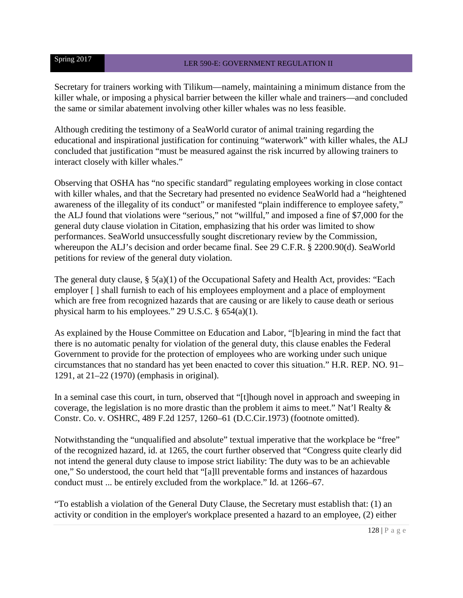Secretary for trainers working with Tilikum—namely, maintaining a minimum distance from the killer whale, or imposing a physical barrier between the killer whale and trainers—and concluded the same or similar abatement involving other killer whales was no less feasible.

Although crediting the testimony of a SeaWorld curator of animal training regarding the educational and inspirational justification for continuing "waterwork" with killer whales, the ALJ concluded that justification "must be measured against the risk incurred by allowing trainers to interact closely with killer whales."

Observing that OSHA has "no specific standard" regulating employees working in close contact with killer whales, and that the Secretary had presented no evidence SeaWorld had a "heightened awareness of the illegality of its conduct" or manifested "plain indifference to employee safety," the ALJ found that violations were "serious," not "willful," and imposed a fine of \$7,000 for the general duty clause violation in Citation, emphasizing that his order was limited to show performances. SeaWorld unsuccessfully sought discretionary review by the Commission, whereupon the ALJ's decision and order became final. See 29 C.F.R. § 2200.90(d). SeaWorld petitions for review of the general duty violation.

The general duty clause, § 5(a)(1) of the Occupational Safety and Health Act, provides: "Each employer  $\lceil \cdot \rceil$  shall furnish to each of his employees employment and a place of employment which are free from recognized hazards that are causing or are likely to cause death or serious physical harm to his employees." 29 U.S.C. § 654(a)(1).

As explained by the House Committee on Education and Labor, "[b]earing in mind the fact that there is no automatic penalty for violation of the general duty, this clause enables the Federal Government to provide for the protection of employees who are working under such unique circumstances that no standard has yet been enacted to cover this situation." H.R. REP. NO. 91– 1291, at 21–22 (1970) (emphasis in original).

In a seminal case this court, in turn, observed that "[t]hough novel in approach and sweeping in coverage, the legislation is no more drastic than the problem it aims to meet." Nat'l Realty & Constr. Co. v. OSHRC, 489 F.2d 1257, 1260–61 (D.C.Cir.1973) (footnote omitted).

Notwithstanding the "unqualified and absolute" textual imperative that the workplace be "free" of the recognized hazard, id. at 1265, the court further observed that "Congress quite clearly did not intend the general duty clause to impose strict liability: The duty was to be an achievable one," So understood, the court held that "[a]ll preventable forms and instances of hazardous conduct must ... be entirely excluded from the workplace." Id. at 1266–67.

"To establish a violation of the General Duty Clause, the Secretary must establish that: (1) an activity or condition in the employer's workplace presented a hazard to an employee, (2) either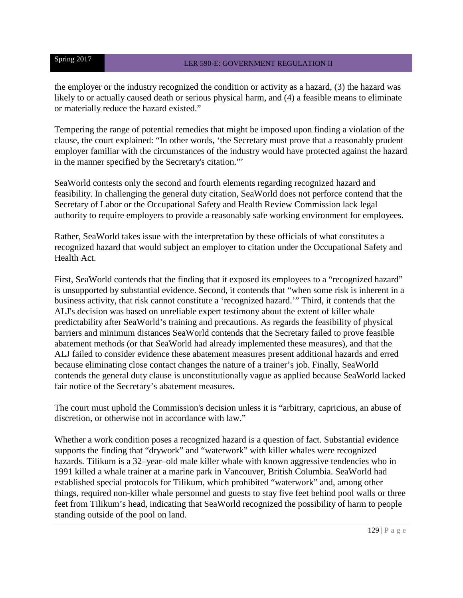the employer or the industry recognized the condition or activity as a hazard, (3) the hazard was likely to or actually caused death or serious physical harm, and  $(4)$  a feasible means to eliminate or materially reduce the hazard existed."

Tempering the range of potential remedies that might be imposed upon finding a violation of the clause, the court explained: "In other words, 'the Secretary must prove that a reasonably prudent employer familiar with the circumstances of the industry would have protected against the hazard in the manner specified by the Secretary's citation."'

SeaWorld contests only the second and fourth elements regarding recognized hazard and feasibility. In challenging the general duty citation, SeaWorld does not perforce contend that the Secretary of Labor or the Occupational Safety and Health Review Commission lack legal authority to require employers to provide a reasonably safe working environment for employees.

Rather, SeaWorld takes issue with the interpretation by these officials of what constitutes a recognized hazard that would subject an employer to citation under the Occupational Safety and Health Act.

First, SeaWorld contends that the finding that it exposed its employees to a "recognized hazard" is unsupported by substantial evidence. Second, it contends that "when some risk is inherent in a business activity, that risk cannot constitute a 'recognized hazard.'" Third, it contends that the ALJ's decision was based on unreliable expert testimony about the extent of killer whale predictability after SeaWorld's training and precautions. As regards the feasibility of physical barriers and minimum distances SeaWorld contends that the Secretary failed to prove feasible abatement methods (or that SeaWorld had already implemented these measures), and that the ALJ failed to consider evidence these abatement measures present additional hazards and erred because eliminating close contact changes the nature of a trainer's job. Finally, SeaWorld contends the general duty clause is unconstitutionally vague as applied because SeaWorld lacked fair notice of the Secretary's abatement measures.

The court must uphold the Commission's decision unless it is "arbitrary, capricious, an abuse of discretion, or otherwise not in accordance with law."

Whether a work condition poses a recognized hazard is a question of fact. Substantial evidence supports the finding that "drywork" and "waterwork" with killer whales were recognized hazards. Tilikum is a 32–year–old male killer whale with known aggressive tendencies who in 1991 killed a whale trainer at a marine park in Vancouver, British Columbia. SeaWorld had established special protocols for Tilikum, which prohibited "waterwork" and, among other things, required non-killer whale personnel and guests to stay five feet behind pool walls or three feet from Tilikum's head, indicating that SeaWorld recognized the possibility of harm to people standing outside of the pool on land.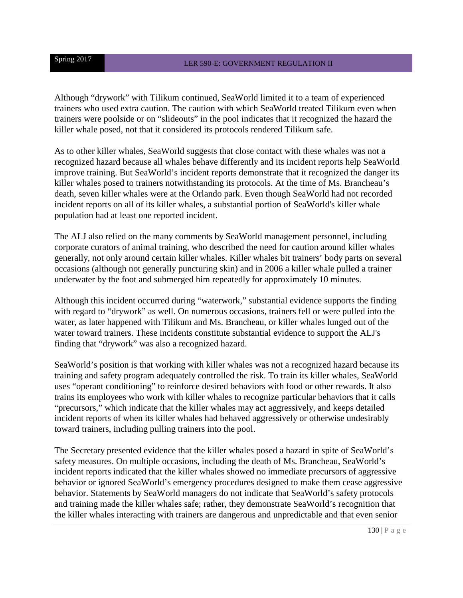Although "drywork" with Tilikum continued, SeaWorld limited it to a team of experienced trainers who used extra caution. The caution with which SeaWorld treated Tilikum even when trainers were poolside or on "slideouts" in the pool indicates that it recognized the hazard the killer whale posed, not that it considered its protocols rendered Tilikum safe.

As to other killer whales, SeaWorld suggests that close contact with these whales was not a recognized hazard because all whales behave differently and its incident reports help SeaWorld improve training. But SeaWorld's incident reports demonstrate that it recognized the danger its killer whales posed to trainers notwithstanding its protocols. At the time of Ms. Brancheau's death, seven killer whales were at the Orlando park. Even though SeaWorld had not recorded incident reports on all of its killer whales, a substantial portion of SeaWorld's killer whale population had at least one reported incident.

The ALJ also relied on the many comments by SeaWorld management personnel, including corporate curators of animal training, who described the need for caution around killer whales generally, not only around certain killer whales. Killer whales bit trainers' body parts on several occasions (although not generally puncturing skin) and in 2006 a killer whale pulled a trainer underwater by the foot and submerged him repeatedly for approximately 10 minutes.

Although this incident occurred during "waterwork," substantial evidence supports the finding with regard to "drywork" as well. On numerous occasions, trainers fell or were pulled into the water, as later happened with Tilikum and Ms. Brancheau, or killer whales lunged out of the water toward trainers. These incidents constitute substantial evidence to support the ALJ's finding that "drywork" was also a recognized hazard.

SeaWorld's position is that working with killer whales was not a recognized hazard because its training and safety program adequately controlled the risk. To train its killer whales, SeaWorld uses "operant conditioning" to reinforce desired behaviors with food or other rewards. It also trains its employees who work with killer whales to recognize particular behaviors that it calls "precursors," which indicate that the killer whales may act aggressively, and keeps detailed incident reports of when its killer whales had behaved aggressively or otherwise undesirably toward trainers, including pulling trainers into the pool.

The Secretary presented evidence that the killer whales posed a hazard in spite of SeaWorld's safety measures. On multiple occasions, including the death of Ms. Brancheau, SeaWorld's incident reports indicated that the killer whales showed no immediate precursors of aggressive behavior or ignored SeaWorld's emergency procedures designed to make them cease aggressive behavior. Statements by SeaWorld managers do not indicate that SeaWorld's safety protocols and training made the killer whales safe; rather, they demonstrate SeaWorld's recognition that the killer whales interacting with trainers are dangerous and unpredictable and that even senior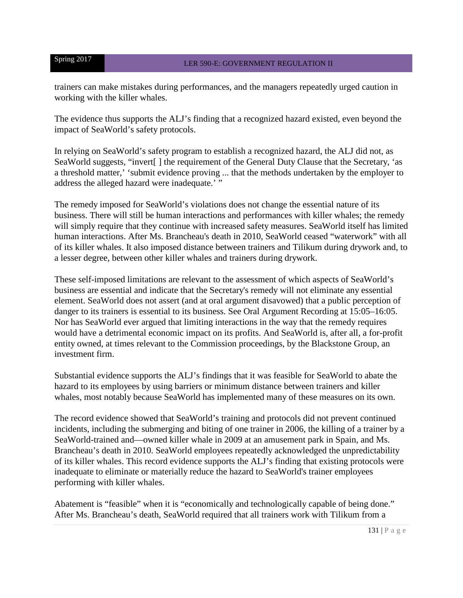trainers can make mistakes during performances, and the managers repeatedly urged caution in working with the killer whales.

The evidence thus supports the ALJ's finding that a recognized hazard existed, even beyond the impact of SeaWorld's safety protocols.

In relying on SeaWorld's safety program to establish a recognized hazard, the ALJ did not, as SeaWorld suggests, "invert<sup>[]</sup> the requirement of the General Duty Clause that the Secretary, 'as a threshold matter,' 'submit evidence proving ... that the methods undertaken by the employer to address the alleged hazard were inadequate.' "

The remedy imposed for SeaWorld's violations does not change the essential nature of its business. There will still be human interactions and performances with killer whales; the remedy will simply require that they continue with increased safety measures. SeaWorld itself has limited human interactions. After Ms. Brancheau's death in 2010, SeaWorld ceased "waterwork" with all of its killer whales. It also imposed distance between trainers and Tilikum during drywork and, to a lesser degree, between other killer whales and trainers during drywork.

These self-imposed limitations are relevant to the assessment of which aspects of SeaWorld's business are essential and indicate that the Secretary's remedy will not eliminate any essential element. SeaWorld does not assert (and at oral argument disavowed) that a public perception of danger to its trainers is essential to its business. See Oral Argument Recording at 15:05–16:05. Nor has SeaWorld ever argued that limiting interactions in the way that the remedy requires would have a detrimental economic impact on its profits. And SeaWorld is, after all, a for-profit entity owned, at times relevant to the Commission proceedings, by the Blackstone Group, an investment firm.

Substantial evidence supports the ALJ's findings that it was feasible for SeaWorld to abate the hazard to its employees by using barriers or minimum distance between trainers and killer whales, most notably because SeaWorld has implemented many of these measures on its own.

The record evidence showed that SeaWorld's training and protocols did not prevent continued incidents, including the submerging and biting of one trainer in 2006, the killing of a trainer by a SeaWorld-trained and—owned killer whale in 2009 at an amusement park in Spain, and Ms. Brancheau's death in 2010. SeaWorld employees repeatedly acknowledged the unpredictability of its killer whales. This record evidence supports the ALJ's finding that existing protocols were inadequate to eliminate or materially reduce the hazard to SeaWorld's trainer employees performing with killer whales.

Abatement is "feasible" when it is "economically and technologically capable of being done." After Ms. Brancheau's death, SeaWorld required that all trainers work with Tilikum from a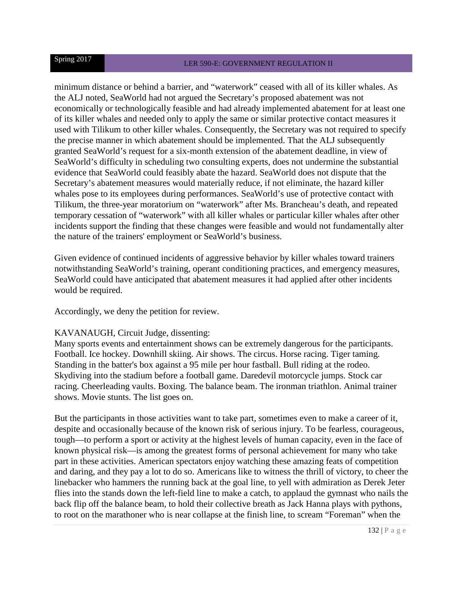minimum distance or behind a barrier, and "waterwork" ceased with all of its killer whales. As the ALJ noted, SeaWorld had not argued the Secretary's proposed abatement was not economically or technologically feasible and had already implemented abatement for at least one of its killer whales and needed only to apply the same or similar protective contact measures it used with Tilikum to other killer whales. Consequently, the Secretary was not required to specify the precise manner in which abatement should be implemented. That the ALJ subsequently granted SeaWorld's request for a six-month extension of the abatement deadline, in view of SeaWorld's difficulty in scheduling two consulting experts, does not undermine the substantial evidence that SeaWorld could feasibly abate the hazard. SeaWorld does not dispute that the Secretary's abatement measures would materially reduce, if not eliminate, the hazard killer whales pose to its employees during performances. SeaWorld's use of protective contact with Tilikum, the three-year moratorium on "waterwork" after Ms. Brancheau's death, and repeated temporary cessation of "waterwork" with all killer whales or particular killer whales after other incidents support the finding that these changes were feasible and would not fundamentally alter the nature of the trainers' employment or SeaWorld's business.

Given evidence of continued incidents of aggressive behavior by killer whales toward trainers notwithstanding SeaWorld's training, operant conditioning practices, and emergency measures, SeaWorld could have anticipated that abatement measures it had applied after other incidents would be required.

Accordingly, we deny the petition for review.

### KAVANAUGH, Circuit Judge, dissenting:

Many sports events and entertainment shows can be extremely dangerous for the participants. Football. Ice hockey. Downhill skiing. Air shows. The circus. Horse racing. Tiger taming. Standing in the batter's box against a 95 mile per hour fastball. Bull riding at the rodeo. Skydiving into the stadium before a football game. Daredevil motorcycle jumps. Stock car racing. Cheerleading vaults. Boxing. The balance beam. The ironman triathlon. Animal trainer shows. Movie stunts. The list goes on.

But the participants in those activities want to take part, sometimes even to make a career of it, despite and occasionally because of the known risk of serious injury. To be fearless, courageous, tough—to perform a sport or activity at the highest levels of human capacity, even in the face of known physical risk—is among the greatest forms of personal achievement for many who take part in these activities. American spectators enjoy watching these amazing feats of competition and daring, and they pay a lot to do so. Americans like to witness the thrill of victory, to cheer the linebacker who hammers the running back at the goal line, to yell with admiration as Derek Jeter flies into the stands down the left-field line to make a catch, to applaud the gymnast who nails the back flip off the balance beam, to hold their collective breath as Jack Hanna plays with pythons, to root on the marathoner who is near collapse at the finish line, to scream "Foreman" when the